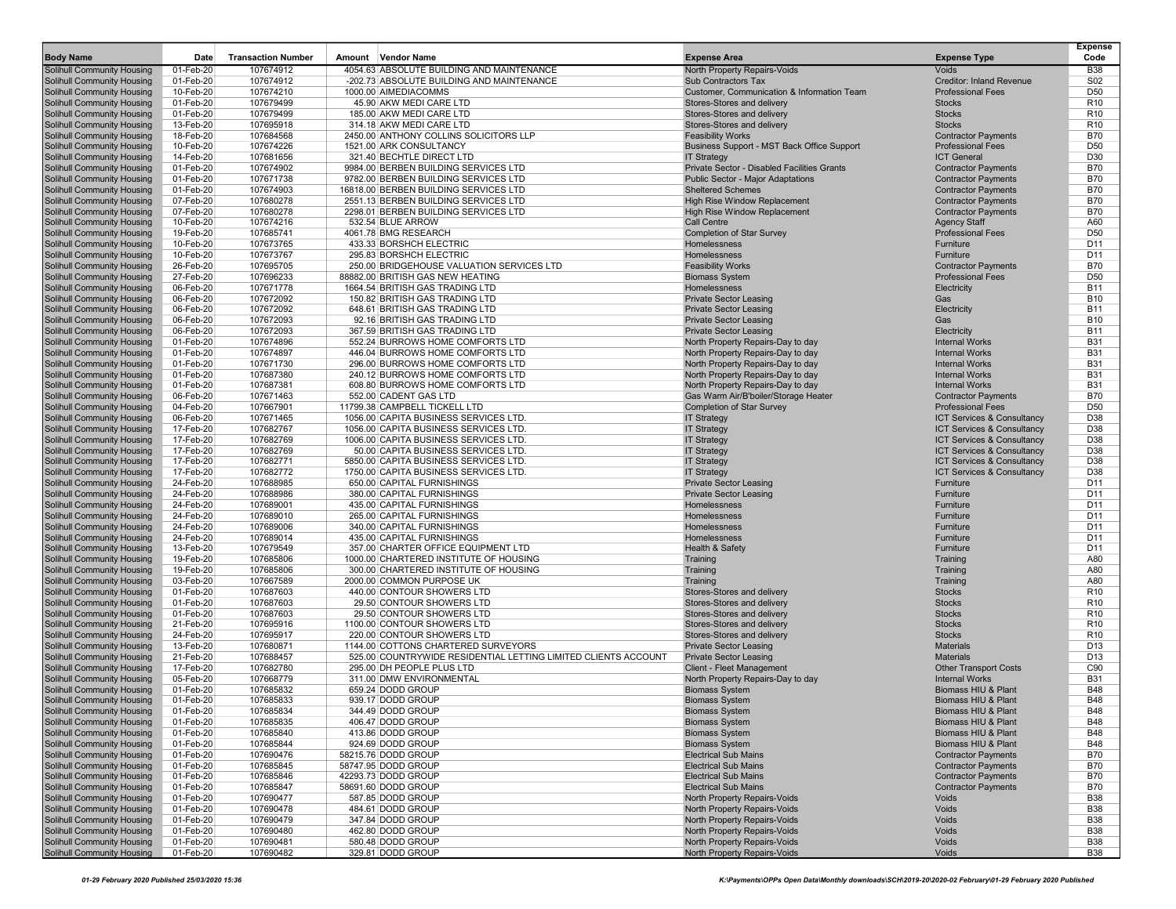| <b>Body Name</b>                                                       | Date                   | <b>Transaction Number</b> | <b>Vendor Name</b><br>Amount                                                   | <b>Expense Area</b>                                      | <b>Expense Type</b>                                      | <b>Expense</b><br>Code   |
|------------------------------------------------------------------------|------------------------|---------------------------|--------------------------------------------------------------------------------|----------------------------------------------------------|----------------------------------------------------------|--------------------------|
| <b>Solihull Community Housing</b>                                      | 01-Feb-20              | 107674912                 | 4054.63 ABSOLUTE BUILDING AND MAINTENANCE                                      | North Property Repairs-Voids                             | Voids                                                    | <b>B38</b>               |
| Solihull Community Housing                                             | 01-Feb-20              | 107674912                 | -202.73 ABSOLUTE BUILDING AND MAINTENANCE                                      | Sub Contractors Tax                                      | Creditor: Inland Revenue                                 | S <sub>02</sub>          |
| Solihull Community Housing                                             | 10-Feb-20              | 107674210                 | 1000.00 AIMEDIACOMMS                                                           | Customer, Communication & Information Team               | <b>Professional Fees</b>                                 | D <sub>50</sub>          |
| Solihull Community Housing                                             | 01-Feb-20              | 107679499                 | 45.90 AKW MEDI CARE LTD                                                        | Stores-Stores and delivery                               | <b>Stocks</b>                                            | R <sub>10</sub>          |
| <b>Solihull Community Housing</b>                                      | 01-Feb-20              | 107679499                 | 185.00 AKW MEDI CARE LTD                                                       | Stores-Stores and delivery                               | <b>Stocks</b>                                            | R <sub>10</sub>          |
| Solihull Community Housing                                             | 13-Feb-20              | 107695918                 | 314.18 AKW MEDI CARE LTD                                                       | Stores-Stores and delivery                               | <b>Stocks</b>                                            | R <sub>10</sub>          |
| <b>Solihull Community Housing</b>                                      | 18-Feb-20              | 107684568                 | 2450.00 ANTHONY COLLINS SOLICITORS LLP                                         | <b>Feasibility Works</b>                                 | <b>Contractor Payments</b>                               | <b>B70</b>               |
| Solihull Community Housing                                             | 10-Feb-20              | 107674226                 | 1521.00 ARK CONSULTANCY                                                        | Business Support - MST Back Office Support               | <b>Professional Fees</b>                                 | D <sub>50</sub>          |
| Solihull Community Housing                                             | 14-Feb-20              | 107681656                 | 321.40 BECHTLE DIRECT LTD                                                      | <b>IT Strategy</b>                                       | <b>ICT General</b>                                       | D30                      |
| <b>Solihull Community Housing</b>                                      | 01-Feb-20              | 107674902                 | 9984.00 BERBEN BUILDING SERVICES LTD                                           | Private Sector - Disabled Facilities Grants              | <b>Contractor Payments</b>                               | <b>B70</b>               |
| Solihull Community Housing                                             | 01-Feb-20              | 107671738                 | 9782.00 BERBEN BUILDING SERVICES LTD                                           | Public Sector - Major Adaptations                        | <b>Contractor Payments</b>                               | <b>B70</b>               |
| Solihull Community Housing                                             | 01-Feb-20              | 107674903                 | 16818.00 BERBEN BUILDING SERVICES LTD                                          | <b>Sheltered Schemes</b><br>High Rise Window Replacement | <b>Contractor Payments</b>                               | <b>B70</b>               |
| <b>Solihull Community Housing</b><br>Solihull Community Housing        | 07-Feb-20<br>07-Feb-20 | 107680278<br>107680278    | 2551.13 BERBEN BUILDING SERVICES LTD<br>2298.01 BERBEN BUILDING SERVICES LTD   | High Rise Window Replacement                             | <b>Contractor Payments</b><br><b>Contractor Payments</b> | <b>B70</b><br><b>B70</b> |
| <b>Solihull Community Housing</b>                                      | 10-Feb-20              | 107674216                 | 532.54 BLUE ARROW                                                              | <b>Call Centre</b>                                       | <b>Agency Staff</b>                                      | A60                      |
| Solihull Community Housing                                             | 19-Feb-20              | 107685741                 | 4061.78 BMG RESEARCH                                                           | <b>Completion of Star Survey</b>                         | <b>Professional Fees</b>                                 | D <sub>50</sub>          |
| <b>Solihull Community Housing</b>                                      | 10-Feb-20              | 107673765                 | 433.33 BORSHCH ELECTRIC                                                        | Homelessness                                             | Furniture                                                | D <sub>11</sub>          |
| <b>Solihull Community Housing</b>                                      | 10-Feb-20              | 107673767                 | 295.83 BORSHCH ELECTRIC                                                        | Homelessness                                             | Furniture                                                | D <sub>11</sub>          |
| <b>Solihull Community Housing</b>                                      | 26-Feb-20              | 107695705                 | 250.00 BRIDGEHOUSE VALUATION SERVICES LTD                                      | <b>Feasibility Works</b>                                 | <b>Contractor Payments</b>                               | <b>B70</b>               |
| <b>Solihull Community Housing</b>                                      | 27-Feb-20              | 107696233                 | 88882.00 BRITISH GAS NEW HEATING                                               | <b>Biomass System</b>                                    | <b>Professional Fees</b>                                 | D <sub>50</sub>          |
| Solihull Community Housing                                             | 06-Feb-20              | 107671778                 | 1664.54 BRITISH GAS TRADING LTD                                                | Homelessness                                             | Electricity                                              | <b>B11</b>               |
| <b>Solihull Community Housing</b>                                      | 06-Feb-20              | 107672092                 | 150.82 BRITISH GAS TRADING LTD                                                 | <b>Private Sector Leasing</b>                            | Gas                                                      | <b>B10</b>               |
| Solihull Community Housing                                             | 06-Feb-20              | 107672092                 | 648.61 BRITISH GAS TRADING LTD                                                 | <b>Private Sector Leasing</b>                            | Electricity                                              | <b>B11</b>               |
| <b>Solihull Community Housing</b>                                      | 06-Feb-20              | 107672093                 | 92.16 BRITISH GAS TRADING LTD                                                  | <b>Private Sector Leasing</b>                            | Gas                                                      | <b>B10</b>               |
| Solihull Community Housing                                             | 06-Feb-20              | 107672093                 | 367.59 BRITISH GAS TRADING LTD                                                 | <b>Private Sector Leasing</b>                            | Electricity                                              | <b>B11</b>               |
| <b>Solihull Community Housing</b>                                      | 01-Feb-20              | 107674896                 | 552.24 BURROWS HOME COMFORTS LTD                                               | North Property Repairs-Day to day                        | <b>Internal Works</b>                                    | <b>B31</b>               |
| Solihull Community Housing                                             | 01-Feb-20              | 107674897                 | 446.04 BURROWS HOME COMFORTS LTD                                               | North Property Repairs-Day to day                        | <b>Internal Works</b>                                    | <b>B31</b>               |
| <b>Solihull Community Housing</b>                                      | 01-Feb-20              | 107671730                 | 296.00 BURROWS HOME COMFORTS LTD                                               | North Property Repairs-Day to day                        | <b>Internal Works</b>                                    | <b>B31</b>               |
| <b>Solihull Community Housing</b>                                      | 01-Feb-20              | 107687380                 | 240.12 BURROWS HOME COMFORTS LTD                                               | North Property Repairs-Day to day                        | <b>Internal Works</b>                                    | <b>B31</b>               |
| <b>Solihull Community Housing</b>                                      | 01-Feb-20              | 107687381                 | 608.80 BURROWS HOME COMFORTS LTD                                               | North Property Repairs-Day to day                        | <b>Internal Works</b>                                    | <b>B31</b>               |
| <b>Solihull Community Housing</b>                                      | 06-Feb-20              | 107671463                 | 552.00 CADENT GAS LTD                                                          | Gas Warm Air/B'boiler/Storage Heater                     | <b>Contractor Payments</b>                               | <b>B70</b>               |
| Solihull Community Housing                                             | 04-Feb-20              | 107667901                 | 11799.38 CAMPBELL TICKELL LTD                                                  | <b>Completion of Star Survey</b>                         | <b>Professional Fees</b>                                 | D <sub>50</sub>          |
| Solihull Community Housing                                             | 06-Feb-20              | 107671465                 | 1056.00 CAPITA BUSINESS SERVICES LTD.                                          | <b>IT Strategy</b>                                       | ICT Services & Consultancy                               | D38                      |
| <b>Solihull Community Housing</b>                                      | 17-Feb-20              | 107682767                 | 1056.00 CAPITA BUSINESS SERVICES LTD.                                          | <b>IT Strategy</b>                                       | <b>ICT Services &amp; Consultancy</b>                    | D38                      |
| <b>Solihull Community Housing</b>                                      | 17-Feb-20              | 107682769                 | 1006.00 CAPITA BUSINESS SERVICES LTD.                                          | <b>IT Strategy</b>                                       | <b>ICT Services &amp; Consultancy</b>                    | D38                      |
| <b>Solihull Community Housing</b>                                      | 17-Feb-20              | 107682769                 | 50.00 CAPITA BUSINESS SERVICES LTD.                                            | <b>IT Strategy</b>                                       | ICT Services & Consultancy                               | D38                      |
| <b>Solihull Community Housing</b><br><b>Solihull Community Housing</b> | 17-Feb-20<br>17-Feb-20 | 107682771<br>107682772    | 5850.00 CAPITA BUSINESS SERVICES LTD.<br>1750.00 CAPITA BUSINESS SERVICES LTD. | <b>IT Strategy</b><br><b>IT Strategy</b>                 | ICT Services & Consultancy<br>ICT Services & Consultancy | D38<br>D38               |
| <b>Solihull Community Housing</b>                                      | 24-Feb-20              | 107688985                 | 650.00 CAPITAL FURNISHINGS                                                     | <b>Private Sector Leasing</b>                            | Furniture                                                | D <sub>11</sub>          |
| <b>Solihull Community Housing</b>                                      | 24-Feb-20              | 107688986                 | 380.00 CAPITAL FURNISHINGS                                                     | <b>Private Sector Leasing</b>                            | Furniture                                                | D <sub>11</sub>          |
| Solihull Community Housing                                             | 24-Feb-20              | 107689001                 | 435.00 CAPITAL FURNISHINGS                                                     | <b>Homelessness</b>                                      | Furniture                                                | D <sub>11</sub>          |
| <b>Solihull Community Housing</b>                                      | 24-Feb-20              | 107689010                 | 265.00 CAPITAL FURNISHINGS                                                     | Homelessness                                             | Furniture                                                | D <sub>11</sub>          |
| <b>Solihull Community Housing</b>                                      | 24-Feb-20              | 107689006                 | 340.00 CAPITAL FURNISHINGS                                                     | Homelessness                                             | Furniture                                                | D <sub>11</sub>          |
| <b>Solihull Community Housing</b>                                      | 24-Feb-20              | 107689014                 | 435.00 CAPITAL FURNISHINGS                                                     | Homelessness                                             | Furniture                                                | D <sub>11</sub>          |
| <b>Solihull Community Housing</b>                                      | 13-Feb-20              | 107679549                 | 357.00 CHARTER OFFICE EQUIPMENT LTD                                            | Health & Safety                                          | Furniture                                                | D11                      |
| <b>Solihull Community Housing</b>                                      | 19-Feb-20              | 107685806                 | 1000.00 CHARTERED INSTITUTE OF HOUSING                                         | Training                                                 | Training                                                 | A80                      |
| <b>Solihull Community Housing</b>                                      | 19-Feb-20              | 107685806                 | 300.00 CHARTERED INSTITUTE OF HOUSING                                          | Training                                                 | Training                                                 | A80                      |
| <b>Solihull Community Housing</b>                                      | 03-Feb-20              | 107667589                 | 2000.00 COMMON PURPOSE UK                                                      | Training                                                 | Training                                                 | A80                      |
| <b>Solihull Community Housing</b>                                      | 01-Feb-20              | 107687603                 | 440.00 CONTOUR SHOWERS LTD                                                     | Stores-Stores and delivery                               | <b>Stocks</b>                                            | R <sub>10</sub>          |
| Solihull Community Housing                                             | 01-Feb-20              | 107687603                 | 29.50 CONTOUR SHOWERS LTD                                                      | Stores-Stores and delivery                               | <b>Stocks</b>                                            | R <sub>10</sub>          |
| <b>Solihull Community Housing</b>                                      | 01-Feb-20              | 107687603                 | 29.50 CONTOUR SHOWERS LTD                                                      | Stores-Stores and delivery                               | <b>Stocks</b>                                            | R <sub>10</sub>          |
| <b>Solihull Community Housing</b>                                      | 21-Feb-20              | 107695916                 | 1100.00 CONTOUR SHOWERS LTD                                                    | Stores-Stores and delivery                               | <b>Stocks</b>                                            | R <sub>10</sub>          |
| <b>Solihull Community Housing</b>                                      | 24-Feb-20              | 107695917                 | 220.00 CONTOUR SHOWERS LTD                                                     | Stores-Stores and delivery                               | <b>Stocks</b>                                            | R <sub>10</sub>          |
| <b>Solihull Community Housing</b>                                      | 13-Feb-20              | 107680871                 | 1144.00 COTTONS CHARTERED SURVEYORS                                            | <b>Private Sector Leasing</b>                            | Materials                                                | D <sub>13</sub>          |
| <b>Solihull Community Housing</b>                                      | 21-Feb-20              | 107688457                 | 525.00 COUNTRYWIDE RESIDENTIAL LETTING LIMITED CLIENTS ACCOUNT                 | <b>Private Sector Leasing</b>                            | <b>Materials</b>                                         | D <sub>13</sub>          |
| <b>Solihull Community Housing</b>                                      | 17-Feb-20              | 107682780                 | 295.00 DH PEOPLE PLUS LTD<br>311.00 DMW ENVIRONMENTAL                          | Client - Fleet Management                                | <b>Other Transport Costs</b>                             | C90<br><b>B31</b>        |
| Solihull Community Housing                                             | 05-Feb-20              | 107668779                 |                                                                                | North Property Repairs-Day to day                        | <b>Internal Works</b>                                    | <b>B48</b>               |
| <b>Solihull Community Housing</b>                                      | 01-Feb-20<br>01-Feb-20 | 107685832<br>107685833    | 659.24 DODD GROUP<br>939.17 DODD GROUP                                         | <b>Biomass System</b><br><b>Biomass System</b>           | Biomass HIU & Plant<br>Biomass HIU & Plant               | <b>B48</b>               |
| <b>Solihull Community Housing</b>                                      |                        |                           |                                                                                |                                                          |                                                          |                          |
| Solihull Community Housing<br><b>Solihull Community Housing</b>        | 01-Feb-20<br>01-Feb-20 | 107685834<br>107685835    | 344.49 DODD GROUP<br>406.47 DODD GROUP                                         | <b>Biomass System</b><br><b>Biomass System</b>           | Biomass HIU & Plant<br>Biomass HIU & Plant               | B48<br><b>B48</b>        |
| <b>Solihull Community Housing</b>                                      | 01-Feb-20              | 107685840                 | 413.86 DODD GROUP                                                              | <b>Biomass System</b>                                    | Biomass HIU & Plant                                      | <b>B48</b>               |
| <b>Solihull Community Housing</b>                                      | 01-Feb-20              | 107685844                 | 924.69 DODD GROUP                                                              | <b>Biomass System</b>                                    | Biomass HIU & Plant                                      | <b>B48</b>               |
| <b>Solihull Community Housing</b>                                      | 01-Feb-20              | 107690476                 | 58215.76 DODD GROUP                                                            | <b>Electrical Sub Mains</b>                              | <b>Contractor Payments</b>                               | <b>B70</b>               |
| <b>Solihull Community Housing</b>                                      | 01-Feb-20              | 107685845                 | 58747.95 DODD GROUP                                                            | <b>Electrical Sub Mains</b>                              | <b>Contractor Payments</b>                               | <b>B70</b>               |
| <b>Solihull Community Housing</b>                                      | 01-Feb-20              | 107685846                 | 42293.73 DODD GROUP                                                            | <b>Electrical Sub Mains</b>                              | <b>Contractor Payments</b>                               | <b>B70</b>               |
| <b>Solihull Community Housing</b>                                      | 01-Feb-20              | 107685847                 | 58691.60 DODD GROUP                                                            | <b>Electrical Sub Mains</b>                              | <b>Contractor Payments</b>                               | <b>B70</b>               |
| <b>Solihull Community Housing</b>                                      | 01-Feb-20              | 107690477                 | 587.85 DODD GROUP                                                              | North Property Repairs-Voids                             | Voids                                                    | <b>B38</b>               |
| <b>Solihull Community Housing</b>                                      | 01-Feb-20              | 107690478                 | 484.61 DODD GROUP                                                              | North Property Repairs-Voids                             | Voids                                                    | <b>B38</b>               |
| <b>Solihull Community Housing</b>                                      | 01-Feb-20              | 107690479                 | 347.84 DODD GROUP                                                              | North Property Repairs-Voids                             | Voids                                                    | <b>B38</b>               |
| <b>Solihull Community Housing</b>                                      | 01-Feb-20              | 107690480                 | 462.80 DODD GROUP                                                              | North Property Repairs-Voids                             | Voids                                                    | <b>B38</b>               |
| <b>Solihull Community Housing</b>                                      | 01-Feb-20              | 107690481                 | 580.48 DODD GROUP                                                              | North Property Repairs-Voids                             | Voids                                                    | <b>B38</b>               |
| <b>Solihull Community Housing</b>                                      | 01-Feb-20              | 107690482                 | 329.81 DODD GROUP                                                              | North Property Repairs-Voids                             | Voids                                                    | <b>B38</b>               |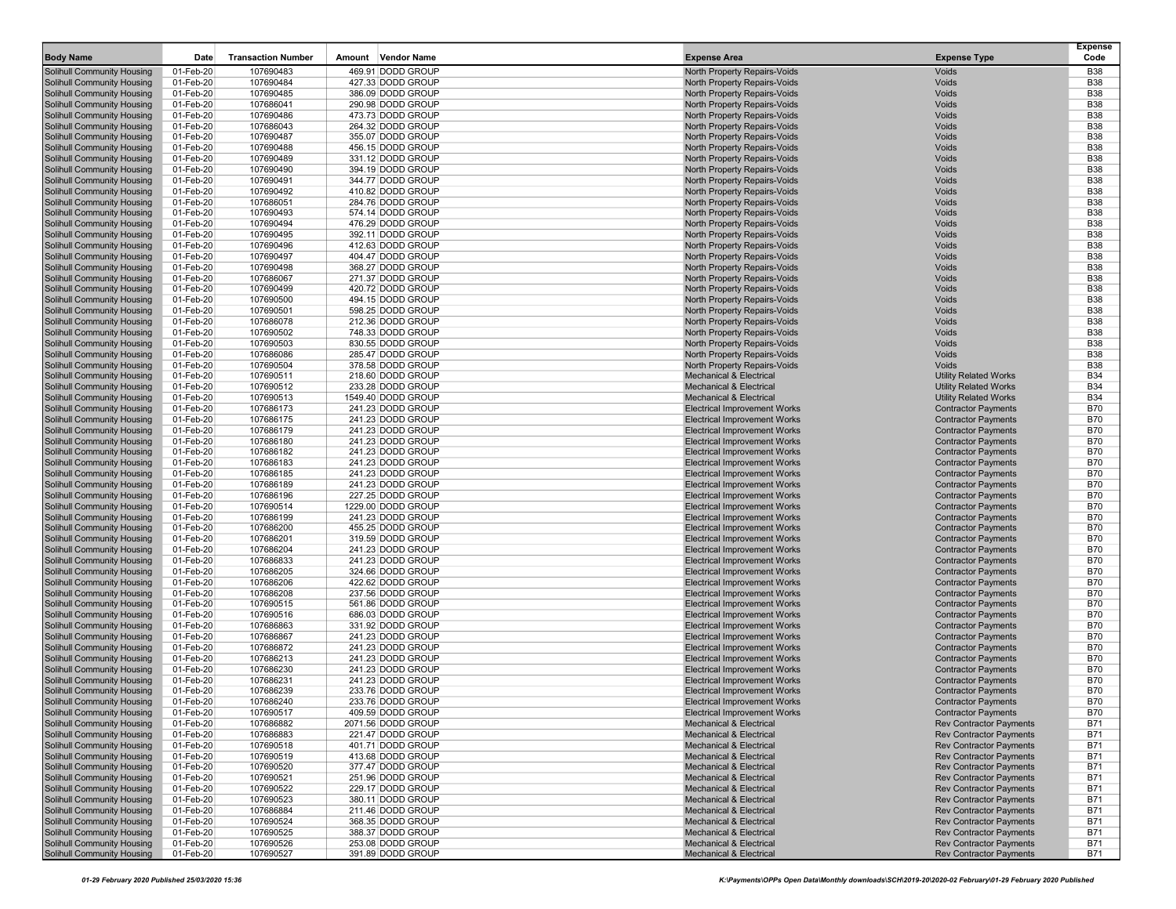| <b>Body Name</b>                                                       | Date                   | <b>Transaction Number</b> | Amount<br><b>Vendor Name</b>            | <b>Expense Area</b>                                                        | <b>Expense Type</b>                                              | <b>Expense</b><br>Code   |
|------------------------------------------------------------------------|------------------------|---------------------------|-----------------------------------------|----------------------------------------------------------------------------|------------------------------------------------------------------|--------------------------|
| Solihull Community Housing                                             | 01-Feb-20              | 107690483                 | 469.91 DODD GROUP                       | North Property Repairs-Voids                                               | Voids                                                            | <b>B38</b>               |
| Solihull Community Housing                                             | 01-Feb-20              | 107690484                 | 427.33 DODD GROUP                       | North Property Repairs-Voids                                               | Voids                                                            | <b>B38</b>               |
| Solihull Community Housing                                             | 01-Feb-20              | 107690485                 | 386.09 DODD GROUP                       | North Property Repairs-Voids                                               | Voids                                                            | <b>B38</b>               |
| <b>Solihull Community Housing</b>                                      | 01-Feb-20              | 107686041                 | 290.98 DODD GROUP                       | North Property Repairs-Voids                                               | Voids                                                            | <b>B38</b>               |
| Solihull Community Housing                                             | 01-Feb-20              | 107690486                 | 473.73 DODD GROUP                       | North Property Repairs-Voids                                               | Voids                                                            | <b>B38</b>               |
| <b>Solihull Community Housing</b>                                      | 01-Feb-20              | 107686043                 | 264.32 DODD GROUP                       | North Property Repairs-Voids                                               | Voids                                                            | <b>B38</b>               |
| Solihull Community Housing                                             | 01-Feb-20              | 107690487                 | 355.07 DODD GROUP                       | North Property Repairs-Voids                                               | Voids                                                            | <b>B38</b>               |
| Solihull Community Housing                                             | 01-Feb-20              | 107690488                 | 456.15 DODD GROUP                       | North Property Repairs-Voids                                               | Voids                                                            | <b>B38</b>               |
| Solihull Community Housing                                             | 01-Feb-20              | 107690489                 | 331.12 DODD GROUP                       | North Property Repairs-Voids                                               | Voids                                                            | <b>B38</b>               |
| Solihull Community Housing                                             | 01-Feb-20              | 107690490                 | 394.19 DODD GROUP                       | North Property Repairs-Voids                                               | Voids                                                            | <b>B38</b>               |
| <b>Solihull Community Housing</b>                                      | 01-Feb-20              | 107690491                 | 344.77 DODD GROUP                       | North Property Repairs-Voids                                               | Voids                                                            | <b>B38</b>               |
| <b>Solihull Community Housing</b><br><b>Solihull Community Housing</b> | 01-Feb-20<br>01-Feb-20 | 107690492<br>107686051    | 410.82 DODD GROUP<br>284.76 DODD GROUP  | North Property Repairs-Voids<br>North Property Repairs-Voids               | Voids<br>Voids                                                   | <b>B38</b><br><b>B38</b> |
| Solihull Community Housing                                             | 01-Feb-20              | 107690493                 | 574.14 DODD GROUP                       | North Property Repairs-Voids                                               | Voids                                                            | <b>B38</b>               |
| <b>Solihull Community Housing</b>                                      | 01-Feb-20              | 107690494                 | 476.29 DODD GROUP                       | North Property Repairs-Voids                                               | Voids                                                            | <b>B38</b>               |
| Solihull Community Housing                                             | 01-Feb-20              | 107690495                 | 392.11 DODD GROUP                       | North Property Repairs-Voids                                               | Voids                                                            | <b>B38</b>               |
| Solihull Community Housing                                             | 01-Feb-20              | 107690496                 | 412.63 DODD GROUP                       | North Property Repairs-Voids                                               | Voids                                                            | <b>B38</b>               |
| Solihull Community Housing                                             | 01-Feb-20              | 107690497                 | 404.47 DODD GROUP                       | North Property Repairs-Voids                                               | Voids                                                            | <b>B38</b>               |
| Solihull Community Housing                                             | 01-Feb-20              | 107690498                 | 368.27 DODD GROUP                       | North Property Repairs-Voids                                               | Voids                                                            | <b>B38</b>               |
| <b>Solihull Community Housing</b>                                      | 01-Feb-20              | 107686067                 | 271.37 DODD GROUP                       | North Property Repairs-Voids                                               | Voids                                                            | <b>B38</b>               |
| Solihull Community Housing                                             | 01-Feb-20              | 107690499                 | 420.72 DODD GROUP                       | North Property Repairs-Voids                                               | Voids                                                            | <b>B38</b>               |
| <b>Solihull Community Housing</b>                                      | 01-Feb-20              | 107690500                 | 494.15 DODD GROUP                       | North Property Repairs-Voids                                               | Voids                                                            | <b>B38</b>               |
| Solihull Community Housing                                             | 01-Feb-20              | 107690501                 | 598.25 DODD GROUP                       | North Property Repairs-Voids                                               | Voids                                                            | <b>B38</b>               |
| Solihull Community Housing                                             | 01-Feb-20              | 107686078                 | 212.36 DODD GROUP                       | North Property Repairs-Voids                                               | Voids                                                            | <b>B38</b>               |
| <b>Solihull Community Housing</b>                                      | 01-Feb-20              | 107690502                 | 748.33 DODD GROUP                       | North Property Repairs-Voids                                               | Voids                                                            | <b>B38</b>               |
| Solihull Community Housing                                             | 01-Feb-20              | 107690503                 | 830.55 DODD GROUP                       | North Property Repairs-Voids                                               | Voids                                                            | <b>B38</b>               |
| <b>Solihull Community Housing</b>                                      | 01-Feb-20              | 107686086                 | 285.47 DODD GROUP                       | North Property Repairs-Voids<br>North Property Repairs-Voids               | Voids<br>Voids                                                   | <b>B38</b>               |
| Solihull Community Housing<br><b>Solihull Community Housing</b>        | 01-Feb-20<br>01-Feb-20 | 107690504<br>107690511    | 378.58 DODD GROUP<br>218.60 DODD GROUP  | <b>Mechanical &amp; Electrical</b>                                         | <b>Utility Related Works</b>                                     | <b>B38</b><br><b>B34</b> |
| Solihull Community Housing                                             | 01-Feb-20              | 107690512                 | 233.28 DODD GROUP                       | <b>Mechanical &amp; Electrical</b>                                         | <b>Utility Related Works</b>                                     | <b>B34</b>               |
| <b>Solihull Community Housing</b>                                      | 01-Feb-20              | 107690513                 | 1549.40 DODD GROUP                      | <b>Mechanical &amp; Electrical</b>                                         | <b>Utility Related Works</b>                                     | <b>B34</b>               |
| Solihull Community Housing                                             | 01-Feb-20              | 107686173                 | 241.23 DODD GROUP                       | <b>Electrical Improvement Works</b>                                        | <b>Contractor Payments</b>                                       | <b>B70</b>               |
| Solihull Community Housing                                             | 01-Feb-20              | 107686175                 | 241.23 DODD GROUP                       | <b>Electrical Improvement Works</b>                                        | <b>Contractor Payments</b>                                       | <b>B70</b>               |
| <b>Solihull Community Housing</b>                                      | 01-Feb-20              | 107686179                 | 241.23 DODD GROUP                       | <b>Electrical Improvement Works</b>                                        | <b>Contractor Payments</b>                                       | <b>B70</b>               |
| Solihull Community Housing                                             | 01-Feb-20              | 107686180                 | 241.23 DODD GROUP                       | <b>Electrical Improvement Works</b>                                        | <b>Contractor Payments</b>                                       | <b>B70</b>               |
| <b>Solihull Community Housing</b>                                      | 01-Feb-20              | 107686182                 | 241.23 DODD GROUP                       | <b>Electrical Improvement Works</b>                                        | <b>Contractor Payments</b>                                       | <b>B70</b>               |
| Solihull Community Housing                                             | 01-Feb-20              | 107686183                 | 241.23 DODD GROUP                       | <b>Electrical Improvement Works</b>                                        | <b>Contractor Payments</b>                                       | <b>B70</b>               |
| <b>Solihull Community Housing</b>                                      | 01-Feb-20              | 107686185                 | 241.23 DODD GROUP                       | <b>Electrical Improvement Works</b>                                        | <b>Contractor Payments</b>                                       | <b>B70</b>               |
| Solihull Community Housing                                             | 01-Feb-20              | 107686189                 | 241.23 DODD GROUP                       | <b>Electrical Improvement Works</b>                                        | <b>Contractor Payments</b>                                       | <b>B70</b>               |
| Solihull Community Housing                                             | 01-Feb-20              | 107686196                 | 227.25 DODD GROUP                       | <b>Electrical Improvement Works</b>                                        | <b>Contractor Payments</b>                                       | <b>B70</b>               |
| Solihull Community Housing<br>Solihull Community Housing               | 01-Feb-20<br>01-Feb-20 | 107690514<br>107686199    | 1229.00 DODD GROUP<br>241.23 DODD GROUP | <b>Electrical Improvement Works</b><br><b>Electrical Improvement Works</b> | <b>Contractor Payments</b><br><b>Contractor Payments</b>         | <b>B70</b><br><b>B70</b> |
| <b>Solihull Community Housing</b>                                      | 01-Feb-20              | 107686200                 | 455.25 DODD GROUP                       | <b>Electrical Improvement Works</b>                                        | <b>Contractor Payments</b>                                       | <b>B70</b>               |
| Solihull Community Housing                                             | 01-Feb-20              | 107686201                 | 319.59 DODD GROUP                       | <b>Electrical Improvement Works</b>                                        | <b>Contractor Payments</b>                                       | <b>B70</b>               |
| <b>Solihull Community Housing</b>                                      | 01-Feb-20              | 107686204                 | 241.23 DODD GROUP                       | <b>Electrical Improvement Works</b>                                        | <b>Contractor Payments</b>                                       | <b>B70</b>               |
| Solihull Community Housing                                             | 01-Feb-20              | 107686833                 | 241.23 DODD GROUP                       | <b>Electrical Improvement Works</b>                                        | <b>Contractor Payments</b>                                       | <b>B70</b>               |
| <b>Solihull Community Housing</b>                                      | 01-Feb-20              | 107686205                 | 324.66 DODD GROUP                       | <b>Electrical Improvement Works</b>                                        | <b>Contractor Payments</b>                                       | <b>B70</b>               |
| Solihull Community Housing                                             | 01-Feb-20              | 107686206                 | 422.62 DODD GROUP                       | <b>Electrical Improvement Works</b>                                        | <b>Contractor Payments</b>                                       | <b>B70</b>               |
| Solihull Community Housing                                             | 01-Feb-20              | 107686208                 | 237.56 DODD GROUP                       | <b>Electrical Improvement Works</b>                                        | <b>Contractor Payments</b>                                       | <b>B70</b>               |
| Solihull Community Housing                                             | 01-Feb-20              | 107690515                 | 561.86 DODD GROUP                       | <b>Electrical Improvement Works</b>                                        | <b>Contractor Payments</b>                                       | <b>B70</b>               |
| Solihull Community Housing                                             | 01-Feb-20              | 107690516                 | 686.03 DODD GROUP                       | <b>Electrical Improvement Works</b>                                        | <b>Contractor Payments</b>                                       | <b>B70</b>               |
| <b>Solihull Community Housing</b>                                      | 01-Feb-20              | 107686863                 | 331.92 DODD GROUP                       | <b>Electrical Improvement Works</b>                                        | <b>Contractor Payments</b>                                       | <b>B70</b>               |
| Solihull Community Housing                                             | 01-Feb-20              | 107686867                 | 241.23 DODD GROUP                       | <b>Electrical Improvement Works</b>                                        | <b>Contractor Payments</b>                                       | <b>B70</b>               |
| <b>Solihull Community Housing</b>                                      | 01-Feb-20              | 107686872                 | 241.23 DODD GROUP<br>241.23 DODD GROUP  | <b>Electrical Improvement Works</b><br><b>Electrical Improvement Works</b> | <b>Contractor Payments</b>                                       | <b>B70</b>               |
| Solihull Community Housing<br><b>Solihull Community Housing</b>        | 01-Feb-20<br>01-Feb-20 | 107686213<br>107686230    |                                         | <b>Electrical Improvement Works</b>                                        | <b>Contractor Payments</b><br><b>Contractor Payments</b>         | <b>B70</b><br><b>B70</b> |
| Solihull Community Housing                                             | 01-Feb-20              | 107686231                 | 241.23 DODD GROUP<br>241.23 DODD GROUP  | <b>Electrical Improvement Works</b>                                        | <b>Contractor Payments</b>                                       | <b>B70</b>               |
| <b>Solihull Community Housing</b>                                      | 01-Feb-20              | 107686239                 | 233.76 DODD GROUP                       | <b>Electrical Improvement Works</b>                                        | <b>Contractor Payments</b>                                       | <b>B70</b>               |
| <b>Solihull Community Housing</b>                                      | 01-Feb-20              | 107686240                 | 233.76 DODD GROUP                       | <b>Electrical Improvement Works</b>                                        | <b>Contractor Payments</b>                                       | <b>B70</b>               |
| <b>Solihull Community Housing</b>                                      | 01-Feb-20              | 107690517                 | 409.59 DODD GROUP                       | <b>Electrical Improvement Works</b>                                        | <b>Contractor Payments</b>                                       | <b>B70</b>               |
| Solihull Community Housing                                             | 01-Feb-20              | 107686882                 | 2071.56 DODD GROUP                      | <b>Mechanical &amp; Electrical</b>                                         | <b>Rev Contractor Payments</b>                                   | <b>B71</b>               |
| <b>Solihull Community Housing</b>                                      | 01-Feb-20              | 107686883                 | 221.47 DODD GROUP                       | <b>Mechanical &amp; Electrical</b>                                         | <b>Rev Contractor Payments</b>                                   | B71                      |
| <b>Solihull Community Housing</b>                                      | 01-Feb-20              | 107690518                 | 401.71 DODD GROUP                       | <b>Mechanical &amp; Electrical</b>                                         | <b>Rev Contractor Payments</b>                                   | <b>B71</b>               |
| <b>Solihull Community Housing</b>                                      | 01-Feb-20              | 107690519                 | 413.68 DODD GROUP                       | <b>Mechanical &amp; Electrical</b>                                         | <b>Rev Contractor Payments</b>                                   | <b>B71</b>               |
| Solihull Community Housing                                             | 01-Feb-20              | 107690520                 | 377.47 DODD GROUP                       | <b>Mechanical &amp; Electrical</b>                                         | <b>Rev Contractor Payments</b>                                   | <b>B71</b>               |
| Solihull Community Housing                                             | 01-Feb-20              | 107690521                 | 251.96 DODD GROUP                       | <b>Mechanical &amp; Electrical</b>                                         | <b>Rev Contractor Payments</b>                                   | <b>B71</b>               |
| <b>Solihull Community Housing</b>                                      | 01-Feb-20              | 107690522                 | 229.17 DODD GROUP                       | <b>Mechanical &amp; Electrical</b>                                         | <b>Rev Contractor Payments</b>                                   | <b>B71</b>               |
| Solihull Community Housing                                             | 01-Feb-20              | 107690523                 | 380.11 DODD GROUP                       | Mechanical & Electrical                                                    | <b>Rev Contractor Payments</b>                                   | <b>B71</b>               |
| <b>Solihull Community Housing</b>                                      | 01-Feb-20              | 107686884                 | 211.46 DODD GROUP                       | <b>Mechanical &amp; Electrical</b>                                         | <b>Rev Contractor Payments</b>                                   | <b>B71</b>               |
| <b>Solihull Community Housing</b>                                      | 01-Feb-20              | 107690524                 | 368.35 DODD GROUP                       | <b>Mechanical &amp; Electrical</b>                                         | <b>Rev Contractor Payments</b>                                   | <b>B71</b>               |
| <b>Solihull Community Housing</b><br><b>Solihull Community Housing</b> | 01-Feb-20              | 107690525                 | 388.37 DODD GROUP<br>253.08 DODD GROUP  | <b>Mechanical &amp; Electrical</b>                                         | <b>Rev Contractor Payments</b>                                   | B71                      |
| <b>Solihull Community Housing</b>                                      | 01-Feb-20<br>01-Feb-20 | 107690526<br>107690527    | 391.89 DODD GROUP                       | <b>Mechanical &amp; Electrical</b><br><b>Mechanical &amp; Electrical</b>   | <b>Rev Contractor Payments</b><br><b>Rev Contractor Payments</b> | <b>B71</b><br><b>B71</b> |
|                                                                        |                        |                           |                                         |                                                                            |                                                                  |                          |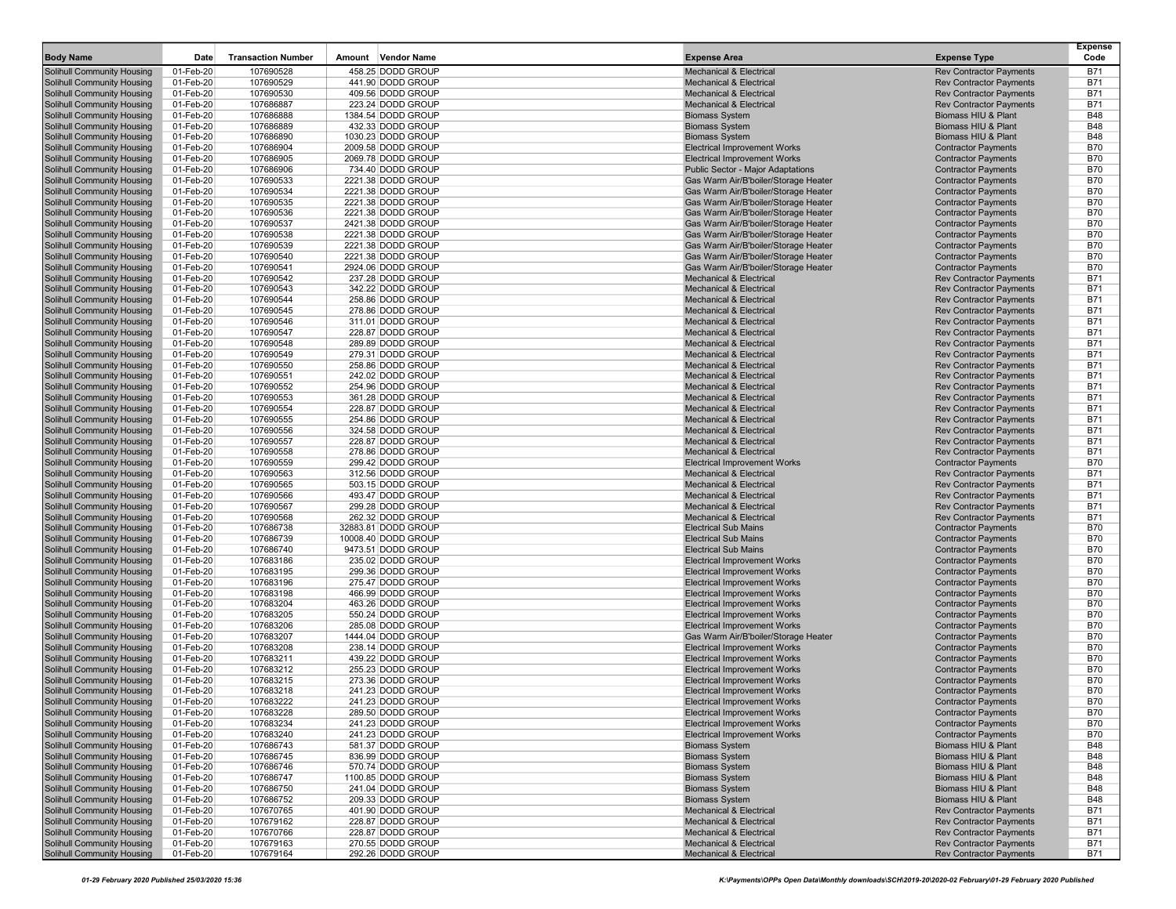| <b>Body Name</b>                                                       | Date                   | <b>Transaction Number</b> | Amount<br><b>Vendor Name</b>               | <b>Expense Area</b>                                                          | <b>Expense Type</b>                                              | <b>Expense</b><br>Code   |
|------------------------------------------------------------------------|------------------------|---------------------------|--------------------------------------------|------------------------------------------------------------------------------|------------------------------------------------------------------|--------------------------|
| <b>Solihull Community Housing</b>                                      | 01-Feb-20              | 107690528                 | 458.25 DODD GROUP                          | <b>Mechanical &amp; Electrical</b>                                           | <b>Rev Contractor Payments</b>                                   | <b>B71</b>               |
| Solihull Community Housing                                             | 01-Feb-20              | 107690529                 | 441.90 DODD GROUP                          | <b>Mechanical &amp; Electrical</b>                                           | <b>Rev Contractor Payments</b>                                   | <b>B71</b>               |
| Solihull Community Housing                                             | 01-Feb-20              | 107690530                 | 409.56 DODD GROUP                          | <b>Mechanical &amp; Electrical</b>                                           | <b>Rev Contractor Payments</b>                                   | <b>B71</b>               |
| <b>Solihull Community Housing</b>                                      | 01-Feb-20              | 107686887                 | 223.24 DODD GROUP                          | <b>Mechanical &amp; Electrical</b>                                           | <b>Rev Contractor Payments</b>                                   | <b>B71</b>               |
| <b>Solihull Community Housing</b>                                      | 01-Feb-20              | 107686888                 | 1384.54 DODD GROUP                         | <b>Biomass System</b>                                                        | Biomass HIU & Plant                                              | <b>B48</b>               |
| <b>Solihull Community Housing</b>                                      | 01-Feb-20              | 107686889                 | 432.33 DODD GROUP                          | <b>Biomass System</b>                                                        | Biomass HIU & Plant                                              | <b>B48</b>               |
| <b>Solihull Community Housing</b>                                      | 01-Feb-20              | 107686890                 | 1030.23 DODD GROUP                         | <b>Biomass System</b>                                                        | Biomass HIU & Plant                                              | <b>B48</b>               |
| Solihull Community Housing                                             | 01-Feb-20              | 107686904                 | 2009.58 DODD GROUP                         | <b>Electrical Improvement Works</b>                                          | <b>Contractor Payments</b>                                       | <b>B70</b>               |
| <b>Solihull Community Housing</b>                                      | 01-Feb-20              | 107686905                 | 2069.78 DODD GROUP                         | <b>Electrical Improvement Works</b>                                          | <b>Contractor Payments</b>                                       | <b>B70</b>               |
| Solihull Community Housing                                             | 01-Feb-20              | 107686906                 | 734.40 DODD GROUP                          | Public Sector - Major Adaptations                                            | <b>Contractor Payments</b>                                       | <b>B70</b>               |
| <b>Solihull Community Housing</b>                                      | 01-Feb-20              | 107690533                 | 2221.38 DODD GROUP                         | Gas Warm Air/B'boiler/Storage Heater                                         | <b>Contractor Payments</b>                                       | <b>B70</b>               |
| Solihull Community Housing                                             | 01-Feb-20              | 107690534                 | 2221.38 DODD GROUP                         | Gas Warm Air/B'boiler/Storage Heater                                         | <b>Contractor Payments</b>                                       | <b>B70</b>               |
| <b>Solihull Community Housing</b><br><b>Solihull Community Housing</b> | 01-Feb-20<br>01-Feb-20 | 107690535<br>107690536    | 2221.38 DODD GROUP<br>2221.38 DODD GROUP   | Gas Warm Air/B'boiler/Storage Heater<br>Gas Warm Air/B'boiler/Storage Heater | <b>Contractor Payments</b><br><b>Contractor Payments</b>         | <b>B70</b><br><b>B70</b> |
| <b>Solihull Community Housing</b>                                      | 01-Feb-20              | 107690537                 | 2421.38 DODD GROUP                         | Gas Warm Air/B'boiler/Storage Heater                                         | <b>Contractor Payments</b>                                       | <b>B70</b>               |
| <b>Solihull Community Housing</b>                                      | 01-Feb-20              | 107690538                 | 2221.38 DODD GROUP                         | Gas Warm Air/B'boiler/Storage Heater                                         | <b>Contractor Payments</b>                                       | <b>B70</b>               |
| Solihull Community Housing                                             | 01-Feb-20              | 107690539                 | 2221.38 DODD GROUP                         | Gas Warm Air/B'boiler/Storage Heater                                         | <b>Contractor Payments</b>                                       | <b>B70</b>               |
| <b>Solihull Community Housing</b>                                      | 01-Feb-20              | 107690540                 | 2221.38 DODD GROUP                         | Gas Warm Air/B'boiler/Storage Heater                                         | <b>Contractor Payments</b>                                       | <b>B70</b>               |
| Solihull Community Housing                                             | 01-Feb-20              | 107690541                 | 2924.06 DODD GROUP                         | Gas Warm Air/B'boiler/Storage Heater                                         | <b>Contractor Payments</b>                                       | <b>B70</b>               |
| <b>Solihull Community Housing</b>                                      | 01-Feb-20              | 107690542                 | 237.28 DODD GROUP                          | <b>Mechanical &amp; Electrical</b>                                           | <b>Rev Contractor Payments</b>                                   | <b>B71</b>               |
| Solihull Community Housing                                             | 01-Feb-20              | 107690543                 | 342.22 DODD GROUP                          | <b>Mechanical &amp; Electrical</b>                                           | <b>Rev Contractor Payments</b>                                   | <b>B71</b>               |
| Solihull Community Housing                                             | 01-Feb-20              | 107690544                 | 258.86 DODD GROUP                          | <b>Mechanical &amp; Electrical</b>                                           | <b>Rev Contractor Payments</b>                                   | <b>B71</b>               |
| <b>Solihull Community Housing</b>                                      | 01-Feb-20              | 107690545                 | 278.86 DODD GROUP                          | <b>Mechanical &amp; Electrical</b>                                           | <b>Rev Contractor Payments</b>                                   | <b>B71</b>               |
| Solihull Community Housing                                             | 01-Feb-20              | 107690546                 | 311.01 DODD GROUP                          | <b>Mechanical &amp; Electrical</b>                                           | <b>Rev Contractor Payments</b>                                   | <b>B71</b>               |
| <b>Solihull Community Housing</b>                                      | 01-Feb-20              | 107690547                 | 228.87 DODD GROUP                          | <b>Mechanical &amp; Electrical</b>                                           | <b>Rev Contractor Payments</b>                                   | <b>B71</b>               |
| Solihull Community Housing                                             | 01-Feb-20              | 107690548                 | 289.89 DODD GROUP                          | <b>Mechanical &amp; Electrical</b>                                           | <b>Rev Contractor Payments</b>                                   | <b>B71</b>               |
| <b>Solihull Community Housing</b>                                      | 01-Feb-20              | 107690549                 | 279.31 DODD GROUP                          | <b>Mechanical &amp; Electrical</b>                                           | <b>Rev Contractor Payments</b>                                   | <b>B71</b>               |
| Solihull Community Housing                                             | 01-Feb-20              | 107690550                 | 258.86 DODD GROUP                          | <b>Mechanical &amp; Electrical</b><br><b>Mechanical &amp; Electrical</b>     | <b>Rev Contractor Payments</b><br><b>Rev Contractor Payments</b> | <b>B71</b><br><b>B71</b> |
| <b>Solihull Community Housing</b><br><b>Solihull Community Housing</b> | 01-Feb-20<br>01-Feb-20 | 107690551<br>107690552    | 242.02 DODD GROUP<br>254.96 DODD GROUP     | <b>Mechanical &amp; Electrical</b>                                           | <b>Rev Contractor Payments</b>                                   | <b>B71</b>               |
| <b>Solihull Community Housing</b>                                      | 01-Feb-20              | 107690553                 | 361.28 DODD GROUP                          | <b>Mechanical &amp; Electrical</b>                                           | <b>Rev Contractor Payments</b>                                   | <b>B71</b>               |
| <b>Solihull Community Housing</b>                                      | 01-Feb-20              | 107690554                 | 228.87 DODD GROUP                          | <b>Mechanical &amp; Electrical</b>                                           | <b>Rev Contractor Payments</b>                                   | <b>B71</b>               |
| Solihull Community Housing                                             | 01-Feb-20              | 107690555                 | 254.86 DODD GROUP                          | <b>Mechanical &amp; Electrical</b>                                           | <b>Rev Contractor Payments</b>                                   | <b>B71</b>               |
| <b>Solihull Community Housing</b>                                      | 01-Feb-20              | 107690556                 | 324.58 DODD GROUP                          | <b>Mechanical &amp; Electrical</b>                                           | <b>Rev Contractor Payments</b>                                   | <b>B71</b>               |
| Solihull Community Housing                                             | 01-Feb-20              | 107690557                 | 228.87 DODD GROUP                          | <b>Mechanical &amp; Electrical</b>                                           | <b>Rev Contractor Payments</b>                                   | <b>B71</b>               |
| <b>Solihull Community Housing</b>                                      | 01-Feb-20              | 107690558                 | 278.86 DODD GROUP                          | <b>Mechanical &amp; Electrical</b>                                           | <b>Rev Contractor Payments</b>                                   | <b>B71</b>               |
| <b>Solihull Community Housing</b>                                      | 01-Feb-20              | 107690559                 | 299.42 DODD GROUP                          | <b>Electrical Improvement Works</b>                                          | <b>Contractor Payments</b>                                       | <b>B70</b>               |
| <b>Solihull Community Housing</b>                                      | 01-Feb-20              | 107690563                 | 312.56 DODD GROUP                          | <b>Mechanical &amp; Electrical</b>                                           | <b>Rev Contractor Payments</b>                                   | <b>B71</b>               |
| <b>Solihull Community Housing</b>                                      | 01-Feb-20              | 107690565                 | 503.15 DODD GROUP                          | <b>Mechanical &amp; Electrical</b>                                           | <b>Rev Contractor Payments</b>                                   | <b>B71</b>               |
| Solihull Community Housing                                             | 01-Feb-20              | 107690566                 | 493.47 DODD GROUP                          | <b>Mechanical &amp; Electrical</b>                                           | <b>Rev Contractor Payments</b>                                   | <b>B71</b>               |
| <b>Solihull Community Housing</b>                                      | 01-Feb-20              | 107690567                 | 299.28 DODD GROUP                          | <b>Mechanical &amp; Electrical</b>                                           | <b>Rev Contractor Payments</b>                                   | <b>B71</b>               |
| Solihull Community Housing                                             | 01-Feb-20              | 107690568                 | 262.32 DODD GROUP                          | <b>Mechanical &amp; Electrical</b><br><b>Electrical Sub Mains</b>            | <b>Rev Contractor Payments</b>                                   | <b>B71</b>               |
| <b>Solihull Community Housing</b><br>Solihull Community Housing        | 01-Feb-20<br>01-Feb-20 | 107686738<br>107686739    | 32883.81 DODD GROUP<br>10008.40 DODD GROUP | <b>Electrical Sub Mains</b>                                                  | <b>Contractor Payments</b><br><b>Contractor Payments</b>         | <b>B70</b><br><b>B70</b> |
| <b>Solihull Community Housing</b>                                      | 01-Feb-20              | 107686740                 | 9473.51 DODD GROUP                         | <b>Electrical Sub Mains</b>                                                  | <b>Contractor Payments</b>                                       | <b>B70</b>               |
| Solihull Community Housing                                             | 01-Feb-20              | 107683186                 | 235.02 DODD GROUP                          | <b>Electrical Improvement Works</b>                                          | <b>Contractor Payments</b>                                       | <b>B70</b>               |
| <b>Solihull Community Housing</b>                                      | 01-Feb-20              | 107683195                 | 299.36 DODD GROUP                          | <b>Electrical Improvement Works</b>                                          | <b>Contractor Payments</b>                                       | <b>B70</b>               |
| <b>Solihull Community Housing</b>                                      | 01-Feb-20              | 107683196                 | 275.47 DODD GROUP                          | <b>Electrical Improvement Works</b>                                          | <b>Contractor Payments</b>                                       | <b>B70</b>               |
| Solihull Community Housing                                             | 01-Feb-20              | 107683198                 | 466.99 DODD GROUP                          | <b>Electrical Improvement Works</b>                                          | <b>Contractor Payments</b>                                       | <b>B70</b>               |
| <b>Solihull Community Housing</b>                                      | 01-Feb-20              | 107683204                 | 463.26 DODD GROUP                          | <b>Electrical Improvement Works</b>                                          | <b>Contractor Payments</b>                                       | <b>B70</b>               |
| Solihull Community Housing                                             | 01-Feb-20              | 107683205                 | 550.24 DODD GROUP                          | <b>Electrical Improvement Works</b>                                          | <b>Contractor Payments</b>                                       | <b>B70</b>               |
| <b>Solihull Community Housing</b>                                      | 01-Feb-20              | 107683206                 | 285.08 DODD GROUP                          | <b>Electrical Improvement Works</b>                                          | <b>Contractor Payments</b>                                       | <b>B70</b>               |
| Solihull Community Housing                                             | 01-Feb-20              | 107683207                 | 1444.04 DODD GROUP                         | Gas Warm Air/B'boiler/Storage Heater                                         | <b>Contractor Payments</b>                                       | <b>B70</b>               |
| <b>Solihull Community Housing</b>                                      | 01-Feb-20              | 107683208                 | 238.14 DODD GROUP                          | <b>Electrical Improvement Works</b>                                          | <b>Contractor Payments</b>                                       | <b>B70</b>               |
| <b>Solihull Community Housing</b>                                      | 01-Feb-20              | 107683211                 | 439.22 DODD GROUP                          | <b>Electrical Improvement Works</b>                                          | <b>Contractor Payments</b>                                       | <b>B70</b>               |
| <b>Solihull Community Housing</b>                                      | 01-Feb-20              | 107683212                 | 255.23 DODD GROUP<br>273.36 DODD GROUP     | <b>Electrical Improvement Works</b>                                          | <b>Contractor Payments</b><br><b>Contractor Payments</b>         | <b>B70</b>               |
| <b>Solihull Community Housing</b><br>Solihull Community Housing        | 01-Feb-20<br>01-Feb-20 | 107683215<br>107683218    | 241.23 DODD GROUP                          | <b>Electrical Improvement Works</b><br><b>Electrical Improvement Works</b>   | <b>Contractor Payments</b>                                       | <b>B70</b><br><b>B70</b> |
| <b>Solihull Community Housing</b>                                      | 01-Feb-20              | 107683222                 | 241.23 DODD GROUP                          | <b>Electrical Improvement Works</b>                                          | <b>Contractor Payments</b>                                       | <b>B70</b>               |
| <b>Solihull Community Housing</b>                                      | 01-Feb-20              | 107683228                 | 289.50 DODD GROUP                          | <b>Electrical Improvement Works</b>                                          | <b>Contractor Payments</b>                                       | <b>B70</b>               |
| <b>Solihull Community Housing</b>                                      | 01-Feb-20              | 107683234                 | 241.23 DODD GROUP                          | <b>Electrical Improvement Works</b>                                          | <b>Contractor Payments</b>                                       | <b>B70</b>               |
| <b>Solihull Community Housing</b>                                      | 01-Feb-20              | 107683240                 | 241.23 DODD GROUP                          | <b>Electrical Improvement Works</b>                                          | <b>Contractor Payments</b>                                       | <b>B70</b>               |
| <b>Solihull Community Housing</b>                                      | 01-Feb-20              | 107686743                 | 581.37 DODD GROUP                          | <b>Biomass System</b>                                                        | Biomass HIU & Plant                                              | <b>B48</b>               |
| <b>Solihull Community Housing</b>                                      | 01-Feb-20              | 107686745                 | 836.99 DODD GROUP                          | <b>Biomass System</b>                                                        | Biomass HIU & Plant                                              | <b>B48</b>               |
| Solihull Community Housing                                             | 01-Feb-20              | 107686746                 | 570.74 DODD GROUP                          | <b>Biomass System</b>                                                        | Biomass HIU & Plant                                              | <b>B48</b>               |
| <b>Solihull Community Housing</b>                                      | 01-Feb-20              | 107686747                 | 1100.85 DODD GROUP                         | <b>Biomass System</b>                                                        | Biomass HIU & Plant                                              | <b>B48</b>               |
| <b>Solihull Community Housing</b>                                      | 01-Feb-20              | 107686750                 | 241.04 DODD GROUP                          | <b>Biomass System</b>                                                        | Biomass HIU & Plant                                              | <b>B48</b>               |
| Solihull Community Housing                                             | 01-Feb-20              | 107686752                 | 209.33 DODD GROUP                          | <b>Biomass System</b>                                                        | Biomass HIU & Plant                                              | <b>B48</b>               |
| Solihull Community Housing                                             | 01-Feb-20              | 107670765                 | 401.90 DODD GROUP                          | <b>Mechanical &amp; Electrical</b>                                           | <b>Rev Contractor Payments</b>                                   | <b>B71</b>               |
| <b>Solihull Community Housing</b>                                      | 01-Feb-20              | 107679162                 | 228.87 DODD GROUP                          | <b>Mechanical &amp; Electrical</b>                                           | <b>Rev Contractor Payments</b>                                   | <b>B71</b>               |
| <b>Solihull Community Housing</b>                                      | 01-Feb-20              | 107670766                 | 228.87 DODD GROUP                          | Mechanical & Electrical                                                      | <b>Rev Contractor Payments</b>                                   | <b>B71</b>               |
| Solihull Community Housing<br><b>Solihull Community Housing</b>        | 01-Feb-20              | 107679163                 | 270.55 DODD GROUP                          | Mechanical & Electrical                                                      | <b>Rev Contractor Payments</b><br><b>Rev Contractor Payments</b> | <b>B71</b>               |
|                                                                        | 01-Feb-20              | 107679164                 | 292.26 DODD GROUP                          | Mechanical & Electrical                                                      |                                                                  | B71                      |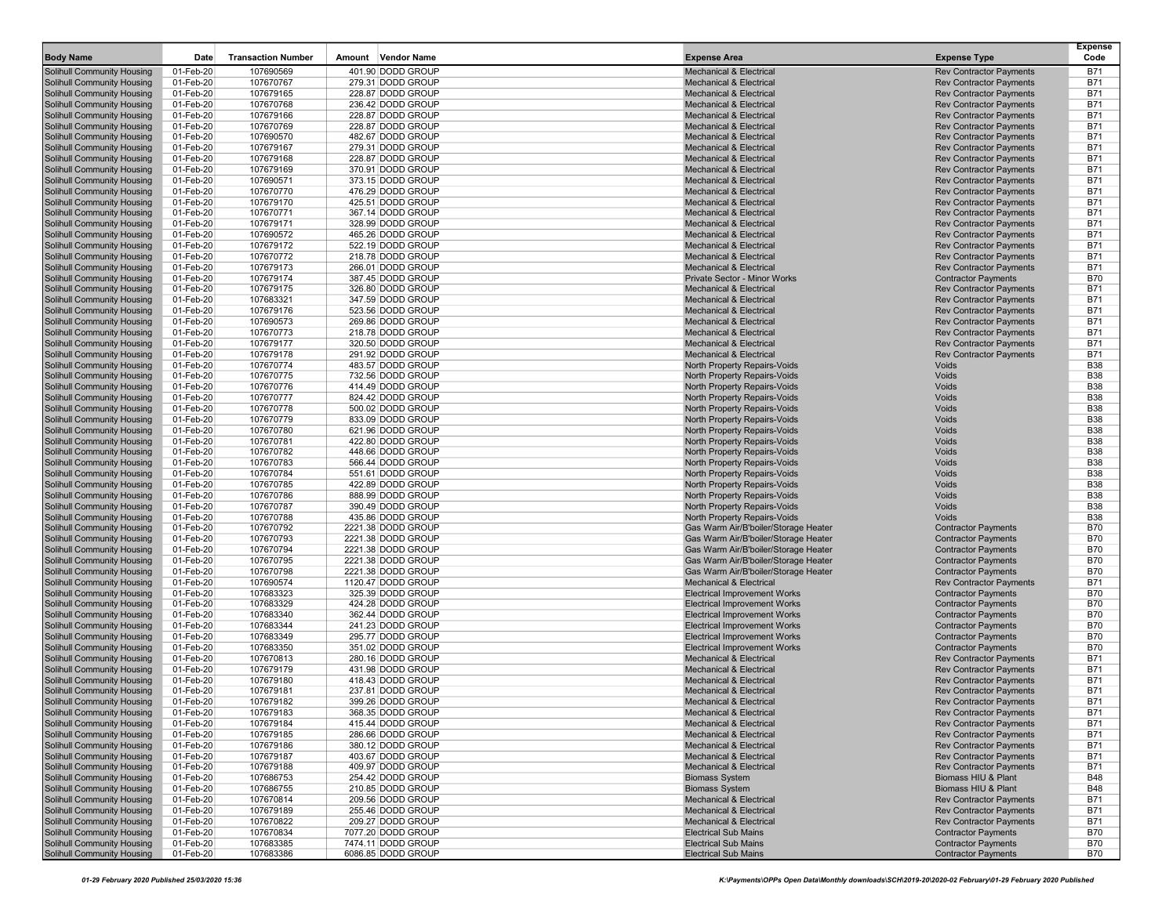| <b>Body Name</b>                                                | Date                   | <b>Transaction Number</b> | Amount<br><b>Vendor Name</b>           | <b>Expense Area</b>                                                        | <b>Expense Type</b>                                              | <b>Expense</b><br>Code   |
|-----------------------------------------------------------------|------------------------|---------------------------|----------------------------------------|----------------------------------------------------------------------------|------------------------------------------------------------------|--------------------------|
| <b>Solihull Community Housing</b>                               | 01-Feb-20              | 107690569                 | 401.90 DODD GROUP                      | <b>Mechanical &amp; Electrical</b>                                         | <b>Rev Contractor Payments</b>                                   | <b>B71</b>               |
| <b>Solihull Community Housing</b>                               | 01-Feb-20              | 107670767                 | 279.31 DODD GROUP                      | <b>Mechanical &amp; Electrical</b>                                         | <b>Rev Contractor Payments</b>                                   | <b>B71</b>               |
| Solihull Community Housing                                      | 01-Feb-20              | 107679165                 | 228.87 DODD GROUP                      | <b>Mechanical &amp; Electrical</b>                                         | <b>Rev Contractor Payments</b>                                   | <b>B71</b>               |
| <b>Solihull Community Housing</b>                               | 01-Feb-20              | 107670768                 | 236.42 DODD GROUP                      | <b>Mechanical &amp; Electrical</b>                                         | <b>Rev Contractor Payments</b>                                   | <b>B71</b>               |
| Solihull Community Housing                                      | 01-Feb-20              | 107679166                 | 228.87 DODD GROUP                      | <b>Mechanical &amp; Electrical</b>                                         | <b>Rev Contractor Payments</b>                                   | <b>B71</b>               |
| Solihull Community Housing                                      | 01-Feb-20              | 107670769                 | 228.87 DODD GROUP                      | <b>Mechanical &amp; Electrical</b>                                         | <b>Rev Contractor Payments</b>                                   | <b>B71</b>               |
| <b>Solihull Community Housing</b><br>Solihull Community Housing | 01-Feb-20<br>01-Feb-20 | 107690570<br>107679167    | 482.67 DODD GROUP<br>279.31 DODD GROUP | <b>Mechanical &amp; Electrical</b><br><b>Mechanical &amp; Electrical</b>   | <b>Rev Contractor Payments</b><br><b>Rev Contractor Payments</b> | <b>B71</b><br><b>B71</b> |
| <b>Solihull Community Housing</b>                               | 01-Feb-20              | 107679168                 | 228.87 DODD GROUP                      | <b>Mechanical &amp; Electrical</b>                                         | <b>Rev Contractor Payments</b>                                   | <b>B71</b>               |
| Solihull Community Housing                                      | 01-Feb-20              | 107679169                 | 370.91 DODD GROUP                      | <b>Mechanical &amp; Electrical</b>                                         | <b>Rev Contractor Payments</b>                                   | <b>B71</b>               |
| <b>Solihull Community Housing</b>                               | 01-Feb-20              | 107690571                 | 373.15 DODD GROUP                      | <b>Mechanical &amp; Electrical</b>                                         | <b>Rev Contractor Payments</b>                                   | <b>B71</b>               |
| Solihull Community Housing                                      | 01-Feb-20              | 107670770                 | 476.29 DODD GROUP                      | <b>Mechanical &amp; Electrical</b>                                         | <b>Rev Contractor Payments</b>                                   | <b>B71</b>               |
| <b>Solihull Community Housing</b>                               | 01-Feb-20              | 107679170                 | 425.51 DODD GROUP                      | <b>Mechanical &amp; Electrical</b>                                         | <b>Rev Contractor Payments</b>                                   | <b>B71</b>               |
| <b>Solihull Community Housing</b>                               | 01-Feb-20              | 107670771                 | 367.14 DODD GROUP                      | <b>Mechanical &amp; Electrical</b>                                         | <b>Rev Contractor Payments</b>                                   | <b>B71</b>               |
| Solihull Community Housing                                      | 01-Feb-20              | 107679171                 | 328.99 DODD GROUP                      | <b>Mechanical &amp; Electrical</b>                                         | <b>Rev Contractor Payments</b>                                   | <b>B71</b>               |
| <b>Solihull Community Housing</b><br>Solihull Community Housing | 01-Feb-20<br>01-Feb-20 | 107690572<br>107679172    | 465.26 DODD GROUP<br>522.19 DODD GROUP | <b>Mechanical &amp; Electrical</b><br><b>Mechanical &amp; Electrical</b>   | <b>Rev Contractor Payments</b><br><b>Rev Contractor Payments</b> | <b>B71</b><br><b>B71</b> |
| <b>Solihull Community Housing</b>                               | 01-Feb-20              | 107670772                 | 218.78 DODD GROUP                      | <b>Mechanical &amp; Electrical</b>                                         | <b>Rev Contractor Payments</b>                                   | <b>B71</b>               |
| Solihull Community Housing                                      | 01-Feb-20              | 107679173                 | 266.01 DODD GROUP                      | <b>Mechanical &amp; Electrical</b>                                         | <b>Rev Contractor Payments</b>                                   | <b>B71</b>               |
| <b>Solihull Community Housing</b>                               | 01-Feb-20              | 107679174                 | 387.45 DODD GROUP                      | Private Sector - Minor Works                                               | <b>Contractor Payments</b>                                       | <b>B70</b>               |
| Solihull Community Housing                                      | 01-Feb-20              | 107679175                 | 326.80 DODD GROUP                      | <b>Mechanical &amp; Electrical</b>                                         | <b>Rev Contractor Payments</b>                                   | <b>B71</b>               |
| Solihull Community Housing                                      | 01-Feb-20              | 107683321                 | 347.59 DODD GROUP                      | <b>Mechanical &amp; Electrical</b>                                         | <b>Rev Contractor Payments</b>                                   | <b>B71</b>               |
| <b>Solihull Community Housing</b>                               | 01-Feb-20              | 107679176                 | 523.56 DODD GROUP                      | <b>Mechanical &amp; Electrical</b>                                         | <b>Rev Contractor Payments</b>                                   | <b>B71</b>               |
| Solihull Community Housing<br><b>Solihull Community Housing</b> | 01-Feb-20              | 107690573                 | 269.86 DODD GROUP                      | <b>Mechanical &amp; Electrical</b><br><b>Mechanical &amp; Electrical</b>   | <b>Rev Contractor Payments</b>                                   | <b>B71</b><br><b>B71</b> |
| Solihull Community Housing                                      | 01-Feb-20<br>01-Feb-20 | 107670773<br>107679177    | 218.78 DODD GROUP<br>320.50 DODD GROUP | <b>Mechanical &amp; Electrical</b>                                         | <b>Rev Contractor Payments</b><br><b>Rev Contractor Payments</b> | <b>B71</b>               |
| <b>Solihull Community Housing</b>                               | 01-Feb-20              | 107679178                 | 291.92 DODD GROUP                      | <b>Mechanical &amp; Electrical</b>                                         | <b>Rev Contractor Payments</b>                                   | <b>B71</b>               |
| Solihull Community Housing                                      | 01-Feb-20              | 107670774                 | 483.57 DODD GROUP                      | North Property Repairs-Voids                                               | Voids                                                            | <b>B38</b>               |
| <b>Solihull Community Housing</b>                               | 01-Feb-20              | 107670775                 | 732.56 DODD GROUP                      | North Property Repairs-Voids                                               | Voids                                                            | <b>B38</b>               |
| Solihull Community Housing                                      | 01-Feb-20              | 107670776                 | 414.49 DODD GROUP                      | North Property Repairs-Voids                                               | Voids                                                            | <b>B38</b>               |
| Solihull Community Housing                                      | 01-Feb-20              | 107670777                 | 824.42 DODD GROUP                      | North Property Repairs-Voids                                               | Voids                                                            | <b>B38</b>               |
| <b>Solihull Community Housing</b>                               | 01-Feb-20              | 107670778                 | 500.02 DODD GROUP                      | North Property Repairs-Voids                                               | Voids                                                            | <b>B38</b>               |
| Solihull Community Housing<br><b>Solihull Community Housing</b> | 01-Feb-20<br>01-Feb-20 | 107670779<br>107670780    | 833.09 DODD GROUP<br>621.96 DODD GROUP | North Property Repairs-Voids<br>North Property Repairs-Voids               | Voids<br>Voids                                                   | <b>B38</b><br><b>B38</b> |
| Solihull Community Housing                                      | 01-Feb-20              | 107670781                 | 422.80 DODD GROUP                      | North Property Repairs-Voids                                               | Voids                                                            | <b>B38</b>               |
| Solihull Community Housing                                      | 01-Feb-20              | 107670782                 | 448.66 DODD GROUP                      | North Property Repairs-Voids                                               | Voids                                                            | <b>B38</b>               |
| Solihull Community Housing                                      | 01-Feb-20              | 107670783                 | 566.44 DODD GROUP                      | North Property Repairs-Voids                                               | Voids                                                            | <b>B38</b>               |
| <b>Solihull Community Housing</b>                               | 01-Feb-20              | 107670784                 | 551.61 DODD GROUP                      | North Property Repairs-Voids                                               | Voids                                                            | <b>B38</b>               |
| <b>Solihull Community Housing</b>                               | 01-Feb-20              | 107670785                 | 422.89 DODD GROUP                      | North Property Repairs-Voids                                               | Voids                                                            | <b>B38</b>               |
| Solihull Community Housing                                      | 01-Feb-20              | 107670786                 | 888.99 DODD GROUP                      | North Property Repairs-Voids                                               | Voids                                                            | <b>B38</b>               |
| <b>Solihull Community Housing</b><br>Solihull Community Housing | 01-Feb-20<br>01-Feb-20 | 107670787<br>107670788    | 390.49 DODD GROUP<br>435.86 DODD GROUP | North Property Repairs-Voids<br>North Property Repairs-Voids               | Voids<br>Voids                                                   | <b>B38</b><br><b>B38</b> |
| <b>Solihull Community Housing</b>                               | 01-Feb-20              | 107670792                 | 2221.38 DODD GROUP                     | Gas Warm Air/B'boiler/Storage Heater                                       | <b>Contractor Payments</b>                                       | <b>B70</b>               |
| Solihull Community Housing                                      | 01-Feb-20              | 107670793                 | 2221.38 DODD GROUP                     | Gas Warm Air/B'boiler/Storage Heater                                       | <b>Contractor Payments</b>                                       | <b>B70</b>               |
| <b>Solihull Community Housing</b>                               | 01-Feb-20              | 107670794                 | 2221.38 DODD GROUP                     | Gas Warm Air/B'boiler/Storage Heater                                       | <b>Contractor Payments</b>                                       | <b>B70</b>               |
| Solihull Community Housing                                      | 01-Feb-20              | 107670795                 | 2221.38 DODD GROUP                     | Gas Warm Air/B'boiler/Storage Heater                                       | <b>Contractor Payments</b>                                       | <b>B70</b>               |
| Solihull Community Housing                                      | 01-Feb-20              | 107670798                 | 2221.38 DODD GROUP                     | Gas Warm Air/B'boiler/Storage Heater                                       | <b>Contractor Payments</b>                                       | <b>B70</b>               |
| <b>Solihull Community Housing</b>                               | 01-Feb-20              | 107690574                 | 1120.47 DODD GROUP                     | <b>Mechanical &amp; Electrical</b>                                         | <b>Rev Contractor Payments</b>                                   | <b>B71</b>               |
| Solihull Community Housing                                      | 01-Feb-20              | 107683323                 | 325.39 DODD GROUP                      | <b>Electrical Improvement Works</b>                                        | <b>Contractor Payments</b>                                       | <b>B70</b>               |
| <b>Solihull Community Housing</b><br>Solihull Community Housing | 01-Feb-20<br>01-Feb-20 | 107683329<br>107683340    | 424.28 DODD GROUP<br>362.44 DODD GROUP | <b>Electrical Improvement Works</b><br><b>Electrical Improvement Works</b> | <b>Contractor Payments</b><br><b>Contractor Payments</b>         | <b>B70</b><br><b>B70</b> |
| <b>Solihull Community Housing</b>                               | 01-Feb-20              | 107683344                 | 241.23 DODD GROUP                      | <b>Electrical Improvement Works</b>                                        | <b>Contractor Payments</b>                                       | <b>B70</b>               |
| Solihull Community Housing                                      | 01-Feb-20              | 107683349                 | 295.77 DODD GROUP                      | <b>Electrical Improvement Works</b>                                        | <b>Contractor Payments</b>                                       | <b>B70</b>               |
| <b>Solihull Community Housing</b>                               | 01-Feb-20              | 107683350                 | 351.02 DODD GROUP                      | <b>Electrical Improvement Works</b>                                        | <b>Contractor Payments</b>                                       | <b>B70</b>               |
| Solihull Community Housing                                      | 01-Feb-20              | 107670813                 | 280.16 DODD GROUP                      | <b>Mechanical &amp; Electrical</b>                                         | <b>Rev Contractor Payments</b>                                   | <b>B71</b>               |
| Solihull Community Housing                                      | 01-Feb-20              | 107679179                 | 431.98 DODD GROUP                      | <b>Mechanical &amp; Electrical</b>                                         | <b>Rev Contractor Payments</b>                                   | <b>B71</b>               |
| <b>Solihull Community Housing</b>                               | 01-Feb-20              | 107679180                 | 418.43 DODD GROUP                      | <b>Mechanical &amp; Electrical</b><br><b>Mechanical &amp; Electrical</b>   | <b>Rev Contractor Payments</b><br><b>Rev Contractor Payments</b> | <b>B71</b><br><b>B71</b> |
| Solihull Community Housing<br><b>Solihull Community Housing</b> | 01-Feb-20<br>01-Feb-20 | 107679181<br>107679182    | 237.81 DODD GROUP<br>399.26 DODD GROUP | <b>Mechanical &amp; Electrical</b>                                         | <b>Rev Contractor Payments</b>                                   | <b>B71</b>               |
| <b>Solihull Community Housing</b>                               | 01-Feb-20              | 107679183                 | 368.35 DODD GROUP                      | <b>Mechanical &amp; Electrical</b>                                         | <b>Rev Contractor Payments</b>                                   | <b>B71</b>               |
| <b>Solihull Community Housing</b>                               | 01-Feb-20              | 107679184                 | 415.44 DODD GROUP                      | <b>Mechanical &amp; Electrical</b>                                         | <b>Rev Contractor Payments</b>                                   | <b>B71</b>               |
| <b>Solihull Community Housing</b>                               | 01-Feb-20              | 107679185                 | 286.66 DODD GROUP                      | <b>Mechanical &amp; Electrical</b>                                         | <b>Rev Contractor Payments</b>                                   | <b>B71</b>               |
| <b>Solihull Community Housing</b>                               | 01-Feb-20              | 107679186                 | 380.12 DODD GROUP                      | <b>Mechanical &amp; Electrical</b>                                         | <b>Rev Contractor Payments</b>                                   | <b>B71</b>               |
| <b>Solihull Community Housing</b>                               | 01-Feb-20              | 107679187                 | 403.67 DODD GROUP                      | <b>Mechanical &amp; Electrical</b>                                         | <b>Rev Contractor Payments</b>                                   | <b>B71</b>               |
| <b>Solihull Community Housing</b>                               | 01-Feb-20              | 107679188                 | 409.97 DODD GROUP                      | <b>Mechanical &amp; Electrical</b>                                         | <b>Rev Contractor Payments</b>                                   | <b>B71</b>               |
| <b>Solihull Community Housing</b>                               | 01-Feb-20              | 107686753                 | 254.42 DODD GROUP                      | <b>Biomass System</b>                                                      | Biomass HIU & Plant                                              | <b>B48</b>               |
| Solihull Community Housing<br>Solihull Community Housing        | 01-Feb-20<br>01-Feb-20 | 107686755<br>107670814    | 210.85 DODD GROUP<br>209.56 DODD GROUP | <b>Biomass System</b><br><b>Mechanical &amp; Electrical</b>                | Biomass HIU & Plant<br><b>Rev Contractor Payments</b>            | <b>B48</b><br>B71        |
| <b>Solihull Community Housing</b>                               | 01-Feb-20              | 107679189                 | 255.46 DODD GROUP                      | <b>Mechanical &amp; Electrical</b>                                         | <b>Rev Contractor Payments</b>                                   | <b>B71</b>               |
| <b>Solihull Community Housing</b>                               | 01-Feb-20              | 107670822                 | 209.27 DODD GROUP                      | <b>Mechanical &amp; Electrical</b>                                         | <b>Rev Contractor Payments</b>                                   | <b>B71</b>               |
| <b>Solihull Community Housing</b>                               | 01-Feb-20              | 107670834                 | 7077.20 DODD GROUP                     | <b>Electrical Sub Mains</b>                                                | <b>Contractor Payments</b>                                       | B70                      |
| <b>Solihull Community Housing</b>                               | 01-Feb-20              | 107683385                 | 7474.11 DODD GROUP                     | <b>Electrical Sub Mains</b>                                                | <b>Contractor Payments</b>                                       | <b>B70</b>               |
| <b>Solihull Community Housing</b>                               | 01-Feb-20              | 107683386                 | 6086.85 DODD GROUP                     | <b>Electrical Sub Mains</b>                                                | <b>Contractor Payments</b>                                       | B70                      |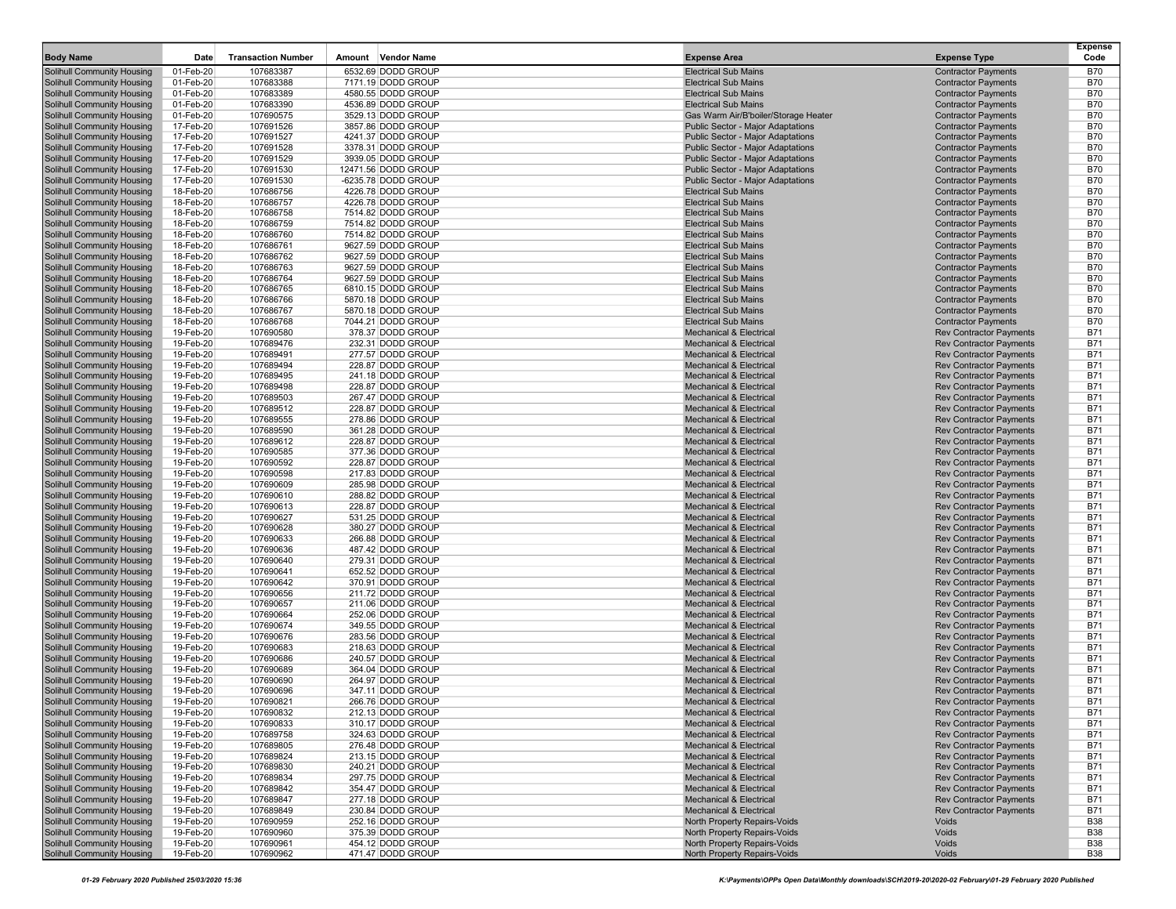| 6532.69 DODD GROUP<br>Solihull Community Housing<br>01-Feb-20<br>107683387<br><b>Electrical Sub Mains</b><br><b>Contractor Payments</b><br><b>B70</b><br>01-Feb-20<br><b>Electrical Sub Mains</b><br><b>B70</b><br>Solihull Community Housing<br>107683388<br>7171.19 DODD GROUP<br><b>Contractor Payments</b><br>107683389<br><b>Electrical Sub Mains</b><br><b>Contractor Payments</b><br><b>B70</b><br><b>Solihull Community Housing</b><br>01-Feb-20<br>4580.55 DODD GROUP<br><b>Contractor Payments</b><br><b>B70</b><br>Solihull Community Housing<br>01-Feb-20<br>107683390<br>4536.89 DODD GROUP<br><b>Electrical Sub Mains</b><br><b>Contractor Payments</b><br><b>B70</b><br><b>Solihull Community Housing</b><br>01-Feb-20<br>107690575<br>3529.13 DODD GROUP<br>Gas Warm Air/B'boiler/Storage Heater<br>Solihull Community Housing<br>17-Feb-20<br>107691526<br>3857.86 DODD GROUP<br>Public Sector - Major Adaptations<br><b>Contractor Payments</b><br><b>B70</b><br><b>Solihull Community Housing</b><br>17-Feb-20<br>107691527<br>4241.37 DODD GROUP<br><b>Public Sector - Major Adaptations</b><br><b>Contractor Payments</b><br><b>B70</b><br>Solihull Community Housing<br>17-Feb-20<br>107691528<br>3378.31 DODD GROUP<br>Public Sector - Major Adaptations<br><b>Contractor Payments</b><br><b>B70</b><br><b>Public Sector - Major Adaptations</b><br><b>B70</b><br><b>Solihull Community Housing</b><br>17-Feb-20<br>107691529<br>3939.05 DODD GROUP<br><b>Contractor Payments</b><br>17-Feb-20<br><b>B70</b><br>Solihull Community Housing<br>107691530<br>12471.56 DODD GROUP<br>Public Sector - Major Adaptations<br><b>Contractor Payments</b><br>17-Feb-20<br><b>Contractor Payments</b><br><b>B70</b><br><b>Solihull Community Housing</b><br>107691530<br>-6235.78 DODD GROUP<br>Public Sector - Major Adaptations<br><b>Solihull Community Housing</b><br>18-Feb-20<br>107686756<br>4226.78 DODD GROUP<br><b>Electrical Sub Mains</b><br><b>Contractor Payments</b><br><b>B70</b><br><b>Electrical Sub Mains</b><br><b>B70</b><br>Solihull Community Housing<br>18-Feb-20<br>107686757<br>4226.78 DODD GROUP<br><b>Contractor Payments</b><br><b>Solihull Community Housing</b><br>18-Feb-20<br>107686758<br>7514.82 DODD GROUP<br><b>Electrical Sub Mains</b><br><b>Contractor Payments</b><br><b>B70</b><br>Solihull Community Housing<br>18-Feb-20<br>107686759<br>7514.82 DODD GROUP<br><b>Electrical Sub Mains</b><br><b>Contractor Payments</b><br><b>B70</b><br><b>Solihull Community Housing</b><br>18-Feb-20<br>107686760<br>7514.82 DODD GROUP<br><b>Electrical Sub Mains</b><br><b>Contractor Payments</b><br><b>B70</b><br><b>B70</b><br>Solihull Community Housing<br>18-Feb-20<br>107686761<br><b>Electrical Sub Mains</b><br><b>Contractor Payments</b><br>9627.59 DODD GROUP<br><b>B70</b><br><b>Solihull Community Housing</b><br>18-Feb-20<br>107686762<br><b>Electrical Sub Mains</b><br><b>Contractor Payments</b><br>9627.59 DODD GROUP<br><b>Contractor Payments</b><br><b>B70</b><br><b>Solihull Community Housing</b><br>18-Feb-20<br>107686763<br>9627.59 DODD GROUP<br><b>Electrical Sub Mains</b><br><b>Contractor Payments</b><br><b>B70</b><br><b>Solihull Community Housing</b><br>18-Feb-20<br>107686764<br>9627.59 DODD GROUP<br><b>Electrical Sub Mains</b><br><b>Solihull Community Housing</b><br>18-Feb-20<br>107686765<br>6810.15 DODD GROUP<br><b>Electrical Sub Mains</b><br><b>Contractor Payments</b><br><b>B70</b><br><b>Contractor Payments</b><br><b>B70</b><br>Solihull Community Housing<br>18-Feb-20<br>107686766<br>5870.18 DODD GROUP<br><b>Electrical Sub Mains</b><br><b>Solihull Community Housing</b><br>18-Feb-20<br>107686767<br>5870.18 DODD GROUP<br><b>Electrical Sub Mains</b><br><b>Contractor Payments</b><br><b>B70</b><br>Solihull Community Housing<br>18-Feb-20<br>107686768<br>7044.21 DODD GROUP<br><b>Electrical Sub Mains</b><br><b>Contractor Payments</b><br><b>B70</b><br><b>Solihull Community Housing</b><br>19-Feb-20<br>107690580<br><b>Mechanical &amp; Electrical</b><br><b>Rev Contractor Payments</b><br><b>B71</b><br>378.37 DODD GROUP<br><b>B71</b><br>Solihull Community Housing<br>19-Feb-20<br>107689476<br>232.31 DODD GROUP<br><b>Mechanical &amp; Electrical</b><br><b>Rev Contractor Payments</b><br><b>Rev Contractor Payments</b><br><b>B71</b><br><b>Solihull Community Housing</b><br>19-Feb-20<br>107689491<br>277.57 DODD GROUP<br><b>Mechanical &amp; Electrical</b><br><b>B71</b><br>Solihull Community Housing<br>19-Feb-20<br>107689494<br>228.87 DODD GROUP<br><b>Mechanical &amp; Electrical</b><br><b>Rev Contractor Payments</b><br><b>B71</b><br><b>Solihull Community Housing</b><br>19-Feb-20<br>107689495<br>241.18 DODD GROUP<br><b>Mechanical &amp; Electrical</b><br><b>Rev Contractor Payments</b><br><b>Solihull Community Housing</b><br>19-Feb-20<br>107689498<br>228.87 DODD GROUP<br><b>Mechanical &amp; Electrical</b><br><b>Rev Contractor Payments</b><br><b>B71</b><br>Solihull Community Housing<br>19-Feb-20<br>107689503<br>267.47 DODD GROUP<br><b>Mechanical &amp; Electrical</b><br><b>Rev Contractor Payments</b><br><b>B71</b><br><b>B71</b><br><b>Solihull Community Housing</b><br>19-Feb-20<br>107689512<br>228.87 DODD GROUP<br><b>Mechanical &amp; Electrical</b><br><b>Rev Contractor Payments</b><br><b>B71</b><br>Solihull Community Housing<br>19-Feb-20<br>107689555<br>278.86 DODD GROUP<br><b>Rev Contractor Payments</b><br><b>Mechanical &amp; Electrical</b><br><b>B71</b><br><b>Solihull Community Housing</b><br>19-Feb-20<br>107689590<br>361.28 DODD GROUP<br><b>Mechanical &amp; Electrical</b><br><b>Rev Contractor Payments</b><br><b>B71</b><br>Solihull Community Housing<br>19-Feb-20<br>107689612<br>228.87 DODD GROUP<br><b>Mechanical &amp; Electrical</b><br><b>Rev Contractor Payments</b><br><b>Rev Contractor Payments</b><br><b>B71</b><br><b>Solihull Community Housing</b><br>19-Feb-20<br>107690585<br>377.36 DODD GROUP<br><b>Mechanical &amp; Electrical</b><br><b>B71</b><br><b>Solihull Community Housing</b><br>19-Feb-20<br>107690592<br>228.87 DODD GROUP<br><b>Mechanical &amp; Electrical</b><br><b>Rev Contractor Payments</b><br><b>B71</b><br><b>Solihull Community Housing</b><br>19-Feb-20<br>107690598<br>217.83 DODD GROUP<br><b>Mechanical &amp; Electrical</b><br><b>Rev Contractor Payments</b><br><b>Solihull Community Housing</b><br>19-Feb-20<br>107690609<br>285.98 DODD GROUP<br><b>Mechanical &amp; Electrical</b><br><b>Rev Contractor Payments</b><br><b>B71</b><br>Solihull Community Housing<br>19-Feb-20<br>107690610<br>288.82 DODD GROUP<br><b>Mechanical &amp; Electrical</b><br><b>Rev Contractor Payments</b><br><b>B71</b><br><b>B71</b><br><b>Solihull Community Housing</b><br>19-Feb-20<br>107690613<br>228.87 DODD GROUP<br><b>Mechanical &amp; Electrical</b><br><b>Rev Contractor Payments</b><br><b>B71</b><br>Solihull Community Housing<br>19-Feb-20<br>107690627<br>531.25 DODD GROUP<br><b>Mechanical &amp; Electrical</b><br><b>Rev Contractor Payments</b><br><b>B71</b><br><b>Solihull Community Housing</b><br>19-Feb-20<br>107690628<br>380.27 DODD GROUP<br><b>Mechanical &amp; Electrical</b><br><b>Rev Contractor Payments</b><br><b>B71</b><br>Solihull Community Housing<br>19-Feb-20<br>107690633<br>266.88 DODD GROUP<br><b>Mechanical &amp; Electrical</b><br><b>Rev Contractor Payments</b><br>19-Feb-20<br><b>B71</b><br>Solihull Community Housing<br>107690636<br>487.42 DODD GROUP<br><b>Mechanical &amp; Electrical</b><br><b>Rev Contractor Payments</b><br><b>Solihull Community Housing</b><br>19-Feb-20<br>107690640<br>279.31 DODD GROUP<br><b>Mechanical &amp; Electrical</b><br><b>Rev Contractor Payments</b><br><b>B71</b><br>Solihull Community Housing<br>19-Feb-20<br>107690641<br>652.52 DODD GROUP<br><b>Mechanical &amp; Electrical</b><br><b>Rev Contractor Payments</b><br><b>B71</b><br><b>Solihull Community Housing</b><br>19-Feb-20<br>107690642<br>370.91 DODD GROUP<br><b>Mechanical &amp; Electrical</b><br><b>Rev Contractor Payments</b><br><b>B71</b><br>Solihull Community Housing<br>19-Feb-20<br>107690656<br>211.72 DODD GROUP<br><b>Mechanical &amp; Electrical</b><br><b>Rev Contractor Payments</b><br><b>B71</b><br><b>B71</b><br><b>Solihull Community Housing</b><br>19-Feb-20<br>107690657<br>211.06 DODD GROUP<br><b>Mechanical &amp; Electrical</b><br><b>Rev Contractor Payments</b><br><b>B71</b><br>Solihull Community Housing<br>19-Feb-20<br>107690664<br>252.06 DODD GROUP<br><b>Mechanical &amp; Electrical</b><br><b>Rev Contractor Payments</b><br><b>B71</b><br><b>Solihull Community Housing</b><br>19-Feb-20<br>107690674<br>349.55 DODD GROUP<br><b>Mechanical &amp; Electrical</b><br><b>Rev Contractor Payments</b><br><b>B71</b><br><b>Solihull Community Housing</b><br>19-Feb-20<br>107690676<br>283.56 DODD GROUP<br><b>Mechanical &amp; Electrical</b><br><b>Rev Contractor Payments</b><br><b>B71</b><br><b>Solihull Community Housing</b><br>19-Feb-20<br>107690683<br>218.63 DODD GROUP<br><b>Mechanical &amp; Electrical</b><br><b>Rev Contractor Payments</b><br><b>Solihull Community Housing</b><br>19-Feb-20<br>107690686<br>240.57 DODD GROUP<br><b>Mechanical &amp; Electrical</b><br><b>Rev Contractor Payments</b><br><b>B71</b><br>Solihull Community Housing<br>19-Feb-20<br>107690689<br>364.04 DODD GROUP<br><b>Mechanical &amp; Electrical</b><br><b>Rev Contractor Payments</b><br><b>B71</b><br><b>B71</b><br><b>Solihull Community Housing</b><br>19-Feb-20<br>107690690<br>264.97 DODD GROUP<br><b>Mechanical &amp; Electrical</b><br><b>Rev Contractor Payments</b><br><b>B71</b><br>19-Feb-20<br>107690696<br>347.11 DODD GROUP<br>Solihull Community Housing<br><b>Mechanical &amp; Electrical</b><br><b>Rev Contractor Payments</b><br><b>B71</b><br><b>Solihull Community Housing</b><br>19-Feb-20<br>107690821<br>266.76 DODD GROUP<br><b>Mechanical &amp; Electrical</b><br><b>Rev Contractor Payments</b><br><b>Solihull Community Housing</b><br>19-Feb-20<br>107690832<br>212.13 DODD GROUP<br><b>Rev Contractor Payments</b><br><b>B71</b><br>Mechanical & Electrical<br>Solihull Community Housing<br>19-Feb-20<br><b>Rev Contractor Payments</b><br><b>B71</b><br>107690833<br>310.17 DODD GROUP<br>Mechanical & Electrical<br><b>Solihull Community Housing</b><br>324.63 DODD GROUP<br><b>Rev Contractor Payments</b><br>19-Feb-20<br>107689758<br>Mechanical & Electrical<br><b>B71</b><br>Solihull Community Housing<br>276.48 DODD GROUP<br><b>Rev Contractor Payments</b><br><b>B71</b><br>19-Feb-20<br>107689805<br><b>Mechanical &amp; Electrical</b><br><b>Solihull Community Housing</b><br>19-Feb-20<br>107689824<br>213.15 DODD GROUP<br>Mechanical & Electrical<br><b>Rev Contractor Payments</b><br><b>B71</b><br><b>Solihull Community Housing</b><br>19-Feb-20<br>107689830<br>240.21 DODD GROUP<br><b>Mechanical &amp; Electrical</b><br><b>Rev Contractor Payments</b><br><b>B71</b><br><b>Solihull Community Housing</b><br>19-Feb-20<br>107689834<br>297.75 DODD GROUP<br><b>Mechanical &amp; Electrical</b><br><b>Rev Contractor Payments</b><br><b>B71</b><br><b>B71</b><br>Solihull Community Housing<br>19-Feb-20<br>107689842<br>354.47 DODD GROUP<br><b>Rev Contractor Payments</b><br><b>Mechanical &amp; Electrical</b><br><b>Solihull Community Housing</b><br><b>Rev Contractor Payments</b><br><b>B71</b><br>19-Feb-20<br>107689847<br>277.18 DODD GROUP<br><b>Mechanical &amp; Electrical</b><br><b>B71</b><br><b>Solihull Community Housing</b><br>19-Feb-20<br>107689849<br>230.84 DODD GROUP<br>Mechanical & Electrical<br><b>Rev Contractor Payments</b><br>Solihull Community Housing<br>Voids<br><b>B38</b><br>19-Feb-20<br>107690959<br>252.16 DODD GROUP<br>North Property Repairs-Voids<br><b>Solihull Community Housing</b><br>19-Feb-20<br>107690960<br>375.39 DODD GROUP<br>North Property Repairs-Voids<br>Voids<br><b>B38</b><br>Solihull Community Housing<br>19-Feb-20<br>107690961<br>454.12 DODD GROUP<br><b>B38</b><br>North Property Repairs-Voids<br>Voids<br><b>Solihull Community Housing</b><br>19-Feb-20<br>107690962<br>471.47 DODD GROUP<br>North Property Repairs-Voids<br>Voids<br>B38 | <b>Body Name</b> | Date | <b>Transaction Number</b> | Amount<br>Vendor Name | <b>Expense Area</b> | <b>Expense Type</b> | <b>Expense</b><br>Code |
|-------------------------------------------------------------------------------------------------------------------------------------------------------------------------------------------------------------------------------------------------------------------------------------------------------------------------------------------------------------------------------------------------------------------------------------------------------------------------------------------------------------------------------------------------------------------------------------------------------------------------------------------------------------------------------------------------------------------------------------------------------------------------------------------------------------------------------------------------------------------------------------------------------------------------------------------------------------------------------------------------------------------------------------------------------------------------------------------------------------------------------------------------------------------------------------------------------------------------------------------------------------------------------------------------------------------------------------------------------------------------------------------------------------------------------------------------------------------------------------------------------------------------------------------------------------------------------------------------------------------------------------------------------------------------------------------------------------------------------------------------------------------------------------------------------------------------------------------------------------------------------------------------------------------------------------------------------------------------------------------------------------------------------------------------------------------------------------------------------------------------------------------------------------------------------------------------------------------------------------------------------------------------------------------------------------------------------------------------------------------------------------------------------------------------------------------------------------------------------------------------------------------------------------------------------------------------------------------------------------------------------------------------------------------------------------------------------------------------------------------------------------------------------------------------------------------------------------------------------------------------------------------------------------------------------------------------------------------------------------------------------------------------------------------------------------------------------------------------------------------------------------------------------------------------------------------------------------------------------------------------------------------------------------------------------------------------------------------------------------------------------------------------------------------------------------------------------------------------------------------------------------------------------------------------------------------------------------------------------------------------------------------------------------------------------------------------------------------------------------------------------------------------------------------------------------------------------------------------------------------------------------------------------------------------------------------------------------------------------------------------------------------------------------------------------------------------------------------------------------------------------------------------------------------------------------------------------------------------------------------------------------------------------------------------------------------------------------------------------------------------------------------------------------------------------------------------------------------------------------------------------------------------------------------------------------------------------------------------------------------------------------------------------------------------------------------------------------------------------------------------------------------------------------------------------------------------------------------------------------------------------------------------------------------------------------------------------------------------------------------------------------------------------------------------------------------------------------------------------------------------------------------------------------------------------------------------------------------------------------------------------------------------------------------------------------------------------------------------------------------------------------------------------------------------------------------------------------------------------------------------------------------------------------------------------------------------------------------------------------------------------------------------------------------------------------------------------------------------------------------------------------------------------------------------------------------------------------------------------------------------------------------------------------------------------------------------------------------------------------------------------------------------------------------------------------------------------------------------------------------------------------------------------------------------------------------------------------------------------------------------------------------------------------------------------------------------------------------------------------------------------------------------------------------------------------------------------------------------------------------------------------------------------------------------------------------------------------------------------------------------------------------------------------------------------------------------------------------------------------------------------------------------------------------------------------------------------------------------------------------------------------------------------------------------------------------------------------------------------------------------------------------------------------------------------------------------------------------------------------------------------------------------------------------------------------------------------------------------------------------------------------------------------------------------------------------------------------------------------------------------------------------------------------------------------------------------------------------------------------------------------------------------------------------------------------------------------------------------------------------------------------------------------------------------------------------------------------------------------------------------------------------------------------------------------------------------------------------------------------------------------------------------------------------------------------------------------------------------------------------------------------------------------------------------------------------------------------------------------------------------------------------------------------------------------------------------------------------------------------------------------------------------------------------------------------------------------------------------------------------------------------------------------------------------------------------------------------------------------------------------------------------------------------------------------------------------------------------------------------------------------------------------------------------------------------------------------------------------------------------------------------------------------------------------------------------------------------------------------------------------------------------------------------------------------------------------------------------------------------------------------------------------------------------------------------------------------------------------------------------------------------------------------------------------------------------------------------------------------------------------------------------------------------------------------------------------------------------------------------------------------------------------------------------------------------------------------------------------------------------------------------------------------------------------------------------------------------------------------------------------------------------------------------------------------------------------------------------------------------------------------------------------------------------------------------------------------------------------------------------------------------------------------------------------------------------------------------------------------------------------------------------------------------------------------------------------------------------------------------------------------------------------------------------------------------------------------------------------------------------------------------------------------------------------------------------------------------------------------------------------------------------------------------------------------------------------------------------------------------------------------------------------------------------------------------------------------------------------------------------------------------------------------------------------------------------------------------------------------------------------------------------------------------------------------------------------------------------------------------------------------------------------------------------------------------------------------------------------------------------------------------------------------------------------------------------------------------------------------------------------------------------------------------------------------------------------------------------------------------------------------------------------------------------------------------------------------------------------------------------------------------------------------------------------------------------------------------------------------------------------------------------------------------------------------------------------------------------------------------------------------------------------------------------------------------------------------------------------------------------------------------------------------------------------------------------------------------------------------------------------------------------------------------------------------------------------------------------------------------------------------------------------------------------------------------------------------------------------------------------------------------------------------------------------------------------------------------------------------------------------------------------------------------------------------------------------|------------------|------|---------------------------|-----------------------|---------------------|---------------------|------------------------|
|                                                                                                                                                                                                                                                                                                                                                                                                                                                                                                                                                                                                                                                                                                                                                                                                                                                                                                                                                                                                                                                                                                                                                                                                                                                                                                                                                                                                                                                                                                                                                                                                                                                                                                                                                                                                                                                                                                                                                                                                                                                                                                                                                                                                                                                                                                                                                                                                                                                                                                                                                                                                                                                                                                                                                                                                                                                                                                                                                                                                                                                                                                                                                                                                                                                                                                                                                                                                                                                                                                                                                                                                                                                                                                                                                                                                                                                                                                                                                                                                                                                                                                                                                                                                                                                                                                                                                                                                                                                                                                                                                                                                                                                                                                                                                                                                                                                                                                                                                                                                                                                                                                                                                                                                                                                                                                                                                                                                                                                                                                                                                                                                                                                                                                                                                                                                                                                                                                                                                                                                                                                                                                                                                                                                                                                                                                                                                                                                                                                                                                                                                                                                                                                                                                                                                                                                                                                                                                                                                                                                                                                                                                                                                                                                                                                                                                                                                                                                                                                                                                                                                                                                                                                                                                                                                                                                                                                                                                                                                                                                                                                                                                                                                                                                                                                                                                                                                                                                                                                                                                                                                                                                                                                                                                                                                                                                                                                                                                                                                                                                                                                                                                                                                                                                                                                                                                                                                                                                                                                                                                                                                                                                                                                                                                                                                                                                                                                                                                                                                                                                                                                                                                                                                                                                                                                                                                                                                                                                                                                                                                                                                                                                                                                                                                                                                                                                                                                                                                                                                                                                                                                                                                                                                                                                                                                                                                                                                                                                                                                                                                                                                                                                                                                                                                                                                                                                                                                                                                                                                                                                                                                                                                                                                                                                                                                                                                                         |                  |      |                           |                       |                     |                     |                        |
|                                                                                                                                                                                                                                                                                                                                                                                                                                                                                                                                                                                                                                                                                                                                                                                                                                                                                                                                                                                                                                                                                                                                                                                                                                                                                                                                                                                                                                                                                                                                                                                                                                                                                                                                                                                                                                                                                                                                                                                                                                                                                                                                                                                                                                                                                                                                                                                                                                                                                                                                                                                                                                                                                                                                                                                                                                                                                                                                                                                                                                                                                                                                                                                                                                                                                                                                                                                                                                                                                                                                                                                                                                                                                                                                                                                                                                                                                                                                                                                                                                                                                                                                                                                                                                                                                                                                                                                                                                                                                                                                                                                                                                                                                                                                                                                                                                                                                                                                                                                                                                                                                                                                                                                                                                                                                                                                                                                                                                                                                                                                                                                                                                                                                                                                                                                                                                                                                                                                                                                                                                                                                                                                                                                                                                                                                                                                                                                                                                                                                                                                                                                                                                                                                                                                                                                                                                                                                                                                                                                                                                                                                                                                                                                                                                                                                                                                                                                                                                                                                                                                                                                                                                                                                                                                                                                                                                                                                                                                                                                                                                                                                                                                                                                                                                                                                                                                                                                                                                                                                                                                                                                                                                                                                                                                                                                                                                                                                                                                                                                                                                                                                                                                                                                                                                                                                                                                                                                                                                                                                                                                                                                                                                                                                                                                                                                                                                                                                                                                                                                                                                                                                                                                                                                                                                                                                                                                                                                                                                                                                                                                                                                                                                                                                                                                                                                                                                                                                                                                                                                                                                                                                                                                                                                                                                                                                                                                                                                                                                                                                                                                                                                                                                                                                                                                                                                                                                                                                                                                                                                                                                                                                                                                                                                                                                                                                                                         |                  |      |                           |                       |                     |                     |                        |
|                                                                                                                                                                                                                                                                                                                                                                                                                                                                                                                                                                                                                                                                                                                                                                                                                                                                                                                                                                                                                                                                                                                                                                                                                                                                                                                                                                                                                                                                                                                                                                                                                                                                                                                                                                                                                                                                                                                                                                                                                                                                                                                                                                                                                                                                                                                                                                                                                                                                                                                                                                                                                                                                                                                                                                                                                                                                                                                                                                                                                                                                                                                                                                                                                                                                                                                                                                                                                                                                                                                                                                                                                                                                                                                                                                                                                                                                                                                                                                                                                                                                                                                                                                                                                                                                                                                                                                                                                                                                                                                                                                                                                                                                                                                                                                                                                                                                                                                                                                                                                                                                                                                                                                                                                                                                                                                                                                                                                                                                                                                                                                                                                                                                                                                                                                                                                                                                                                                                                                                                                                                                                                                                                                                                                                                                                                                                                                                                                                                                                                                                                                                                                                                                                                                                                                                                                                                                                                                                                                                                                                                                                                                                                                                                                                                                                                                                                                                                                                                                                                                                                                                                                                                                                                                                                                                                                                                                                                                                                                                                                                                                                                                                                                                                                                                                                                                                                                                                                                                                                                                                                                                                                                                                                                                                                                                                                                                                                                                                                                                                                                                                                                                                                                                                                                                                                                                                                                                                                                                                                                                                                                                                                                                                                                                                                                                                                                                                                                                                                                                                                                                                                                                                                                                                                                                                                                                                                                                                                                                                                                                                                                                                                                                                                                                                                                                                                                                                                                                                                                                                                                                                                                                                                                                                                                                                                                                                                                                                                                                                                                                                                                                                                                                                                                                                                                                                                                                                                                                                                                                                                                                                                                                                                                                                                                                                                                                         |                  |      |                           |                       |                     |                     |                        |
|                                                                                                                                                                                                                                                                                                                                                                                                                                                                                                                                                                                                                                                                                                                                                                                                                                                                                                                                                                                                                                                                                                                                                                                                                                                                                                                                                                                                                                                                                                                                                                                                                                                                                                                                                                                                                                                                                                                                                                                                                                                                                                                                                                                                                                                                                                                                                                                                                                                                                                                                                                                                                                                                                                                                                                                                                                                                                                                                                                                                                                                                                                                                                                                                                                                                                                                                                                                                                                                                                                                                                                                                                                                                                                                                                                                                                                                                                                                                                                                                                                                                                                                                                                                                                                                                                                                                                                                                                                                                                                                                                                                                                                                                                                                                                                                                                                                                                                                                                                                                                                                                                                                                                                                                                                                                                                                                                                                                                                                                                                                                                                                                                                                                                                                                                                                                                                                                                                                                                                                                                                                                                                                                                                                                                                                                                                                                                                                                                                                                                                                                                                                                                                                                                                                                                                                                                                                                                                                                                                                                                                                                                                                                                                                                                                                                                                                                                                                                                                                                                                                                                                                                                                                                                                                                                                                                                                                                                                                                                                                                                                                                                                                                                                                                                                                                                                                                                                                                                                                                                                                                                                                                                                                                                                                                                                                                                                                                                                                                                                                                                                                                                                                                                                                                                                                                                                                                                                                                                                                                                                                                                                                                                                                                                                                                                                                                                                                                                                                                                                                                                                                                                                                                                                                                                                                                                                                                                                                                                                                                                                                                                                                                                                                                                                                                                                                                                                                                                                                                                                                                                                                                                                                                                                                                                                                                                                                                                                                                                                                                                                                                                                                                                                                                                                                                                                                                                                                                                                                                                                                                                                                                                                                                                                                                                                                                                                                         |                  |      |                           |                       |                     |                     |                        |
|                                                                                                                                                                                                                                                                                                                                                                                                                                                                                                                                                                                                                                                                                                                                                                                                                                                                                                                                                                                                                                                                                                                                                                                                                                                                                                                                                                                                                                                                                                                                                                                                                                                                                                                                                                                                                                                                                                                                                                                                                                                                                                                                                                                                                                                                                                                                                                                                                                                                                                                                                                                                                                                                                                                                                                                                                                                                                                                                                                                                                                                                                                                                                                                                                                                                                                                                                                                                                                                                                                                                                                                                                                                                                                                                                                                                                                                                                                                                                                                                                                                                                                                                                                                                                                                                                                                                                                                                                                                                                                                                                                                                                                                                                                                                                                                                                                                                                                                                                                                                                                                                                                                                                                                                                                                                                                                                                                                                                                                                                                                                                                                                                                                                                                                                                                                                                                                                                                                                                                                                                                                                                                                                                                                                                                                                                                                                                                                                                                                                                                                                                                                                                                                                                                                                                                                                                                                                                                                                                                                                                                                                                                                                                                                                                                                                                                                                                                                                                                                                                                                                                                                                                                                                                                                                                                                                                                                                                                                                                                                                                                                                                                                                                                                                                                                                                                                                                                                                                                                                                                                                                                                                                                                                                                                                                                                                                                                                                                                                                                                                                                                                                                                                                                                                                                                                                                                                                                                                                                                                                                                                                                                                                                                                                                                                                                                                                                                                                                                                                                                                                                                                                                                                                                                                                                                                                                                                                                                                                                                                                                                                                                                                                                                                                                                                                                                                                                                                                                                                                                                                                                                                                                                                                                                                                                                                                                                                                                                                                                                                                                                                                                                                                                                                                                                                                                                                                                                                                                                                                                                                                                                                                                                                                                                                                                                                                                                         |                  |      |                           |                       |                     |                     |                        |
|                                                                                                                                                                                                                                                                                                                                                                                                                                                                                                                                                                                                                                                                                                                                                                                                                                                                                                                                                                                                                                                                                                                                                                                                                                                                                                                                                                                                                                                                                                                                                                                                                                                                                                                                                                                                                                                                                                                                                                                                                                                                                                                                                                                                                                                                                                                                                                                                                                                                                                                                                                                                                                                                                                                                                                                                                                                                                                                                                                                                                                                                                                                                                                                                                                                                                                                                                                                                                                                                                                                                                                                                                                                                                                                                                                                                                                                                                                                                                                                                                                                                                                                                                                                                                                                                                                                                                                                                                                                                                                                                                                                                                                                                                                                                                                                                                                                                                                                                                                                                                                                                                                                                                                                                                                                                                                                                                                                                                                                                                                                                                                                                                                                                                                                                                                                                                                                                                                                                                                                                                                                                                                                                                                                                                                                                                                                                                                                                                                                                                                                                                                                                                                                                                                                                                                                                                                                                                                                                                                                                                                                                                                                                                                                                                                                                                                                                                                                                                                                                                                                                                                                                                                                                                                                                                                                                                                                                                                                                                                                                                                                                                                                                                                                                                                                                                                                                                                                                                                                                                                                                                                                                                                                                                                                                                                                                                                                                                                                                                                                                                                                                                                                                                                                                                                                                                                                                                                                                                                                                                                                                                                                                                                                                                                                                                                                                                                                                                                                                                                                                                                                                                                                                                                                                                                                                                                                                                                                                                                                                                                                                                                                                                                                                                                                                                                                                                                                                                                                                                                                                                                                                                                                                                                                                                                                                                                                                                                                                                                                                                                                                                                                                                                                                                                                                                                                                                                                                                                                                                                                                                                                                                                                                                                                                                                                                                                                         |                  |      |                           |                       |                     |                     |                        |
|                                                                                                                                                                                                                                                                                                                                                                                                                                                                                                                                                                                                                                                                                                                                                                                                                                                                                                                                                                                                                                                                                                                                                                                                                                                                                                                                                                                                                                                                                                                                                                                                                                                                                                                                                                                                                                                                                                                                                                                                                                                                                                                                                                                                                                                                                                                                                                                                                                                                                                                                                                                                                                                                                                                                                                                                                                                                                                                                                                                                                                                                                                                                                                                                                                                                                                                                                                                                                                                                                                                                                                                                                                                                                                                                                                                                                                                                                                                                                                                                                                                                                                                                                                                                                                                                                                                                                                                                                                                                                                                                                                                                                                                                                                                                                                                                                                                                                                                                                                                                                                                                                                                                                                                                                                                                                                                                                                                                                                                                                                                                                                                                                                                                                                                                                                                                                                                                                                                                                                                                                                                                                                                                                                                                                                                                                                                                                                                                                                                                                                                                                                                                                                                                                                                                                                                                                                                                                                                                                                                                                                                                                                                                                                                                                                                                                                                                                                                                                                                                                                                                                                                                                                                                                                                                                                                                                                                                                                                                                                                                                                                                                                                                                                                                                                                                                                                                                                                                                                                                                                                                                                                                                                                                                                                                                                                                                                                                                                                                                                                                                                                                                                                                                                                                                                                                                                                                                                                                                                                                                                                                                                                                                                                                                                                                                                                                                                                                                                                                                                                                                                                                                                                                                                                                                                                                                                                                                                                                                                                                                                                                                                                                                                                                                                                                                                                                                                                                                                                                                                                                                                                                                                                                                                                                                                                                                                                                                                                                                                                                                                                                                                                                                                                                                                                                                                                                                                                                                                                                                                                                                                                                                                                                                                                                                                                                                                                         |                  |      |                           |                       |                     |                     |                        |
|                                                                                                                                                                                                                                                                                                                                                                                                                                                                                                                                                                                                                                                                                                                                                                                                                                                                                                                                                                                                                                                                                                                                                                                                                                                                                                                                                                                                                                                                                                                                                                                                                                                                                                                                                                                                                                                                                                                                                                                                                                                                                                                                                                                                                                                                                                                                                                                                                                                                                                                                                                                                                                                                                                                                                                                                                                                                                                                                                                                                                                                                                                                                                                                                                                                                                                                                                                                                                                                                                                                                                                                                                                                                                                                                                                                                                                                                                                                                                                                                                                                                                                                                                                                                                                                                                                                                                                                                                                                                                                                                                                                                                                                                                                                                                                                                                                                                                                                                                                                                                                                                                                                                                                                                                                                                                                                                                                                                                                                                                                                                                                                                                                                                                                                                                                                                                                                                                                                                                                                                                                                                                                                                                                                                                                                                                                                                                                                                                                                                                                                                                                                                                                                                                                                                                                                                                                                                                                                                                                                                                                                                                                                                                                                                                                                                                                                                                                                                                                                                                                                                                                                                                                                                                                                                                                                                                                                                                                                                                                                                                                                                                                                                                                                                                                                                                                                                                                                                                                                                                                                                                                                                                                                                                                                                                                                                                                                                                                                                                                                                                                                                                                                                                                                                                                                                                                                                                                                                                                                                                                                                                                                                                                                                                                                                                                                                                                                                                                                                                                                                                                                                                                                                                                                                                                                                                                                                                                                                                                                                                                                                                                                                                                                                                                                                                                                                                                                                                                                                                                                                                                                                                                                                                                                                                                                                                                                                                                                                                                                                                                                                                                                                                                                                                                                                                                                                                                                                                                                                                                                                                                                                                                                                                                                                                                                                                                                         |                  |      |                           |                       |                     |                     |                        |
|                                                                                                                                                                                                                                                                                                                                                                                                                                                                                                                                                                                                                                                                                                                                                                                                                                                                                                                                                                                                                                                                                                                                                                                                                                                                                                                                                                                                                                                                                                                                                                                                                                                                                                                                                                                                                                                                                                                                                                                                                                                                                                                                                                                                                                                                                                                                                                                                                                                                                                                                                                                                                                                                                                                                                                                                                                                                                                                                                                                                                                                                                                                                                                                                                                                                                                                                                                                                                                                                                                                                                                                                                                                                                                                                                                                                                                                                                                                                                                                                                                                                                                                                                                                                                                                                                                                                                                                                                                                                                                                                                                                                                                                                                                                                                                                                                                                                                                                                                                                                                                                                                                                                                                                                                                                                                                                                                                                                                                                                                                                                                                                                                                                                                                                                                                                                                                                                                                                                                                                                                                                                                                                                                                                                                                                                                                                                                                                                                                                                                                                                                                                                                                                                                                                                                                                                                                                                                                                                                                                                                                                                                                                                                                                                                                                                                                                                                                                                                                                                                                                                                                                                                                                                                                                                                                                                                                                                                                                                                                                                                                                                                                                                                                                                                                                                                                                                                                                                                                                                                                                                                                                                                                                                                                                                                                                                                                                                                                                                                                                                                                                                                                                                                                                                                                                                                                                                                                                                                                                                                                                                                                                                                                                                                                                                                                                                                                                                                                                                                                                                                                                                                                                                                                                                                                                                                                                                                                                                                                                                                                                                                                                                                                                                                                                                                                                                                                                                                                                                                                                                                                                                                                                                                                                                                                                                                                                                                                                                                                                                                                                                                                                                                                                                                                                                                                                                                                                                                                                                                                                                                                                                                                                                                                                                                                                                                                                         |                  |      |                           |                       |                     |                     |                        |
|                                                                                                                                                                                                                                                                                                                                                                                                                                                                                                                                                                                                                                                                                                                                                                                                                                                                                                                                                                                                                                                                                                                                                                                                                                                                                                                                                                                                                                                                                                                                                                                                                                                                                                                                                                                                                                                                                                                                                                                                                                                                                                                                                                                                                                                                                                                                                                                                                                                                                                                                                                                                                                                                                                                                                                                                                                                                                                                                                                                                                                                                                                                                                                                                                                                                                                                                                                                                                                                                                                                                                                                                                                                                                                                                                                                                                                                                                                                                                                                                                                                                                                                                                                                                                                                                                                                                                                                                                                                                                                                                                                                                                                                                                                                                                                                                                                                                                                                                                                                                                                                                                                                                                                                                                                                                                                                                                                                                                                                                                                                                                                                                                                                                                                                                                                                                                                                                                                                                                                                                                                                                                                                                                                                                                                                                                                                                                                                                                                                                                                                                                                                                                                                                                                                                                                                                                                                                                                                                                                                                                                                                                                                                                                                                                                                                                                                                                                                                                                                                                                                                                                                                                                                                                                                                                                                                                                                                                                                                                                                                                                                                                                                                                                                                                                                                                                                                                                                                                                                                                                                                                                                                                                                                                                                                                                                                                                                                                                                                                                                                                                                                                                                                                                                                                                                                                                                                                                                                                                                                                                                                                                                                                                                                                                                                                                                                                                                                                                                                                                                                                                                                                                                                                                                                                                                                                                                                                                                                                                                                                                                                                                                                                                                                                                                                                                                                                                                                                                                                                                                                                                                                                                                                                                                                                                                                                                                                                                                                                                                                                                                                                                                                                                                                                                                                                                                                                                                                                                                                                                                                                                                                                                                                                                                                                                                                                                                         |                  |      |                           |                       |                     |                     |                        |
|                                                                                                                                                                                                                                                                                                                                                                                                                                                                                                                                                                                                                                                                                                                                                                                                                                                                                                                                                                                                                                                                                                                                                                                                                                                                                                                                                                                                                                                                                                                                                                                                                                                                                                                                                                                                                                                                                                                                                                                                                                                                                                                                                                                                                                                                                                                                                                                                                                                                                                                                                                                                                                                                                                                                                                                                                                                                                                                                                                                                                                                                                                                                                                                                                                                                                                                                                                                                                                                                                                                                                                                                                                                                                                                                                                                                                                                                                                                                                                                                                                                                                                                                                                                                                                                                                                                                                                                                                                                                                                                                                                                                                                                                                                                                                                                                                                                                                                                                                                                                                                                                                                                                                                                                                                                                                                                                                                                                                                                                                                                                                                                                                                                                                                                                                                                                                                                                                                                                                                                                                                                                                                                                                                                                                                                                                                                                                                                                                                                                                                                                                                                                                                                                                                                                                                                                                                                                                                                                                                                                                                                                                                                                                                                                                                                                                                                                                                                                                                                                                                                                                                                                                                                                                                                                                                                                                                                                                                                                                                                                                                                                                                                                                                                                                                                                                                                                                                                                                                                                                                                                                                                                                                                                                                                                                                                                                                                                                                                                                                                                                                                                                                                                                                                                                                                                                                                                                                                                                                                                                                                                                                                                                                                                                                                                                                                                                                                                                                                                                                                                                                                                                                                                                                                                                                                                                                                                                                                                                                                                                                                                                                                                                                                                                                                                                                                                                                                                                                                                                                                                                                                                                                                                                                                                                                                                                                                                                                                                                                                                                                                                                                                                                                                                                                                                                                                                                                                                                                                                                                                                                                                                                                                                                                                                                                                                                                                         |                  |      |                           |                       |                     |                     |                        |
|                                                                                                                                                                                                                                                                                                                                                                                                                                                                                                                                                                                                                                                                                                                                                                                                                                                                                                                                                                                                                                                                                                                                                                                                                                                                                                                                                                                                                                                                                                                                                                                                                                                                                                                                                                                                                                                                                                                                                                                                                                                                                                                                                                                                                                                                                                                                                                                                                                                                                                                                                                                                                                                                                                                                                                                                                                                                                                                                                                                                                                                                                                                                                                                                                                                                                                                                                                                                                                                                                                                                                                                                                                                                                                                                                                                                                                                                                                                                                                                                                                                                                                                                                                                                                                                                                                                                                                                                                                                                                                                                                                                                                                                                                                                                                                                                                                                                                                                                                                                                                                                                                                                                                                                                                                                                                                                                                                                                                                                                                                                                                                                                                                                                                                                                                                                                                                                                                                                                                                                                                                                                                                                                                                                                                                                                                                                                                                                                                                                                                                                                                                                                                                                                                                                                                                                                                                                                                                                                                                                                                                                                                                                                                                                                                                                                                                                                                                                                                                                                                                                                                                                                                                                                                                                                                                                                                                                                                                                                                                                                                                                                                                                                                                                                                                                                                                                                                                                                                                                                                                                                                                                                                                                                                                                                                                                                                                                                                                                                                                                                                                                                                                                                                                                                                                                                                                                                                                                                                                                                                                                                                                                                                                                                                                                                                                                                                                                                                                                                                                                                                                                                                                                                                                                                                                                                                                                                                                                                                                                                                                                                                                                                                                                                                                                                                                                                                                                                                                                                                                                                                                                                                                                                                                                                                                                                                                                                                                                                                                                                                                                                                                                                                                                                                                                                                                                                                                                                                                                                                                                                                                                                                                                                                                                                                                                                                                                         |                  |      |                           |                       |                     |                     |                        |
|                                                                                                                                                                                                                                                                                                                                                                                                                                                                                                                                                                                                                                                                                                                                                                                                                                                                                                                                                                                                                                                                                                                                                                                                                                                                                                                                                                                                                                                                                                                                                                                                                                                                                                                                                                                                                                                                                                                                                                                                                                                                                                                                                                                                                                                                                                                                                                                                                                                                                                                                                                                                                                                                                                                                                                                                                                                                                                                                                                                                                                                                                                                                                                                                                                                                                                                                                                                                                                                                                                                                                                                                                                                                                                                                                                                                                                                                                                                                                                                                                                                                                                                                                                                                                                                                                                                                                                                                                                                                                                                                                                                                                                                                                                                                                                                                                                                                                                                                                                                                                                                                                                                                                                                                                                                                                                                                                                                                                                                                                                                                                                                                                                                                                                                                                                                                                                                                                                                                                                                                                                                                                                                                                                                                                                                                                                                                                                                                                                                                                                                                                                                                                                                                                                                                                                                                                                                                                                                                                                                                                                                                                                                                                                                                                                                                                                                                                                                                                                                                                                                                                                                                                                                                                                                                                                                                                                                                                                                                                                                                                                                                                                                                                                                                                                                                                                                                                                                                                                                                                                                                                                                                                                                                                                                                                                                                                                                                                                                                                                                                                                                                                                                                                                                                                                                                                                                                                                                                                                                                                                                                                                                                                                                                                                                                                                                                                                                                                                                                                                                                                                                                                                                                                                                                                                                                                                                                                                                                                                                                                                                                                                                                                                                                                                                                                                                                                                                                                                                                                                                                                                                                                                                                                                                                                                                                                                                                                                                                                                                                                                                                                                                                                                                                                                                                                                                                                                                                                                                                                                                                                                                                                                                                                                                                                                                                                                                         |                  |      |                           |                       |                     |                     |                        |
|                                                                                                                                                                                                                                                                                                                                                                                                                                                                                                                                                                                                                                                                                                                                                                                                                                                                                                                                                                                                                                                                                                                                                                                                                                                                                                                                                                                                                                                                                                                                                                                                                                                                                                                                                                                                                                                                                                                                                                                                                                                                                                                                                                                                                                                                                                                                                                                                                                                                                                                                                                                                                                                                                                                                                                                                                                                                                                                                                                                                                                                                                                                                                                                                                                                                                                                                                                                                                                                                                                                                                                                                                                                                                                                                                                                                                                                                                                                                                                                                                                                                                                                                                                                                                                                                                                                                                                                                                                                                                                                                                                                                                                                                                                                                                                                                                                                                                                                                                                                                                                                                                                                                                                                                                                                                                                                                                                                                                                                                                                                                                                                                                                                                                                                                                                                                                                                                                                                                                                                                                                                                                                                                                                                                                                                                                                                                                                                                                                                                                                                                                                                                                                                                                                                                                                                                                                                                                                                                                                                                                                                                                                                                                                                                                                                                                                                                                                                                                                                                                                                                                                                                                                                                                                                                                                                                                                                                                                                                                                                                                                                                                                                                                                                                                                                                                                                                                                                                                                                                                                                                                                                                                                                                                                                                                                                                                                                                                                                                                                                                                                                                                                                                                                                                                                                                                                                                                                                                                                                                                                                                                                                                                                                                                                                                                                                                                                                                                                                                                                                                                                                                                                                                                                                                                                                                                                                                                                                                                                                                                                                                                                                                                                                                                                                                                                                                                                                                                                                                                                                                                                                                                                                                                                                                                                                                                                                                                                                                                                                                                                                                                                                                                                                                                                                                                                                                                                                                                                                                                                                                                                                                                                                                                                                                                                                                                                                         |                  |      |                           |                       |                     |                     |                        |
|                                                                                                                                                                                                                                                                                                                                                                                                                                                                                                                                                                                                                                                                                                                                                                                                                                                                                                                                                                                                                                                                                                                                                                                                                                                                                                                                                                                                                                                                                                                                                                                                                                                                                                                                                                                                                                                                                                                                                                                                                                                                                                                                                                                                                                                                                                                                                                                                                                                                                                                                                                                                                                                                                                                                                                                                                                                                                                                                                                                                                                                                                                                                                                                                                                                                                                                                                                                                                                                                                                                                                                                                                                                                                                                                                                                                                                                                                                                                                                                                                                                                                                                                                                                                                                                                                                                                                                                                                                                                                                                                                                                                                                                                                                                                                                                                                                                                                                                                                                                                                                                                                                                                                                                                                                                                                                                                                                                                                                                                                                                                                                                                                                                                                                                                                                                                                                                                                                                                                                                                                                                                                                                                                                                                                                                                                                                                                                                                                                                                                                                                                                                                                                                                                                                                                                                                                                                                                                                                                                                                                                                                                                                                                                                                                                                                                                                                                                                                                                                                                                                                                                                                                                                                                                                                                                                                                                                                                                                                                                                                                                                                                                                                                                                                                                                                                                                                                                                                                                                                                                                                                                                                                                                                                                                                                                                                                                                                                                                                                                                                                                                                                                                                                                                                                                                                                                                                                                                                                                                                                                                                                                                                                                                                                                                                                                                                                                                                                                                                                                                                                                                                                                                                                                                                                                                                                                                                                                                                                                                                                                                                                                                                                                                                                                                                                                                                                                                                                                                                                                                                                                                                                                                                                                                                                                                                                                                                                                                                                                                                                                                                                                                                                                                                                                                                                                                                                                                                                                                                                                                                                                                                                                                                                                                                                                                                                                                         |                  |      |                           |                       |                     |                     |                        |
|                                                                                                                                                                                                                                                                                                                                                                                                                                                                                                                                                                                                                                                                                                                                                                                                                                                                                                                                                                                                                                                                                                                                                                                                                                                                                                                                                                                                                                                                                                                                                                                                                                                                                                                                                                                                                                                                                                                                                                                                                                                                                                                                                                                                                                                                                                                                                                                                                                                                                                                                                                                                                                                                                                                                                                                                                                                                                                                                                                                                                                                                                                                                                                                                                                                                                                                                                                                                                                                                                                                                                                                                                                                                                                                                                                                                                                                                                                                                                                                                                                                                                                                                                                                                                                                                                                                                                                                                                                                                                                                                                                                                                                                                                                                                                                                                                                                                                                                                                                                                                                                                                                                                                                                                                                                                                                                                                                                                                                                                                                                                                                                                                                                                                                                                                                                                                                                                                                                                                                                                                                                                                                                                                                                                                                                                                                                                                                                                                                                                                                                                                                                                                                                                                                                                                                                                                                                                                                                                                                                                                                                                                                                                                                                                                                                                                                                                                                                                                                                                                                                                                                                                                                                                                                                                                                                                                                                                                                                                                                                                                                                                                                                                                                                                                                                                                                                                                                                                                                                                                                                                                                                                                                                                                                                                                                                                                                                                                                                                                                                                                                                                                                                                                                                                                                                                                                                                                                                                                                                                                                                                                                                                                                                                                                                                                                                                                                                                                                                                                                                                                                                                                                                                                                                                                                                                                                                                                                                                                                                                                                                                                                                                                                                                                                                                                                                                                                                                                                                                                                                                                                                                                                                                                                                                                                                                                                                                                                                                                                                                                                                                                                                                                                                                                                                                                                                                                                                                                                                                                                                                                                                                                                                                                                                                                                                                                                                         |                  |      |                           |                       |                     |                     |                        |
|                                                                                                                                                                                                                                                                                                                                                                                                                                                                                                                                                                                                                                                                                                                                                                                                                                                                                                                                                                                                                                                                                                                                                                                                                                                                                                                                                                                                                                                                                                                                                                                                                                                                                                                                                                                                                                                                                                                                                                                                                                                                                                                                                                                                                                                                                                                                                                                                                                                                                                                                                                                                                                                                                                                                                                                                                                                                                                                                                                                                                                                                                                                                                                                                                                                                                                                                                                                                                                                                                                                                                                                                                                                                                                                                                                                                                                                                                                                                                                                                                                                                                                                                                                                                                                                                                                                                                                                                                                                                                                                                                                                                                                                                                                                                                                                                                                                                                                                                                                                                                                                                                                                                                                                                                                                                                                                                                                                                                                                                                                                                                                                                                                                                                                                                                                                                                                                                                                                                                                                                                                                                                                                                                                                                                                                                                                                                                                                                                                                                                                                                                                                                                                                                                                                                                                                                                                                                                                                                                                                                                                                                                                                                                                                                                                                                                                                                                                                                                                                                                                                                                                                                                                                                                                                                                                                                                                                                                                                                                                                                                                                                                                                                                                                                                                                                                                                                                                                                                                                                                                                                                                                                                                                                                                                                                                                                                                                                                                                                                                                                                                                                                                                                                                                                                                                                                                                                                                                                                                                                                                                                                                                                                                                                                                                                                                                                                                                                                                                                                                                                                                                                                                                                                                                                                                                                                                                                                                                                                                                                                                                                                                                                                                                                                                                                                                                                                                                                                                                                                                                                                                                                                                                                                                                                                                                                                                                                                                                                                                                                                                                                                                                                                                                                                                                                                                                                                                                                                                                                                                                                                                                                                                                                                                                                                                                                                                                         |                  |      |                           |                       |                     |                     |                        |
|                                                                                                                                                                                                                                                                                                                                                                                                                                                                                                                                                                                                                                                                                                                                                                                                                                                                                                                                                                                                                                                                                                                                                                                                                                                                                                                                                                                                                                                                                                                                                                                                                                                                                                                                                                                                                                                                                                                                                                                                                                                                                                                                                                                                                                                                                                                                                                                                                                                                                                                                                                                                                                                                                                                                                                                                                                                                                                                                                                                                                                                                                                                                                                                                                                                                                                                                                                                                                                                                                                                                                                                                                                                                                                                                                                                                                                                                                                                                                                                                                                                                                                                                                                                                                                                                                                                                                                                                                                                                                                                                                                                                                                                                                                                                                                                                                                                                                                                                                                                                                                                                                                                                                                                                                                                                                                                                                                                                                                                                                                                                                                                                                                                                                                                                                                                                                                                                                                                                                                                                                                                                                                                                                                                                                                                                                                                                                                                                                                                                                                                                                                                                                                                                                                                                                                                                                                                                                                                                                                                                                                                                                                                                                                                                                                                                                                                                                                                                                                                                                                                                                                                                                                                                                                                                                                                                                                                                                                                                                                                                                                                                                                                                                                                                                                                                                                                                                                                                                                                                                                                                                                                                                                                                                                                                                                                                                                                                                                                                                                                                                                                                                                                                                                                                                                                                                                                                                                                                                                                                                                                                                                                                                                                                                                                                                                                                                                                                                                                                                                                                                                                                                                                                                                                                                                                                                                                                                                                                                                                                                                                                                                                                                                                                                                                                                                                                                                                                                                                                                                                                                                                                                                                                                                                                                                                                                                                                                                                                                                                                                                                                                                                                                                                                                                                                                                                                                                                                                                                                                                                                                                                                                                                                                                                                                                                                                                                         |                  |      |                           |                       |                     |                     |                        |
|                                                                                                                                                                                                                                                                                                                                                                                                                                                                                                                                                                                                                                                                                                                                                                                                                                                                                                                                                                                                                                                                                                                                                                                                                                                                                                                                                                                                                                                                                                                                                                                                                                                                                                                                                                                                                                                                                                                                                                                                                                                                                                                                                                                                                                                                                                                                                                                                                                                                                                                                                                                                                                                                                                                                                                                                                                                                                                                                                                                                                                                                                                                                                                                                                                                                                                                                                                                                                                                                                                                                                                                                                                                                                                                                                                                                                                                                                                                                                                                                                                                                                                                                                                                                                                                                                                                                                                                                                                                                                                                                                                                                                                                                                                                                                                                                                                                                                                                                                                                                                                                                                                                                                                                                                                                                                                                                                                                                                                                                                                                                                                                                                                                                                                                                                                                                                                                                                                                                                                                                                                                                                                                                                                                                                                                                                                                                                                                                                                                                                                                                                                                                                                                                                                                                                                                                                                                                                                                                                                                                                                                                                                                                                                                                                                                                                                                                                                                                                                                                                                                                                                                                                                                                                                                                                                                                                                                                                                                                                                                                                                                                                                                                                                                                                                                                                                                                                                                                                                                                                                                                                                                                                                                                                                                                                                                                                                                                                                                                                                                                                                                                                                                                                                                                                                                                                                                                                                                                                                                                                                                                                                                                                                                                                                                                                                                                                                                                                                                                                                                                                                                                                                                                                                                                                                                                                                                                                                                                                                                                                                                                                                                                                                                                                                                                                                                                                                                                                                                                                                                                                                                                                                                                                                                                                                                                                                                                                                                                                                                                                                                                                                                                                                                                                                                                                                                                                                                                                                                                                                                                                                                                                                                                                                                                                                                                                                                         |                  |      |                           |                       |                     |                     |                        |
|                                                                                                                                                                                                                                                                                                                                                                                                                                                                                                                                                                                                                                                                                                                                                                                                                                                                                                                                                                                                                                                                                                                                                                                                                                                                                                                                                                                                                                                                                                                                                                                                                                                                                                                                                                                                                                                                                                                                                                                                                                                                                                                                                                                                                                                                                                                                                                                                                                                                                                                                                                                                                                                                                                                                                                                                                                                                                                                                                                                                                                                                                                                                                                                                                                                                                                                                                                                                                                                                                                                                                                                                                                                                                                                                                                                                                                                                                                                                                                                                                                                                                                                                                                                                                                                                                                                                                                                                                                                                                                                                                                                                                                                                                                                                                                                                                                                                                                                                                                                                                                                                                                                                                                                                                                                                                                                                                                                                                                                                                                                                                                                                                                                                                                                                                                                                                                                                                                                                                                                                                                                                                                                                                                                                                                                                                                                                                                                                                                                                                                                                                                                                                                                                                                                                                                                                                                                                                                                                                                                                                                                                                                                                                                                                                                                                                                                                                                                                                                                                                                                                                                                                                                                                                                                                                                                                                                                                                                                                                                                                                                                                                                                                                                                                                                                                                                                                                                                                                                                                                                                                                                                                                                                                                                                                                                                                                                                                                                                                                                                                                                                                                                                                                                                                                                                                                                                                                                                                                                                                                                                                                                                                                                                                                                                                                                                                                                                                                                                                                                                                                                                                                                                                                                                                                                                                                                                                                                                                                                                                                                                                                                                                                                                                                                                                                                                                                                                                                                                                                                                                                                                                                                                                                                                                                                                                                                                                                                                                                                                                                                                                                                                                                                                                                                                                                                                                                                                                                                                                                                                                                                                                                                                                                                                                                                                                                                                         |                  |      |                           |                       |                     |                     |                        |
|                                                                                                                                                                                                                                                                                                                                                                                                                                                                                                                                                                                                                                                                                                                                                                                                                                                                                                                                                                                                                                                                                                                                                                                                                                                                                                                                                                                                                                                                                                                                                                                                                                                                                                                                                                                                                                                                                                                                                                                                                                                                                                                                                                                                                                                                                                                                                                                                                                                                                                                                                                                                                                                                                                                                                                                                                                                                                                                                                                                                                                                                                                                                                                                                                                                                                                                                                                                                                                                                                                                                                                                                                                                                                                                                                                                                                                                                                                                                                                                                                                                                                                                                                                                                                                                                                                                                                                                                                                                                                                                                                                                                                                                                                                                                                                                                                                                                                                                                                                                                                                                                                                                                                                                                                                                                                                                                                                                                                                                                                                                                                                                                                                                                                                                                                                                                                                                                                                                                                                                                                                                                                                                                                                                                                                                                                                                                                                                                                                                                                                                                                                                                                                                                                                                                                                                                                                                                                                                                                                                                                                                                                                                                                                                                                                                                                                                                                                                                                                                                                                                                                                                                                                                                                                                                                                                                                                                                                                                                                                                                                                                                                                                                                                                                                                                                                                                                                                                                                                                                                                                                                                                                                                                                                                                                                                                                                                                                                                                                                                                                                                                                                                                                                                                                                                                                                                                                                                                                                                                                                                                                                                                                                                                                                                                                                                                                                                                                                                                                                                                                                                                                                                                                                                                                                                                                                                                                                                                                                                                                                                                                                                                                                                                                                                                                                                                                                                                                                                                                                                                                                                                                                                                                                                                                                                                                                                                                                                                                                                                                                                                                                                                                                                                                                                                                                                                                                                                                                                                                                                                                                                                                                                                                                                                                                                                                                                                         |                  |      |                           |                       |                     |                     |                        |
|                                                                                                                                                                                                                                                                                                                                                                                                                                                                                                                                                                                                                                                                                                                                                                                                                                                                                                                                                                                                                                                                                                                                                                                                                                                                                                                                                                                                                                                                                                                                                                                                                                                                                                                                                                                                                                                                                                                                                                                                                                                                                                                                                                                                                                                                                                                                                                                                                                                                                                                                                                                                                                                                                                                                                                                                                                                                                                                                                                                                                                                                                                                                                                                                                                                                                                                                                                                                                                                                                                                                                                                                                                                                                                                                                                                                                                                                                                                                                                                                                                                                                                                                                                                                                                                                                                                                                                                                                                                                                                                                                                                                                                                                                                                                                                                                                                                                                                                                                                                                                                                                                                                                                                                                                                                                                                                                                                                                                                                                                                                                                                                                                                                                                                                                                                                                                                                                                                                                                                                                                                                                                                                                                                                                                                                                                                                                                                                                                                                                                                                                                                                                                                                                                                                                                                                                                                                                                                                                                                                                                                                                                                                                                                                                                                                                                                                                                                                                                                                                                                                                                                                                                                                                                                                                                                                                                                                                                                                                                                                                                                                                                                                                                                                                                                                                                                                                                                                                                                                                                                                                                                                                                                                                                                                                                                                                                                                                                                                                                                                                                                                                                                                                                                                                                                                                                                                                                                                                                                                                                                                                                                                                                                                                                                                                                                                                                                                                                                                                                                                                                                                                                                                                                                                                                                                                                                                                                                                                                                                                                                                                                                                                                                                                                                                                                                                                                                                                                                                                                                                                                                                                                                                                                                                                                                                                                                                                                                                                                                                                                                                                                                                                                                                                                                                                                                                                                                                                                                                                                                                                                                                                                                                                                                                                                                                                                                                         |                  |      |                           |                       |                     |                     |                        |
|                                                                                                                                                                                                                                                                                                                                                                                                                                                                                                                                                                                                                                                                                                                                                                                                                                                                                                                                                                                                                                                                                                                                                                                                                                                                                                                                                                                                                                                                                                                                                                                                                                                                                                                                                                                                                                                                                                                                                                                                                                                                                                                                                                                                                                                                                                                                                                                                                                                                                                                                                                                                                                                                                                                                                                                                                                                                                                                                                                                                                                                                                                                                                                                                                                                                                                                                                                                                                                                                                                                                                                                                                                                                                                                                                                                                                                                                                                                                                                                                                                                                                                                                                                                                                                                                                                                                                                                                                                                                                                                                                                                                                                                                                                                                                                                                                                                                                                                                                                                                                                                                                                                                                                                                                                                                                                                                                                                                                                                                                                                                                                                                                                                                                                                                                                                                                                                                                                                                                                                                                                                                                                                                                                                                                                                                                                                                                                                                                                                                                                                                                                                                                                                                                                                                                                                                                                                                                                                                                                                                                                                                                                                                                                                                                                                                                                                                                                                                                                                                                                                                                                                                                                                                                                                                                                                                                                                                                                                                                                                                                                                                                                                                                                                                                                                                                                                                                                                                                                                                                                                                                                                                                                                                                                                                                                                                                                                                                                                                                                                                                                                                                                                                                                                                                                                                                                                                                                                                                                                                                                                                                                                                                                                                                                                                                                                                                                                                                                                                                                                                                                                                                                                                                                                                                                                                                                                                                                                                                                                                                                                                                                                                                                                                                                                                                                                                                                                                                                                                                                                                                                                                                                                                                                                                                                                                                                                                                                                                                                                                                                                                                                                                                                                                                                                                                                                                                                                                                                                                                                                                                                                                                                                                                                                                                                                                                                                         |                  |      |                           |                       |                     |                     |                        |
|                                                                                                                                                                                                                                                                                                                                                                                                                                                                                                                                                                                                                                                                                                                                                                                                                                                                                                                                                                                                                                                                                                                                                                                                                                                                                                                                                                                                                                                                                                                                                                                                                                                                                                                                                                                                                                                                                                                                                                                                                                                                                                                                                                                                                                                                                                                                                                                                                                                                                                                                                                                                                                                                                                                                                                                                                                                                                                                                                                                                                                                                                                                                                                                                                                                                                                                                                                                                                                                                                                                                                                                                                                                                                                                                                                                                                                                                                                                                                                                                                                                                                                                                                                                                                                                                                                                                                                                                                                                                                                                                                                                                                                                                                                                                                                                                                                                                                                                                                                                                                                                                                                                                                                                                                                                                                                                                                                                                                                                                                                                                                                                                                                                                                                                                                                                                                                                                                                                                                                                                                                                                                                                                                                                                                                                                                                                                                                                                                                                                                                                                                                                                                                                                                                                                                                                                                                                                                                                                                                                                                                                                                                                                                                                                                                                                                                                                                                                                                                                                                                                                                                                                                                                                                                                                                                                                                                                                                                                                                                                                                                                                                                                                                                                                                                                                                                                                                                                                                                                                                                                                                                                                                                                                                                                                                                                                                                                                                                                                                                                                                                                                                                                                                                                                                                                                                                                                                                                                                                                                                                                                                                                                                                                                                                                                                                                                                                                                                                                                                                                                                                                                                                                                                                                                                                                                                                                                                                                                                                                                                                                                                                                                                                                                                                                                                                                                                                                                                                                                                                                                                                                                                                                                                                                                                                                                                                                                                                                                                                                                                                                                                                                                                                                                                                                                                                                                                                                                                                                                                                                                                                                                                                                                                                                                                                                                                                                         |                  |      |                           |                       |                     |                     |                        |
|                                                                                                                                                                                                                                                                                                                                                                                                                                                                                                                                                                                                                                                                                                                                                                                                                                                                                                                                                                                                                                                                                                                                                                                                                                                                                                                                                                                                                                                                                                                                                                                                                                                                                                                                                                                                                                                                                                                                                                                                                                                                                                                                                                                                                                                                                                                                                                                                                                                                                                                                                                                                                                                                                                                                                                                                                                                                                                                                                                                                                                                                                                                                                                                                                                                                                                                                                                                                                                                                                                                                                                                                                                                                                                                                                                                                                                                                                                                                                                                                                                                                                                                                                                                                                                                                                                                                                                                                                                                                                                                                                                                                                                                                                                                                                                                                                                                                                                                                                                                                                                                                                                                                                                                                                                                                                                                                                                                                                                                                                                                                                                                                                                                                                                                                                                                                                                                                                                                                                                                                                                                                                                                                                                                                                                                                                                                                                                                                                                                                                                                                                                                                                                                                                                                                                                                                                                                                                                                                                                                                                                                                                                                                                                                                                                                                                                                                                                                                                                                                                                                                                                                                                                                                                                                                                                                                                                                                                                                                                                                                                                                                                                                                                                                                                                                                                                                                                                                                                                                                                                                                                                                                                                                                                                                                                                                                                                                                                                                                                                                                                                                                                                                                                                                                                                                                                                                                                                                                                                                                                                                                                                                                                                                                                                                                                                                                                                                                                                                                                                                                                                                                                                                                                                                                                                                                                                                                                                                                                                                                                                                                                                                                                                                                                                                                                                                                                                                                                                                                                                                                                                                                                                                                                                                                                                                                                                                                                                                                                                                                                                                                                                                                                                                                                                                                                                                                                                                                                                                                                                                                                                                                                                                                                                                                                                                                                                                         |                  |      |                           |                       |                     |                     |                        |
|                                                                                                                                                                                                                                                                                                                                                                                                                                                                                                                                                                                                                                                                                                                                                                                                                                                                                                                                                                                                                                                                                                                                                                                                                                                                                                                                                                                                                                                                                                                                                                                                                                                                                                                                                                                                                                                                                                                                                                                                                                                                                                                                                                                                                                                                                                                                                                                                                                                                                                                                                                                                                                                                                                                                                                                                                                                                                                                                                                                                                                                                                                                                                                                                                                                                                                                                                                                                                                                                                                                                                                                                                                                                                                                                                                                                                                                                                                                                                                                                                                                                                                                                                                                                                                                                                                                                                                                                                                                                                                                                                                                                                                                                                                                                                                                                                                                                                                                                                                                                                                                                                                                                                                                                                                                                                                                                                                                                                                                                                                                                                                                                                                                                                                                                                                                                                                                                                                                                                                                                                                                                                                                                                                                                                                                                                                                                                                                                                                                                                                                                                                                                                                                                                                                                                                                                                                                                                                                                                                                                                                                                                                                                                                                                                                                                                                                                                                                                                                                                                                                                                                                                                                                                                                                                                                                                                                                                                                                                                                                                                                                                                                                                                                                                                                                                                                                                                                                                                                                                                                                                                                                                                                                                                                                                                                                                                                                                                                                                                                                                                                                                                                                                                                                                                                                                                                                                                                                                                                                                                                                                                                                                                                                                                                                                                                                                                                                                                                                                                                                                                                                                                                                                                                                                                                                                                                                                                                                                                                                                                                                                                                                                                                                                                                                                                                                                                                                                                                                                                                                                                                                                                                                                                                                                                                                                                                                                                                                                                                                                                                                                                                                                                                                                                                                                                                                                                                                                                                                                                                                                                                                                                                                                                                                                                                                                                                                         |                  |      |                           |                       |                     |                     |                        |
|                                                                                                                                                                                                                                                                                                                                                                                                                                                                                                                                                                                                                                                                                                                                                                                                                                                                                                                                                                                                                                                                                                                                                                                                                                                                                                                                                                                                                                                                                                                                                                                                                                                                                                                                                                                                                                                                                                                                                                                                                                                                                                                                                                                                                                                                                                                                                                                                                                                                                                                                                                                                                                                                                                                                                                                                                                                                                                                                                                                                                                                                                                                                                                                                                                                                                                                                                                                                                                                                                                                                                                                                                                                                                                                                                                                                                                                                                                                                                                                                                                                                                                                                                                                                                                                                                                                                                                                                                                                                                                                                                                                                                                                                                                                                                                                                                                                                                                                                                                                                                                                                                                                                                                                                                                                                                                                                                                                                                                                                                                                                                                                                                                                                                                                                                                                                                                                                                                                                                                                                                                                                                                                                                                                                                                                                                                                                                                                                                                                                                                                                                                                                                                                                                                                                                                                                                                                                                                                                                                                                                                                                                                                                                                                                                                                                                                                                                                                                                                                                                                                                                                                                                                                                                                                                                                                                                                                                                                                                                                                                                                                                                                                                                                                                                                                                                                                                                                                                                                                                                                                                                                                                                                                                                                                                                                                                                                                                                                                                                                                                                                                                                                                                                                                                                                                                                                                                                                                                                                                                                                                                                                                                                                                                                                                                                                                                                                                                                                                                                                                                                                                                                                                                                                                                                                                                                                                                                                                                                                                                                                                                                                                                                                                                                                                                                                                                                                                                                                                                                                                                                                                                                                                                                                                                                                                                                                                                                                                                                                                                                                                                                                                                                                                                                                                                                                                                                                                                                                                                                                                                                                                                                                                                                                                                                                                                                                                         |                  |      |                           |                       |                     |                     |                        |
|                                                                                                                                                                                                                                                                                                                                                                                                                                                                                                                                                                                                                                                                                                                                                                                                                                                                                                                                                                                                                                                                                                                                                                                                                                                                                                                                                                                                                                                                                                                                                                                                                                                                                                                                                                                                                                                                                                                                                                                                                                                                                                                                                                                                                                                                                                                                                                                                                                                                                                                                                                                                                                                                                                                                                                                                                                                                                                                                                                                                                                                                                                                                                                                                                                                                                                                                                                                                                                                                                                                                                                                                                                                                                                                                                                                                                                                                                                                                                                                                                                                                                                                                                                                                                                                                                                                                                                                                                                                                                                                                                                                                                                                                                                                                                                                                                                                                                                                                                                                                                                                                                                                                                                                                                                                                                                                                                                                                                                                                                                                                                                                                                                                                                                                                                                                                                                                                                                                                                                                                                                                                                                                                                                                                                                                                                                                                                                                                                                                                                                                                                                                                                                                                                                                                                                                                                                                                                                                                                                                                                                                                                                                                                                                                                                                                                                                                                                                                                                                                                                                                                                                                                                                                                                                                                                                                                                                                                                                                                                                                                                                                                                                                                                                                                                                                                                                                                                                                                                                                                                                                                                                                                                                                                                                                                                                                                                                                                                                                                                                                                                                                                                                                                                                                                                                                                                                                                                                                                                                                                                                                                                                                                                                                                                                                                                                                                                                                                                                                                                                                                                                                                                                                                                                                                                                                                                                                                                                                                                                                                                                                                                                                                                                                                                                                                                                                                                                                                                                                                                                                                                                                                                                                                                                                                                                                                                                                                                                                                                                                                                                                                                                                                                                                                                                                                                                                                                                                                                                                                                                                                                                                                                                                                                                                                                                                                                                         |                  |      |                           |                       |                     |                     |                        |
|                                                                                                                                                                                                                                                                                                                                                                                                                                                                                                                                                                                                                                                                                                                                                                                                                                                                                                                                                                                                                                                                                                                                                                                                                                                                                                                                                                                                                                                                                                                                                                                                                                                                                                                                                                                                                                                                                                                                                                                                                                                                                                                                                                                                                                                                                                                                                                                                                                                                                                                                                                                                                                                                                                                                                                                                                                                                                                                                                                                                                                                                                                                                                                                                                                                                                                                                                                                                                                                                                                                                                                                                                                                                                                                                                                                                                                                                                                                                                                                                                                                                                                                                                                                                                                                                                                                                                                                                                                                                                                                                                                                                                                                                                                                                                                                                                                                                                                                                                                                                                                                                                                                                                                                                                                                                                                                                                                                                                                                                                                                                                                                                                                                                                                                                                                                                                                                                                                                                                                                                                                                                                                                                                                                                                                                                                                                                                                                                                                                                                                                                                                                                                                                                                                                                                                                                                                                                                                                                                                                                                                                                                                                                                                                                                                                                                                                                                                                                                                                                                                                                                                                                                                                                                                                                                                                                                                                                                                                                                                                                                                                                                                                                                                                                                                                                                                                                                                                                                                                                                                                                                                                                                                                                                                                                                                                                                                                                                                                                                                                                                                                                                                                                                                                                                                                                                                                                                                                                                                                                                                                                                                                                                                                                                                                                                                                                                                                                                                                                                                                                                                                                                                                                                                                                                                                                                                                                                                                                                                                                                                                                                                                                                                                                                                                                                                                                                                                                                                                                                                                                                                                                                                                                                                                                                                                                                                                                                                                                                                                                                                                                                                                                                                                                                                                                                                                                                                                                                                                                                                                                                                                                                                                                                                                                                                                                                                                         |                  |      |                           |                       |                     |                     |                        |
|                                                                                                                                                                                                                                                                                                                                                                                                                                                                                                                                                                                                                                                                                                                                                                                                                                                                                                                                                                                                                                                                                                                                                                                                                                                                                                                                                                                                                                                                                                                                                                                                                                                                                                                                                                                                                                                                                                                                                                                                                                                                                                                                                                                                                                                                                                                                                                                                                                                                                                                                                                                                                                                                                                                                                                                                                                                                                                                                                                                                                                                                                                                                                                                                                                                                                                                                                                                                                                                                                                                                                                                                                                                                                                                                                                                                                                                                                                                                                                                                                                                                                                                                                                                                                                                                                                                                                                                                                                                                                                                                                                                                                                                                                                                                                                                                                                                                                                                                                                                                                                                                                                                                                                                                                                                                                                                                                                                                                                                                                                                                                                                                                                                                                                                                                                                                                                                                                                                                                                                                                                                                                                                                                                                                                                                                                                                                                                                                                                                                                                                                                                                                                                                                                                                                                                                                                                                                                                                                                                                                                                                                                                                                                                                                                                                                                                                                                                                                                                                                                                                                                                                                                                                                                                                                                                                                                                                                                                                                                                                                                                                                                                                                                                                                                                                                                                                                                                                                                                                                                                                                                                                                                                                                                                                                                                                                                                                                                                                                                                                                                                                                                                                                                                                                                                                                                                                                                                                                                                                                                                                                                                                                                                                                                                                                                                                                                                                                                                                                                                                                                                                                                                                                                                                                                                                                                                                                                                                                                                                                                                                                                                                                                                                                                                                                                                                                                                                                                                                                                                                                                                                                                                                                                                                                                                                                                                                                                                                                                                                                                                                                                                                                                                                                                                                                                                                                                                                                                                                                                                                                                                                                                                                                                                                                                                                                                                                         |                  |      |                           |                       |                     |                     |                        |
|                                                                                                                                                                                                                                                                                                                                                                                                                                                                                                                                                                                                                                                                                                                                                                                                                                                                                                                                                                                                                                                                                                                                                                                                                                                                                                                                                                                                                                                                                                                                                                                                                                                                                                                                                                                                                                                                                                                                                                                                                                                                                                                                                                                                                                                                                                                                                                                                                                                                                                                                                                                                                                                                                                                                                                                                                                                                                                                                                                                                                                                                                                                                                                                                                                                                                                                                                                                                                                                                                                                                                                                                                                                                                                                                                                                                                                                                                                                                                                                                                                                                                                                                                                                                                                                                                                                                                                                                                                                                                                                                                                                                                                                                                                                                                                                                                                                                                                                                                                                                                                                                                                                                                                                                                                                                                                                                                                                                                                                                                                                                                                                                                                                                                                                                                                                                                                                                                                                                                                                                                                                                                                                                                                                                                                                                                                                                                                                                                                                                                                                                                                                                                                                                                                                                                                                                                                                                                                                                                                                                                                                                                                                                                                                                                                                                                                                                                                                                                                                                                                                                                                                                                                                                                                                                                                                                                                                                                                                                                                                                                                                                                                                                                                                                                                                                                                                                                                                                                                                                                                                                                                                                                                                                                                                                                                                                                                                                                                                                                                                                                                                                                                                                                                                                                                                                                                                                                                                                                                                                                                                                                                                                                                                                                                                                                                                                                                                                                                                                                                                                                                                                                                                                                                                                                                                                                                                                                                                                                                                                                                                                                                                                                                                                                                                                                                                                                                                                                                                                                                                                                                                                                                                                                                                                                                                                                                                                                                                                                                                                                                                                                                                                                                                                                                                                                                                                                                                                                                                                                                                                                                                                                                                                                                                                                                                                                                                         |                  |      |                           |                       |                     |                     |                        |
|                                                                                                                                                                                                                                                                                                                                                                                                                                                                                                                                                                                                                                                                                                                                                                                                                                                                                                                                                                                                                                                                                                                                                                                                                                                                                                                                                                                                                                                                                                                                                                                                                                                                                                                                                                                                                                                                                                                                                                                                                                                                                                                                                                                                                                                                                                                                                                                                                                                                                                                                                                                                                                                                                                                                                                                                                                                                                                                                                                                                                                                                                                                                                                                                                                                                                                                                                                                                                                                                                                                                                                                                                                                                                                                                                                                                                                                                                                                                                                                                                                                                                                                                                                                                                                                                                                                                                                                                                                                                                                                                                                                                                                                                                                                                                                                                                                                                                                                                                                                                                                                                                                                                                                                                                                                                                                                                                                                                                                                                                                                                                                                                                                                                                                                                                                                                                                                                                                                                                                                                                                                                                                                                                                                                                                                                                                                                                                                                                                                                                                                                                                                                                                                                                                                                                                                                                                                                                                                                                                                                                                                                                                                                                                                                                                                                                                                                                                                                                                                                                                                                                                                                                                                                                                                                                                                                                                                                                                                                                                                                                                                                                                                                                                                                                                                                                                                                                                                                                                                                                                                                                                                                                                                                                                                                                                                                                                                                                                                                                                                                                                                                                                                                                                                                                                                                                                                                                                                                                                                                                                                                                                                                                                                                                                                                                                                                                                                                                                                                                                                                                                                                                                                                                                                                                                                                                                                                                                                                                                                                                                                                                                                                                                                                                                                                                                                                                                                                                                                                                                                                                                                                                                                                                                                                                                                                                                                                                                                                                                                                                                                                                                                                                                                                                                                                                                                                                                                                                                                                                                                                                                                                                                                                                                                                                                                                                                                         |                  |      |                           |                       |                     |                     |                        |
|                                                                                                                                                                                                                                                                                                                                                                                                                                                                                                                                                                                                                                                                                                                                                                                                                                                                                                                                                                                                                                                                                                                                                                                                                                                                                                                                                                                                                                                                                                                                                                                                                                                                                                                                                                                                                                                                                                                                                                                                                                                                                                                                                                                                                                                                                                                                                                                                                                                                                                                                                                                                                                                                                                                                                                                                                                                                                                                                                                                                                                                                                                                                                                                                                                                                                                                                                                                                                                                                                                                                                                                                                                                                                                                                                                                                                                                                                                                                                                                                                                                                                                                                                                                                                                                                                                                                                                                                                                                                                                                                                                                                                                                                                                                                                                                                                                                                                                                                                                                                                                                                                                                                                                                                                                                                                                                                                                                                                                                                                                                                                                                                                                                                                                                                                                                                                                                                                                                                                                                                                                                                                                                                                                                                                                                                                                                                                                                                                                                                                                                                                                                                                                                                                                                                                                                                                                                                                                                                                                                                                                                                                                                                                                                                                                                                                                                                                                                                                                                                                                                                                                                                                                                                                                                                                                                                                                                                                                                                                                                                                                                                                                                                                                                                                                                                                                                                                                                                                                                                                                                                                                                                                                                                                                                                                                                                                                                                                                                                                                                                                                                                                                                                                                                                                                                                                                                                                                                                                                                                                                                                                                                                                                                                                                                                                                                                                                                                                                                                                                                                                                                                                                                                                                                                                                                                                                                                                                                                                                                                                                                                                                                                                                                                                                                                                                                                                                                                                                                                                                                                                                                                                                                                                                                                                                                                                                                                                                                                                                                                                                                                                                                                                                                                                                                                                                                                                                                                                                                                                                                                                                                                                                                                                                                                                                                                                                                         |                  |      |                           |                       |                     |                     |                        |
|                                                                                                                                                                                                                                                                                                                                                                                                                                                                                                                                                                                                                                                                                                                                                                                                                                                                                                                                                                                                                                                                                                                                                                                                                                                                                                                                                                                                                                                                                                                                                                                                                                                                                                                                                                                                                                                                                                                                                                                                                                                                                                                                                                                                                                                                                                                                                                                                                                                                                                                                                                                                                                                                                                                                                                                                                                                                                                                                                                                                                                                                                                                                                                                                                                                                                                                                                                                                                                                                                                                                                                                                                                                                                                                                                                                                                                                                                                                                                                                                                                                                                                                                                                                                                                                                                                                                                                                                                                                                                                                                                                                                                                                                                                                                                                                                                                                                                                                                                                                                                                                                                                                                                                                                                                                                                                                                                                                                                                                                                                                                                                                                                                                                                                                                                                                                                                                                                                                                                                                                                                                                                                                                                                                                                                                                                                                                                                                                                                                                                                                                                                                                                                                                                                                                                                                                                                                                                                                                                                                                                                                                                                                                                                                                                                                                                                                                                                                                                                                                                                                                                                                                                                                                                                                                                                                                                                                                                                                                                                                                                                                                                                                                                                                                                                                                                                                                                                                                                                                                                                                                                                                                                                                                                                                                                                                                                                                                                                                                                                                                                                                                                                                                                                                                                                                                                                                                                                                                                                                                                                                                                                                                                                                                                                                                                                                                                                                                                                                                                                                                                                                                                                                                                                                                                                                                                                                                                                                                                                                                                                                                                                                                                                                                                                                                                                                                                                                                                                                                                                                                                                                                                                                                                                                                                                                                                                                                                                                                                                                                                                                                                                                                                                                                                                                                                                                                                                                                                                                                                                                                                                                                                                                                                                                                                                                                                                                         |                  |      |                           |                       |                     |                     |                        |
|                                                                                                                                                                                                                                                                                                                                                                                                                                                                                                                                                                                                                                                                                                                                                                                                                                                                                                                                                                                                                                                                                                                                                                                                                                                                                                                                                                                                                                                                                                                                                                                                                                                                                                                                                                                                                                                                                                                                                                                                                                                                                                                                                                                                                                                                                                                                                                                                                                                                                                                                                                                                                                                                                                                                                                                                                                                                                                                                                                                                                                                                                                                                                                                                                                                                                                                                                                                                                                                                                                                                                                                                                                                                                                                                                                                                                                                                                                                                                                                                                                                                                                                                                                                                                                                                                                                                                                                                                                                                                                                                                                                                                                                                                                                                                                                                                                                                                                                                                                                                                                                                                                                                                                                                                                                                                                                                                                                                                                                                                                                                                                                                                                                                                                                                                                                                                                                                                                                                                                                                                                                                                                                                                                                                                                                                                                                                                                                                                                                                                                                                                                                                                                                                                                                                                                                                                                                                                                                                                                                                                                                                                                                                                                                                                                                                                                                                                                                                                                                                                                                                                                                                                                                                                                                                                                                                                                                                                                                                                                                                                                                                                                                                                                                                                                                                                                                                                                                                                                                                                                                                                                                                                                                                                                                                                                                                                                                                                                                                                                                                                                                                                                                                                                                                                                                                                                                                                                                                                                                                                                                                                                                                                                                                                                                                                                                                                                                                                                                                                                                                                                                                                                                                                                                                                                                                                                                                                                                                                                                                                                                                                                                                                                                                                                                                                                                                                                                                                                                                                                                                                                                                                                                                                                                                                                                                                                                                                                                                                                                                                                                                                                                                                                                                                                                                                                                                                                                                                                                                                                                                                                                                                                                                                                                                                                                                                                                         |                  |      |                           |                       |                     |                     |                        |
|                                                                                                                                                                                                                                                                                                                                                                                                                                                                                                                                                                                                                                                                                                                                                                                                                                                                                                                                                                                                                                                                                                                                                                                                                                                                                                                                                                                                                                                                                                                                                                                                                                                                                                                                                                                                                                                                                                                                                                                                                                                                                                                                                                                                                                                                                                                                                                                                                                                                                                                                                                                                                                                                                                                                                                                                                                                                                                                                                                                                                                                                                                                                                                                                                                                                                                                                                                                                                                                                                                                                                                                                                                                                                                                                                                                                                                                                                                                                                                                                                                                                                                                                                                                                                                                                                                                                                                                                                                                                                                                                                                                                                                                                                                                                                                                                                                                                                                                                                                                                                                                                                                                                                                                                                                                                                                                                                                                                                                                                                                                                                                                                                                                                                                                                                                                                                                                                                                                                                                                                                                                                                                                                                                                                                                                                                                                                                                                                                                                                                                                                                                                                                                                                                                                                                                                                                                                                                                                                                                                                                                                                                                                                                                                                                                                                                                                                                                                                                                                                                                                                                                                                                                                                                                                                                                                                                                                                                                                                                                                                                                                                                                                                                                                                                                                                                                                                                                                                                                                                                                                                                                                                                                                                                                                                                                                                                                                                                                                                                                                                                                                                                                                                                                                                                                                                                                                                                                                                                                                                                                                                                                                                                                                                                                                                                                                                                                                                                                                                                                                                                                                                                                                                                                                                                                                                                                                                                                                                                                                                                                                                                                                                                                                                                                                                                                                                                                                                                                                                                                                                                                                                                                                                                                                                                                                                                                                                                                                                                                                                                                                                                                                                                                                                                                                                                                                                                                                                                                                                                                                                                                                                                                                                                                                                                                                                                                                         |                  |      |                           |                       |                     |                     |                        |
|                                                                                                                                                                                                                                                                                                                                                                                                                                                                                                                                                                                                                                                                                                                                                                                                                                                                                                                                                                                                                                                                                                                                                                                                                                                                                                                                                                                                                                                                                                                                                                                                                                                                                                                                                                                                                                                                                                                                                                                                                                                                                                                                                                                                                                                                                                                                                                                                                                                                                                                                                                                                                                                                                                                                                                                                                                                                                                                                                                                                                                                                                                                                                                                                                                                                                                                                                                                                                                                                                                                                                                                                                                                                                                                                                                                                                                                                                                                                                                                                                                                                                                                                                                                                                                                                                                                                                                                                                                                                                                                                                                                                                                                                                                                                                                                                                                                                                                                                                                                                                                                                                                                                                                                                                                                                                                                                                                                                                                                                                                                                                                                                                                                                                                                                                                                                                                                                                                                                                                                                                                                                                                                                                                                                                                                                                                                                                                                                                                                                                                                                                                                                                                                                                                                                                                                                                                                                                                                                                                                                                                                                                                                                                                                                                                                                                                                                                                                                                                                                                                                                                                                                                                                                                                                                                                                                                                                                                                                                                                                                                                                                                                                                                                                                                                                                                                                                                                                                                                                                                                                                                                                                                                                                                                                                                                                                                                                                                                                                                                                                                                                                                                                                                                                                                                                                                                                                                                                                                                                                                                                                                                                                                                                                                                                                                                                                                                                                                                                                                                                                                                                                                                                                                                                                                                                                                                                                                                                                                                                                                                                                                                                                                                                                                                                                                                                                                                                                                                                                                                                                                                                                                                                                                                                                                                                                                                                                                                                                                                                                                                                                                                                                                                                                                                                                                                                                                                                                                                                                                                                                                                                                                                                                                                                                                                                                                                                         |                  |      |                           |                       |                     |                     |                        |
|                                                                                                                                                                                                                                                                                                                                                                                                                                                                                                                                                                                                                                                                                                                                                                                                                                                                                                                                                                                                                                                                                                                                                                                                                                                                                                                                                                                                                                                                                                                                                                                                                                                                                                                                                                                                                                                                                                                                                                                                                                                                                                                                                                                                                                                                                                                                                                                                                                                                                                                                                                                                                                                                                                                                                                                                                                                                                                                                                                                                                                                                                                                                                                                                                                                                                                                                                                                                                                                                                                                                                                                                                                                                                                                                                                                                                                                                                                                                                                                                                                                                                                                                                                                                                                                                                                                                                                                                                                                                                                                                                                                                                                                                                                                                                                                                                                                                                                                                                                                                                                                                                                                                                                                                                                                                                                                                                                                                                                                                                                                                                                                                                                                                                                                                                                                                                                                                                                                                                                                                                                                                                                                                                                                                                                                                                                                                                                                                                                                                                                                                                                                                                                                                                                                                                                                                                                                                                                                                                                                                                                                                                                                                                                                                                                                                                                                                                                                                                                                                                                                                                                                                                                                                                                                                                                                                                                                                                                                                                                                                                                                                                                                                                                                                                                                                                                                                                                                                                                                                                                                                                                                                                                                                                                                                                                                                                                                                                                                                                                                                                                                                                                                                                                                                                                                                                                                                                                                                                                                                                                                                                                                                                                                                                                                                                                                                                                                                                                                                                                                                                                                                                                                                                                                                                                                                                                                                                                                                                                                                                                                                                                                                                                                                                                                                                                                                                                                                                                                                                                                                                                                                                                                                                                                                                                                                                                                                                                                                                                                                                                                                                                                                                                                                                                                                                                                                                                                                                                                                                                                                                                                                                                                                                                                                                                                                                                                         |                  |      |                           |                       |                     |                     |                        |
|                                                                                                                                                                                                                                                                                                                                                                                                                                                                                                                                                                                                                                                                                                                                                                                                                                                                                                                                                                                                                                                                                                                                                                                                                                                                                                                                                                                                                                                                                                                                                                                                                                                                                                                                                                                                                                                                                                                                                                                                                                                                                                                                                                                                                                                                                                                                                                                                                                                                                                                                                                                                                                                                                                                                                                                                                                                                                                                                                                                                                                                                                                                                                                                                                                                                                                                                                                                                                                                                                                                                                                                                                                                                                                                                                                                                                                                                                                                                                                                                                                                                                                                                                                                                                                                                                                                                                                                                                                                                                                                                                                                                                                                                                                                                                                                                                                                                                                                                                                                                                                                                                                                                                                                                                                                                                                                                                                                                                                                                                                                                                                                                                                                                                                                                                                                                                                                                                                                                                                                                                                                                                                                                                                                                                                                                                                                                                                                                                                                                                                                                                                                                                                                                                                                                                                                                                                                                                                                                                                                                                                                                                                                                                                                                                                                                                                                                                                                                                                                                                                                                                                                                                                                                                                                                                                                                                                                                                                                                                                                                                                                                                                                                                                                                                                                                                                                                                                                                                                                                                                                                                                                                                                                                                                                                                                                                                                                                                                                                                                                                                                                                                                                                                                                                                                                                                                                                                                                                                                                                                                                                                                                                                                                                                                                                                                                                                                                                                                                                                                                                                                                                                                                                                                                                                                                                                                                                                                                                                                                                                                                                                                                                                                                                                                                                                                                                                                                                                                                                                                                                                                                                                                                                                                                                                                                                                                                                                                                                                                                                                                                                                                                                                                                                                                                                                                                                                                                                                                                                                                                                                                                                                                                                                                                                                                                                                                                         |                  |      |                           |                       |                     |                     |                        |
|                                                                                                                                                                                                                                                                                                                                                                                                                                                                                                                                                                                                                                                                                                                                                                                                                                                                                                                                                                                                                                                                                                                                                                                                                                                                                                                                                                                                                                                                                                                                                                                                                                                                                                                                                                                                                                                                                                                                                                                                                                                                                                                                                                                                                                                                                                                                                                                                                                                                                                                                                                                                                                                                                                                                                                                                                                                                                                                                                                                                                                                                                                                                                                                                                                                                                                                                                                                                                                                                                                                                                                                                                                                                                                                                                                                                                                                                                                                                                                                                                                                                                                                                                                                                                                                                                                                                                                                                                                                                                                                                                                                                                                                                                                                                                                                                                                                                                                                                                                                                                                                                                                                                                                                                                                                                                                                                                                                                                                                                                                                                                                                                                                                                                                                                                                                                                                                                                                                                                                                                                                                                                                                                                                                                                                                                                                                                                                                                                                                                                                                                                                                                                                                                                                                                                                                                                                                                                                                                                                                                                                                                                                                                                                                                                                                                                                                                                                                                                                                                                                                                                                                                                                                                                                                                                                                                                                                                                                                                                                                                                                                                                                                                                                                                                                                                                                                                                                                                                                                                                                                                                                                                                                                                                                                                                                                                                                                                                                                                                                                                                                                                                                                                                                                                                                                                                                                                                                                                                                                                                                                                                                                                                                                                                                                                                                                                                                                                                                                                                                                                                                                                                                                                                                                                                                                                                                                                                                                                                                                                                                                                                                                                                                                                                                                                                                                                                                                                                                                                                                                                                                                                                                                                                                                                                                                                                                                                                                                                                                                                                                                                                                                                                                                                                                                                                                                                                                                                                                                                                                                                                                                                                                                                                                                                                                                                                                                         |                  |      |                           |                       |                     |                     |                        |
|                                                                                                                                                                                                                                                                                                                                                                                                                                                                                                                                                                                                                                                                                                                                                                                                                                                                                                                                                                                                                                                                                                                                                                                                                                                                                                                                                                                                                                                                                                                                                                                                                                                                                                                                                                                                                                                                                                                                                                                                                                                                                                                                                                                                                                                                                                                                                                                                                                                                                                                                                                                                                                                                                                                                                                                                                                                                                                                                                                                                                                                                                                                                                                                                                                                                                                                                                                                                                                                                                                                                                                                                                                                                                                                                                                                                                                                                                                                                                                                                                                                                                                                                                                                                                                                                                                                                                                                                                                                                                                                                                                                                                                                                                                                                                                                                                                                                                                                                                                                                                                                                                                                                                                                                                                                                                                                                                                                                                                                                                                                                                                                                                                                                                                                                                                                                                                                                                                                                                                                                                                                                                                                                                                                                                                                                                                                                                                                                                                                                                                                                                                                                                                                                                                                                                                                                                                                                                                                                                                                                                                                                                                                                                                                                                                                                                                                                                                                                                                                                                                                                                                                                                                                                                                                                                                                                                                                                                                                                                                                                                                                                                                                                                                                                                                                                                                                                                                                                                                                                                                                                                                                                                                                                                                                                                                                                                                                                                                                                                                                                                                                                                                                                                                                                                                                                                                                                                                                                                                                                                                                                                                                                                                                                                                                                                                                                                                                                                                                                                                                                                                                                                                                                                                                                                                                                                                                                                                                                                                                                                                                                                                                                                                                                                                                                                                                                                                                                                                                                                                                                                                                                                                                                                                                                                                                                                                                                                                                                                                                                                                                                                                                                                                                                                                                                                                                                                                                                                                                                                                                                                                                                                                                                                                                                                                                                                                                         |                  |      |                           |                       |                     |                     |                        |
|                                                                                                                                                                                                                                                                                                                                                                                                                                                                                                                                                                                                                                                                                                                                                                                                                                                                                                                                                                                                                                                                                                                                                                                                                                                                                                                                                                                                                                                                                                                                                                                                                                                                                                                                                                                                                                                                                                                                                                                                                                                                                                                                                                                                                                                                                                                                                                                                                                                                                                                                                                                                                                                                                                                                                                                                                                                                                                                                                                                                                                                                                                                                                                                                                                                                                                                                                                                                                                                                                                                                                                                                                                                                                                                                                                                                                                                                                                                                                                                                                                                                                                                                                                                                                                                                                                                                                                                                                                                                                                                                                                                                                                                                                                                                                                                                                                                                                                                                                                                                                                                                                                                                                                                                                                                                                                                                                                                                                                                                                                                                                                                                                                                                                                                                                                                                                                                                                                                                                                                                                                                                                                                                                                                                                                                                                                                                                                                                                                                                                                                                                                                                                                                                                                                                                                                                                                                                                                                                                                                                                                                                                                                                                                                                                                                                                                                                                                                                                                                                                                                                                                                                                                                                                                                                                                                                                                                                                                                                                                                                                                                                                                                                                                                                                                                                                                                                                                                                                                                                                                                                                                                                                                                                                                                                                                                                                                                                                                                                                                                                                                                                                                                                                                                                                                                                                                                                                                                                                                                                                                                                                                                                                                                                                                                                                                                                                                                                                                                                                                                                                                                                                                                                                                                                                                                                                                                                                                                                                                                                                                                                                                                                                                                                                                                                                                                                                                                                                                                                                                                                                                                                                                                                                                                                                                                                                                                                                                                                                                                                                                                                                                                                                                                                                                                                                                                                                                                                                                                                                                                                                                                                                                                                                                                                                                                                                                                         |                  |      |                           |                       |                     |                     |                        |
|                                                                                                                                                                                                                                                                                                                                                                                                                                                                                                                                                                                                                                                                                                                                                                                                                                                                                                                                                                                                                                                                                                                                                                                                                                                                                                                                                                                                                                                                                                                                                                                                                                                                                                                                                                                                                                                                                                                                                                                                                                                                                                                                                                                                                                                                                                                                                                                                                                                                                                                                                                                                                                                                                                                                                                                                                                                                                                                                                                                                                                                                                                                                                                                                                                                                                                                                                                                                                                                                                                                                                                                                                                                                                                                                                                                                                                                                                                                                                                                                                                                                                                                                                                                                                                                                                                                                                                                                                                                                                                                                                                                                                                                                                                                                                                                                                                                                                                                                                                                                                                                                                                                                                                                                                                                                                                                                                                                                                                                                                                                                                                                                                                                                                                                                                                                                                                                                                                                                                                                                                                                                                                                                                                                                                                                                                                                                                                                                                                                                                                                                                                                                                                                                                                                                                                                                                                                                                                                                                                                                                                                                                                                                                                                                                                                                                                                                                                                                                                                                                                                                                                                                                                                                                                                                                                                                                                                                                                                                                                                                                                                                                                                                                                                                                                                                                                                                                                                                                                                                                                                                                                                                                                                                                                                                                                                                                                                                                                                                                                                                                                                                                                                                                                                                                                                                                                                                                                                                                                                                                                                                                                                                                                                                                                                                                                                                                                                                                                                                                                                                                                                                                                                                                                                                                                                                                                                                                                                                                                                                                                                                                                                                                                                                                                                                                                                                                                                                                                                                                                                                                                                                                                                                                                                                                                                                                                                                                                                                                                                                                                                                                                                                                                                                                                                                                                                                                                                                                                                                                                                                                                                                                                                                                                                                                                                                                                                         |                  |      |                           |                       |                     |                     |                        |
|                                                                                                                                                                                                                                                                                                                                                                                                                                                                                                                                                                                                                                                                                                                                                                                                                                                                                                                                                                                                                                                                                                                                                                                                                                                                                                                                                                                                                                                                                                                                                                                                                                                                                                                                                                                                                                                                                                                                                                                                                                                                                                                                                                                                                                                                                                                                                                                                                                                                                                                                                                                                                                                                                                                                                                                                                                                                                                                                                                                                                                                                                                                                                                                                                                                                                                                                                                                                                                                                                                                                                                                                                                                                                                                                                                                                                                                                                                                                                                                                                                                                                                                                                                                                                                                                                                                                                                                                                                                                                                                                                                                                                                                                                                                                                                                                                                                                                                                                                                                                                                                                                                                                                                                                                                                                                                                                                                                                                                                                                                                                                                                                                                                                                                                                                                                                                                                                                                                                                                                                                                                                                                                                                                                                                                                                                                                                                                                                                                                                                                                                                                                                                                                                                                                                                                                                                                                                                                                                                                                                                                                                                                                                                                                                                                                                                                                                                                                                                                                                                                                                                                                                                                                                                                                                                                                                                                                                                                                                                                                                                                                                                                                                                                                                                                                                                                                                                                                                                                                                                                                                                                                                                                                                                                                                                                                                                                                                                                                                                                                                                                                                                                                                                                                                                                                                                                                                                                                                                                                                                                                                                                                                                                                                                                                                                                                                                                                                                                                                                                                                                                                                                                                                                                                                                                                                                                                                                                                                                                                                                                                                                                                                                                                                                                                                                                                                                                                                                                                                                                                                                                                                                                                                                                                                                                                                                                                                                                                                                                                                                                                                                                                                                                                                                                                                                                                                                                                                                                                                                                                                                                                                                                                                                                                                                                                                                                                         |                  |      |                           |                       |                     |                     |                        |
|                                                                                                                                                                                                                                                                                                                                                                                                                                                                                                                                                                                                                                                                                                                                                                                                                                                                                                                                                                                                                                                                                                                                                                                                                                                                                                                                                                                                                                                                                                                                                                                                                                                                                                                                                                                                                                                                                                                                                                                                                                                                                                                                                                                                                                                                                                                                                                                                                                                                                                                                                                                                                                                                                                                                                                                                                                                                                                                                                                                                                                                                                                                                                                                                                                                                                                                                                                                                                                                                                                                                                                                                                                                                                                                                                                                                                                                                                                                                                                                                                                                                                                                                                                                                                                                                                                                                                                                                                                                                                                                                                                                                                                                                                                                                                                                                                                                                                                                                                                                                                                                                                                                                                                                                                                                                                                                                                                                                                                                                                                                                                                                                                                                                                                                                                                                                                                                                                                                                                                                                                                                                                                                                                                                                                                                                                                                                                                                                                                                                                                                                                                                                                                                                                                                                                                                                                                                                                                                                                                                                                                                                                                                                                                                                                                                                                                                                                                                                                                                                                                                                                                                                                                                                                                                                                                                                                                                                                                                                                                                                                                                                                                                                                                                                                                                                                                                                                                                                                                                                                                                                                                                                                                                                                                                                                                                                                                                                                                                                                                                                                                                                                                                                                                                                                                                                                                                                                                                                                                                                                                                                                                                                                                                                                                                                                                                                                                                                                                                                                                                                                                                                                                                                                                                                                                                                                                                                                                                                                                                                                                                                                                                                                                                                                                                                                                                                                                                                                                                                                                                                                                                                                                                                                                                                                                                                                                                                                                                                                                                                                                                                                                                                                                                                                                                                                                                                                                                                                                                                                                                                                                                                                                                                                                                                                                                                                                                         |                  |      |                           |                       |                     |                     |                        |
|                                                                                                                                                                                                                                                                                                                                                                                                                                                                                                                                                                                                                                                                                                                                                                                                                                                                                                                                                                                                                                                                                                                                                                                                                                                                                                                                                                                                                                                                                                                                                                                                                                                                                                                                                                                                                                                                                                                                                                                                                                                                                                                                                                                                                                                                                                                                                                                                                                                                                                                                                                                                                                                                                                                                                                                                                                                                                                                                                                                                                                                                                                                                                                                                                                                                                                                                                                                                                                                                                                                                                                                                                                                                                                                                                                                                                                                                                                                                                                                                                                                                                                                                                                                                                                                                                                                                                                                                                                                                                                                                                                                                                                                                                                                                                                                                                                                                                                                                                                                                                                                                                                                                                                                                                                                                                                                                                                                                                                                                                                                                                                                                                                                                                                                                                                                                                                                                                                                                                                                                                                                                                                                                                                                                                                                                                                                                                                                                                                                                                                                                                                                                                                                                                                                                                                                                                                                                                                                                                                                                                                                                                                                                                                                                                                                                                                                                                                                                                                                                                                                                                                                                                                                                                                                                                                                                                                                                                                                                                                                                                                                                                                                                                                                                                                                                                                                                                                                                                                                                                                                                                                                                                                                                                                                                                                                                                                                                                                                                                                                                                                                                                                                                                                                                                                                                                                                                                                                                                                                                                                                                                                                                                                                                                                                                                                                                                                                                                                                                                                                                                                                                                                                                                                                                                                                                                                                                                                                                                                                                                                                                                                                                                                                                                                                                                                                                                                                                                                                                                                                                                                                                                                                                                                                                                                                                                                                                                                                                                                                                                                                                                                                                                                                                                                                                                                                                                                                                                                                                                                                                                                                                                                                                                                                                                                                                                                                         |                  |      |                           |                       |                     |                     |                        |
|                                                                                                                                                                                                                                                                                                                                                                                                                                                                                                                                                                                                                                                                                                                                                                                                                                                                                                                                                                                                                                                                                                                                                                                                                                                                                                                                                                                                                                                                                                                                                                                                                                                                                                                                                                                                                                                                                                                                                                                                                                                                                                                                                                                                                                                                                                                                                                                                                                                                                                                                                                                                                                                                                                                                                                                                                                                                                                                                                                                                                                                                                                                                                                                                                                                                                                                                                                                                                                                                                                                                                                                                                                                                                                                                                                                                                                                                                                                                                                                                                                                                                                                                                                                                                                                                                                                                                                                                                                                                                                                                                                                                                                                                                                                                                                                                                                                                                                                                                                                                                                                                                                                                                                                                                                                                                                                                                                                                                                                                                                                                                                                                                                                                                                                                                                                                                                                                                                                                                                                                                                                                                                                                                                                                                                                                                                                                                                                                                                                                                                                                                                                                                                                                                                                                                                                                                                                                                                                                                                                                                                                                                                                                                                                                                                                                                                                                                                                                                                                                                                                                                                                                                                                                                                                                                                                                                                                                                                                                                                                                                                                                                                                                                                                                                                                                                                                                                                                                                                                                                                                                                                                                                                                                                                                                                                                                                                                                                                                                                                                                                                                                                                                                                                                                                                                                                                                                                                                                                                                                                                                                                                                                                                                                                                                                                                                                                                                                                                                                                                                                                                                                                                                                                                                                                                                                                                                                                                                                                                                                                                                                                                                                                                                                                                                                                                                                                                                                                                                                                                                                                                                                                                                                                                                                                                                                                                                                                                                                                                                                                                                                                                                                                                                                                                                                                                                                                                                                                                                                                                                                                                                                                                                                                                                                                                                                                                                         |                  |      |                           |                       |                     |                     |                        |
|                                                                                                                                                                                                                                                                                                                                                                                                                                                                                                                                                                                                                                                                                                                                                                                                                                                                                                                                                                                                                                                                                                                                                                                                                                                                                                                                                                                                                                                                                                                                                                                                                                                                                                                                                                                                                                                                                                                                                                                                                                                                                                                                                                                                                                                                                                                                                                                                                                                                                                                                                                                                                                                                                                                                                                                                                                                                                                                                                                                                                                                                                                                                                                                                                                                                                                                                                                                                                                                                                                                                                                                                                                                                                                                                                                                                                                                                                                                                                                                                                                                                                                                                                                                                                                                                                                                                                                                                                                                                                                                                                                                                                                                                                                                                                                                                                                                                                                                                                                                                                                                                                                                                                                                                                                                                                                                                                                                                                                                                                                                                                                                                                                                                                                                                                                                                                                                                                                                                                                                                                                                                                                                                                                                                                                                                                                                                                                                                                                                                                                                                                                                                                                                                                                                                                                                                                                                                                                                                                                                                                                                                                                                                                                                                                                                                                                                                                                                                                                                                                                                                                                                                                                                                                                                                                                                                                                                                                                                                                                                                                                                                                                                                                                                                                                                                                                                                                                                                                                                                                                                                                                                                                                                                                                                                                                                                                                                                                                                                                                                                                                                                                                                                                                                                                                                                                                                                                                                                                                                                                                                                                                                                                                                                                                                                                                                                                                                                                                                                                                                                                                                                                                                                                                                                                                                                                                                                                                                                                                                                                                                                                                                                                                                                                                                                                                                                                                                                                                                                                                                                                                                                                                                                                                                                                                                                                                                                                                                                                                                                                                                                                                                                                                                                                                                                                                                                                                                                                                                                                                                                                                                                                                                                                                                                                                                                                                                         |                  |      |                           |                       |                     |                     |                        |
|                                                                                                                                                                                                                                                                                                                                                                                                                                                                                                                                                                                                                                                                                                                                                                                                                                                                                                                                                                                                                                                                                                                                                                                                                                                                                                                                                                                                                                                                                                                                                                                                                                                                                                                                                                                                                                                                                                                                                                                                                                                                                                                                                                                                                                                                                                                                                                                                                                                                                                                                                                                                                                                                                                                                                                                                                                                                                                                                                                                                                                                                                                                                                                                                                                                                                                                                                                                                                                                                                                                                                                                                                                                                                                                                                                                                                                                                                                                                                                                                                                                                                                                                                                                                                                                                                                                                                                                                                                                                                                                                                                                                                                                                                                                                                                                                                                                                                                                                                                                                                                                                                                                                                                                                                                                                                                                                                                                                                                                                                                                                                                                                                                                                                                                                                                                                                                                                                                                                                                                                                                                                                                                                                                                                                                                                                                                                                                                                                                                                                                                                                                                                                                                                                                                                                                                                                                                                                                                                                                                                                                                                                                                                                                                                                                                                                                                                                                                                                                                                                                                                                                                                                                                                                                                                                                                                                                                                                                                                                                                                                                                                                                                                                                                                                                                                                                                                                                                                                                                                                                                                                                                                                                                                                                                                                                                                                                                                                                                                                                                                                                                                                                                                                                                                                                                                                                                                                                                                                                                                                                                                                                                                                                                                                                                                                                                                                                                                                                                                                                                                                                                                                                                                                                                                                                                                                                                                                                                                                                                                                                                                                                                                                                                                                                                                                                                                                                                                                                                                                                                                                                                                                                                                                                                                                                                                                                                                                                                                                                                                                                                                                                                                                                                                                                                                                                                                                                                                                                                                                                                                                                                                                                                                                                                                                                                                                                                         |                  |      |                           |                       |                     |                     |                        |
|                                                                                                                                                                                                                                                                                                                                                                                                                                                                                                                                                                                                                                                                                                                                                                                                                                                                                                                                                                                                                                                                                                                                                                                                                                                                                                                                                                                                                                                                                                                                                                                                                                                                                                                                                                                                                                                                                                                                                                                                                                                                                                                                                                                                                                                                                                                                                                                                                                                                                                                                                                                                                                                                                                                                                                                                                                                                                                                                                                                                                                                                                                                                                                                                                                                                                                                                                                                                                                                                                                                                                                                                                                                                                                                                                                                                                                                                                                                                                                                                                                                                                                                                                                                                                                                                                                                                                                                                                                                                                                                                                                                                                                                                                                                                                                                                                                                                                                                                                                                                                                                                                                                                                                                                                                                                                                                                                                                                                                                                                                                                                                                                                                                                                                                                                                                                                                                                                                                                                                                                                                                                                                                                                                                                                                                                                                                                                                                                                                                                                                                                                                                                                                                                                                                                                                                                                                                                                                                                                                                                                                                                                                                                                                                                                                                                                                                                                                                                                                                                                                                                                                                                                                                                                                                                                                                                                                                                                                                                                                                                                                                                                                                                                                                                                                                                                                                                                                                                                                                                                                                                                                                                                                                                                                                                                                                                                                                                                                                                                                                                                                                                                                                                                                                                                                                                                                                                                                                                                                                                                                                                                                                                                                                                                                                                                                                                                                                                                                                                                                                                                                                                                                                                                                                                                                                                                                                                                                                                                                                                                                                                                                                                                                                                                                                                                                                                                                                                                                                                                                                                                                                                                                                                                                                                                                                                                                                                                                                                                                                                                                                                                                                                                                                                                                                                                                                                                                                                                                                                                                                                                                                                                                                                                                                                                                                                                                                         |                  |      |                           |                       |                     |                     |                        |
|                                                                                                                                                                                                                                                                                                                                                                                                                                                                                                                                                                                                                                                                                                                                                                                                                                                                                                                                                                                                                                                                                                                                                                                                                                                                                                                                                                                                                                                                                                                                                                                                                                                                                                                                                                                                                                                                                                                                                                                                                                                                                                                                                                                                                                                                                                                                                                                                                                                                                                                                                                                                                                                                                                                                                                                                                                                                                                                                                                                                                                                                                                                                                                                                                                                                                                                                                                                                                                                                                                                                                                                                                                                                                                                                                                                                                                                                                                                                                                                                                                                                                                                                                                                                                                                                                                                                                                                                                                                                                                                                                                                                                                                                                                                                                                                                                                                                                                                                                                                                                                                                                                                                                                                                                                                                                                                                                                                                                                                                                                                                                                                                                                                                                                                                                                                                                                                                                                                                                                                                                                                                                                                                                                                                                                                                                                                                                                                                                                                                                                                                                                                                                                                                                                                                                                                                                                                                                                                                                                                                                                                                                                                                                                                                                                                                                                                                                                                                                                                                                                                                                                                                                                                                                                                                                                                                                                                                                                                                                                                                                                                                                                                                                                                                                                                                                                                                                                                                                                                                                                                                                                                                                                                                                                                                                                                                                                                                                                                                                                                                                                                                                                                                                                                                                                                                                                                                                                                                                                                                                                                                                                                                                                                                                                                                                                                                                                                                                                                                                                                                                                                                                                                                                                                                                                                                                                                                                                                                                                                                                                                                                                                                                                                                                                                                                                                                                                                                                                                                                                                                                                                                                                                                                                                                                                                                                                                                                                                                                                                                                                                                                                                                                                                                                                                                                                                                                                                                                                                                                                                                                                                                                                                                                                                                                                                                                                                         |                  |      |                           |                       |                     |                     |                        |
|                                                                                                                                                                                                                                                                                                                                                                                                                                                                                                                                                                                                                                                                                                                                                                                                                                                                                                                                                                                                                                                                                                                                                                                                                                                                                                                                                                                                                                                                                                                                                                                                                                                                                                                                                                                                                                                                                                                                                                                                                                                                                                                                                                                                                                                                                                                                                                                                                                                                                                                                                                                                                                                                                                                                                                                                                                                                                                                                                                                                                                                                                                                                                                                                                                                                                                                                                                                                                                                                                                                                                                                                                                                                                                                                                                                                                                                                                                                                                                                                                                                                                                                                                                                                                                                                                                                                                                                                                                                                                                                                                                                                                                                                                                                                                                                                                                                                                                                                                                                                                                                                                                                                                                                                                                                                                                                                                                                                                                                                                                                                                                                                                                                                                                                                                                                                                                                                                                                                                                                                                                                                                                                                                                                                                                                                                                                                                                                                                                                                                                                                                                                                                                                                                                                                                                                                                                                                                                                                                                                                                                                                                                                                                                                                                                                                                                                                                                                                                                                                                                                                                                                                                                                                                                                                                                                                                                                                                                                                                                                                                                                                                                                                                                                                                                                                                                                                                                                                                                                                                                                                                                                                                                                                                                                                                                                                                                                                                                                                                                                                                                                                                                                                                                                                                                                                                                                                                                                                                                                                                                                                                                                                                                                                                                                                                                                                                                                                                                                                                                                                                                                                                                                                                                                                                                                                                                                                                                                                                                                                                                                                                                                                                                                                                                                                                                                                                                                                                                                                                                                                                                                                                                                                                                                                                                                                                                                                                                                                                                                                                                                                                                                                                                                                                                                                                                                                                                                                                                                                                                                                                                                                                                                                                                                                                                                                                                                         |                  |      |                           |                       |                     |                     |                        |
|                                                                                                                                                                                                                                                                                                                                                                                                                                                                                                                                                                                                                                                                                                                                                                                                                                                                                                                                                                                                                                                                                                                                                                                                                                                                                                                                                                                                                                                                                                                                                                                                                                                                                                                                                                                                                                                                                                                                                                                                                                                                                                                                                                                                                                                                                                                                                                                                                                                                                                                                                                                                                                                                                                                                                                                                                                                                                                                                                                                                                                                                                                                                                                                                                                                                                                                                                                                                                                                                                                                                                                                                                                                                                                                                                                                                                                                                                                                                                                                                                                                                                                                                                                                                                                                                                                                                                                                                                                                                                                                                                                                                                                                                                                                                                                                                                                                                                                                                                                                                                                                                                                                                                                                                                                                                                                                                                                                                                                                                                                                                                                                                                                                                                                                                                                                                                                                                                                                                                                                                                                                                                                                                                                                                                                                                                                                                                                                                                                                                                                                                                                                                                                                                                                                                                                                                                                                                                                                                                                                                                                                                                                                                                                                                                                                                                                                                                                                                                                                                                                                                                                                                                                                                                                                                                                                                                                                                                                                                                                                                                                                                                                                                                                                                                                                                                                                                                                                                                                                                                                                                                                                                                                                                                                                                                                                                                                                                                                                                                                                                                                                                                                                                                                                                                                                                                                                                                                                                                                                                                                                                                                                                                                                                                                                                                                                                                                                                                                                                                                                                                                                                                                                                                                                                                                                                                                                                                                                                                                                                                                                                                                                                                                                                                                                                                                                                                                                                                                                                                                                                                                                                                                                                                                                                                                                                                                                                                                                                                                                                                                                                                                                                                                                                                                                                                                                                                                                                                                                                                                                                                                                                                                                                                                                                                                                                                                                         |                  |      |                           |                       |                     |                     |                        |
|                                                                                                                                                                                                                                                                                                                                                                                                                                                                                                                                                                                                                                                                                                                                                                                                                                                                                                                                                                                                                                                                                                                                                                                                                                                                                                                                                                                                                                                                                                                                                                                                                                                                                                                                                                                                                                                                                                                                                                                                                                                                                                                                                                                                                                                                                                                                                                                                                                                                                                                                                                                                                                                                                                                                                                                                                                                                                                                                                                                                                                                                                                                                                                                                                                                                                                                                                                                                                                                                                                                                                                                                                                                                                                                                                                                                                                                                                                                                                                                                                                                                                                                                                                                                                                                                                                                                                                                                                                                                                                                                                                                                                                                                                                                                                                                                                                                                                                                                                                                                                                                                                                                                                                                                                                                                                                                                                                                                                                                                                                                                                                                                                                                                                                                                                                                                                                                                                                                                                                                                                                                                                                                                                                                                                                                                                                                                                                                                                                                                                                                                                                                                                                                                                                                                                                                                                                                                                                                                                                                                                                                                                                                                                                                                                                                                                                                                                                                                                                                                                                                                                                                                                                                                                                                                                                                                                                                                                                                                                                                                                                                                                                                                                                                                                                                                                                                                                                                                                                                                                                                                                                                                                                                                                                                                                                                                                                                                                                                                                                                                                                                                                                                                                                                                                                                                                                                                                                                                                                                                                                                                                                                                                                                                                                                                                                                                                                                                                                                                                                                                                                                                                                                                                                                                                                                                                                                                                                                                                                                                                                                                                                                                                                                                                                                                                                                                                                                                                                                                                                                                                                                                                                                                                                                                                                                                                                                                                                                                                                                                                                                                                                                                                                                                                                                                                                                                                                                                                                                                                                                                                                                                                                                                                                                                                                                                                                                         |                  |      |                           |                       |                     |                     |                        |
|                                                                                                                                                                                                                                                                                                                                                                                                                                                                                                                                                                                                                                                                                                                                                                                                                                                                                                                                                                                                                                                                                                                                                                                                                                                                                                                                                                                                                                                                                                                                                                                                                                                                                                                                                                                                                                                                                                                                                                                                                                                                                                                                                                                                                                                                                                                                                                                                                                                                                                                                                                                                                                                                                                                                                                                                                                                                                                                                                                                                                                                                                                                                                                                                                                                                                                                                                                                                                                                                                                                                                                                                                                                                                                                                                                                                                                                                                                                                                                                                                                                                                                                                                                                                                                                                                                                                                                                                                                                                                                                                                                                                                                                                                                                                                                                                                                                                                                                                                                                                                                                                                                                                                                                                                                                                                                                                                                                                                                                                                                                                                                                                                                                                                                                                                                                                                                                                                                                                                                                                                                                                                                                                                                                                                                                                                                                                                                                                                                                                                                                                                                                                                                                                                                                                                                                                                                                                                                                                                                                                                                                                                                                                                                                                                                                                                                                                                                                                                                                                                                                                                                                                                                                                                                                                                                                                                                                                                                                                                                                                                                                                                                                                                                                                                                                                                                                                                                                                                                                                                                                                                                                                                                                                                                                                                                                                                                                                                                                                                                                                                                                                                                                                                                                                                                                                                                                                                                                                                                                                                                                                                                                                                                                                                                                                                                                                                                                                                                                                                                                                                                                                                                                                                                                                                                                                                                                                                                                                                                                                                                                                                                                                                                                                                                                                                                                                                                                                                                                                                                                                                                                                                                                                                                                                                                                                                                                                                                                                                                                                                                                                                                                                                                                                                                                                                                                                                                                                                                                                                                                                                                                                                                                                                                                                                                                                                                                         |                  |      |                           |                       |                     |                     |                        |
|                                                                                                                                                                                                                                                                                                                                                                                                                                                                                                                                                                                                                                                                                                                                                                                                                                                                                                                                                                                                                                                                                                                                                                                                                                                                                                                                                                                                                                                                                                                                                                                                                                                                                                                                                                                                                                                                                                                                                                                                                                                                                                                                                                                                                                                                                                                                                                                                                                                                                                                                                                                                                                                                                                                                                                                                                                                                                                                                                                                                                                                                                                                                                                                                                                                                                                                                                                                                                                                                                                                                                                                                                                                                                                                                                                                                                                                                                                                                                                                                                                                                                                                                                                                                                                                                                                                                                                                                                                                                                                                                                                                                                                                                                                                                                                                                                                                                                                                                                                                                                                                                                                                                                                                                                                                                                                                                                                                                                                                                                                                                                                                                                                                                                                                                                                                                                                                                                                                                                                                                                                                                                                                                                                                                                                                                                                                                                                                                                                                                                                                                                                                                                                                                                                                                                                                                                                                                                                                                                                                                                                                                                                                                                                                                                                                                                                                                                                                                                                                                                                                                                                                                                                                                                                                                                                                                                                                                                                                                                                                                                                                                                                                                                                                                                                                                                                                                                                                                                                                                                                                                                                                                                                                                                                                                                                                                                                                                                                                                                                                                                                                                                                                                                                                                                                                                                                                                                                                                                                                                                                                                                                                                                                                                                                                                                                                                                                                                                                                                                                                                                                                                                                                                                                                                                                                                                                                                                                                                                                                                                                                                                                                                                                                                                                                                                                                                                                                                                                                                                                                                                                                                                                                                                                                                                                                                                                                                                                                                                                                                                                                                                                                                                                                                                                                                                                                                                                                                                                                                                                                                                                                                                                                                                                                                                                                                                                                         |                  |      |                           |                       |                     |                     |                        |
|                                                                                                                                                                                                                                                                                                                                                                                                                                                                                                                                                                                                                                                                                                                                                                                                                                                                                                                                                                                                                                                                                                                                                                                                                                                                                                                                                                                                                                                                                                                                                                                                                                                                                                                                                                                                                                                                                                                                                                                                                                                                                                                                                                                                                                                                                                                                                                                                                                                                                                                                                                                                                                                                                                                                                                                                                                                                                                                                                                                                                                                                                                                                                                                                                                                                                                                                                                                                                                                                                                                                                                                                                                                                                                                                                                                                                                                                                                                                                                                                                                                                                                                                                                                                                                                                                                                                                                                                                                                                                                                                                                                                                                                                                                                                                                                                                                                                                                                                                                                                                                                                                                                                                                                                                                                                                                                                                                                                                                                                                                                                                                                                                                                                                                                                                                                                                                                                                                                                                                                                                                                                                                                                                                                                                                                                                                                                                                                                                                                                                                                                                                                                                                                                                                                                                                                                                                                                                                                                                                                                                                                                                                                                                                                                                                                                                                                                                                                                                                                                                                                                                                                                                                                                                                                                                                                                                                                                                                                                                                                                                                                                                                                                                                                                                                                                                                                                                                                                                                                                                                                                                                                                                                                                                                                                                                                                                                                                                                                                                                                                                                                                                                                                                                                                                                                                                                                                                                                                                                                                                                                                                                                                                                                                                                                                                                                                                                                                                                                                                                                                                                                                                                                                                                                                                                                                                                                                                                                                                                                                                                                                                                                                                                                                                                                                                                                                                                                                                                                                                                                                                                                                                                                                                                                                                                                                                                                                                                                                                                                                                                                                                                                                                                                                                                                                                                                                                                                                                                                                                                                                                                                                                                                                                                                                                                                                                                                         |                  |      |                           |                       |                     |                     |                        |
|                                                                                                                                                                                                                                                                                                                                                                                                                                                                                                                                                                                                                                                                                                                                                                                                                                                                                                                                                                                                                                                                                                                                                                                                                                                                                                                                                                                                                                                                                                                                                                                                                                                                                                                                                                                                                                                                                                                                                                                                                                                                                                                                                                                                                                                                                                                                                                                                                                                                                                                                                                                                                                                                                                                                                                                                                                                                                                                                                                                                                                                                                                                                                                                                                                                                                                                                                                                                                                                                                                                                                                                                                                                                                                                                                                                                                                                                                                                                                                                                                                                                                                                                                                                                                                                                                                                                                                                                                                                                                                                                                                                                                                                                                                                                                                                                                                                                                                                                                                                                                                                                                                                                                                                                                                                                                                                                                                                                                                                                                                                                                                                                                                                                                                                                                                                                                                                                                                                                                                                                                                                                                                                                                                                                                                                                                                                                                                                                                                                                                                                                                                                                                                                                                                                                                                                                                                                                                                                                                                                                                                                                                                                                                                                                                                                                                                                                                                                                                                                                                                                                                                                                                                                                                                                                                                                                                                                                                                                                                                                                                                                                                                                                                                                                                                                                                                                                                                                                                                                                                                                                                                                                                                                                                                                                                                                                                                                                                                                                                                                                                                                                                                                                                                                                                                                                                                                                                                                                                                                                                                                                                                                                                                                                                                                                                                                                                                                                                                                                                                                                                                                                                                                                                                                                                                                                                                                                                                                                                                                                                                                                                                                                                                                                                                                                                                                                                                                                                                                                                                                                                                                                                                                                                                                                                                                                                                                                                                                                                                                                                                                                                                                                                                                                                                                                                                                                                                                                                                                                                                                                                                                                                                                                                                                                                                                                                                                         |                  |      |                           |                       |                     |                     |                        |
|                                                                                                                                                                                                                                                                                                                                                                                                                                                                                                                                                                                                                                                                                                                                                                                                                                                                                                                                                                                                                                                                                                                                                                                                                                                                                                                                                                                                                                                                                                                                                                                                                                                                                                                                                                                                                                                                                                                                                                                                                                                                                                                                                                                                                                                                                                                                                                                                                                                                                                                                                                                                                                                                                                                                                                                                                                                                                                                                                                                                                                                                                                                                                                                                                                                                                                                                                                                                                                                                                                                                                                                                                                                                                                                                                                                                                                                                                                                                                                                                                                                                                                                                                                                                                                                                                                                                                                                                                                                                                                                                                                                                                                                                                                                                                                                                                                                                                                                                                                                                                                                                                                                                                                                                                                                                                                                                                                                                                                                                                                                                                                                                                                                                                                                                                                                                                                                                                                                                                                                                                                                                                                                                                                                                                                                                                                                                                                                                                                                                                                                                                                                                                                                                                                                                                                                                                                                                                                                                                                                                                                                                                                                                                                                                                                                                                                                                                                                                                                                                                                                                                                                                                                                                                                                                                                                                                                                                                                                                                                                                                                                                                                                                                                                                                                                                                                                                                                                                                                                                                                                                                                                                                                                                                                                                                                                                                                                                                                                                                                                                                                                                                                                                                                                                                                                                                                                                                                                                                                                                                                                                                                                                                                                                                                                                                                                                                                                                                                                                                                                                                                                                                                                                                                                                                                                                                                                                                                                                                                                                                                                                                                                                                                                                                                                                                                                                                                                                                                                                                                                                                                                                                                                                                                                                                                                                                                                                                                                                                                                                                                                                                                                                                                                                                                                                                                                                                                                                                                                                                                                                                                                                                                                                                                                                                                                                                                                         |                  |      |                           |                       |                     |                     |                        |
|                                                                                                                                                                                                                                                                                                                                                                                                                                                                                                                                                                                                                                                                                                                                                                                                                                                                                                                                                                                                                                                                                                                                                                                                                                                                                                                                                                                                                                                                                                                                                                                                                                                                                                                                                                                                                                                                                                                                                                                                                                                                                                                                                                                                                                                                                                                                                                                                                                                                                                                                                                                                                                                                                                                                                                                                                                                                                                                                                                                                                                                                                                                                                                                                                                                                                                                                                                                                                                                                                                                                                                                                                                                                                                                                                                                                                                                                                                                                                                                                                                                                                                                                                                                                                                                                                                                                                                                                                                                                                                                                                                                                                                                                                                                                                                                                                                                                                                                                                                                                                                                                                                                                                                                                                                                                                                                                                                                                                                                                                                                                                                                                                                                                                                                                                                                                                                                                                                                                                                                                                                                                                                                                                                                                                                                                                                                                                                                                                                                                                                                                                                                                                                                                                                                                                                                                                                                                                                                                                                                                                                                                                                                                                                                                                                                                                                                                                                                                                                                                                                                                                                                                                                                                                                                                                                                                                                                                                                                                                                                                                                                                                                                                                                                                                                                                                                                                                                                                                                                                                                                                                                                                                                                                                                                                                                                                                                                                                                                                                                                                                                                                                                                                                                                                                                                                                                                                                                                                                                                                                                                                                                                                                                                                                                                                                                                                                                                                                                                                                                                                                                                                                                                                                                                                                                                                                                                                                                                                                                                                                                                                                                                                                                                                                                                                                                                                                                                                                                                                                                                                                                                                                                                                                                                                                                                                                                                                                                                                                                                                                                                                                                                                                                                                                                                                                                                                                                                                                                                                                                                                                                                                                                                                                                                                                                                                                                                         |                  |      |                           |                       |                     |                     |                        |
|                                                                                                                                                                                                                                                                                                                                                                                                                                                                                                                                                                                                                                                                                                                                                                                                                                                                                                                                                                                                                                                                                                                                                                                                                                                                                                                                                                                                                                                                                                                                                                                                                                                                                                                                                                                                                                                                                                                                                                                                                                                                                                                                                                                                                                                                                                                                                                                                                                                                                                                                                                                                                                                                                                                                                                                                                                                                                                                                                                                                                                                                                                                                                                                                                                                                                                                                                                                                                                                                                                                                                                                                                                                                                                                                                                                                                                                                                                                                                                                                                                                                                                                                                                                                                                                                                                                                                                                                                                                                                                                                                                                                                                                                                                                                                                                                                                                                                                                                                                                                                                                                                                                                                                                                                                                                                                                                                                                                                                                                                                                                                                                                                                                                                                                                                                                                                                                                                                                                                                                                                                                                                                                                                                                                                                                                                                                                                                                                                                                                                                                                                                                                                                                                                                                                                                                                                                                                                                                                                                                                                                                                                                                                                                                                                                                                                                                                                                                                                                                                                                                                                                                                                                                                                                                                                                                                                                                                                                                                                                                                                                                                                                                                                                                                                                                                                                                                                                                                                                                                                                                                                                                                                                                                                                                                                                                                                                                                                                                                                                                                                                                                                                                                                                                                                                                                                                                                                                                                                                                                                                                                                                                                                                                                                                                                                                                                                                                                                                                                                                                                                                                                                                                                                                                                                                                                                                                                                                                                                                                                                                                                                                                                                                                                                                                                                                                                                                                                                                                                                                                                                                                                                                                                                                                                                                                                                                                                                                                                                                                                                                                                                                                                                                                                                                                                                                                                                                                                                                                                                                                                                                                                                                                                                                                                                                                                                                                         |                  |      |                           |                       |                     |                     |                        |
|                                                                                                                                                                                                                                                                                                                                                                                                                                                                                                                                                                                                                                                                                                                                                                                                                                                                                                                                                                                                                                                                                                                                                                                                                                                                                                                                                                                                                                                                                                                                                                                                                                                                                                                                                                                                                                                                                                                                                                                                                                                                                                                                                                                                                                                                                                                                                                                                                                                                                                                                                                                                                                                                                                                                                                                                                                                                                                                                                                                                                                                                                                                                                                                                                                                                                                                                                                                                                                                                                                                                                                                                                                                                                                                                                                                                                                                                                                                                                                                                                                                                                                                                                                                                                                                                                                                                                                                                                                                                                                                                                                                                                                                                                                                                                                                                                                                                                                                                                                                                                                                                                                                                                                                                                                                                                                                                                                                                                                                                                                                                                                                                                                                                                                                                                                                                                                                                                                                                                                                                                                                                                                                                                                                                                                                                                                                                                                                                                                                                                                                                                                                                                                                                                                                                                                                                                                                                                                                                                                                                                                                                                                                                                                                                                                                                                                                                                                                                                                                                                                                                                                                                                                                                                                                                                                                                                                                                                                                                                                                                                                                                                                                                                                                                                                                                                                                                                                                                                                                                                                                                                                                                                                                                                                                                                                                                                                                                                                                                                                                                                                                                                                                                                                                                                                                                                                                                                                                                                                                                                                                                                                                                                                                                                                                                                                                                                                                                                                                                                                                                                                                                                                                                                                                                                                                                                                                                                                                                                                                                                                                                                                                                                                                                                                                                                                                                                                                                                                                                                                                                                                                                                                                                                                                                                                                                                                                                                                                                                                                                                                                                                                                                                                                                                                                                                                                                                                                                                                                                                                                                                                                                                                                                                                                                                                                                                                                         |                  |      |                           |                       |                     |                     |                        |
|                                                                                                                                                                                                                                                                                                                                                                                                                                                                                                                                                                                                                                                                                                                                                                                                                                                                                                                                                                                                                                                                                                                                                                                                                                                                                                                                                                                                                                                                                                                                                                                                                                                                                                                                                                                                                                                                                                                                                                                                                                                                                                                                                                                                                                                                                                                                                                                                                                                                                                                                                                                                                                                                                                                                                                                                                                                                                                                                                                                                                                                                                                                                                                                                                                                                                                                                                                                                                                                                                                                                                                                                                                                                                                                                                                                                                                                                                                                                                                                                                                                                                                                                                                                                                                                                                                                                                                                                                                                                                                                                                                                                                                                                                                                                                                                                                                                                                                                                                                                                                                                                                                                                                                                                                                                                                                                                                                                                                                                                                                                                                                                                                                                                                                                                                                                                                                                                                                                                                                                                                                                                                                                                                                                                                                                                                                                                                                                                                                                                                                                                                                                                                                                                                                                                                                                                                                                                                                                                                                                                                                                                                                                                                                                                                                                                                                                                                                                                                                                                                                                                                                                                                                                                                                                                                                                                                                                                                                                                                                                                                                                                                                                                                                                                                                                                                                                                                                                                                                                                                                                                                                                                                                                                                                                                                                                                                                                                                                                                                                                                                                                                                                                                                                                                                                                                                                                                                                                                                                                                                                                                                                                                                                                                                                                                                                                                                                                                                                                                                                                                                                                                                                                                                                                                                                                                                                                                                                                                                                                                                                                                                                                                                                                                                                                                                                                                                                                                                                                                                                                                                                                                                                                                                                                                                                                                                                                                                                                                                                                                                                                                                                                                                                                                                                                                                                                                                                                                                                                                                                                                                                                                                                                                                                                                                                                                                                                         |                  |      |                           |                       |                     |                     |                        |
|                                                                                                                                                                                                                                                                                                                                                                                                                                                                                                                                                                                                                                                                                                                                                                                                                                                                                                                                                                                                                                                                                                                                                                                                                                                                                                                                                                                                                                                                                                                                                                                                                                                                                                                                                                                                                                                                                                                                                                                                                                                                                                                                                                                                                                                                                                                                                                                                                                                                                                                                                                                                                                                                                                                                                                                                                                                                                                                                                                                                                                                                                                                                                                                                                                                                                                                                                                                                                                                                                                                                                                                                                                                                                                                                                                                                                                                                                                                                                                                                                                                                                                                                                                                                                                                                                                                                                                                                                                                                                                                                                                                                                                                                                                                                                                                                                                                                                                                                                                                                                                                                                                                                                                                                                                                                                                                                                                                                                                                                                                                                                                                                                                                                                                                                                                                                                                                                                                                                                                                                                                                                                                                                                                                                                                                                                                                                                                                                                                                                                                                                                                                                                                                                                                                                                                                                                                                                                                                                                                                                                                                                                                                                                                                                                                                                                                                                                                                                                                                                                                                                                                                                                                                                                                                                                                                                                                                                                                                                                                                                                                                                                                                                                                                                                                                                                                                                                                                                                                                                                                                                                                                                                                                                                                                                                                                                                                                                                                                                                                                                                                                                                                                                                                                                                                                                                                                                                                                                                                                                                                                                                                                                                                                                                                                                                                                                                                                                                                                                                                                                                                                                                                                                                                                                                                                                                                                                                                                                                                                                                                                                                                                                                                                                                                                                                                                                                                                                                                                                                                                                                                                                                                                                                                                                                                                                                                                                                                                                                                                                                                                                                                                                                                                                                                                                                                                                                                                                                                                                                                                                                                                                                                                                                                                                                                                                                                                         |                  |      |                           |                       |                     |                     |                        |
|                                                                                                                                                                                                                                                                                                                                                                                                                                                                                                                                                                                                                                                                                                                                                                                                                                                                                                                                                                                                                                                                                                                                                                                                                                                                                                                                                                                                                                                                                                                                                                                                                                                                                                                                                                                                                                                                                                                                                                                                                                                                                                                                                                                                                                                                                                                                                                                                                                                                                                                                                                                                                                                                                                                                                                                                                                                                                                                                                                                                                                                                                                                                                                                                                                                                                                                                                                                                                                                                                                                                                                                                                                                                                                                                                                                                                                                                                                                                                                                                                                                                                                                                                                                                                                                                                                                                                                                                                                                                                                                                                                                                                                                                                                                                                                                                                                                                                                                                                                                                                                                                                                                                                                                                                                                                                                                                                                                                                                                                                                                                                                                                                                                                                                                                                                                                                                                                                                                                                                                                                                                                                                                                                                                                                                                                                                                                                                                                                                                                                                                                                                                                                                                                                                                                                                                                                                                                                                                                                                                                                                                                                                                                                                                                                                                                                                                                                                                                                                                                                                                                                                                                                                                                                                                                                                                                                                                                                                                                                                                                                                                                                                                                                                                                                                                                                                                                                                                                                                                                                                                                                                                                                                                                                                                                                                                                                                                                                                                                                                                                                                                                                                                                                                                                                                                                                                                                                                                                                                                                                                                                                                                                                                                                                                                                                                                                                                                                                                                                                                                                                                                                                                                                                                                                                                                                                                                                                                                                                                                                                                                                                                                                                                                                                                                                                                                                                                                                                                                                                                                                                                                                                                                                                                                                                                                                                                                                                                                                                                                                                                                                                                                                                                                                                                                                                                                                                                                                                                                                                                                                                                                                                                                                                                                                                                                                                                                         |                  |      |                           |                       |                     |                     |                        |
|                                                                                                                                                                                                                                                                                                                                                                                                                                                                                                                                                                                                                                                                                                                                                                                                                                                                                                                                                                                                                                                                                                                                                                                                                                                                                                                                                                                                                                                                                                                                                                                                                                                                                                                                                                                                                                                                                                                                                                                                                                                                                                                                                                                                                                                                                                                                                                                                                                                                                                                                                                                                                                                                                                                                                                                                                                                                                                                                                                                                                                                                                                                                                                                                                                                                                                                                                                                                                                                                                                                                                                                                                                                                                                                                                                                                                                                                                                                                                                                                                                                                                                                                                                                                                                                                                                                                                                                                                                                                                                                                                                                                                                                                                                                                                                                                                                                                                                                                                                                                                                                                                                                                                                                                                                                                                                                                                                                                                                                                                                                                                                                                                                                                                                                                                                                                                                                                                                                                                                                                                                                                                                                                                                                                                                                                                                                                                                                                                                                                                                                                                                                                                                                                                                                                                                                                                                                                                                                                                                                                                                                                                                                                                                                                                                                                                                                                                                                                                                                                                                                                                                                                                                                                                                                                                                                                                                                                                                                                                                                                                                                                                                                                                                                                                                                                                                                                                                                                                                                                                                                                                                                                                                                                                                                                                                                                                                                                                                                                                                                                                                                                                                                                                                                                                                                                                                                                                                                                                                                                                                                                                                                                                                                                                                                                                                                                                                                                                                                                                                                                                                                                                                                                                                                                                                                                                                                                                                                                                                                                                                                                                                                                                                                                                                                                                                                                                                                                                                                                                                                                                                                                                                                                                                                                                                                                                                                                                                                                                                                                                                                                                                                                                                                                                                                                                                                                                                                                                                                                                                                                                                                                                                                                                                                                                                                                                                                         |                  |      |                           |                       |                     |                     |                        |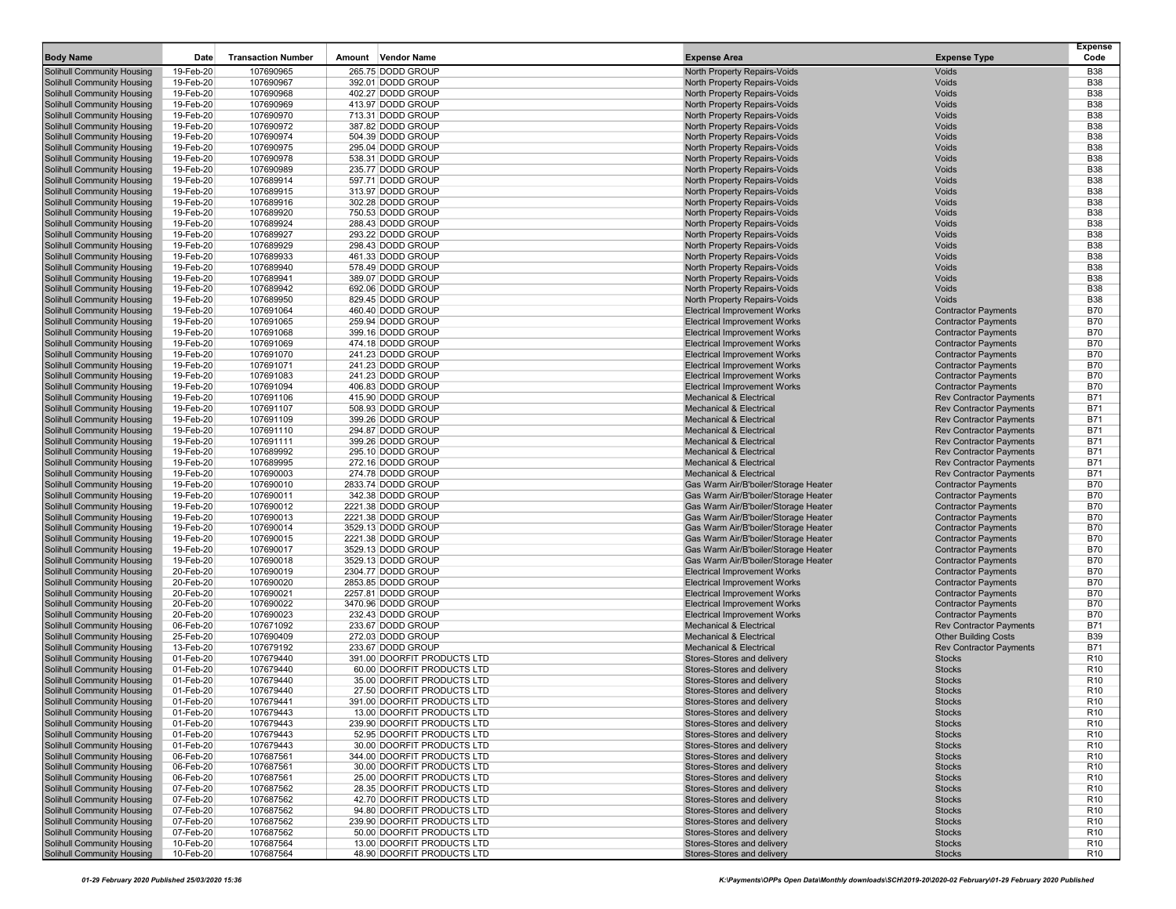| <b>Body Name</b>                                                       | Date                   | <b>Transaction Number</b> | Amount Vendor Name                                        | <b>Expense Area</b>                                                          | <b>Expense Type</b>                                              | <b>Expense</b><br>Code             |
|------------------------------------------------------------------------|------------------------|---------------------------|-----------------------------------------------------------|------------------------------------------------------------------------------|------------------------------------------------------------------|------------------------------------|
| Solihull Community Housing                                             | 19-Feb-20              | 107690965                 | 265.75 DODD GROUP                                         | North Property Repairs-Voids                                                 | Voids                                                            | <b>B38</b>                         |
| Solihull Community Housing                                             | 19-Feb-20              | 107690967                 | 392.01 DODD GROUP                                         | North Property Repairs-Voids                                                 | Voids                                                            | <b>B38</b>                         |
| Solihull Community Housing                                             | 19-Feb-20              | 107690968                 | 402.27 DODD GROUP                                         | North Property Repairs-Voids                                                 | Voids                                                            | <b>B38</b>                         |
| <b>Solihull Community Housing</b>                                      | 19-Feb-20              | 107690969                 | 413.97 DODD GROUP                                         | North Property Repairs-Voids                                                 | Voids                                                            | <b>B38</b>                         |
| Solihull Community Housing                                             | 19-Feb-20              | 107690970                 | 713.31 DODD GROUP                                         | North Property Repairs-Voids                                                 | Voids                                                            | <b>B38</b>                         |
| <b>Solihull Community Housing</b>                                      | 19-Feb-20              | 107690972                 | 387.82 DODD GROUP                                         | North Property Repairs-Voids                                                 | Voids                                                            | <b>B38</b>                         |
| Solihull Community Housing                                             | 19-Feb-20              | 107690974                 | 504.39 DODD GROUP                                         | North Property Repairs-Voids                                                 | Voids                                                            | <b>B38</b>                         |
| Solihull Community Housing                                             | 19-Feb-20              | 107690975                 | 295.04 DODD GROUP                                         | North Property Repairs-Voids                                                 | Voids                                                            | <b>B38</b>                         |
| <b>Solihull Community Housing</b>                                      | 19-Feb-20              | 107690978                 | 538.31 DODD GROUP                                         | North Property Repairs-Voids                                                 | Voids                                                            | <b>B38</b>                         |
| Solihull Community Housing                                             | 19-Feb-20<br>19-Feb-20 | 107690989                 | 235.77 DODD GROUP<br>597.71 DODD GROUP                    | North Property Repairs-Voids                                                 | Voids<br>Voids                                                   | <b>B38</b><br><b>B38</b>           |
| <b>Solihull Community Housing</b><br><b>Solihull Community Housing</b> | 19-Feb-20              | 107689914<br>107689915    | 313.97 DODD GROUP                                         | North Property Repairs-Voids<br>North Property Repairs-Voids                 | Voids                                                            | <b>B38</b>                         |
| Solihull Community Housing                                             | 19-Feb-20              | 107689916                 | 302.28 DODD GROUP                                         | North Property Repairs-Voids                                                 | Voids                                                            | <b>B38</b>                         |
| Solihull Community Housing                                             | 19-Feb-20              | 107689920                 | 750.53 DODD GROUP                                         | North Property Repairs-Voids                                                 | Voids                                                            | <b>B38</b>                         |
| <b>Solihull Community Housing</b>                                      | 19-Feb-20              | 107689924                 | 288.43 DODD GROUP                                         | North Property Repairs-Voids                                                 | Voids                                                            | <b>B38</b>                         |
| Solihull Community Housing                                             | 19-Feb-20              | 107689927                 | 293.22 DODD GROUP                                         | North Property Repairs-Voids                                                 | Voids                                                            | <b>B38</b>                         |
| Solihull Community Housing                                             | 19-Feb-20              | 107689929                 | 298.43 DODD GROUP                                         | North Property Repairs-Voids                                                 | Voids                                                            | <b>B38</b>                         |
| <b>Solihull Community Housing</b>                                      | 19-Feb-20              | 107689933                 | 461.33 DODD GROUP                                         | North Property Repairs-Voids                                                 | Voids                                                            | <b>B38</b>                         |
| Solihull Community Housing                                             | 19-Feb-20              | 107689940                 | 578.49 DODD GROUP                                         | North Property Repairs-Voids                                                 | Voids                                                            | <b>B38</b>                         |
| <b>Solihull Community Housing</b>                                      | 19-Feb-20              | 107689941                 | 389.07 DODD GROUP                                         | North Property Repairs-Voids                                                 | Voids                                                            | <b>B38</b>                         |
| Solihull Community Housing                                             | 19-Feb-20              | 107689942                 | 692.06 DODD GROUP                                         | North Property Repairs-Voids                                                 | Voids                                                            | <b>B38</b>                         |
| <b>Solihull Community Housing</b>                                      | 19-Feb-20              | 107689950                 | 829.45 DODD GROUP                                         | North Property Repairs-Voids                                                 | Voids                                                            | <b>B38</b><br><b>B70</b>           |
| Solihull Community Housing<br>Solihull Community Housing               | 19-Feb-20<br>19-Feb-20 | 107691064<br>107691065    | 460.40 DODD GROUP<br>259.94 DODD GROUP                    | <b>Electrical Improvement Works</b><br><b>Electrical Improvement Works</b>   | <b>Contractor Payments</b><br><b>Contractor Payments</b>         | <b>B70</b>                         |
| <b>Solihull Community Housing</b>                                      | 19-Feb-20              | 107691068                 | 399.16 DODD GROUP                                         | <b>Electrical Improvement Works</b>                                          | <b>Contractor Payments</b>                                       | <b>B70</b>                         |
| Solihull Community Housing                                             | 19-Feb-20              | 107691069                 | 474.18 DODD GROUP                                         | <b>Electrical Improvement Works</b>                                          | <b>Contractor Payments</b>                                       | <b>B70</b>                         |
| <b>Solihull Community Housing</b>                                      | 19-Feb-20              | 107691070                 | 241.23 DODD GROUP                                         | <b>Electrical Improvement Works</b>                                          | <b>Contractor Payments</b>                                       | <b>B70</b>                         |
| Solihull Community Housing                                             | 19-Feb-20              | 107691071                 | 241.23 DODD GROUP                                         | <b>Electrical Improvement Works</b>                                          | <b>Contractor Payments</b>                                       | <b>B70</b>                         |
| <b>Solihull Community Housing</b>                                      | 19-Feb-20              | 107691083                 | 241.23 DODD GROUP                                         | <b>Electrical Improvement Works</b>                                          | <b>Contractor Payments</b>                                       | <b>B70</b>                         |
| Solihull Community Housing                                             | 19-Feb-20              | 107691094                 | 406.83 DODD GROUP                                         | <b>Electrical Improvement Works</b>                                          | <b>Contractor Payments</b>                                       | <b>B70</b>                         |
| <b>Solihull Community Housing</b>                                      | 19-Feb-20              | 107691106                 | 415.90 DODD GROUP                                         | <b>Mechanical &amp; Electrical</b>                                           | <b>Rev Contractor Payments</b>                                   | <b>B71</b>                         |
| Solihull Community Housing                                             | 19-Feb-20              | 107691107                 | 508.93 DODD GROUP                                         | <b>Mechanical &amp; Electrical</b>                                           | <b>Rev Contractor Payments</b>                                   | <b>B71</b>                         |
| Solihull Community Housing                                             | 19-Feb-20              | 107691109                 | 399.26 DODD GROUP                                         | <b>Mechanical &amp; Electrical</b>                                           | <b>Rev Contractor Payments</b>                                   | <b>B71</b>                         |
| <b>Solihull Community Housing</b><br>Solihull Community Housing        | 19-Feb-20<br>19-Feb-20 | 107691110                 | 294.87 DODD GROUP                                         | <b>Mechanical &amp; Electrical</b><br><b>Mechanical &amp; Electrical</b>     | <b>Rev Contractor Payments</b>                                   | <b>B71</b><br><b>B71</b>           |
| <b>Solihull Community Housing</b>                                      | 19-Feb-20              | 107691111<br>107689992    | 399.26 DODD GROUP<br>295.10 DODD GROUP                    | <b>Mechanical &amp; Electrical</b>                                           | <b>Rev Contractor Payments</b><br><b>Rev Contractor Payments</b> | <b>B71</b>                         |
| Solihull Community Housing                                             | 19-Feb-20              | 107689995                 | 272.16 DODD GROUP                                         | <b>Mechanical &amp; Electrical</b>                                           | <b>Rev Contractor Payments</b>                                   | <b>B71</b>                         |
| <b>Solihull Community Housing</b>                                      | 19-Feb-20              | 107690003                 | 274.78 DODD GROUP                                         | <b>Mechanical &amp; Electrical</b>                                           | <b>Rev Contractor Payments</b>                                   | <b>B71</b>                         |
| Solihull Community Housing                                             | 19-Feb-20              | 107690010                 | 2833.74 DODD GROUP                                        | Gas Warm Air/B'boiler/Storage Heater                                         | <b>Contractor Payments</b>                                       | <b>B70</b>                         |
| Solihull Community Housing                                             | 19-Feb-20              | 107690011                 | 342.38 DODD GROUP                                         | Gas Warm Air/B'boiler/Storage Heater                                         | <b>Contractor Payments</b>                                       | <b>B70</b>                         |
| Solihull Community Housing                                             | 19-Feb-20              | 107690012                 | 2221.38 DODD GROUP                                        | Gas Warm Air/B'boiler/Storage Heater                                         | <b>Contractor Payments</b>                                       | <b>B70</b>                         |
| Solihull Community Housing                                             | 19-Feb-20              | 107690013                 | 2221.38 DODD GROUP                                        | Gas Warm Air/B'boiler/Storage Heater                                         | <b>Contractor Payments</b>                                       | <b>B70</b>                         |
| <b>Solihull Community Housing</b>                                      | 19-Feb-20              | 107690014                 | 3529.13 DODD GROUP                                        | Gas Warm Air/B'boiler/Storage Heater                                         | <b>Contractor Payments</b>                                       | <b>B70</b>                         |
| Solihull Community Housing                                             | 19-Feb-20              | 107690015                 | 2221.38 DODD GROUP                                        | Gas Warm Air/B'boiler/Storage Heater                                         | <b>Contractor Payments</b>                                       | <b>B70</b>                         |
| <b>Solihull Community Housing</b><br>Solihull Community Housing        | 19-Feb-20<br>19-Feb-20 | 107690017<br>107690018    | 3529.13 DODD GROUP                                        | Gas Warm Air/B'boiler/Storage Heater<br>Gas Warm Air/B'boiler/Storage Heater | <b>Contractor Payments</b><br><b>Contractor Payments</b>         | <b>B70</b><br><b>B70</b>           |
| <b>Solihull Community Housing</b>                                      | 20-Feb-20              | 107690019                 | 3529.13 DODD GROUP<br>2304.77 DODD GROUP                  | <b>Electrical Improvement Works</b>                                          | <b>Contractor Payments</b>                                       | <b>B70</b>                         |
| Solihull Community Housing                                             | 20-Feb-20              | 107690020                 | 2853.85 DODD GROUP                                        | <b>Electrical Improvement Works</b>                                          | <b>Contractor Payments</b>                                       | <b>B70</b>                         |
| Solihull Community Housing                                             | 20-Feb-20              | 107690021                 | 2257.81 DODD GROUP                                        | <b>Electrical Improvement Works</b>                                          | <b>Contractor Payments</b>                                       | <b>B70</b>                         |
| Solihull Community Housing                                             | 20-Feb-20              | 107690022                 | 3470.96 DODD GROUP                                        | <b>Electrical Improvement Works</b>                                          | <b>Contractor Payments</b>                                       | <b>B70</b>                         |
| Solihull Community Housing                                             | 20-Feb-20              | 107690023                 | 232.43 DODD GROUP                                         | <b>Electrical Improvement Works</b>                                          | <b>Contractor Payments</b>                                       | <b>B70</b>                         |
| <b>Solihull Community Housing</b>                                      | 06-Feb-20              | 107671092                 | 233.67 DODD GROUP                                         | <b>Mechanical &amp; Electrical</b>                                           | <b>Rev Contractor Payments</b>                                   | <b>B71</b>                         |
| Solihull Community Housing                                             | 25-Feb-20              | 107690409                 | 272.03 DODD GROUP                                         | <b>Mechanical &amp; Electrical</b>                                           | <b>Other Building Costs</b>                                      | <b>B39</b>                         |
| <b>Solihull Community Housing</b>                                      | 13-Feb-20              | 107679192                 | 233.67 DODD GROUP                                         | <b>Mechanical &amp; Electrical</b>                                           | <b>Rev Contractor Payments</b>                                   | <b>B71</b>                         |
| Solihull Community Housing<br><b>Solihull Community Housing</b>        | 01-Feb-20<br>01-Feb-20 | 107679440<br>107679440    | 391.00 DOORFIT PRODUCTS LTD<br>60.00 DOORFIT PRODUCTS LTD | Stores-Stores and delivery<br>Stores-Stores and delivery                     | <b>Stocks</b><br><b>Stocks</b>                                   | R <sub>10</sub><br>R <sub>10</sub> |
| Solihull Community Housing                                             | 01-Feb-20              | 107679440                 | 35.00 DOORFIT PRODUCTS LTD                                | Stores-Stores and delivery                                                   | <b>Stocks</b>                                                    | R <sub>10</sub>                    |
| <b>Solihull Community Housing</b>                                      | 01-Feb-20              | 107679440                 | 27.50 DOORFIT PRODUCTS LTD                                | Stores-Stores and delivery                                                   | <b>Stocks</b>                                                    | R <sub>10</sub>                    |
| <b>Solihull Community Housing</b>                                      | 01-Feb-20              | 107679441                 | 391.00 DOORFIT PRODUCTS LTD                               | Stores-Stores and delivery                                                   | <b>Stocks</b>                                                    | R <sub>10</sub>                    |
| <b>Solihull Community Housing</b>                                      | 01-Feb-20              | 107679443                 | 13.00 DOORFIT PRODUCTS LTD                                | Stores-Stores and delivery                                                   | <b>Stocks</b>                                                    | R <sub>10</sub>                    |
| <b>Solihull Community Housing</b>                                      | 01-Feb-20              | 107679443                 | 239.90 DOORFIT PRODUCTS LTD                               | Stores-Stores and delivery                                                   | <b>Stocks</b>                                                    | R <sub>10</sub>                    |
| <b>Solihull Community Housing</b>                                      | 01-Feb-20              | 107679443                 | 52.95 DOORFIT PRODUCTS LTD                                | Stores-Stores and delivery                                                   | <b>Stocks</b>                                                    | R <sub>10</sub>                    |
| <b>Solihull Community Housing</b>                                      | 01-Feb-20              | 107679443                 | 30.00 DOORFIT PRODUCTS LTD                                | Stores-Stores and delivery                                                   | <b>Stocks</b>                                                    | R <sub>10</sub>                    |
| <b>Solihull Community Housing</b>                                      | 06-Feb-20              | 107687561                 | 344.00 DOORFIT PRODUCTS LTD                               | Stores-Stores and delivery                                                   | <b>Stocks</b>                                                    | R <sub>10</sub>                    |
| <b>Solihull Community Housing</b>                                      | 06-Feb-20              | 107687561                 | 30.00 DOORFIT PRODUCTS LTD                                | Stores-Stores and delivery                                                   | <b>Stocks</b>                                                    | R <sub>10</sub>                    |
| <b>Solihull Community Housing</b><br><b>Solihull Community Housing</b> | 06-Feb-20              | 107687561                 | 25.00 DOORFIT PRODUCTS LTD<br>28.35 DOORFIT PRODUCTS LTD  | Stores-Stores and delivery<br>Stores-Stores and delivery                     | <b>Stocks</b>                                                    | R <sub>10</sub>                    |
| <b>Solihull Community Housing</b>                                      | 07-Feb-20<br>07-Feb-20 | 107687562<br>107687562    | 42.70 DOORFIT PRODUCTS LTD                                | Stores-Stores and delivery                                                   | <b>Stocks</b><br><b>Stocks</b>                                   | R <sub>10</sub><br>R <sub>10</sub> |
| <b>Solihull Community Housing</b>                                      | 07-Feb-20              | 107687562                 | 94.80 DOORFIT PRODUCTS LTD                                | Stores-Stores and delivery                                                   | <b>Stocks</b>                                                    | R <sub>10</sub>                    |
| Solihull Community Housing                                             | 07-Feb-20              | 107687562                 | 239.90 DOORFIT PRODUCTS LTD                               | Stores-Stores and delivery                                                   | <b>Stocks</b>                                                    | R <sub>10</sub>                    |
| <b>Solihull Community Housing</b>                                      | 07-Feb-20              | 107687562                 | 50.00 DOORFIT PRODUCTS LTD                                | Stores-Stores and delivery                                                   | <b>Stocks</b>                                                    | R <sub>10</sub>                    |
| <b>Solihull Community Housing</b>                                      | 10-Feb-20              | 107687564                 | 13.00 DOORFIT PRODUCTS LTD                                | Stores-Stores and delivery                                                   | <b>Stocks</b>                                                    | R <sub>10</sub>                    |
| <b>Solihull Community Housing</b>                                      | 10-Feb-20              | 107687564                 | 48.90 DOORFIT PRODUCTS LTD                                | Stores-Stores and delivery                                                   | <b>Stocks</b>                                                    | R <sub>10</sub>                    |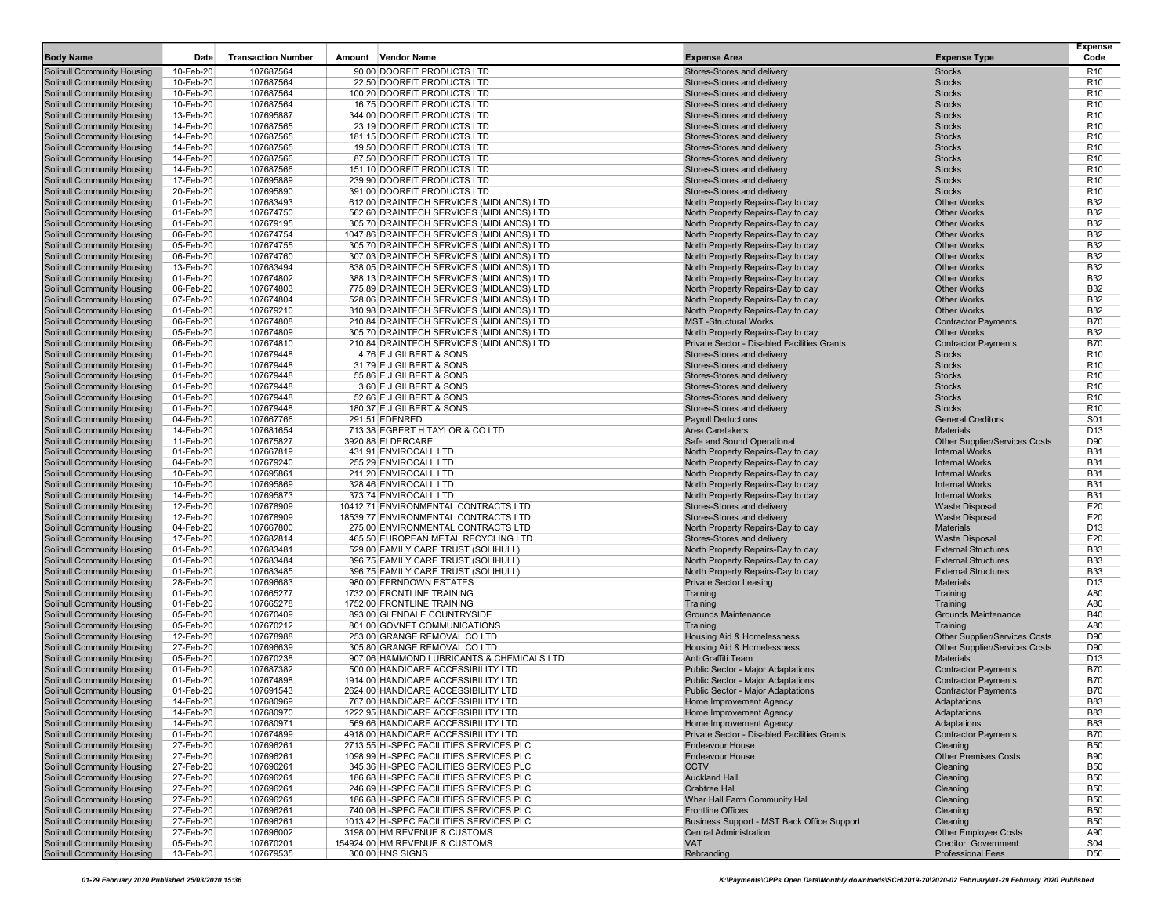| <b>Body Name</b>                                                       | Date                   | <b>Transaction Number</b> | Amount<br>Vendor Name                                                                | <b>Expense Area</b>                                                    | <b>Expense Type</b>                                      | Expense<br>Code                    |
|------------------------------------------------------------------------|------------------------|---------------------------|--------------------------------------------------------------------------------------|------------------------------------------------------------------------|----------------------------------------------------------|------------------------------------|
| Solihull Community Housing                                             | 10-Feb-20              | 107687564                 | 90.00 DOORFIT PRODUCTS LTD                                                           | Stores-Stores and delivery                                             | <b>Stocks</b>                                            | R <sub>10</sub>                    |
| Solihull Community Housing                                             | 10-Feb-20              | 107687564                 | 22.50 DOORFIT PRODUCTS LTD                                                           | Stores-Stores and delivery                                             | <b>Stocks</b>                                            | R <sub>10</sub>                    |
| Solihull Community Housing                                             | 10-Feb-20              | 107687564                 | 100.20 DOORFIT PRODUCTS LTD                                                          | Stores-Stores and delivery                                             | <b>Stocks</b>                                            | R <sub>10</sub>                    |
| Solihull Community Housing                                             | 10-Feb-20              | 107687564                 | 16.75 DOORFIT PRODUCTS LTD                                                           | Stores-Stores and delivery                                             | <b>Stocks</b>                                            | R <sub>10</sub>                    |
| Solihull Community Housing                                             | 13-Feb-20              | 107695887                 | 344.00 DOORFIT PRODUCTS LTD                                                          | Stores-Stores and delivery                                             | <b>Stocks</b>                                            | R <sub>10</sub>                    |
| Solihull Community Housing                                             | 14-Feb-20              | 107687565                 | 23.19 DOORFIT PRODUCTS LTD                                                           | Stores-Stores and delivery                                             | <b>Stocks</b>                                            | R <sub>10</sub>                    |
| <b>Solihull Community Housing</b>                                      | 14-Feb-20              | 107687565                 | 181.15 DOORFIT PRODUCTS LTD                                                          | Stores-Stores and delivery                                             | <b>Stocks</b>                                            | R <sub>10</sub>                    |
| Solihull Community Housing                                             | 14-Feb-20              | 107687565                 | 19.50 DOORFIT PRODUCTS LTD                                                           | Stores-Stores and delivery                                             | <b>Stocks</b>                                            | R <sub>10</sub>                    |
| Solihull Community Housing<br>Solihull Community Housing               | 14-Feb-20<br>14-Feb-20 | 107687566<br>107687566    | 87.50 DOORFIT PRODUCTS LTD<br>151.10 DOORFIT PRODUCTS LTD                            | Stores-Stores and delivery<br>Stores-Stores and delivery               | <b>Stocks</b><br><b>Stocks</b>                           | R <sub>10</sub><br>R <sub>10</sub> |
| Solihull Community Housing                                             | 17-Feb-20              | 107695889                 | 239.90 DOORFIT PRODUCTS LTD                                                          | Stores-Stores and delivery                                             | <b>Stocks</b>                                            | R <sub>10</sub>                    |
| Solihull Community Housing                                             | 20-Feb-20              | 107695890                 | 391.00 DOORFIT PRODUCTS LTD                                                          | Stores-Stores and delivery                                             | <b>Stocks</b>                                            | R <sub>10</sub>                    |
| Solihull Community Housing                                             | 01-Feb-20              | 107683493                 | 612.00 DRAINTECH SERVICES (MIDLANDS) LTD                                             | North Property Repairs-Day to day                                      | <b>Other Works</b>                                       | <b>B32</b>                         |
| <b>Solihull Community Housing</b>                                      | 01-Feb-20              | 107674750                 | 562.60 DRAINTECH SERVICES (MIDLANDS) LTD                                             | North Property Repairs-Day to day                                      | <b>Other Works</b>                                       | <b>B32</b>                         |
| Solihull Community Housing                                             | 01-Feb-20              | 107679195                 | 305.70 DRAINTECH SERVICES (MIDLANDS) LTD                                             | North Property Repairs-Day to day                                      | <b>Other Works</b>                                       | <b>B32</b>                         |
| <b>Solihull Community Housing</b>                                      | 06-Feb-20              | 107674754                 | 1047.86 DRAINTECH SERVICES (MIDLANDS) LTD                                            | North Property Repairs-Day to day                                      | <b>Other Works</b>                                       | <b>B32</b>                         |
| Solihull Community Housing                                             | 05-Feb-20              | 107674755                 | 305.70 DRAINTECH SERVICES (MIDLANDS) LTD                                             | North Property Repairs-Day to day                                      | <b>Other Works</b>                                       | <b>B32</b>                         |
| Solihull Community Housing                                             | 06-Feb-20              | 107674760                 | 307.03 DRAINTECH SERVICES (MIDLANDS) LTD                                             | North Property Repairs-Day to day                                      | <b>Other Works</b>                                       | <b>B32</b>                         |
| <b>Solihull Community Housing</b>                                      | 13-Feb-20<br>01-Feb-20 | 107683494                 | 838.05 DRAINTECH SERVICES (MIDLANDS) LTD                                             | North Property Repairs-Day to day                                      | <b>Other Works</b>                                       | <b>B32</b><br><b>B32</b>           |
| <b>Solihull Community Housing</b><br>Solihull Community Housing        | 06-Feb-20              | 107674802<br>107674803    | 388.13 DRAINTECH SERVICES (MIDLANDS) LTD<br>775.89 DRAINTECH SERVICES (MIDLANDS) LTD | North Property Repairs-Day to day<br>North Property Repairs-Day to day | <b>Other Works</b><br><b>Other Works</b>                 | <b>B32</b>                         |
| Solihull Community Housing                                             | 07-Feb-20              | 107674804                 | 528.06 DRAINTECH SERVICES (MIDLANDS) LTD                                             | North Property Repairs-Day to day                                      | <b>Other Works</b>                                       | <b>B32</b>                         |
| <b>Solihull Community Housing</b>                                      | 01-Feb-20              | 107679210                 | 310.98 DRAINTECH SERVICES (MIDLANDS) LTD                                             | North Property Repairs-Day to day                                      | <b>Other Works</b>                                       | <b>B32</b>                         |
| Solihull Community Housing                                             | 06-Feb-20              | 107674808                 | 210.84 DRAINTECH SERVICES (MIDLANDS) LTD                                             | <b>MST-Structural Works</b>                                            | <b>Contractor Payments</b>                               | <b>B70</b>                         |
| Solihull Community Housing                                             | 05-Feb-20              | 107674809                 | 305.70 DRAINTECH SERVICES (MIDLANDS) LTD                                             | North Property Repairs-Day to day                                      | <b>Other Works</b>                                       | <b>B32</b>                         |
| Solihull Community Housing                                             | 06-Feb-20              | 107674810                 | 210.84 DRAINTECH SERVICES (MIDLANDS) LTD                                             | Private Sector - Disabled Facilities Grants                            | <b>Contractor Payments</b>                               | <b>B70</b>                         |
| Solihull Community Housing                                             | 01-Feb-20              | 107679448                 | 4.76 E J GILBERT & SONS                                                              | Stores-Stores and delivery                                             | <b>Stocks</b>                                            | R <sub>10</sub>                    |
| <b>Solihull Community Housing</b>                                      | 01-Feb-20              | 107679448                 | 31.79 E J GILBERT & SONS                                                             | Stores-Stores and delivery                                             | <b>Stocks</b>                                            | R <sub>10</sub>                    |
| Solihull Community Housing<br><b>Solihull Community Housing</b>        | 01-Feb-20<br>01-Feb-20 | 107679448<br>107679448    | 55.86 E J GILBERT & SONS<br>3.60 E J GILBERT & SONS                                  | Stores-Stores and delivery<br>Stores-Stores and delivery               | <b>Stocks</b><br><b>Stocks</b>                           | R <sub>10</sub><br>R <sub>10</sub> |
| Solihull Community Housing                                             | 01-Feb-20              | 107679448                 | 52.66 E J GILBERT & SONS                                                             | Stores-Stores and delivery                                             | <b>Stocks</b>                                            | R <sub>10</sub>                    |
| <b>Solihull Community Housing</b>                                      | 01-Feb-20              | 107679448                 | 180.37 E J GILBERT & SONS                                                            | Stores-Stores and delivery                                             | <b>Stocks</b>                                            | R <sub>10</sub>                    |
| Solihull Community Housing                                             | 04-Feb-20              | 107667766                 | 291.51 EDENRED                                                                       | <b>Payroll Deductions</b>                                              | <b>General Creditors</b>                                 | S01                                |
| Solihull Community Housing                                             | 14-Feb-20              | 107681654                 | 713.38 EGBERT H TAYLOR & CO LTD                                                      | Area Caretakers                                                        | <b>Materials</b>                                         | D <sub>13</sub>                    |
| Solihull Community Housing                                             | 11-Feb-20              | 107675827                 | 3920.88 ELDERCARE                                                                    | Safe and Sound Operational                                             | <b>Other Supplier/Services Costs</b>                     | D90                                |
| Solihull Community Housing                                             | 01-Feb-20              | 107667819                 | 431.91 ENVIROCALL LTD                                                                | North Property Repairs-Day to day                                      | <b>Internal Works</b>                                    | <b>B31</b>                         |
| <b>Solihull Community Housing</b>                                      | 04-Feb-20              | 107679240                 | 255.29 ENVIROCALL LTD                                                                | North Property Repairs-Day to day                                      | <b>Internal Works</b>                                    | <b>B31</b><br><b>B31</b>           |
| <b>Solihull Community Housing</b><br><b>Solihull Community Housing</b> | 10-Feb-20<br>10-Feb-20 | 107695861<br>107695869    | 211.20 ENVIROCALL LTD<br>328.46 ENVIROCALL LTD                                       | North Property Repairs-Day to day<br>North Property Repairs-Day to day | <b>Internal Works</b><br><b>Internal Works</b>           | <b>B31</b>                         |
| Solihull Community Housing                                             | 14-Feb-20              | 107695873                 | 373.74 ENVIROCALL LTD                                                                | North Property Repairs-Day to day                                      | <b>Internal Works</b>                                    | <b>B31</b>                         |
| <b>Solihull Community Housing</b>                                      | 12-Feb-20              | 107678909                 | 10412.71 ENVIRONMENTAL CONTRACTS LTD                                                 | Stores-Stores and delivery                                             | <b>Waste Disposal</b>                                    | E20                                |
| Solihull Community Housing                                             | 12-Feb-20              | 107678909                 | 18539.77 ENVIRONMENTAL CONTRACTS LTD                                                 | Stores-Stores and delivery                                             | <b>Waste Disposal</b>                                    | E20                                |
| <b>Solihull Community Housing</b>                                      | 04-Feb-20              | 107667800                 | 275.00 ENVIRONMENTAL CONTRACTS LTD                                                   | North Property Repairs-Day to day                                      | <b>Materials</b>                                         | D <sub>13</sub>                    |
| Solihull Community Housing                                             | 17-Feb-20              | 107682814                 | 465.50 EUROPEAN METAL RECYCLING LTD                                                  | Stores-Stores and delivery                                             | <b>Waste Disposal</b>                                    | E20                                |
| Solihull Community Housing<br><b>Solihull Community Housing</b>        | 01-Feb-20<br>01-Feb-20 | 107683481<br>107683484    | 529.00 FAMILY CARE TRUST (SOLIHULL)<br>396.75 FAMILY CARE TRUST (SOLIHULL)           | North Property Repairs-Day to day<br>North Property Repairs-Day to day | <b>External Structures</b><br><b>External Structures</b> | <b>B33</b><br><b>B33</b>           |
| Solihull Community Housing                                             | 01-Feb-20              | 107683485                 | 396.75 FAMILY CARE TRUST (SOLIHULL)                                                  | North Property Repairs-Day to day                                      | <b>External Structures</b>                               | <b>B33</b>                         |
| <b>Solihull Community Housing</b>                                      | 28-Feb-20              | 107696683                 | 980.00 FERNDOWN ESTATES                                                              | <b>Private Sector Leasing</b>                                          | <b>Materials</b>                                         | D <sub>13</sub>                    |
| Solihull Community Housing                                             | 01-Feb-20              | 107665277                 | 1732.00 FRONTLINE TRAINING                                                           | Training                                                               | Training                                                 | A80                                |
| Solihull Community Housing                                             | 01-Feb-20              | 107665278                 | 1752.00 FRONTLINE TRAINING                                                           | Training                                                               | Training                                                 | A80                                |
| Solihull Community Housing                                             | 05-Feb-20              | 107670409                 | 893.00 GLENDALE COUNTRYSIDE                                                          | <b>Grounds Maintenance</b>                                             | <b>Grounds Maintenance</b>                               | <b>B40</b>                         |
| <b>Solihull Community Housing</b>                                      | 05-Feb-20              | 107670212                 | 801.00 GOVNET COMMUNICATIONS                                                         | Training                                                               | Training                                                 | A80                                |
| Solihull Community Housing                                             | 12-Feb-20              | 107678988                 | 253.00 GRANGE REMOVAL CO LTD                                                         | Housing Aid & Homelessness                                             | <b>Other Supplier/Services Costs</b>                     | D90                                |
| Solihull Community Housing<br><b>Solihull Community Housing</b>        | 27-Feb-20<br>05-Feb-20 | 107696639<br>107670238    | 305.80 GRANGE REMOVAL CO LTD<br>907.06 HAMMOND LUBRICANTS & CHEMICALS LTD            | Housing Aid & Homelessness<br>Anti Graffiti Team                       | <b>Other Supplier/Services Costs</b><br><b>Materials</b> | D90<br>D <sub>13</sub>             |
| Solihull Community Housing                                             | 01-Feb-20              | 107687382                 | 500.00 HANDICARE ACCESSIBILITY LTD                                                   | <b>Public Sector - Major Adaptations</b>                               | <b>Contractor Payments</b>                               | <b>B70</b>                         |
| <b>Solihull Community Housing</b>                                      | 01-Feb-20              | 107674898                 | 1914.00 HANDICARE ACCESSIBILITY LTD                                                  | Public Sector - Major Adaptations                                      | <b>Contractor Payments</b>                               | <b>B70</b>                         |
| Solihull Community Housing                                             | 01-Feb-20              | 107691543                 | 2624.00 HANDICARE ACCESSIBILITY LTD                                                  | <b>Public Sector - Major Adaptations</b>                               | <b>Contractor Payments</b>                               | <b>B70</b>                         |
| <b>Solihull Community Housing</b>                                      | 14-Feb-20              | 107680969                 | 767.00 HANDICARE ACCESSIBILITY LTD                                                   | Home Improvement Agency                                                | Adaptations                                              | <b>B83</b>                         |
| Solihull Community Housing                                             | 14-Feb-20              | 107680970                 | 1222.95 HANDICARE ACCESSIBILITY LTD                                                  | Home Improvement Agency                                                | Adaptations                                              | <b>B83</b>                         |
| Solihull Community Housing                                             | 14-Feb-20              | 107680971                 | 569.66 HANDICARE ACCESSIBILITY LTD                                                   | Home Improvement Agency                                                | Adaptations                                              | <b>B83</b>                         |
| Solihull Community Housing                                             | 01-Feb-20              | 107674899                 | 4918.00 HANDICARE ACCESSIBILITY LTD                                                  | Private Sector - Disabled Facilities Grants                            | <b>Contractor Payments</b>                               | <b>B70</b>                         |
| Solihull Community Housing<br>Solihull Community Housing               | 27-Feb-20<br>27-Feb-20 | 107696261<br>107696261    | 2713.55 HI-SPEC FACILITIES SERVICES PLC<br>1098.99 HI-SPEC FACILITIES SERVICES PLC   | <b>Endeavour House</b><br><b>Endeavour House</b>                       | Cleaning<br><b>Other Premises Costs</b>                  | <b>B50</b><br><b>B90</b>           |
| Solihull Community Housing                                             | 27-Feb-20              | 107696261                 | 345.36 HI-SPEC FACILITIES SERVICES PLC                                               | <b>CCTV</b>                                                            | Cleaning                                                 | <b>B50</b>                         |
| <b>Solihull Community Housing</b>                                      | 27-Feb-20              | 107696261                 | 186.68 HI-SPEC FACILITIES SERVICES PLC                                               | <b>Auckland Hall</b>                                                   | Cleaning                                                 | <b>B50</b>                         |
| Solihull Community Housing                                             | 27-Feb-20              | 107696261                 | 246.69 HI-SPEC FACILITIES SERVICES PLC                                               | <b>Crabtree Hall</b>                                                   | Cleaning                                                 | <b>B50</b>                         |
| <b>Solihull Community Housing</b>                                      | 27-Feb-20              | 107696261                 | 186.68 HI-SPEC FACILITIES SERVICES PLC                                               | Whar Hall Farm Community Hall                                          | Cleaning                                                 | <b>B50</b>                         |
| Solihull Community Housing                                             | 27-Feb-20              | 107696261                 | 740.06 HI-SPEC FACILITIES SERVICES PLC                                               | <b>Frontline Offices</b>                                               | Cleaning                                                 | <b>B50</b>                         |
| Solihull Community Housing                                             | 27-Feb-20              | 107696261                 | 1013.42 HI-SPEC FACILITIES SERVICES PLC                                              | Business Support - MST Back Office Support                             | Cleaning                                                 | <b>B50</b>                         |
| <b>Solihull Community Housing</b><br>Solihull Community Housing        | 27-Feb-20<br>05-Feb-20 | 107696002<br>107670201    | 3198.00 HM REVENUE & CUSTOMS<br>154924.00 HM REVENUE & CUSTOMS                       | <b>Central Administration</b><br><b>VAT</b>                            | <b>Other Employee Costs</b><br>Creditor: Government      | A90<br><b>S04</b>                  |
| Solihull Community Housing                                             | 13-Feb-20              | 107679535                 | 300.00 HNS SIGNS                                                                     | Rebranding                                                             | <b>Professional Fees</b>                                 | D <sub>50</sub>                    |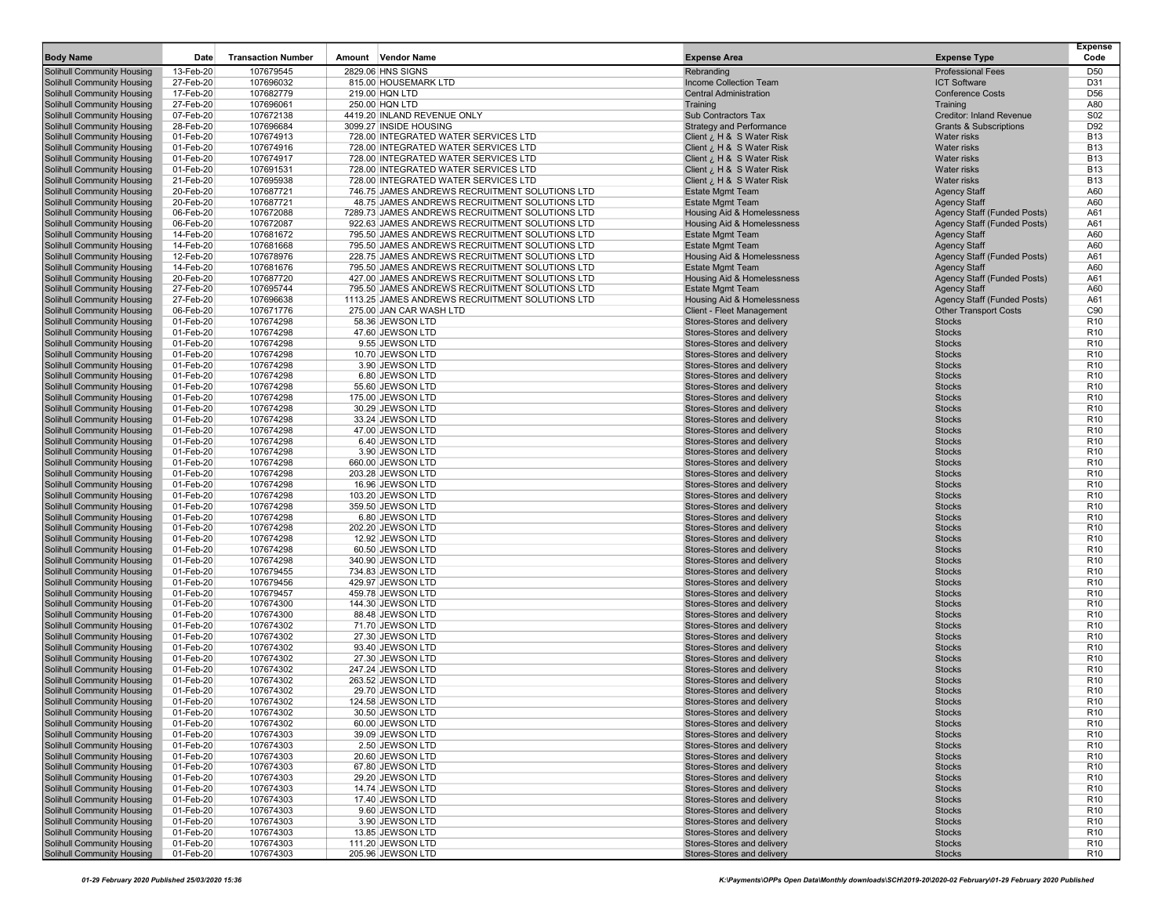| <b>Body Name</b>                                                       | Date                   | <b>Transaction Number</b> | <b>Vendor Name</b><br>Amount                                                 | <b>Expense Area</b>                                      | <b>Expense Type</b>                | <b>Expense</b><br>Code             |
|------------------------------------------------------------------------|------------------------|---------------------------|------------------------------------------------------------------------------|----------------------------------------------------------|------------------------------------|------------------------------------|
| <b>Solihull Community Housing</b>                                      | 13-Feb-20              | 107679545                 | 2829.06 HNS SIGNS                                                            | Rebranding                                               | <b>Professional Fees</b>           | D <sub>50</sub>                    |
| <b>Solihull Community Housing</b>                                      | 27-Feb-20              | 107696032                 | 815.00 HOUSEMARK LTD                                                         | Income Collection Team                                   | <b>ICT Software</b>                | D31                                |
| <b>Solihull Community Housing</b>                                      | 17-Feb-20              | 107682779                 | 219.00 HQN LTD                                                               | <b>Central Administration</b>                            | <b>Conference Costs</b>            | D <sub>56</sub>                    |
| <b>Solihull Community Housing</b>                                      | 27-Feb-20              | 107696061                 | 250.00 HQN LTD                                                               | Training                                                 | Training                           | A80                                |
| <b>Solihull Community Housing</b>                                      | 07-Feb-20              | 107672138                 | 4419.20 INLAND REVENUE ONLY                                                  | Sub Contractors Tax                                      | Creditor: Inland Revenue           | S <sub>02</sub>                    |
| <b>Solihull Community Housing</b><br>Solihull Community Housing        | 28-Feb-20              | 107696684                 | 3099.27 INSIDE HOUSING                                                       | <b>Strategy and Performance</b>                          | <b>Grants &amp; Subscriptions</b>  | D92                                |
| <b>Solihull Community Housing</b>                                      | 01-Feb-20<br>01-Feb-20 | 107674913<br>107674916    | 728.00 INTEGRATED WATER SERVICES LTD<br>728.00 INTEGRATED WATER SERVICES LTD | Client ¿ H & S Water Risk<br>Client ¿ H & S Water Risk   | Water risks<br>Water risks         | <b>B13</b><br><b>B13</b>           |
| <b>Solihull Community Housing</b>                                      | 01-Feb-20              | 107674917                 | 728.00 INTEGRATED WATER SERVICES LTD                                         | Client ¿ H & S Water Risk                                | Water risks                        | <b>B13</b>                         |
| <b>Solihull Community Housing</b>                                      | 01-Feb-20              | 107691531                 | 728.00 INTEGRATED WATER SERVICES LTD                                         | Client ¿ H & S Water Risk                                | Water risks                        | <b>B13</b>                         |
| <b>Solihull Community Housing</b>                                      | 21-Feb-20              | 107695938                 | 728.00 INTEGRATED WATER SERVICES LTD                                         | Client ¿ H & S Water Risk                                | Water risks                        | <b>B13</b>                         |
| <b>Solihull Community Housing</b>                                      | 20-Feb-20              | 107687721                 | 746.75 JAMES ANDREWS RECRUITMENT SOLUTIONS LTD                               | <b>Estate Mgmt Team</b>                                  | <b>Agency Staff</b>                | A60                                |
| <b>Solihull Community Housing</b>                                      | 20-Feb-20              | 107687721                 | 48.75 JAMES ANDREWS RECRUITMENT SOLUTIONS LTD                                | <b>Estate Mgmt Team</b>                                  | <b>Agency Staff</b>                | A60                                |
| <b>Solihull Community Housing</b>                                      | 06-Feb-20              | 107672088                 | 7289.73 JAMES ANDREWS RECRUITMENT SOLUTIONS LTD                              | <b>Housing Aid &amp; Homelessness</b>                    | Agency Staff (Funded Posts)        | A61                                |
| <b>Solihull Community Housing</b>                                      | 06-Feb-20              | 107672087                 | 922.63 JAMES ANDREWS RECRUITMENT SOLUTIONS LTD                               | Housing Aid & Homelessness                               | <b>Agency Staff (Funded Posts)</b> | A61                                |
| <b>Solihull Community Housing</b>                                      | 14-Feb-20              | 107681672                 | 795.50 JAMES ANDREWS RECRUITMENT SOLUTIONS LTD                               | <b>Estate Mgmt Team</b>                                  | <b>Agency Staff</b>                | A60                                |
| <b>Solihull Community Housing</b>                                      | 14-Feb-20              | 107681668                 | 795.50 JAMES ANDREWS RECRUITMENT SOLUTIONS LTD                               | Estate Mgmt Team                                         | <b>Agency Staff</b>                | A60                                |
| <b>Solihull Community Housing</b>                                      | 12-Feb-20              | 107678976                 | 228.75 JAMES ANDREWS RECRUITMENT SOLUTIONS LTD                               | Housing Aid & Homelessness                               | Agency Staff (Funded Posts)        | A61                                |
| <b>Solihull Community Housing</b>                                      | 14-Feb-20              | 107681676                 | 795.50 JAMES ANDREWS RECRUITMENT SOLUTIONS LTD                               | Estate Mgmt Team                                         | <b>Agency Staff</b>                | A60                                |
| <b>Solihull Community Housing</b>                                      | 20-Feb-20              | 107687720                 | 427.00 JAMES ANDREWS RECRUITMENT SOLUTIONS LTD                               | Housing Aid & Homelessness                               | <b>Agency Staff (Funded Posts)</b> | A61                                |
| <b>Solihull Community Housing</b>                                      | 27-Feb-20              | 107695744                 | 795.50 JAMES ANDREWS RECRUITMENT SOLUTIONS LTD                               | Estate Mgmt Team                                         | <b>Agency Staff</b>                | A60                                |
| <b>Solihull Community Housing</b>                                      | 27-Feb-20              | 107696638                 | 1113.25 JAMES ANDREWS RECRUITMENT SOLUTIONS LTD                              | Housing Aid & Homelessness                               | <b>Agency Staff (Funded Posts)</b> | A61                                |
| <b>Solihull Community Housing</b>                                      | 06-Feb-20              | 107671776                 | 275.00 JAN CAR WASH LTD                                                      | Client - Fleet Management                                | <b>Other Transport Costs</b>       | C90                                |
| <b>Solihull Community Housing</b><br><b>Solihull Community Housing</b> | 01-Feb-20              | 107674298                 | 58.36 JEWSON LTD                                                             | Stores-Stores and delivery                               | <b>Stocks</b><br><b>Stocks</b>     | R <sub>10</sub><br>R <sub>10</sub> |
| <b>Solihull Community Housing</b>                                      | 01-Feb-20<br>01-Feb-20 | 107674298<br>107674298    | 47.60 JEWSON LTD<br>9.55 JEWSON LTD                                          | Stores-Stores and delivery<br>Stores-Stores and delivery | <b>Stocks</b>                      | R <sub>10</sub>                    |
| <b>Solihull Community Housing</b>                                      | 01-Feb-20              | 107674298                 | 10.70 JEWSON LTD                                                             | Stores-Stores and delivery                               | <b>Stocks</b>                      | R <sub>10</sub>                    |
| <b>Solihull Community Housing</b>                                      | 01-Feb-20              | 107674298                 | 3.90 JEWSON LTD                                                              | Stores-Stores and delivery                               | <b>Stocks</b>                      | R <sub>10</sub>                    |
| <b>Solihull Community Housing</b>                                      | 01-Feb-20              | 107674298                 | 6.80 JEWSON LTD                                                              | Stores-Stores and delivery                               | <b>Stocks</b>                      | R <sub>10</sub>                    |
| Solihull Community Housing                                             | 01-Feb-20              | 107674298                 | 55.60 JEWSON LTD                                                             | Stores-Stores and delivery                               | <b>Stocks</b>                      | R <sub>10</sub>                    |
| <b>Solihull Community Housing</b>                                      | 01-Feb-20              | 107674298                 | 175.00 JEWSON LTD                                                            | Stores-Stores and delivery                               | <b>Stocks</b>                      | R <sub>10</sub>                    |
| Solihull Community Housing                                             | 01-Feb-20              | 107674298                 | 30.29 JEWSON LTD                                                             | Stores-Stores and delivery                               | <b>Stocks</b>                      | R <sub>10</sub>                    |
| <b>Solihull Community Housing</b>                                      | 01-Feb-20              | 107674298                 | 33.24 JEWSON LTD                                                             | Stores-Stores and delivery                               | <b>Stocks</b>                      | R <sub>10</sub>                    |
| <b>Solihull Community Housing</b>                                      | 01-Feb-20              | 107674298                 | 47.00 JEWSON LTD                                                             | Stores-Stores and delivery                               | <b>Stocks</b>                      | R <sub>10</sub>                    |
| <b>Solihull Community Housing</b>                                      | 01-Feb-20              | 107674298                 | 6.40 JEWSON LTD                                                              | Stores-Stores and delivery                               | <b>Stocks</b>                      | R <sub>10</sub>                    |
| <b>Solihull Community Housing</b>                                      | 01-Feb-20              | 107674298                 | 3.90 JEWSON LTD                                                              | Stores-Stores and delivery                               | <b>Stocks</b>                      | R <sub>10</sub>                    |
| <b>Solihull Community Housing</b>                                      | 01-Feb-20              | 107674298                 | 660.00 JEWSON LTD                                                            | Stores-Stores and delivery                               | <b>Stocks</b>                      | R <sub>10</sub>                    |
| <b>Solihull Community Housing</b>                                      | 01-Feb-20              | 107674298                 | 203.28 JEWSON LTD                                                            | Stores-Stores and delivery                               | <b>Stocks</b>                      | R <sub>10</sub>                    |
| <b>Solihull Community Housing</b>                                      | 01-Feb-20              | 107674298                 | 16.96 JEWSON LTD                                                             | Stores-Stores and delivery                               | <b>Stocks</b>                      | R <sub>10</sub>                    |
| <b>Solihull Community Housing</b>                                      | 01-Feb-20              | 107674298                 | 103.20 JEWSON LTD                                                            | Stores-Stores and delivery                               | <b>Stocks</b>                      | R <sub>10</sub><br>R <sub>10</sub> |
| <b>Solihull Community Housing</b><br><b>Solihull Community Housing</b> | 01-Feb-20<br>01-Feb-20 | 107674298<br>107674298    | 359.50 JEWSON LTD<br>6.80 JEWSON LTD                                         | Stores-Stores and delivery<br>Stores-Stores and delivery | <b>Stocks</b><br><b>Stocks</b>     | R <sub>10</sub>                    |
| Solihull Community Housing                                             | 01-Feb-20              | 107674298                 | 202.20 JEWSON LTD                                                            | Stores-Stores and delivery                               | <b>Stocks</b>                      | R <sub>10</sub>                    |
| <b>Solihull Community Housing</b>                                      | 01-Feb-20              | 107674298                 | 12.92 JEWSON LTD                                                             | Stores-Stores and delivery                               | <b>Stocks</b>                      | R <sub>10</sub>                    |
| <b>Solihull Community Housing</b>                                      | 01-Feb-20              | 107674298                 | 60.50 JEWSON LTD                                                             | Stores-Stores and delivery                               | <b>Stocks</b>                      | R <sub>10</sub>                    |
| <b>Solihull Community Housing</b>                                      | 01-Feb-20              | 107674298                 | 340.90 JEWSON LTD                                                            | Stores-Stores and delivery                               | <b>Stocks</b>                      | R <sub>10</sub>                    |
| <b>Solihull Community Housing</b>                                      | 01-Feb-20              | 107679455                 | 734.83 JEWSON LTD                                                            | Stores-Stores and delivery                               | <b>Stocks</b>                      | R <sub>10</sub>                    |
| <b>Solihull Community Housing</b>                                      | 01-Feb-20              | 107679456                 | 429.97 JEWSON LTD                                                            | Stores-Stores and delivery                               | <b>Stocks</b>                      | R <sub>10</sub>                    |
| <b>Solihull Community Housing</b>                                      | 01-Feb-20              | 107679457                 | 459.78 JEWSON LTD                                                            | Stores-Stores and delivery                               | <b>Stocks</b>                      | R <sub>10</sub>                    |
| <b>Solihull Community Housing</b>                                      | 01-Feb-20              | 107674300                 | 144.30 JEWSON LTD                                                            | Stores-Stores and delivery                               | <b>Stocks</b>                      | R <sub>10</sub>                    |
| <b>Solihull Community Housing</b>                                      | 01-Feb-20              | 107674300                 | 88.48 JEWSON LTD                                                             | Stores-Stores and delivery                               | <b>Stocks</b>                      | R <sub>10</sub>                    |
| <b>Solihull Community Housing</b>                                      | 01-Feb-20              | 107674302                 | 71.70 JEWSON LTD                                                             | Stores-Stores and delivery                               | <b>Stocks</b>                      | R <sub>10</sub>                    |
| Solihull Community Housing                                             | 01-Feb-20              | 107674302                 | 27.30 JEWSON LTD                                                             | Stores-Stores and delivery                               | <b>Stocks</b>                      | R <sub>10</sub>                    |
| <b>Solihull Community Housing</b>                                      | 01-Feb-20              | 107674302                 | 93.40 JEWSON LTD                                                             | Stores-Stores and delivery                               | <b>Stocks</b><br><b>Stocks</b>     | R <sub>10</sub>                    |
| <b>Solihull Community Housing</b><br><b>Solihull Community Housing</b> | 01-Feb-20<br>01-Feb-20 | 107674302<br>107674302    | 27.30 JEWSON LTD<br>247.24 JEWSON LTD                                        | Stores-Stores and delivery<br>Stores-Stores and delivery | <b>Stocks</b>                      | R <sub>10</sub><br>R <sub>10</sub> |
| <b>Solihull Community Housing</b>                                      | 01-Feb-20              | 107674302                 | 263.52 JEWSON LTD                                                            | Stores-Stores and delivery                               | <b>Stocks</b>                      | R <sub>10</sub>                    |
| <b>Solihull Community Housing</b>                                      | 01-Feb-20              | 107674302                 | 29.70 JEWSON LTD                                                             | Stores-Stores and delivery                               | <b>Stocks</b>                      | R <sub>10</sub>                    |
| Solihull Community Housing                                             | 01-Feb-20              | 107674302                 | 124.58 JEWSON LTD                                                            | Stores-Stores and delivery                               | <b>Stocks</b>                      | R <sub>10</sub>                    |
| <b>Solihull Community Housing</b>                                      | 01-Feb-20              | 107674302                 | 30.50 JEWSON LTD                                                             | Stores-Stores and delivery                               | <b>Stocks</b>                      | R <sub>10</sub>                    |
| <b>Solihull Community Housing</b>                                      | 01-Feb-20              | 107674302                 | 60.00 JEWSON LTD                                                             | Stores-Stores and delivery                               | <b>Stocks</b>                      | R <sub>10</sub>                    |
| Solihull Community Housing                                             | 01-Feb-20              | 107674303                 | 39.09 JEWSON LTD                                                             | Stores-Stores and delivery                               | <b>Stocks</b>                      | R <sub>10</sub>                    |
| Solihull Community Housing                                             | 01-Feb-20              | 107674303                 | 2.50 JEWSON LTD                                                              | Stores-Stores and delivery                               | <b>Stocks</b>                      | R <sub>10</sub>                    |
| Solihull Community Housing                                             | 01-Feb-20              | 107674303                 | 20.60 JEWSON LTD                                                             | Stores-Stores and delivery                               | <b>Stocks</b>                      | R <sub>10</sub>                    |
| <b>Solihull Community Housing</b>                                      | 01-Feb-20              | 107674303                 | 67.80 JEWSON LTD                                                             | Stores-Stores and delivery                               | <b>Stocks</b>                      | R <sub>10</sub>                    |
| <b>Solihull Community Housing</b>                                      | 01-Feb-20              | 107674303                 | 29.20 JEWSON LTD                                                             | Stores-Stores and delivery                               | <b>Stocks</b>                      | R <sub>10</sub>                    |
| <b>Solihull Community Housing</b>                                      | 01-Feb-20              | 107674303                 | 14.74 JEWSON LTD                                                             | Stores-Stores and delivery                               | <b>Stocks</b>                      | R <sub>10</sub>                    |
| <b>Solihull Community Housing</b>                                      | 01-Feb-20              | 107674303                 | 17.40 JEWSON LTD                                                             | Stores-Stores and delivery                               | <b>Stocks</b>                      | R <sub>10</sub>                    |
| Solihull Community Housing                                             | 01-Feb-20              | 107674303                 | 9.60 JEWSON LTD                                                              | Stores-Stores and delivery                               | <b>Stocks</b>                      | R <sub>10</sub>                    |
| <b>Solihull Community Housing</b>                                      | 01-Feb-20              | 107674303                 | 3.90 JEWSON LTD                                                              | Stores-Stores and delivery                               | <b>Stocks</b>                      | R <sub>10</sub>                    |
| Solihull Community Housing                                             | 01-Feb-20              | 107674303                 | 13.85 JEWSON LTD                                                             | Stores-Stores and delivery                               | <b>Stocks</b>                      | R <sub>10</sub>                    |
| <b>Solihull Community Housing</b><br>Solihull Community Housing        | 01-Feb-20<br>01-Feb-20 | 107674303<br>107674303    | 111.20 JEWSON LTD<br>205.96 JEWSON LTD                                       | Stores-Stores and delivery<br>Stores-Stores and delivery | <b>Stocks</b><br><b>Stocks</b>     | R <sub>10</sub><br>R <sub>10</sub> |
|                                                                        |                        |                           |                                                                              |                                                          |                                    |                                    |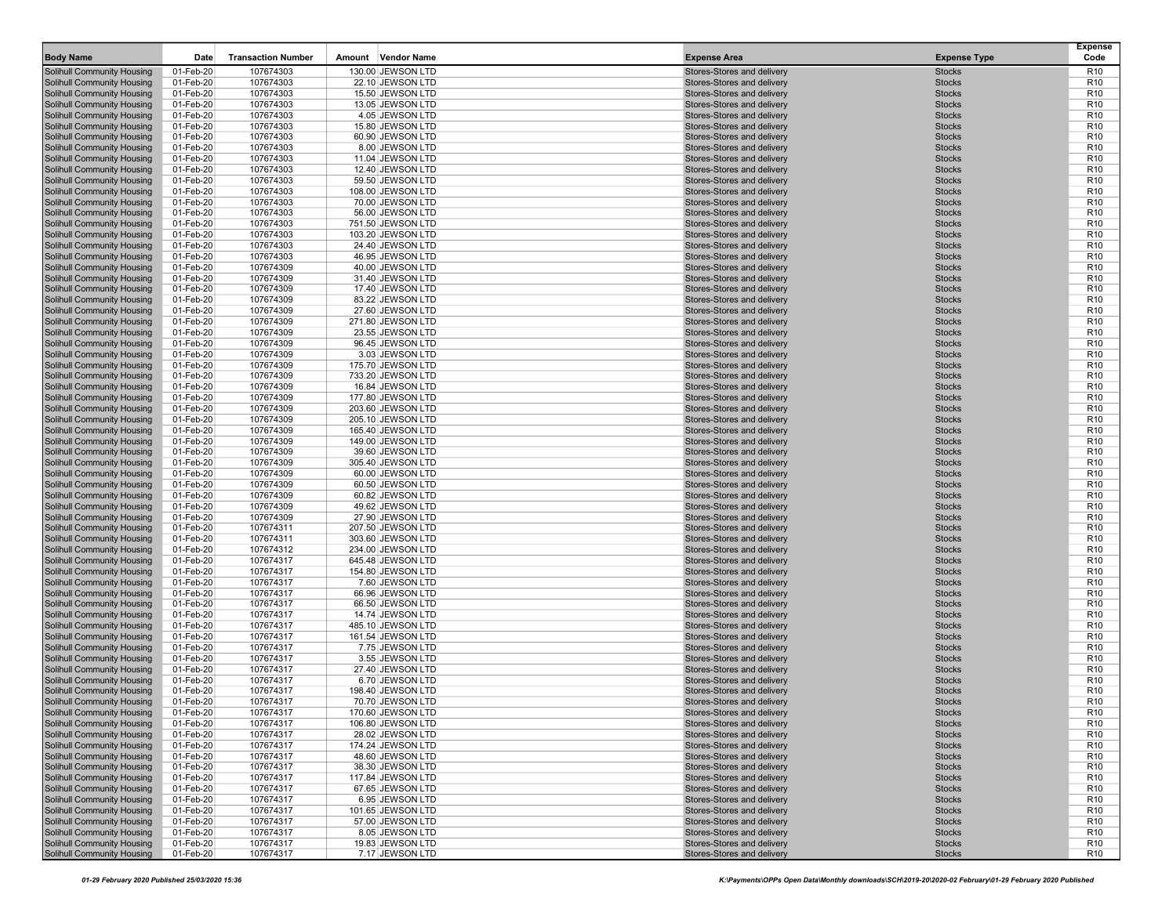| <b>Body Name</b>                                                       | Date                   | <b>Transaction Number</b> | Amount Vendor Name                     | <b>Expense Area</b>                                      | <b>Expense Type</b>            | <b>Expense</b><br>Code             |
|------------------------------------------------------------------------|------------------------|---------------------------|----------------------------------------|----------------------------------------------------------|--------------------------------|------------------------------------|
| <b>Solihull Community Housing</b>                                      | 01-Feb-20              | 107674303                 | 130.00 JEWSON LTD                      | Stores-Stores and delivery                               | <b>Stocks</b>                  | R <sub>10</sub>                    |
| <b>Solihull Community Housing</b>                                      | 01-Feb-20              | 107674303                 | 22.10 JEWSON LTD                       | Stores-Stores and delivery                               | <b>Stocks</b>                  | R <sub>10</sub>                    |
| <b>Solihull Community Housing</b>                                      | 01-Feb-20              | 107674303                 | 15.50 JEWSON LTD                       | Stores-Stores and delivery                               | <b>Stocks</b>                  | R <sub>10</sub>                    |
| <b>Solihull Community Housing</b>                                      | 01-Feb-20              | 107674303                 | 13.05 JEWSON LTD                       | Stores-Stores and delivery                               | <b>Stocks</b>                  | R <sub>10</sub>                    |
| <b>Solihull Community Housing</b>                                      | 01-Feb-20              | 107674303                 | 4.05 JEWSON LTD                        | Stores-Stores and delivery                               | <b>Stocks</b>                  | R <sub>10</sub>                    |
| <b>Solihull Community Housing</b>                                      | 01-Feb-20              | 107674303                 | 15.80 JEWSON LTD                       | Stores-Stores and delivery                               | <b>Stocks</b>                  | R <sub>10</sub>                    |
| <b>Solihull Community Housing</b><br><b>Solihull Community Housing</b> | 01-Feb-20<br>01-Feb-20 | 107674303<br>107674303    | 60.90 JEWSON LTD<br>8.00 JEWSON LTD    | Stores-Stores and delivery<br>Stores-Stores and delivery | <b>Stocks</b><br><b>Stocks</b> | R <sub>10</sub><br>R <sub>10</sub> |
| <b>Solihull Community Housing</b>                                      | 01-Feb-20              | 107674303                 | 11.04 JEWSON LTD                       | Stores-Stores and delivery                               | <b>Stocks</b>                  | R <sub>10</sub>                    |
| <b>Solihull Community Housing</b>                                      | 01-Feb-20              | 107674303                 | 12.40 JEWSON LTD                       | Stores-Stores and delivery                               | <b>Stocks</b>                  | R <sub>10</sub>                    |
| <b>Solihull Community Housing</b>                                      | 01-Feb-20              | 107674303                 | 59.50 JEWSON LTD                       | Stores-Stores and delivery                               | <b>Stocks</b>                  | R <sub>10</sub>                    |
| <b>Solihull Community Housing</b>                                      | 01-Feb-20              | 107674303                 | 108.00 JEWSON LTD                      | Stores-Stores and delivery                               | <b>Stocks</b>                  | R <sub>10</sub>                    |
| <b>Solihull Community Housing</b>                                      | 01-Feb-20              | 107674303                 | 70.00 JEWSON LTD                       | Stores-Stores and delivery                               | <b>Stocks</b>                  | R <sub>10</sub>                    |
| <b>Solihull Community Housing</b>                                      | 01-Feb-20              | 107674303                 | 56.00 JEWSON LTD                       | Stores-Stores and delivery                               | <b>Stocks</b>                  | R <sub>10</sub>                    |
| <b>Solihull Community Housing</b>                                      | 01-Feb-20              | 107674303                 | 751.50 JEWSON LTD                      | Stores-Stores and delivery                               | <b>Stocks</b>                  | R <sub>10</sub>                    |
| <b>Solihull Community Housing</b>                                      | 01-Feb-20              | 107674303                 | 103.20 JEWSON LTD                      | Stores-Stores and delivery                               | <b>Stocks</b>                  | R <sub>10</sub>                    |
| <b>Solihull Community Housing</b>                                      | 01-Feb-20              | 107674303                 | 24.40 JEWSON LTD                       | Stores-Stores and delivery                               | <b>Stocks</b>                  | R <sub>10</sub>                    |
| <b>Solihull Community Housing</b><br><b>Solihull Community Housing</b> | 01-Feb-20<br>01-Feb-20 | 107674303<br>107674309    | 46.95 JEWSON LTD<br>40.00 JEWSON LTD   | Stores-Stores and delivery<br>Stores-Stores and delivery | <b>Stocks</b><br><b>Stocks</b> | R <sub>10</sub><br>R <sub>10</sub> |
| <b>Solihull Community Housing</b>                                      | 01-Feb-20              | 107674309                 | 31.40 JEWSON LTD                       | Stores-Stores and delivery                               | <b>Stocks</b>                  | R <sub>10</sub>                    |
| <b>Solihull Community Housing</b>                                      | 01-Feb-20              | 107674309                 | 17.40 JEWSON LTD                       | Stores-Stores and delivery                               | <b>Stocks</b>                  | R <sub>10</sub>                    |
| <b>Solihull Community Housing</b>                                      | 01-Feb-20              | 107674309                 | 83.22 JEWSON LTD                       | Stores-Stores and delivery                               | <b>Stocks</b>                  | R <sub>10</sub>                    |
| <b>Solihull Community Housing</b>                                      | 01-Feb-20              | 107674309                 | 27.60 JEWSON LTD                       | Stores-Stores and delivery                               | <b>Stocks</b>                  | R <sub>10</sub>                    |
| <b>Solihull Community Housing</b>                                      | 01-Feb-20              | 107674309                 | 271.80 JEWSON LTD                      | Stores-Stores and delivery                               | <b>Stocks</b>                  | R <sub>10</sub>                    |
| <b>Solihull Community Housing</b>                                      | 01-Feb-20              | 107674309                 | 23.55 JEWSON LTD                       | Stores-Stores and delivery                               | <b>Stocks</b>                  | R <sub>10</sub>                    |
| <b>Solihull Community Housing</b>                                      | 01-Feb-20              | 107674309                 | 96.45 JEWSON LTD                       | Stores-Stores and delivery                               | <b>Stocks</b>                  | R <sub>10</sub>                    |
| <b>Solihull Community Housing</b>                                      | 01-Feb-20              | 107674309                 | 3.03 JEWSON LTD                        | Stores-Stores and delivery                               | <b>Stocks</b>                  | R <sub>10</sub>                    |
| <b>Solihull Community Housing</b>                                      | 01-Feb-20              | 107674309                 | 175.70 JEWSON LTD                      | Stores-Stores and delivery<br>Stores-Stores and delivery | <b>Stocks</b><br><b>Stocks</b> | R <sub>10</sub><br>R <sub>10</sub> |
| <b>Solihull Community Housing</b><br><b>Solihull Community Housing</b> | 01-Feb-20<br>01-Feb-20 | 107674309<br>107674309    | 733.20 JEWSON LTD<br>16.84 JEWSON LTD  | Stores-Stores and delivery                               | <b>Stocks</b>                  | R <sub>10</sub>                    |
| <b>Solihull Community Housing</b>                                      | 01-Feb-20              | 107674309                 | 177.80 JEWSON LTD                      | Stores-Stores and delivery                               | <b>Stocks</b>                  | R <sub>10</sub>                    |
| <b>Solihull Community Housing</b>                                      | 01-Feb-20              | 107674309                 | 203.60 JEWSON LTD                      | Stores-Stores and delivery                               | <b>Stocks</b>                  | R <sub>10</sub>                    |
| <b>Solihull Community Housing</b>                                      | 01-Feb-20              | 107674309                 | 205.10 JEWSON LTD                      | Stores-Stores and delivery                               | <b>Stocks</b>                  | R <sub>10</sub>                    |
| <b>Solihull Community Housing</b>                                      | 01-Feb-20              | 107674309                 | 165.40 JEWSON LTD                      | Stores-Stores and delivery                               | <b>Stocks</b>                  | R <sub>10</sub>                    |
| <b>Solihull Community Housing</b>                                      | 01-Feb-20              | 107674309                 | 149.00 JEWSON LTD                      | Stores-Stores and delivery                               | <b>Stocks</b>                  | R <sub>10</sub>                    |
| <b>Solihull Community Housing</b>                                      | 01-Feb-20              | 107674309                 | 39.60 JEWSON LTD                       | Stores-Stores and delivery                               | <b>Stocks</b>                  | R <sub>10</sub>                    |
| <b>Solihull Community Housing</b>                                      | 01-Feb-20              | 107674309                 | 305.40 JEWSON LTD                      | Stores-Stores and delivery                               | <b>Stocks</b>                  | R <sub>10</sub><br>R <sub>10</sub> |
| <b>Solihull Community Housing</b><br><b>Solihull Community Housing</b> | 01-Feb-20<br>01-Feb-20 | 107674309<br>107674309    | 60.00 JEWSON LTD<br>60.50 JEWSON LTD   | Stores-Stores and delivery<br>Stores-Stores and delivery | <b>Stocks</b><br><b>Stocks</b> | R <sub>10</sub>                    |
| <b>Solihull Community Housing</b>                                      | 01-Feb-20              | 107674309                 | 60.82 JEWSON LTD                       | Stores-Stores and delivery                               | <b>Stocks</b>                  | R <sub>10</sub>                    |
| <b>Solihull Community Housing</b>                                      | 01-Feb-20              | 107674309                 | 49.62 JEWSON LTD                       | Stores-Stores and delivery                               | <b>Stocks</b>                  | R <sub>10</sub>                    |
| <b>Solihull Community Housing</b>                                      | 01-Feb-20              | 107674309                 | 27.90 JEWSON LTD                       | Stores-Stores and delivery                               | <b>Stocks</b>                  | R <sub>10</sub>                    |
| <b>Solihull Community Housing</b>                                      | 01-Feb-20              | 107674311                 | 207.50 JEWSON LTD                      | Stores-Stores and delivery                               | <b>Stocks</b>                  | R <sub>10</sub>                    |
| <b>Solihull Community Housing</b>                                      | 01-Feb-20              | 107674311                 | 303.60 JEWSON LTD                      | Stores-Stores and delivery                               | <b>Stocks</b>                  | R <sub>10</sub>                    |
| <b>Solihull Community Housing</b>                                      | 01-Feb-20              | 107674312                 | 234.00 JEWSON LTD                      | Stores-Stores and delivery                               | <b>Stocks</b>                  | R <sub>10</sub>                    |
| <b>Solihull Community Housing</b><br><b>Solihull Community Housing</b> | 01-Feb-20<br>01-Feb-20 | 107674317<br>107674317    | 645.48 JEWSON LTD<br>154.80 JEWSON LTD | Stores-Stores and delivery<br>Stores-Stores and delivery | <b>Stocks</b><br><b>Stocks</b> | R <sub>10</sub><br>R <sub>10</sub> |
| <b>Solihull Community Housing</b>                                      | 01-Feb-20              | 107674317                 | 7.60 JEWSON LTD                        | Stores-Stores and delivery                               | <b>Stocks</b>                  | R <sub>10</sub>                    |
| <b>Solihull Community Housing</b>                                      | 01-Feb-20              | 107674317                 | 66.96 JEWSON LTD                       | Stores-Stores and delivery                               | <b>Stocks</b>                  | R <sub>10</sub>                    |
| <b>Solihull Community Housing</b>                                      | 01-Feb-20              | 107674317                 | 66.50 JEWSON LTD                       | Stores-Stores and delivery                               | <b>Stocks</b>                  | R <sub>10</sub>                    |
| <b>Solihull Community Housing</b>                                      | 01-Feb-20              | 107674317                 | 14.74 JEWSON LTD                       | Stores-Stores and delivery                               | <b>Stocks</b>                  | R <sub>10</sub>                    |
| <b>Solihull Community Housing</b>                                      | 01-Feb-20              | 107674317                 | 485.10 JEWSON LTD                      | Stores-Stores and delivery                               | <b>Stocks</b>                  | R <sub>10</sub>                    |
| <b>Solihull Community Housing</b>                                      | 01-Feb-20              | 107674317                 | 161.54 JEWSON LTD                      | Stores-Stores and delivery                               | <b>Stocks</b>                  | R <sub>10</sub>                    |
| <b>Solihull Community Housing</b><br>Solihull Community Housing        | 01-Feb-20<br>01-Feb-20 | 107674317<br>107674317    | 7.75 JEWSON LTD<br>3.55 JEWSON LTD     | Stores-Stores and delivery<br>Stores-Stores and delivery | <b>Stocks</b><br><b>Stocks</b> | R <sub>10</sub><br>R <sub>10</sub> |
| <b>Solihull Community Housing</b>                                      | 01-Feb-20              | 107674317                 | 27.40 JEWSON LTD                       | Stores-Stores and delivery                               | <b>Stocks</b>                  | R <sub>10</sub>                    |
| <b>Solihull Community Housing</b>                                      | 01-Feb-20              | 107674317                 | 6.70 JEWSON LTD                        | Stores-Stores and delivery                               | <b>Stocks</b>                  | R <sub>10</sub>                    |
| <b>Solihull Community Housing</b>                                      | 01-Feb-20              | 107674317                 | 198.40 JEWSON LTD                      | Stores-Stores and delivery                               | <b>Stocks</b>                  | R <sub>10</sub>                    |
| <b>Solihull Community Housing</b>                                      | 01-Feb-20              | 107674317                 | 70.70 JEWSON LTD                       | Stores-Stores and delivery                               | <b>Stocks</b>                  | R <sub>10</sub>                    |
| <b>Solihull Community Housing</b>                                      | 01-Feb-20              | 107674317                 | 170.60 JEWSON LTD                      | Stores-Stores and delivery                               | <b>Stocks</b>                  | R <sub>10</sub>                    |
| Solihull Community Housing                                             | 01-Feb-20              | 107674317                 | 106.80 JEWSON LTD                      | Stores-Stores and delivery                               | <b>Stocks</b>                  | R <sub>10</sub>                    |
| <b>Solihull Community Housing</b>                                      | 01-Feb-20              | 107674317                 | 28.02 JEWSON LTD                       | Stores-Stores and delivery                               | <b>Stocks</b>                  | R <sub>10</sub>                    |
| Solihull Community Housing<br><b>Solihull Community Housing</b>        | 01-Feb-20<br>01-Feb-20 | 107674317<br>107674317    | 174.24 JEWSON LTD<br>48.60 JEWSON LTD  | Stores-Stores and delivery<br>Stores-Stores and delivery | <b>Stocks</b><br><b>Stocks</b> | R <sub>10</sub><br>R <sub>10</sub> |
| <b>Solihull Community Housing</b>                                      | 01-Feb-20              | 107674317                 | 38.30 JEWSON LTD                       | Stores-Stores and delivery                               | <b>Stocks</b>                  | R <sub>10</sub>                    |
| <b>Solihull Community Housing</b>                                      | 01-Feb-20              | 107674317                 | 117.84 JEWSON LTD                      | Stores-Stores and delivery                               | <b>Stocks</b>                  | R <sub>10</sub>                    |
| <b>Solihull Community Housing</b>                                      | 01-Feb-20              | 107674317                 | 67.65 JEWSON LTD                       | Stores-Stores and delivery                               | <b>Stocks</b>                  | R <sub>10</sub>                    |
| <b>Solihull Community Housing</b>                                      | 01-Feb-20              | 107674317                 | 6.95 JEWSON LTD                        | Stores-Stores and delivery                               | <b>Stocks</b>                  | R <sub>10</sub>                    |
| <b>Solihull Community Housing</b>                                      | 01-Feb-20              | 107674317                 | 101.65 JEWSON LTD                      | Stores-Stores and delivery                               | <b>Stocks</b>                  | R <sub>10</sub>                    |
| Solihull Community Housing                                             | 01-Feb-20              | 107674317                 | 57.00 JEWSON LTD                       | Stores-Stores and delivery                               | <b>Stocks</b>                  | R <sub>10</sub>                    |
| <b>Solihull Community Housing</b>                                      | 01-Feb-20              | 107674317                 | 8.05 JEWSON LTD                        | Stores-Stores and delivery                               | <b>Stocks</b>                  | R <sub>10</sub>                    |
| <b>Solihull Community Housing</b><br><b>Solihull Community Housing</b> | 01-Feb-20<br>01-Feb-20 | 107674317<br>107674317    | 19.83 JEWSON LTD                       | Stores-Stores and delivery<br>Stores-Stores and delivery | <b>Stocks</b>                  | R <sub>10</sub><br>R <sub>10</sub> |
|                                                                        |                        |                           | 7.17 JEWSON LTD                        |                                                          | <b>Stocks</b>                  |                                    |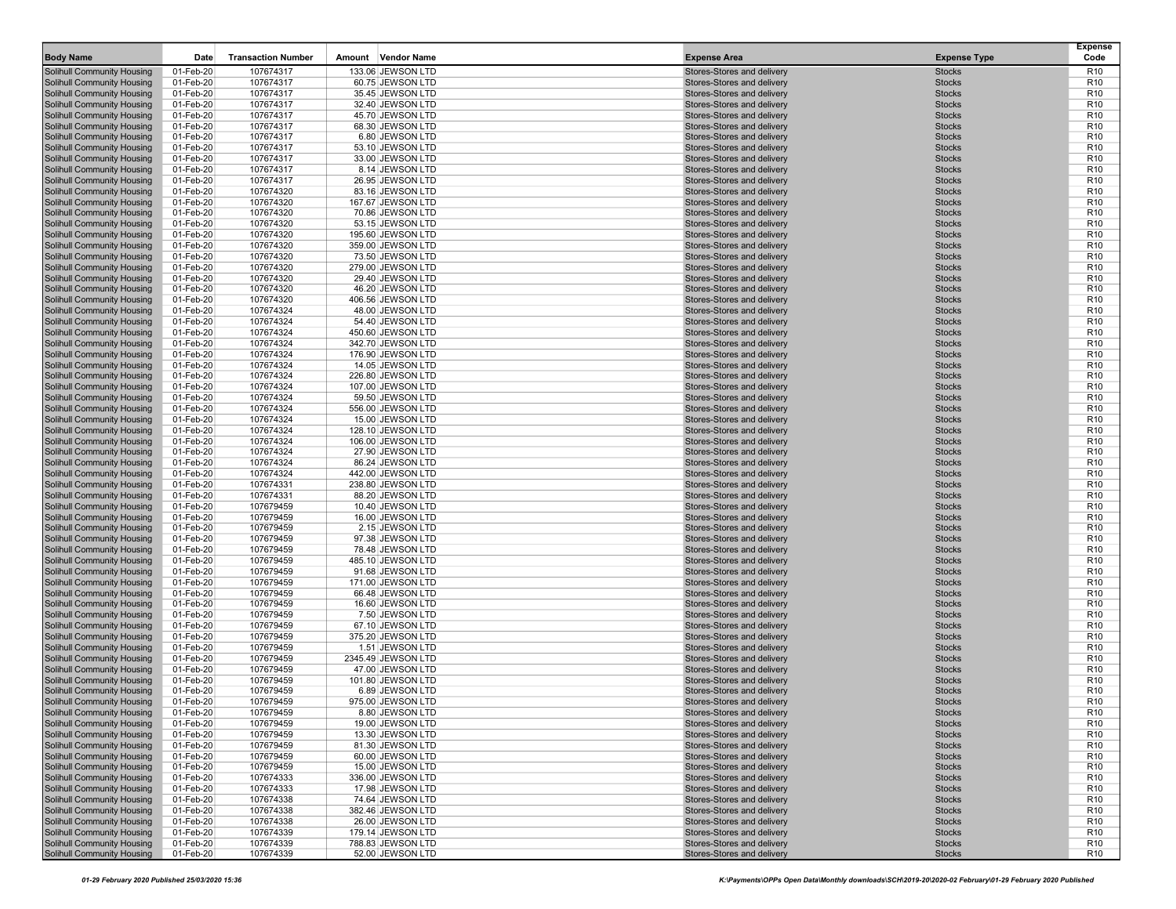| <b>Body Name</b>                                                       | Date                   | <b>Transaction Number</b> | Amount | <b>Vendor Name</b>                    | <b>Expense Area</b>                                      | <b>Expense Type</b>            | <b>Expense</b><br>Code             |
|------------------------------------------------------------------------|------------------------|---------------------------|--------|---------------------------------------|----------------------------------------------------------|--------------------------------|------------------------------------|
| <b>Solihull Community Housing</b>                                      | 01-Feb-20              | 107674317                 |        | 133.06 JEWSON LTD                     | Stores-Stores and delivery                               | <b>Stocks</b>                  | R <sub>10</sub>                    |
| <b>Solihull Community Housing</b>                                      | 01-Feb-20              | 107674317                 |        | 60.75 JEWSON LTD                      | Stores-Stores and delivery                               | <b>Stocks</b>                  | R <sub>10</sub>                    |
| Solihull Community Housing                                             | 01-Feb-20              | 107674317                 |        | 35.45 JEWSON LTD                      | Stores-Stores and delivery                               | <b>Stocks</b>                  | R <sub>10</sub>                    |
| <b>Solihull Community Housing</b>                                      | 01-Feb-20              | 107674317                 |        | 32.40 JEWSON LTD                      | Stores-Stores and delivery                               | <b>Stocks</b>                  | R <sub>10</sub>                    |
| <b>Solihull Community Housing</b>                                      | 01-Feb-20              | 107674317                 |        | 45.70 JEWSON LTD                      | Stores-Stores and delivery                               | <b>Stocks</b>                  | R <sub>10</sub>                    |
| <b>Solihull Community Housing</b>                                      | 01-Feb-20              | 107674317                 |        | 68.30 JEWSON LTD                      | Stores-Stores and delivery                               | <b>Stocks</b>                  | R <sub>10</sub>                    |
| <b>Solihull Community Housing</b>                                      | 01-Feb-20              | 107674317                 |        | 6.80 JEWSON LTD                       | Stores-Stores and delivery                               | <b>Stocks</b><br><b>Stocks</b> | R <sub>10</sub><br>R <sub>10</sub> |
| <b>Solihull Community Housing</b><br><b>Solihull Community Housing</b> | 01-Feb-20<br>01-Feb-20 | 107674317<br>107674317    |        | 53.10 JEWSON LTD<br>33.00 JEWSON LTD  | Stores-Stores and delivery<br>Stores-Stores and delivery | <b>Stocks</b>                  | R <sub>10</sub>                    |
| <b>Solihull Community Housing</b>                                      | 01-Feb-20              | 107674317                 |        | 8.14 JEWSON LTD                       | Stores-Stores and delivery                               | <b>Stocks</b>                  | R <sub>10</sub>                    |
| <b>Solihull Community Housing</b>                                      | 01-Feb-20              | 107674317                 |        | 26.95 JEWSON LTD                      | Stores-Stores and delivery                               | <b>Stocks</b>                  | R <sub>10</sub>                    |
| <b>Solihull Community Housing</b>                                      | 01-Feb-20              | 107674320                 |        | 83.16 JEWSON LTD                      | Stores-Stores and delivery                               | <b>Stocks</b>                  | R <sub>10</sub>                    |
| <b>Solihull Community Housing</b>                                      | 01-Feb-20              | 107674320                 |        | 167.67 JEWSON LTD                     | Stores-Stores and delivery                               | <b>Stocks</b>                  | R <sub>10</sub>                    |
| <b>Solihull Community Housing</b>                                      | 01-Feb-20              | 107674320                 |        | 70.86 JEWSON LTD                      | Stores-Stores and delivery                               | <b>Stocks</b>                  | R <sub>10</sub>                    |
| <b>Solihull Community Housing</b>                                      | 01-Feb-20              | 107674320                 |        | 53.15 JEWSON LTD                      | Stores-Stores and delivery                               | <b>Stocks</b>                  | R <sub>10</sub>                    |
| <b>Solihull Community Housing</b>                                      | 01-Feb-20              | 107674320                 |        | 195.60 JEWSON LTD                     | Stores-Stores and delivery                               | <b>Stocks</b>                  | R <sub>10</sub>                    |
| <b>Solihull Community Housing</b>                                      | 01-Feb-20              | 107674320                 |        | 359.00 JEWSON LTD                     | Stores-Stores and delivery                               | <b>Stocks</b>                  | R <sub>10</sub>                    |
| <b>Solihull Community Housing</b>                                      | 01-Feb-20              | 107674320                 |        | 73.50 JEWSON LTD                      | Stores-Stores and delivery                               | <b>Stocks</b>                  | R <sub>10</sub>                    |
| <b>Solihull Community Housing</b><br><b>Solihull Community Housing</b> | 01-Feb-20<br>01-Feb-20 | 107674320<br>107674320    |        | 279.00 JEWSON LTD<br>29.40 JEWSON LTD | Stores-Stores and delivery<br>Stores-Stores and delivery | <b>Stocks</b><br><b>Stocks</b> | R <sub>10</sub><br>R <sub>10</sub> |
| <b>Solihull Community Housing</b>                                      | 01-Feb-20              | 107674320                 |        | 46.20 JEWSON LTD                      | Stores-Stores and delivery                               | <b>Stocks</b>                  | R <sub>10</sub>                    |
| <b>Solihull Community Housing</b>                                      | 01-Feb-20              | 107674320                 |        | 406.56 JEWSON LTD                     | Stores-Stores and delivery                               | <b>Stocks</b>                  | R <sub>10</sub>                    |
| <b>Solihull Community Housing</b>                                      | 01-Feb-20              | 107674324                 |        | 48.00 JEWSON LTD                      | Stores-Stores and delivery                               | <b>Stocks</b>                  | R <sub>10</sub>                    |
| <b>Solihull Community Housing</b>                                      | 01-Feb-20              | 107674324                 |        | 54.40 JEWSON LTD                      | Stores-Stores and delivery                               | <b>Stocks</b>                  | R <sub>10</sub>                    |
| <b>Solihull Community Housing</b>                                      | 01-Feb-20              | 107674324                 |        | 450.60 JEWSON LTD                     | Stores-Stores and delivery                               | <b>Stocks</b>                  | R <sub>10</sub>                    |
| <b>Solihull Community Housing</b>                                      | 01-Feb-20              | 107674324                 |        | 342.70 JEWSON LTD                     | Stores-Stores and delivery                               | <b>Stocks</b>                  | R <sub>10</sub>                    |
| <b>Solihull Community Housing</b>                                      | 01-Feb-20              | 107674324                 |        | 176.90 JEWSON LTD                     | Stores-Stores and delivery                               | <b>Stocks</b>                  | R <sub>10</sub>                    |
| <b>Solihull Community Housing</b>                                      | 01-Feb-20              | 107674324                 |        | 14.05 JEWSON LTD                      | Stores-Stores and delivery                               | <b>Stocks</b>                  | R <sub>10</sub>                    |
| <b>Solihull Community Housing</b>                                      | 01-Feb-20              | 107674324                 |        | 226.80 JEWSON LTD                     | Stores-Stores and delivery                               | <b>Stocks</b>                  | R <sub>10</sub>                    |
| <b>Solihull Community Housing</b><br><b>Solihull Community Housing</b> | 01-Feb-20<br>01-Feb-20 | 107674324<br>107674324    |        | 107.00 JEWSON LTD<br>59.50 JEWSON LTD | Stores-Stores and delivery<br>Stores-Stores and delivery | <b>Stocks</b><br><b>Stocks</b> | R <sub>10</sub><br>R <sub>10</sub> |
| <b>Solihull Community Housing</b>                                      | 01-Feb-20              | 107674324                 |        | 556.00 JEWSON LTD                     | Stores-Stores and delivery                               | <b>Stocks</b>                  | R <sub>10</sub>                    |
| <b>Solihull Community Housing</b>                                      | 01-Feb-20              | 107674324                 |        | 15.00 JEWSON LTD                      | Stores-Stores and delivery                               | <b>Stocks</b>                  | R <sub>10</sub>                    |
| <b>Solihull Community Housing</b>                                      | 01-Feb-20              | 107674324                 |        | 128.10 JEWSON LTD                     | Stores-Stores and delivery                               | <b>Stocks</b>                  | R <sub>10</sub>                    |
| <b>Solihull Community Housing</b>                                      | 01-Feb-20              | 107674324                 |        | 106.00 JEWSON LTD                     | Stores-Stores and delivery                               | <b>Stocks</b>                  | R <sub>10</sub>                    |
| <b>Solihull Community Housing</b>                                      | 01-Feb-20              | 107674324                 |        | 27.90 JEWSON LTD                      | Stores-Stores and delivery                               | <b>Stocks</b>                  | R <sub>10</sub>                    |
| <b>Solihull Community Housing</b>                                      | 01-Feb-20              | 107674324                 |        | 86.24 JEWSON LTD                      | Stores-Stores and delivery                               | <b>Stocks</b>                  | R <sub>10</sub>                    |
| <b>Solihull Community Housing</b>                                      | 01-Feb-20              | 107674324                 |        | 442.00 JEWSON LTD                     | Stores-Stores and delivery                               | <b>Stocks</b>                  | R <sub>10</sub>                    |
| <b>Solihull Community Housing</b>                                      | 01-Feb-20              | 107674331                 |        | 238.80 JEWSON LTD                     | Stores-Stores and delivery                               | <b>Stocks</b>                  | R <sub>10</sub>                    |
| <b>Solihull Community Housing</b>                                      | 01-Feb-20              | 107674331                 |        | 88.20 JEWSON LTD                      | Stores-Stores and delivery                               | <b>Stocks</b>                  | R <sub>10</sub>                    |
| <b>Solihull Community Housing</b><br><b>Solihull Community Housing</b> | 01-Feb-20<br>01-Feb-20 | 107679459<br>107679459    |        | 10.40 JEWSON LTD<br>16.00 JEWSON LTD  | Stores-Stores and delivery<br>Stores-Stores and delivery | <b>Stocks</b><br><b>Stocks</b> | R <sub>10</sub><br>R <sub>10</sub> |
| <b>Solihull Community Housing</b>                                      | 01-Feb-20              | 107679459                 |        | 2.15 JEWSON LTD                       | Stores-Stores and delivery                               | <b>Stocks</b>                  | R <sub>10</sub>                    |
| <b>Solihull Community Housing</b>                                      | 01-Feb-20              | 107679459                 |        | 97.38 JEWSON LTD                      | Stores-Stores and delivery                               | <b>Stocks</b>                  | R <sub>10</sub>                    |
| <b>Solihull Community Housing</b>                                      | 01-Feb-20              | 107679459                 |        | 78.48 JEWSON LTD                      | Stores-Stores and delivery                               | <b>Stocks</b>                  | R <sub>10</sub>                    |
| <b>Solihull Community Housing</b>                                      | 01-Feb-20              | 107679459                 |        | 485.10 JEWSON LTD                     | Stores-Stores and delivery                               | <b>Stocks</b>                  | R <sub>10</sub>                    |
| <b>Solihull Community Housing</b>                                      | 01-Feb-20              | 107679459                 |        | 91.68 JEWSON LTD                      | Stores-Stores and delivery                               | <b>Stocks</b>                  | R <sub>10</sub>                    |
| <b>Solihull Community Housing</b>                                      | 01-Feb-20              | 107679459                 |        | 171.00 JEWSON LTD                     | Stores-Stores and delivery                               | <b>Stocks</b>                  | R <sub>10</sub>                    |
| <b>Solihull Community Housing</b>                                      | 01-Feb-20              | 107679459                 |        | 66.48 JEWSON LTD                      | Stores-Stores and delivery                               | <b>Stocks</b>                  | R <sub>10</sub>                    |
| <b>Solihull Community Housing</b>                                      | 01-Feb-20              | 107679459                 |        | 16.60 JEWSON LTD                      | Stores-Stores and delivery                               | <b>Stocks</b>                  | R <sub>10</sub>                    |
| <b>Solihull Community Housing</b><br><b>Solihull Community Housing</b> | 01-Feb-20              | 107679459                 |        | 7.50 JEWSON LTD                       | Stores-Stores and delivery<br>Stores-Stores and delivery | <b>Stocks</b><br><b>Stocks</b> | R <sub>10</sub><br>R <sub>10</sub> |
| <b>Solihull Community Housing</b>                                      | 01-Feb-20<br>01-Feb-20 | 107679459<br>107679459    |        | 67.10 JEWSON LTD<br>375.20 JEWSON LTD | Stores-Stores and delivery                               | <b>Stocks</b>                  | R <sub>10</sub>                    |
| <b>Solihull Community Housing</b>                                      | 01-Feb-20              | 107679459                 |        | 1.51 JEWSON LTD                       | Stores-Stores and delivery                               | <b>Stocks</b>                  | R <sub>10</sub>                    |
| Solihull Community Housing                                             | 01-Feb-20              | 107679459                 |        | 2345.49 JEWSON LTD                    | Stores-Stores and delivery                               | <b>Stocks</b>                  | R <sub>10</sub>                    |
| <b>Solihull Community Housing</b>                                      | 01-Feb-20              | 107679459                 |        | 47.00 JEWSON LTD                      | Stores-Stores and delivery                               | <b>Stocks</b>                  | R <sub>10</sub>                    |
| <b>Solihull Community Housing</b>                                      | 01-Feb-20              | 107679459                 |        | 101.80 JEWSON LTD                     | Stores-Stores and delivery                               | <b>Stocks</b>                  | R <sub>10</sub>                    |
| <b>Solihull Community Housing</b>                                      | 01-Feb-20              | 107679459                 |        | 6.89 JEWSON LTD                       | Stores-Stores and delivery                               | <b>Stocks</b>                  | R <sub>10</sub>                    |
| <b>Solihull Community Housing</b>                                      | 01-Feb-20              | 107679459                 |        | 975.00 JEWSON LTD                     | Stores-Stores and delivery                               | <b>Stocks</b>                  | R <sub>10</sub>                    |
| <b>Solihull Community Housing</b>                                      | 01-Feb-20              | 107679459                 |        | 8.80 JEWSON LTD                       | Stores-Stores and delivery                               | <b>Stocks</b>                  | R <sub>10</sub>                    |
| Solihull Community Housing                                             | 01-Feb-20              | 107679459                 |        | 19.00 JEWSON LTD                      | Stores-Stores and delivery                               | <b>Stocks</b>                  | R <sub>10</sub>                    |
| <b>Solihull Community Housing</b><br>Solihull Community Housing        | 01-Feb-20<br>01-Feb-20 | 107679459<br>107679459    |        | 13.30 JEWSON LTD<br>81.30 JEWSON LTD  | Stores-Stores and delivery<br>Stores-Stores and delivery | <b>Stocks</b><br><b>Stocks</b> | R <sub>10</sub><br>R <sub>10</sub> |
| <b>Solihull Community Housing</b>                                      | 01-Feb-20              | 107679459                 |        | 60.00 JEWSON LTD                      | Stores-Stores and delivery                               | <b>Stocks</b>                  | R <sub>10</sub>                    |
| <b>Solihull Community Housing</b>                                      | 01-Feb-20              | 107679459                 |        | 15.00 JEWSON LTD                      | Stores-Stores and delivery                               | <b>Stocks</b>                  | R <sub>10</sub>                    |
| <b>Solihull Community Housing</b>                                      | 01-Feb-20              | 107674333                 |        | 336.00 JEWSON LTD                     | Stores-Stores and delivery                               | <b>Stocks</b>                  | R <sub>10</sub>                    |
| <b>Solihull Community Housing</b>                                      | 01-Feb-20              | 107674333                 |        | 17.98 JEWSON LTD                      | Stores-Stores and delivery                               | <b>Stocks</b>                  | R <sub>10</sub>                    |
| <b>Solihull Community Housing</b>                                      | 01-Feb-20              | 107674338                 |        | 74.64 JEWSON LTD                      | Stores-Stores and delivery                               | <b>Stocks</b>                  | R <sub>10</sub>                    |
| <b>Solihull Community Housing</b>                                      | 01-Feb-20              | 107674338                 |        | 382.46 JEWSON LTD                     | Stores-Stores and delivery                               | <b>Stocks</b>                  | R <sub>10</sub>                    |
| Solihull Community Housing                                             | 01-Feb-20              | 107674338                 |        | 26.00 JEWSON LTD                      | Stores-Stores and delivery                               | <b>Stocks</b>                  | R <sub>10</sub>                    |
| <b>Solihull Community Housing</b>                                      | 01-Feb-20              | 107674339                 |        | 179.14 JEWSON LTD                     | Stores-Stores and delivery                               | <b>Stocks</b>                  | R <sub>10</sub>                    |
| Solihull Community Housing                                             | 01-Feb-20              | 107674339                 |        | 788.83 JEWSON LTD                     | Stores-Stores and delivery                               | <b>Stocks</b>                  | R <sub>10</sub>                    |
| <b>Solihull Community Housing</b>                                      | 01-Feb-20              | 107674339                 |        | 52.00 JEWSON LTD                      | Stores-Stores and delivery                               | <b>Stocks</b>                  | R <sub>10</sub>                    |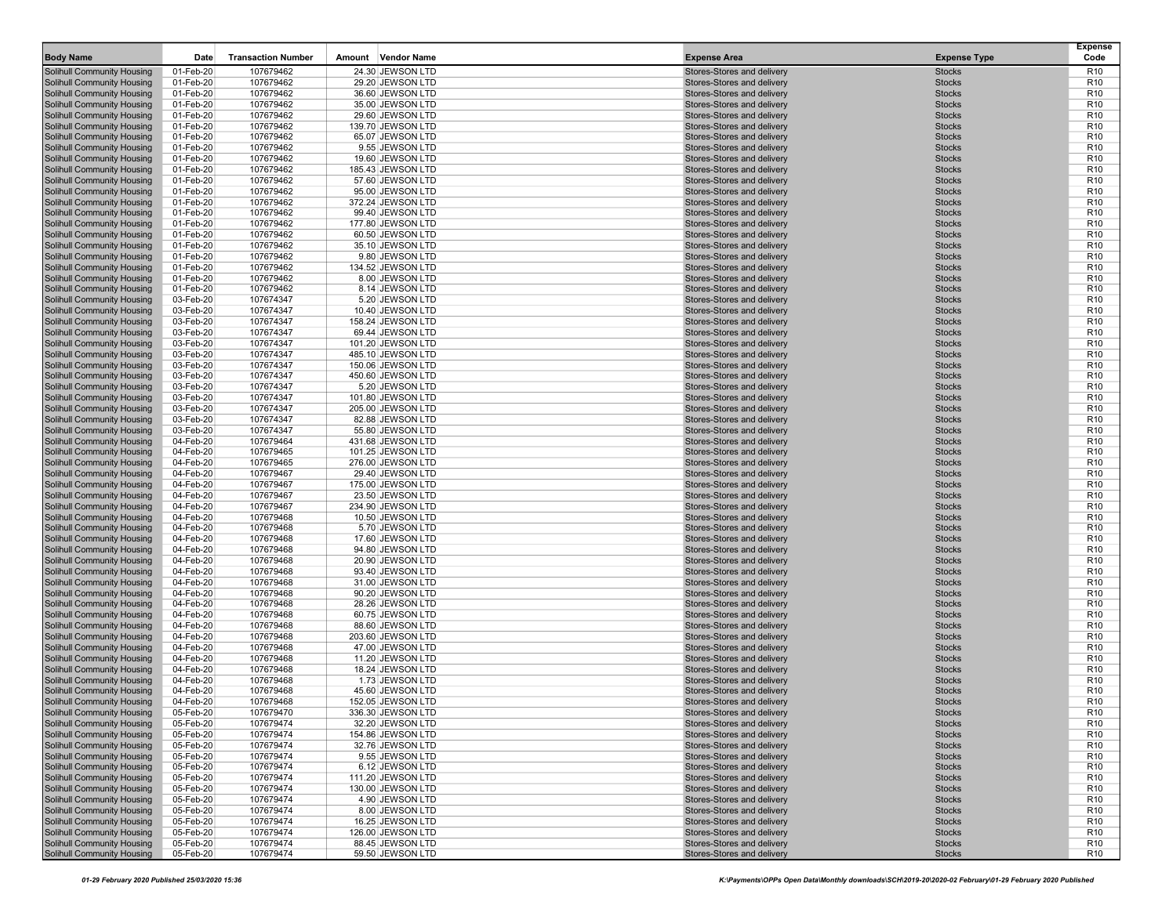| <b>Body Name</b>                                                       | Date                   | <b>Transaction Number</b> | Amount | <b>Vendor Name</b>                     | <b>Expense Area</b>                                      | <b>Expense Type</b>            | <b>Expense</b><br>Code             |
|------------------------------------------------------------------------|------------------------|---------------------------|--------|----------------------------------------|----------------------------------------------------------|--------------------------------|------------------------------------|
| <b>Solihull Community Housing</b>                                      | 01-Feb-20              | 107679462                 |        | 24.30 JEWSON LTD                       | Stores-Stores and delivery                               | <b>Stocks</b>                  | R <sub>10</sub>                    |
| <b>Solihull Community Housing</b>                                      | 01-Feb-20              | 107679462                 |        | 29.20 JEWSON LTD                       | Stores-Stores and delivery                               | <b>Stocks</b>                  | R <sub>10</sub>                    |
| Solihull Community Housing                                             | 01-Feb-20              | 107679462                 |        | 36.60 JEWSON LTD                       | Stores-Stores and delivery                               | <b>Stocks</b>                  | R <sub>10</sub>                    |
| <b>Solihull Community Housing</b>                                      | 01-Feb-20              | 107679462                 |        | 35.00 JEWSON LTD                       | Stores-Stores and delivery                               | <b>Stocks</b>                  | R <sub>10</sub>                    |
| <b>Solihull Community Housing</b>                                      | 01-Feb-20              | 107679462                 |        | 29.60 JEWSON LTD                       | Stores-Stores and delivery                               | <b>Stocks</b>                  | R <sub>10</sub>                    |
| <b>Solihull Community Housing</b>                                      | 01-Feb-20              | 107679462                 |        | 139.70 JEWSON LTD                      | Stores-Stores and delivery                               | <b>Stocks</b>                  | R <sub>10</sub>                    |
| <b>Solihull Community Housing</b>                                      | 01-Feb-20              | 107679462                 |        | 65.07 JEWSON LTD                       | Stores-Stores and delivery                               | <b>Stocks</b>                  | R <sub>10</sub>                    |
| <b>Solihull Community Housing</b><br><b>Solihull Community Housing</b> | 01-Feb-20<br>01-Feb-20 | 107679462<br>107679462    |        | 9.55 JEWSON LTD<br>19.60 JEWSON LTD    | Stores-Stores and delivery<br>Stores-Stores and delivery | <b>Stocks</b><br><b>Stocks</b> | R <sub>10</sub><br>R <sub>10</sub> |
| <b>Solihull Community Housing</b>                                      | 01-Feb-20              | 107679462                 |        | 185.43 JEWSON LTD                      | Stores-Stores and delivery                               | <b>Stocks</b>                  | R <sub>10</sub>                    |
| <b>Solihull Community Housing</b>                                      | 01-Feb-20              | 107679462                 |        | 57.60 JEWSON LTD                       | Stores-Stores and delivery                               | <b>Stocks</b>                  | R <sub>10</sub>                    |
| <b>Solihull Community Housing</b>                                      | 01-Feb-20              | 107679462                 |        | 95.00 JEWSON LTD                       | Stores-Stores and delivery                               | <b>Stocks</b>                  | R <sub>10</sub>                    |
| <b>Solihull Community Housing</b>                                      | 01-Feb-20              | 107679462                 |        | 372.24 JEWSON LTD                      | Stores-Stores and delivery                               | <b>Stocks</b>                  | R <sub>10</sub>                    |
| <b>Solihull Community Housing</b>                                      | 01-Feb-20              | 107679462                 |        | 99.40 JEWSON LTD                       | Stores-Stores and delivery                               | <b>Stocks</b>                  | R <sub>10</sub>                    |
| <b>Solihull Community Housing</b>                                      | 01-Feb-20              | 107679462                 |        | 177.80 JEWSON LTD                      | Stores-Stores and delivery                               | <b>Stocks</b>                  | R <sub>10</sub>                    |
| <b>Solihull Community Housing</b>                                      | 01-Feb-20              | 107679462                 |        | 60.50 JEWSON LTD                       | Stores-Stores and delivery                               | <b>Stocks</b>                  | R <sub>10</sub>                    |
| <b>Solihull Community Housing</b>                                      | 01-Feb-20              | 107679462                 |        | 35.10 JEWSON LTD                       | Stores-Stores and delivery                               | <b>Stocks</b>                  | R <sub>10</sub>                    |
| <b>Solihull Community Housing</b>                                      | 01-Feb-20              | 107679462                 |        | 9.80 JEWSON LTD                        | Stores-Stores and delivery                               | <b>Stocks</b>                  | R <sub>10</sub>                    |
| <b>Solihull Community Housing</b><br><b>Solihull Community Housing</b> | 01-Feb-20<br>01-Feb-20 | 107679462<br>107679462    |        | 134.52 JEWSON LTD<br>8.00 JEWSON LTD   | Stores-Stores and delivery<br>Stores-Stores and delivery | <b>Stocks</b><br><b>Stocks</b> | R <sub>10</sub><br>R <sub>10</sub> |
| <b>Solihull Community Housing</b>                                      | 01-Feb-20              | 107679462                 |        | 8.14 JEWSON LTD                        | Stores-Stores and delivery                               | <b>Stocks</b>                  | R <sub>10</sub>                    |
| <b>Solihull Community Housing</b>                                      | 03-Feb-20              | 107674347                 |        | 5.20 JEWSON LTD                        | Stores-Stores and delivery                               | <b>Stocks</b>                  | R <sub>10</sub>                    |
| <b>Solihull Community Housing</b>                                      | 03-Feb-20              | 107674347                 |        | 10.40 JEWSON LTD                       | Stores-Stores and delivery                               | <b>Stocks</b>                  | R <sub>10</sub>                    |
| <b>Solihull Community Housing</b>                                      | 03-Feb-20              | 107674347                 |        | 158.24 JEWSON LTD                      | Stores-Stores and delivery                               | <b>Stocks</b>                  | R <sub>10</sub>                    |
| <b>Solihull Community Housing</b>                                      | 03-Feb-20              | 107674347                 |        | 69.44 JEWSON LTD                       | Stores-Stores and delivery                               | <b>Stocks</b>                  | R <sub>10</sub>                    |
| <b>Solihull Community Housing</b>                                      | 03-Feb-20              | 107674347                 |        | 101.20 JEWSON LTD                      | Stores-Stores and delivery                               | <b>Stocks</b>                  | R <sub>10</sub>                    |
| <b>Solihull Community Housing</b>                                      | 03-Feb-20              | 107674347                 |        | 485.10 JEWSON LTD                      | Stores-Stores and delivery                               | <b>Stocks</b>                  | R <sub>10</sub>                    |
| <b>Solihull Community Housing</b><br><b>Solihull Community Housing</b> | 03-Feb-20<br>03-Feb-20 | 107674347<br>107674347    |        | 150.06 JEWSON LTD<br>450.60 JEWSON LTD | Stores-Stores and delivery<br>Stores-Stores and delivery | <b>Stocks</b><br><b>Stocks</b> | R <sub>10</sub><br>R <sub>10</sub> |
| Solihull Community Housing                                             | 03-Feb-20              | 107674347                 |        | 5.20 JEWSON LTD                        | Stores-Stores and delivery                               | <b>Stocks</b>                  | R <sub>10</sub>                    |
| <b>Solihull Community Housing</b>                                      | 03-Feb-20              | 107674347                 |        | 101.80 JEWSON LTD                      | Stores-Stores and delivery                               | <b>Stocks</b>                  | R <sub>10</sub>                    |
| <b>Solihull Community Housing</b>                                      | 03-Feb-20              | 107674347                 |        | 205.00 JEWSON LTD                      | Stores-Stores and delivery                               | <b>Stocks</b>                  | R <sub>10</sub>                    |
| <b>Solihull Community Housing</b>                                      | 03-Feb-20              | 107674347                 |        | 82.88 JEWSON LTD                       | Stores-Stores and delivery                               | <b>Stocks</b>                  | R <sub>10</sub>                    |
| <b>Solihull Community Housing</b>                                      | 03-Feb-20              | 107674347                 |        | 55.80 JEWSON LTD                       | Stores-Stores and delivery                               | <b>Stocks</b>                  | R <sub>10</sub>                    |
| <b>Solihull Community Housing</b>                                      | 04-Feb-20              | 107679464                 |        | 431.68 JEWSON LTD                      | Stores-Stores and delivery                               | <b>Stocks</b>                  | R <sub>10</sub>                    |
| <b>Solihull Community Housing</b>                                      | 04-Feb-20              | 107679465                 |        | 101.25 JEWSON LTD                      | Stores-Stores and delivery<br>Stores-Stores and delivery | <b>Stocks</b>                  | R <sub>10</sub>                    |
| <b>Solihull Community Housing</b><br><b>Solihull Community Housing</b> | 04-Feb-20<br>04-Feb-20 | 107679465<br>107679467    |        | 276.00 JEWSON LTD<br>29.40 JEWSON LTD  | Stores-Stores and delivery                               | <b>Stocks</b><br><b>Stocks</b> | R <sub>10</sub><br>R <sub>10</sub> |
| <b>Solihull Community Housing</b>                                      | 04-Feb-20              | 107679467                 |        | 175.00 JEWSON LTD                      | Stores-Stores and delivery                               | <b>Stocks</b>                  | R <sub>10</sub>                    |
| <b>Solihull Community Housing</b>                                      | 04-Feb-20              | 107679467                 |        | 23.50 JEWSON LTD                       | Stores-Stores and delivery                               | <b>Stocks</b>                  | R <sub>10</sub>                    |
| <b>Solihull Community Housing</b>                                      | 04-Feb-20              | 107679467                 |        | 234.90 JEWSON LTD                      | Stores-Stores and delivery                               | <b>Stocks</b>                  | R <sub>10</sub>                    |
| <b>Solihull Community Housing</b>                                      | 04-Feb-20              | 107679468                 |        | 10.50 JEWSON LTD                       | Stores-Stores and delivery                               | <b>Stocks</b>                  | R <sub>10</sub>                    |
| <b>Solihull Community Housing</b>                                      | 04-Feb-20              | 107679468                 |        | 5.70 JEWSON LTD                        | Stores-Stores and delivery                               | <b>Stocks</b>                  | R <sub>10</sub>                    |
| <b>Solihull Community Housing</b>                                      | 04-Feb-20              | 107679468                 |        | 17.60 JEWSON LTD                       | Stores-Stores and delivery                               | <b>Stocks</b>                  | R <sub>10</sub>                    |
| <b>Solihull Community Housing</b><br><b>Solihull Community Housing</b> | 04-Feb-20<br>04-Feb-20 | 107679468<br>107679468    |        | 94.80 JEWSON LTD<br>20.90 JEWSON LTD   | Stores-Stores and delivery<br>Stores-Stores and delivery | <b>Stocks</b><br><b>Stocks</b> | R <sub>10</sub><br>R <sub>10</sub> |
| <b>Solihull Community Housing</b>                                      | 04-Feb-20              | 107679468                 |        | 93.40 JEWSON LTD                       | Stores-Stores and delivery                               | <b>Stocks</b>                  | R <sub>10</sub>                    |
| <b>Solihull Community Housing</b>                                      | 04-Feb-20              | 107679468                 |        | 31.00 JEWSON LTD                       | Stores-Stores and delivery                               | <b>Stocks</b>                  | R <sub>10</sub>                    |
| <b>Solihull Community Housing</b>                                      | 04-Feb-20              | 107679468                 |        | 90.20 JEWSON LTD                       | Stores-Stores and delivery                               | <b>Stocks</b>                  | R <sub>10</sub>                    |
| <b>Solihull Community Housing</b>                                      | 04-Feb-20              | 107679468                 |        | 28.26 JEWSON LTD                       | Stores-Stores and delivery                               | <b>Stocks</b>                  | R <sub>10</sub>                    |
| <b>Solihull Community Housing</b>                                      | 04-Feb-20              | 107679468                 |        | 60.75 JEWSON LTD                       | Stores-Stores and delivery                               | <b>Stocks</b>                  | R <sub>10</sub>                    |
| <b>Solihull Community Housing</b>                                      | 04-Feb-20              | 107679468                 |        | 88.60 JEWSON LTD                       | Stores-Stores and delivery                               | <b>Stocks</b>                  | R <sub>10</sub>                    |
| <b>Solihull Community Housing</b>                                      | 04-Feb-20              | 107679468                 |        | 203.60 JEWSON LTD                      | Stores-Stores and delivery<br>Stores-Stores and delivery | <b>Stocks</b><br><b>Stocks</b> | R <sub>10</sub><br>R <sub>10</sub> |
| <b>Solihull Community Housing</b><br>Solihull Community Housing        | 04-Feb-20<br>04-Feb-20 | 107679468<br>107679468    |        | 47.00 JEWSON LTD<br>11.20 JEWSON LTD   | Stores-Stores and delivery                               | <b>Stocks</b>                  | R <sub>10</sub>                    |
| <b>Solihull Community Housing</b>                                      | 04-Feb-20              | 107679468                 |        | 18.24 JEWSON LTD                       | Stores-Stores and delivery                               | <b>Stocks</b>                  | R <sub>10</sub>                    |
| <b>Solihull Community Housing</b>                                      | 04-Feb-20              | 107679468                 |        | 1.73 JEWSON LTD                        | Stores-Stores and delivery                               | <b>Stocks</b>                  | R <sub>10</sub>                    |
| <b>Solihull Community Housing</b>                                      | 04-Feb-20              | 107679468                 |        | 45.60 JEWSON LTD                       | Stores-Stores and delivery                               | <b>Stocks</b>                  | R <sub>10</sub>                    |
| <b>Solihull Community Housing</b>                                      | 04-Feb-20              | 107679468                 |        | 152.05 JEWSON LTD                      | Stores-Stores and delivery                               | <b>Stocks</b>                  | R <sub>10</sub>                    |
| <b>Solihull Community Housing</b>                                      | 05-Feb-20              | 107679470                 |        | 336.30 JEWSON LTD                      | Stores-Stores and delivery                               | <b>Stocks</b>                  | R <sub>10</sub>                    |
| <b>Solihull Community Housing</b>                                      | 05-Feb-20              | 107679474                 |        | 32.20 JEWSON LTD                       | Stores-Stores and delivery                               | <b>Stocks</b>                  | R <sub>10</sub>                    |
| <b>Solihull Community Housing</b><br>Solihull Community Housing        | 05-Feb-20<br>05-Feb-20 | 107679474                 |        | 154.86 JEWSON LTD                      | Stores-Stores and delivery<br>Stores-Stores and delivery | <b>Stocks</b><br><b>Stocks</b> | R <sub>10</sub><br>R <sub>10</sub> |
| Solihull Community Housing                                             | 05-Feb-20              | 107679474<br>107679474    |        | 32.76 JEWSON LTD<br>9.55 JEWSON LTD    | Stores-Stores and delivery                               | <b>Stocks</b>                  | R <sub>10</sub>                    |
| <b>Solihull Community Housing</b>                                      | 05-Feb-20              | 107679474                 |        | 6.12 JEWSON LTD                        | Stores-Stores and delivery                               | <b>Stocks</b>                  | R <sub>10</sub>                    |
| <b>Solihull Community Housing</b>                                      | 05-Feb-20              | 107679474                 |        | 111.20 JEWSON LTD                      | Stores-Stores and delivery                               | <b>Stocks</b>                  | R <sub>10</sub>                    |
| <b>Solihull Community Housing</b>                                      | 05-Feb-20              | 107679474                 |        | 130.00 JEWSON LTD                      | Stores-Stores and delivery                               | <b>Stocks</b>                  | R <sub>10</sub>                    |
| <b>Solihull Community Housing</b>                                      | 05-Feb-20              | 107679474                 |        | 4.90 JEWSON LTD                        | Stores-Stores and delivery                               | <b>Stocks</b>                  | R <sub>10</sub>                    |
| <b>Solihull Community Housing</b>                                      | 05-Feb-20              | 107679474                 |        | 8.00 JEWSON LTD                        | Stores-Stores and delivery                               | <b>Stocks</b>                  | R <sub>10</sub>                    |
| Solihull Community Housing                                             | 05-Feb-20              | 107679474                 |        | 16.25 JEWSON LTD                       | Stores-Stores and delivery                               | <b>Stocks</b>                  | R <sub>10</sub>                    |
| <b>Solihull Community Housing</b><br>Solihull Community Housing        | 05-Feb-20<br>05-Feb-20 | 107679474<br>107679474    |        | 126.00 JEWSON LTD<br>88.45 JEWSON LTD  | Stores-Stores and delivery<br>Stores-Stores and delivery | <b>Stocks</b><br><b>Stocks</b> | R <sub>10</sub><br>R <sub>10</sub> |
| <b>Solihull Community Housing</b>                                      | 05-Feb-20              | 107679474                 |        | 59.50 JEWSON LTD                       | Stores-Stores and delivery                               | <b>Stocks</b>                  | R <sub>10</sub>                    |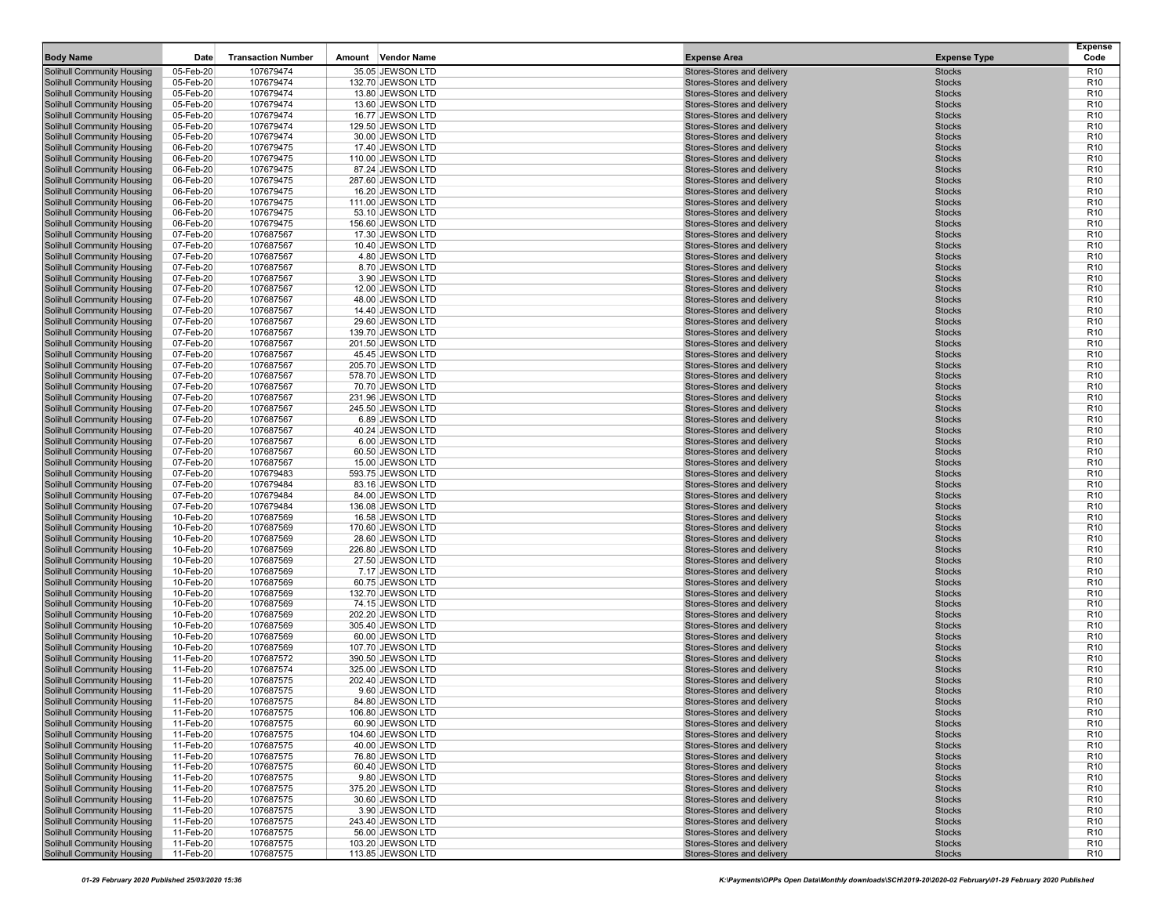| <b>Body Name</b>                                                       | Date                   | <b>Transaction Number</b> | <b>Vendor Name</b><br>Amount           | <b>Expense Area</b>                                      | <b>Expense Type</b>            | <b>Expense</b><br>Code             |
|------------------------------------------------------------------------|------------------------|---------------------------|----------------------------------------|----------------------------------------------------------|--------------------------------|------------------------------------|
| Solihull Community Housing                                             | 05-Feb-20              | 107679474                 | 35.05 JEWSON LTD                       | Stores-Stores and delivery                               | <b>Stocks</b>                  | R <sub>10</sub>                    |
| Solihull Community Housing                                             | 05-Feb-20              | 107679474                 | 132.70 JEWSON LTD                      | Stores-Stores and delivery                               | <b>Stocks</b>                  | R <sub>10</sub>                    |
| Solihull Community Housing                                             | 05-Feb-20              | 107679474                 | 13.80 JEWSON LTD                       | Stores-Stores and delivery                               | <b>Stocks</b>                  | R <sub>10</sub>                    |
| <b>Solihull Community Housing</b>                                      | 05-Feb-20              | 107679474                 | 13.60 JEWSON LTD                       | Stores-Stores and delivery                               | <b>Stocks</b>                  | R <sub>10</sub>                    |
| Solihull Community Housing                                             | 05-Feb-20              | 107679474                 | 16.77 JEWSON LTD                       | Stores-Stores and delivery                               | <b>Stocks</b>                  | R <sub>10</sub>                    |
| <b>Solihull Community Housing</b>                                      | 05-Feb-20              | 107679474                 | 129.50 JEWSON LTD                      | Stores-Stores and delivery                               | <b>Stocks</b>                  | R <sub>10</sub>                    |
| Solihull Community Housing<br>Solihull Community Housing               | 05-Feb-20              | 107679474                 | 30.00 JEWSON LTD                       | Stores-Stores and delivery                               | <b>Stocks</b><br><b>Stocks</b> | R <sub>10</sub><br>R <sub>10</sub> |
| <b>Solihull Community Housing</b>                                      | 06-Feb-20<br>06-Feb-20 | 107679475<br>107679475    | 17.40 JEWSON LTD<br>110.00 JEWSON LTD  | Stores-Stores and delivery<br>Stores-Stores and delivery | <b>Stocks</b>                  | R <sub>10</sub>                    |
| Solihull Community Housing                                             | 06-Feb-20              | 107679475                 | 87.24 JEWSON LTD                       | Stores-Stores and delivery                               | <b>Stocks</b>                  | R <sub>10</sub>                    |
| <b>Solihull Community Housing</b>                                      | 06-Feb-20              | 107679475                 | 287.60 JEWSON LTD                      | Stores-Stores and delivery                               | <b>Stocks</b>                  | R <sub>10</sub>                    |
| <b>Solihull Community Housing</b>                                      | 06-Feb-20              | 107679475                 | 16.20 JEWSON LTD                       | Stores-Stores and delivery                               | <b>Stocks</b>                  | R <sub>10</sub>                    |
| Solihull Community Housing                                             | 06-Feb-20              | 107679475                 | 111.00 JEWSON LTD                      | Stores-Stores and delivery                               | <b>Stocks</b>                  | R <sub>10</sub>                    |
| Solihull Community Housing                                             | 06-Feb-20              | 107679475                 | 53.10 JEWSON LTD                       | Stores-Stores and delivery                               | <b>Stocks</b>                  | R <sub>10</sub>                    |
| <b>Solihull Community Housing</b>                                      | 06-Feb-20              | 107679475                 | 156.60 JEWSON LTD                      | Stores-Stores and delivery                               | <b>Stocks</b>                  | R <sub>10</sub>                    |
| Solihull Community Housing                                             | 07-Feb-20              | 107687567                 | 17.30 JEWSON LTD                       | Stores-Stores and delivery                               | <b>Stocks</b>                  | R <sub>10</sub>                    |
| Solihull Community Housing                                             | 07-Feb-20              | 107687567                 | 10.40 JEWSON LTD                       | Stores-Stores and delivery                               | <b>Stocks</b>                  | R <sub>10</sub>                    |
| <b>Solihull Community Housing</b>                                      | 07-Feb-20              | 107687567                 | 4.80 JEWSON LTD                        | Stores-Stores and delivery                               | <b>Stocks</b>                  | R <sub>10</sub>                    |
| Solihull Community Housing                                             | 07-Feb-20              | 107687567                 | 8.70 JEWSON LTD                        | Stores-Stores and delivery                               | <b>Stocks</b>                  | R <sub>10</sub>                    |
| <b>Solihull Community Housing</b>                                      | 07-Feb-20<br>07-Feb-20 | 107687567<br>107687567    | 3.90 JEWSON LTD                        | Stores-Stores and delivery<br>Stores-Stores and delivery | <b>Stocks</b><br><b>Stocks</b> | R <sub>10</sub><br>R <sub>10</sub> |
| Solihull Community Housing<br><b>Solihull Community Housing</b>        | 07-Feb-20              | 107687567                 | 12.00 JEWSON LTD<br>48.00 JEWSON LTD   | Stores-Stores and delivery                               | <b>Stocks</b>                  | R <sub>10</sub>                    |
| Solihull Community Housing                                             | 07-Feb-20              | 107687567                 | 14.40 JEWSON LTD                       | Stores-Stores and delivery                               | <b>Stocks</b>                  | R <sub>10</sub>                    |
| <b>Solihull Community Housing</b>                                      | 07-Feb-20              | 107687567                 | 29.60 JEWSON LTD                       | Stores-Stores and delivery                               | <b>Stocks</b>                  | R <sub>10</sub>                    |
| Solihull Community Housing                                             | 07-Feb-20              | 107687567                 | 139.70 JEWSON LTD                      | Stores-Stores and delivery                               | <b>Stocks</b>                  | R <sub>10</sub>                    |
| Solihull Community Housing                                             | 07-Feb-20              | 107687567                 | 201.50 JEWSON LTD                      | Stores-Stores and delivery                               | <b>Stocks</b>                  | R <sub>10</sub>                    |
| <b>Solihull Community Housing</b>                                      | 07-Feb-20              | 107687567                 | 45.45 JEWSON LTD                       | Stores-Stores and delivery                               | <b>Stocks</b>                  | R <sub>10</sub>                    |
| Solihull Community Housing                                             | 07-Feb-20              | 107687567                 | 205.70 JEWSON LTD                      | Stores-Stores and delivery                               | <b>Stocks</b>                  | R <sub>10</sub>                    |
| <b>Solihull Community Housing</b>                                      | 07-Feb-20              | 107687567                 | 578.70 JEWSON LTD                      | Stores-Stores and delivery                               | <b>Stocks</b>                  | R <sub>10</sub>                    |
| Solihull Community Housing                                             | 07-Feb-20              | 107687567                 | 70.70 JEWSON LTD                       | Stores-Stores and delivery                               | <b>Stocks</b>                  | R <sub>10</sub>                    |
| <b>Solihull Community Housing</b>                                      | 07-Feb-20              | 107687567                 | 231.96 JEWSON LTD                      | Stores-Stores and delivery                               | <b>Stocks</b>                  | R <sub>10</sub>                    |
| Solihull Community Housing<br>Solihull Community Housing               | 07-Feb-20<br>07-Feb-20 | 107687567<br>107687567    | 245.50 JEWSON LTD<br>6.89 JEWSON LTD   | Stores-Stores and delivery<br>Stores-Stores and delivery | <b>Stocks</b><br><b>Stocks</b> | R <sub>10</sub><br>R <sub>10</sub> |
| <b>Solihull Community Housing</b>                                      | 07-Feb-20              | 107687567                 | 40.24 JEWSON LTD                       | Stores-Stores and delivery                               | <b>Stocks</b>                  | R <sub>10</sub>                    |
| Solihull Community Housing                                             | 07-Feb-20              | 107687567                 | 6.00 JEWSON LTD                        | Stores-Stores and delivery                               | <b>Stocks</b>                  | R <sub>10</sub>                    |
| <b>Solihull Community Housing</b>                                      | 07-Feb-20              | 107687567                 | 60.50 JEWSON LTD                       | Stores-Stores and delivery                               | <b>Stocks</b>                  | R <sub>10</sub>                    |
| Solihull Community Housing                                             | 07-Feb-20              | 107687567                 | 15.00 JEWSON LTD                       | Stores-Stores and delivery                               | <b>Stocks</b>                  | R <sub>10</sub>                    |
| <b>Solihull Community Housing</b>                                      | 07-Feb-20              | 107679483                 | 593.75 JEWSON LTD                      | Stores-Stores and delivery                               | <b>Stocks</b>                  | R <sub>10</sub>                    |
| Solihull Community Housing                                             | 07-Feb-20              | 107679484                 | 83.16 JEWSON LTD                       | Stores-Stores and delivery                               | <b>Stocks</b>                  | R <sub>10</sub>                    |
| Solihull Community Housing                                             | 07-Feb-20              | 107679484                 | 84.00 JEWSON LTD                       | Stores-Stores and delivery                               | <b>Stocks</b>                  | R <sub>10</sub>                    |
| Solihull Community Housing                                             | 07-Feb-20              | 107679484                 | 136.08 JEWSON LTD                      | Stores-Stores and delivery                               | <b>Stocks</b>                  | R <sub>10</sub>                    |
| Solihull Community Housing                                             | 10-Feb-20              | 107687569                 | 16.58 JEWSON LTD                       | Stores-Stores and delivery                               | <b>Stocks</b>                  | R <sub>10</sub>                    |
| <b>Solihull Community Housing</b><br>Solihull Community Housing        | 10-Feb-20<br>10-Feb-20 | 107687569<br>107687569    | 170.60 JEWSON LTD<br>28.60 JEWSON LTD  | Stores-Stores and delivery<br>Stores-Stores and delivery | <b>Stocks</b><br><b>Stocks</b> | R <sub>10</sub><br>R <sub>10</sub> |
| <b>Solihull Community Housing</b>                                      | 10-Feb-20              | 107687569                 | 226.80 JEWSON LTD                      | Stores-Stores and delivery                               | <b>Stocks</b>                  | R <sub>10</sub>                    |
| Solihull Community Housing                                             | 10-Feb-20              | 107687569                 | 27.50 JEWSON LTD                       | Stores-Stores and delivery                               | <b>Stocks</b>                  | R <sub>10</sub>                    |
| <b>Solihull Community Housing</b>                                      | 10-Feb-20              | 107687569                 | 7.17 JEWSON LTD                        | Stores-Stores and delivery                               | <b>Stocks</b>                  | R <sub>10</sub>                    |
| Solihull Community Housing                                             | 10-Feb-20              | 107687569                 | 60.75 JEWSON LTD                       | Stores-Stores and delivery                               | <b>Stocks</b>                  | R <sub>10</sub>                    |
| Solihull Community Housing                                             | 10-Feb-20              | 107687569                 | 132.70 JEWSON LTD                      | Stores-Stores and delivery                               | <b>Stocks</b>                  | R <sub>10</sub>                    |
| <b>Solihull Community Housing</b>                                      | 10-Feb-20              | 107687569                 | 74.15 JEWSON LTD                       | Stores-Stores and delivery                               | <b>Stocks</b>                  | R <sub>10</sub>                    |
| Solihull Community Housing                                             | 10-Feb-20              | 107687569                 | 202.20 JEWSON LTD                      | Stores-Stores and delivery                               | <b>Stocks</b>                  | R <sub>10</sub>                    |
| <b>Solihull Community Housing</b>                                      | 10-Feb-20              | 107687569                 | 305.40 JEWSON LTD                      | Stores-Stores and delivery                               | <b>Stocks</b>                  | R <sub>10</sub>                    |
| Solihull Community Housing                                             | 10-Feb-20              | 107687569                 | 60.00 JEWSON LTD                       | Stores-Stores and delivery<br>Stores-Stores and delivery | <b>Stocks</b><br><b>Stocks</b> | R <sub>10</sub><br>R <sub>10</sub> |
| <b>Solihull Community Housing</b><br>Solihull Community Housing        | 10-Feb-20<br>11-Feb-20 | 107687569<br>107687572    | 107.70 JEWSON LTD<br>390.50 JEWSON LTD | Stores-Stores and delivery                               | <b>Stocks</b>                  | R <sub>10</sub>                    |
| <b>Solihull Community Housing</b>                                      | 11-Feb-20              | 107687574                 | 325.00 JEWSON LTD                      | Stores-Stores and delivery                               | <b>Stocks</b>                  | R <sub>10</sub>                    |
| Solihull Community Housing                                             | 11-Feb-20              | 107687575                 | 202.40 JEWSON LTD                      | Stores-Stores and delivery                               | <b>Stocks</b>                  | R <sub>10</sub>                    |
| <b>Solihull Community Housing</b>                                      | 11-Feb-20              | 107687575                 | 9.60 JEWSON LTD                        | Stores-Stores and delivery                               | <b>Stocks</b>                  | R <sub>10</sub>                    |
| <b>Solihull Community Housing</b>                                      | 11-Feb-20              | 107687575                 | 84.80 JEWSON LTD                       | Stores-Stores and delivery                               | <b>Stocks</b>                  | R <sub>10</sub>                    |
| <b>Solihull Community Housing</b>                                      | 11-Feb-20              | 107687575                 | 106.80 JEWSON LTD                      | Stores-Stores and delivery                               | <b>Stocks</b>                  | R <sub>10</sub>                    |
| Solihull Community Housing                                             | 11-Feb-20              | 107687575                 | 60.90 JEWSON LTD                       | Stores-Stores and delivery                               | <b>Stocks</b>                  | R <sub>10</sub>                    |
| <b>Solihull Community Housing</b>                                      | 11-Feb-20              | 107687575                 | 104.60 JEWSON LTD                      | Stores-Stores and delivery                               | <b>Stocks</b>                  | R <sub>10</sub>                    |
| <b>Solihull Community Housing</b>                                      | 11-Feb-20              | 107687575                 | 40.00 JEWSON LTD                       | Stores-Stores and delivery                               | <b>Stocks</b>                  | R <sub>10</sub>                    |
| <b>Solihull Community Housing</b><br><b>Solihull Community Housing</b> | 11-Feb-20<br>11-Feb-20 | 107687575                 | 76.80 JEWSON LTD                       | Stores-Stores and delivery<br>Stores-Stores and delivery | <b>Stocks</b>                  | R <sub>10</sub><br>R <sub>10</sub> |
| <b>Solihull Community Housing</b>                                      | 11-Feb-20              | 107687575<br>107687575    | 60.40 JEWSON LTD<br>9.80 JEWSON LTD    | Stores-Stores and delivery                               | <b>Stocks</b><br><b>Stocks</b> | R <sub>10</sub>                    |
| <b>Solihull Community Housing</b>                                      | 11-Feb-20              | 107687575                 | 375.20 JEWSON LTD                      | Stores-Stores and delivery                               | <b>Stocks</b>                  | R <sub>10</sub>                    |
| <b>Solihull Community Housing</b>                                      | 11-Feb-20              | 107687575                 | 30.60 JEWSON LTD                       | Stores-Stores and delivery                               | <b>Stocks</b>                  | R <sub>10</sub>                    |
| <b>Solihull Community Housing</b>                                      | 11-Feb-20              | 107687575                 | 3.90 JEWSON LTD                        | Stores-Stores and delivery                               | <b>Stocks</b>                  | R <sub>10</sub>                    |
| Solihull Community Housing                                             | 11-Feb-20              | 107687575                 | 243.40 JEWSON LTD                      | Stores-Stores and delivery                               | <b>Stocks</b>                  | R <sub>10</sub>                    |
| <b>Solihull Community Housing</b>                                      | 11-Feb-20              | 107687575                 | 56.00 JEWSON LTD                       | Stores-Stores and delivery                               | <b>Stocks</b>                  | R <sub>10</sub>                    |
| <b>Solihull Community Housing</b>                                      | 11-Feb-20              | 107687575                 | 103.20 JEWSON LTD                      | Stores-Stores and delivery                               | <b>Stocks</b>                  | R <sub>10</sub>                    |
| Solihull Community Housing                                             | 11-Feb-20              | 107687575                 | 113.85 JEWSON LTD                      | Stores-Stores and delivery                               | <b>Stocks</b>                  | R <sub>10</sub>                    |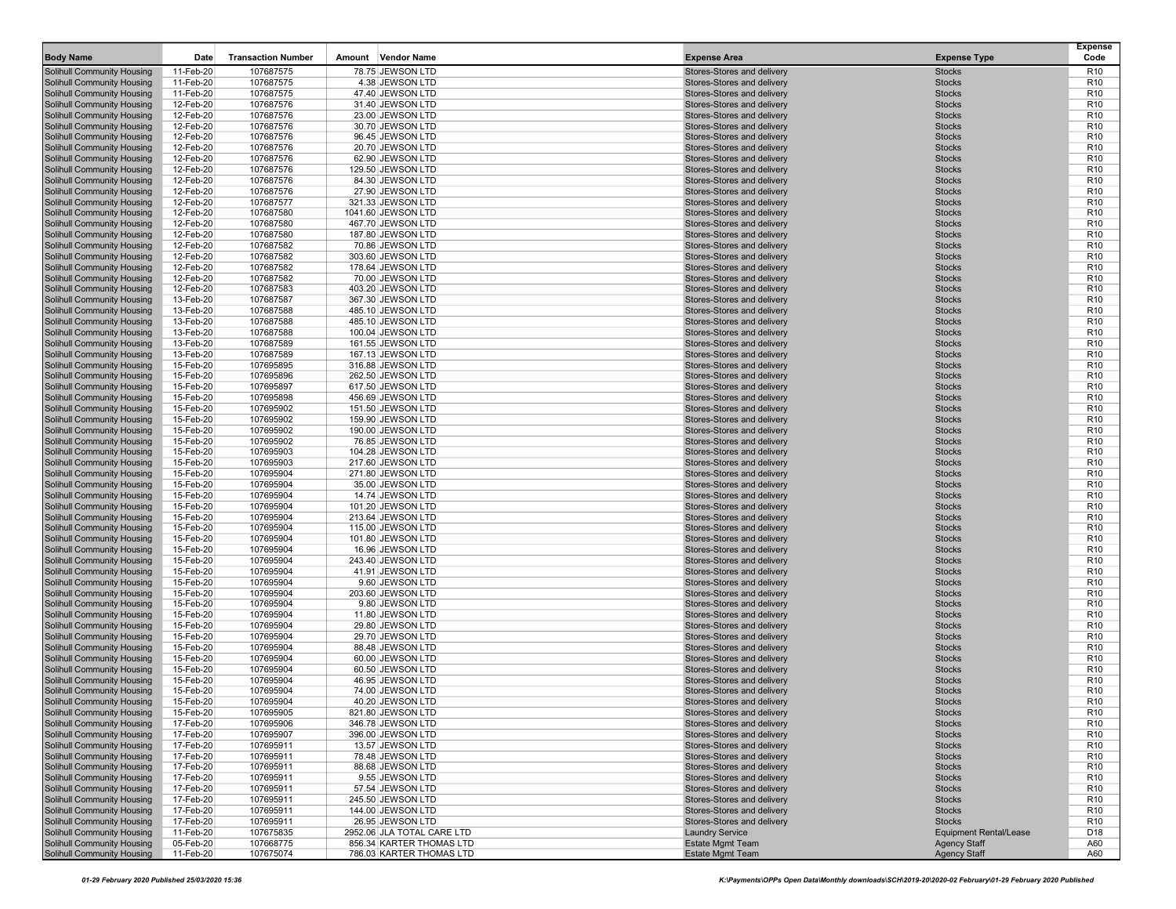| <b>Body Name</b>                                                       | Date                   | <b>Transaction Number</b> | Amount Vendor Name                     | <b>Expense Area</b>                                      | <b>Expense Type</b>            | <b>Expense</b><br>Code             |
|------------------------------------------------------------------------|------------------------|---------------------------|----------------------------------------|----------------------------------------------------------|--------------------------------|------------------------------------|
| <b>Solihull Community Housing</b>                                      | 11-Feb-20              | 107687575                 | 78.75 JEWSON LTD                       | Stores-Stores and delivery                               | <b>Stocks</b>                  | R <sub>10</sub>                    |
| <b>Solihull Community Housing</b>                                      | 11-Feb-20              | 107687575                 | 4.38 JEWSON LTD                        | Stores-Stores and delivery                               | <b>Stocks</b>                  | R <sub>10</sub>                    |
| <b>Solihull Community Housing</b>                                      | 11-Feb-20              | 107687575                 | 47.40 JEWSON LTD                       | Stores-Stores and delivery                               | <b>Stocks</b>                  | R <sub>10</sub>                    |
| <b>Solihull Community Housing</b>                                      | 12-Feb-20              | 107687576                 | 31.40 JEWSON LTD                       | Stores-Stores and delivery                               | <b>Stocks</b>                  | R <sub>10</sub>                    |
| <b>Solihull Community Housing</b>                                      | 12-Feb-20              | 107687576                 | 23.00 JEWSON LTD                       | Stores-Stores and delivery                               | <b>Stocks</b>                  | R <sub>10</sub>                    |
| <b>Solihull Community Housing</b>                                      | 12-Feb-20              | 107687576                 | 30.70 JEWSON LTD                       | Stores-Stores and delivery                               | <b>Stocks</b>                  | R <sub>10</sub>                    |
| <b>Solihull Community Housing</b><br><b>Solihull Community Housing</b> | 12-Feb-20<br>12-Feb-20 | 107687576<br>107687576    | 96.45 JEWSON LTD<br>20.70 JEWSON LTD   | Stores-Stores and delivery<br>Stores-Stores and delivery | <b>Stocks</b><br><b>Stocks</b> | R <sub>10</sub><br>R <sub>10</sub> |
| <b>Solihull Community Housing</b>                                      | 12-Feb-20              | 107687576                 | 62.90 JEWSON LTD                       | Stores-Stores and delivery                               | <b>Stocks</b>                  | R <sub>10</sub>                    |
| <b>Solihull Community Housing</b>                                      | 12-Feb-20              | 107687576                 | 129.50 JEWSON LTD                      | Stores-Stores and delivery                               | <b>Stocks</b>                  | R <sub>10</sub>                    |
| <b>Solihull Community Housing</b>                                      | 12-Feb-20              | 107687576                 | 84.30 JEWSON LTD                       | Stores-Stores and delivery                               | <b>Stocks</b>                  | R <sub>10</sub>                    |
| <b>Solihull Community Housing</b>                                      | 12-Feb-20              | 107687576                 | 27.90 JEWSON LTD                       | Stores-Stores and delivery                               | <b>Stocks</b>                  | R <sub>10</sub>                    |
| <b>Solihull Community Housing</b>                                      | 12-Feb-20              | 107687577                 | 321.33 JEWSON LTD                      | Stores-Stores and delivery                               | <b>Stocks</b>                  | R <sub>10</sub>                    |
| <b>Solihull Community Housing</b>                                      | 12-Feb-20              | 107687580                 | 1041.60 JEWSON LTD                     | Stores-Stores and delivery                               | <b>Stocks</b>                  | R <sub>10</sub>                    |
| <b>Solihull Community Housing</b>                                      | 12-Feb-20              | 107687580                 | 467.70 JEWSON LTD                      | Stores-Stores and delivery                               | <b>Stocks</b>                  | R <sub>10</sub>                    |
| <b>Solihull Community Housing</b>                                      | 12-Feb-20              | 107687580                 | 187.80 JEWSON LTD                      | Stores-Stores and delivery                               | <b>Stocks</b>                  | R <sub>10</sub>                    |
| <b>Solihull Community Housing</b>                                      | 12-Feb-20              | 107687582                 | 70.86 JEWSON LTD                       | Stores-Stores and delivery                               | <b>Stocks</b>                  | R <sub>10</sub>                    |
| <b>Solihull Community Housing</b><br><b>Solihull Community Housing</b> | 12-Feb-20<br>12-Feb-20 | 107687582<br>107687582    | 303.60 JEWSON LTD<br>178.64 JEWSON LTD | Stores-Stores and delivery<br>Stores-Stores and delivery | <b>Stocks</b><br><b>Stocks</b> | R <sub>10</sub><br>R <sub>10</sub> |
| <b>Solihull Community Housing</b>                                      | 12-Feb-20              | 107687582                 | 70.00 JEWSON LTD                       | Stores-Stores and delivery                               | <b>Stocks</b>                  | R <sub>10</sub>                    |
| <b>Solihull Community Housing</b>                                      | 12-Feb-20              | 107687583                 | 403.20 JEWSON LTD                      | Stores-Stores and delivery                               | <b>Stocks</b>                  | R <sub>10</sub>                    |
| <b>Solihull Community Housing</b>                                      | 13-Feb-20              | 107687587                 | 367.30 JEWSON LTD                      | Stores-Stores and delivery                               | <b>Stocks</b>                  | R <sub>10</sub>                    |
| <b>Solihull Community Housing</b>                                      | 13-Feb-20              | 107687588                 | 485.10 JEWSON LTD                      | Stores-Stores and delivery                               | <b>Stocks</b>                  | R <sub>10</sub>                    |
| <b>Solihull Community Housing</b>                                      | 13-Feb-20              | 107687588                 | 485.10 JEWSON LTD                      | Stores-Stores and delivery                               | <b>Stocks</b>                  | R <sub>10</sub>                    |
| <b>Solihull Community Housing</b>                                      | 13-Feb-20              | 107687588                 | 100.04 JEWSON LTD                      | Stores-Stores and delivery                               | <b>Stocks</b>                  | R <sub>10</sub>                    |
| <b>Solihull Community Housing</b>                                      | 13-Feb-20              | 107687589                 | 161.55 JEWSON LTD                      | Stores-Stores and delivery                               | <b>Stocks</b>                  | R <sub>10</sub>                    |
| <b>Solihull Community Housing</b>                                      | 13-Feb-20              | 107687589                 | 167.13 JEWSON LTD                      | Stores-Stores and delivery                               | <b>Stocks</b>                  | R <sub>10</sub>                    |
| <b>Solihull Community Housing</b>                                      | 15-Feb-20              | 107695895                 | 316.88 JEWSON LTD<br>262.50 JEWSON LTD | Stores-Stores and delivery<br>Stores-Stores and delivery | <b>Stocks</b><br><b>Stocks</b> | R <sub>10</sub><br>R <sub>10</sub> |
| <b>Solihull Community Housing</b><br>Solihull Community Housing        | 15-Feb-20<br>15-Feb-20 | 107695896<br>107695897    | 617.50 JEWSON LTD                      | Stores-Stores and delivery                               | <b>Stocks</b>                  | R <sub>10</sub>                    |
| <b>Solihull Community Housing</b>                                      | 15-Feb-20              | 107695898                 | 456.69 JEWSON LTD                      | Stores-Stores and delivery                               | <b>Stocks</b>                  | R <sub>10</sub>                    |
| <b>Solihull Community Housing</b>                                      | 15-Feb-20              | 107695902                 | 151.50 JEWSON LTD                      | Stores-Stores and delivery                               | <b>Stocks</b>                  | R <sub>10</sub>                    |
| <b>Solihull Community Housing</b>                                      | 15-Feb-20              | 107695902                 | 159.90 JEWSON LTD                      | Stores-Stores and delivery                               | <b>Stocks</b>                  | R <sub>10</sub>                    |
| <b>Solihull Community Housing</b>                                      | 15-Feb-20              | 107695902                 | 190.00 JEWSON LTD                      | Stores-Stores and delivery                               | <b>Stocks</b>                  | R <sub>10</sub>                    |
| <b>Solihull Community Housing</b>                                      | 15-Feb-20              | 107695902                 | 76.85 JEWSON LTD                       | Stores-Stores and delivery                               | <b>Stocks</b>                  | R <sub>10</sub>                    |
| <b>Solihull Community Housing</b>                                      | 15-Feb-20              | 107695903                 | 104.28 JEWSON LTD                      | Stores-Stores and delivery                               | <b>Stocks</b>                  | R <sub>10</sub>                    |
| <b>Solihull Community Housing</b>                                      | 15-Feb-20              | 107695903                 | 217.60 JEWSON LTD                      | Stores-Stores and delivery                               | <b>Stocks</b>                  | R <sub>10</sub><br>R <sub>10</sub> |
| <b>Solihull Community Housing</b><br><b>Solihull Community Housing</b> | 15-Feb-20<br>15-Feb-20 | 107695904<br>107695904    | 271.80 JEWSON LTD<br>35.00 JEWSON LTD  | Stores-Stores and delivery<br>Stores-Stores and delivery | <b>Stocks</b><br><b>Stocks</b> | R <sub>10</sub>                    |
| <b>Solihull Community Housing</b>                                      | 15-Feb-20              | 107695904                 | 14.74 JEWSON LTD                       | Stores-Stores and delivery                               | <b>Stocks</b>                  | R <sub>10</sub>                    |
| <b>Solihull Community Housing</b>                                      | 15-Feb-20              | 107695904                 | 101.20 JEWSON LTD                      | Stores-Stores and delivery                               | <b>Stocks</b>                  | R <sub>10</sub>                    |
| <b>Solihull Community Housing</b>                                      | 15-Feb-20              | 107695904                 | 213.64 JEWSON LTD                      | Stores-Stores and delivery                               | <b>Stocks</b>                  | R <sub>10</sub>                    |
| <b>Solihull Community Housing</b>                                      | 15-Feb-20              | 107695904                 | 115.00 JEWSON LTD                      | Stores-Stores and delivery                               | <b>Stocks</b>                  | R <sub>10</sub>                    |
| <b>Solihull Community Housing</b>                                      | 15-Feb-20              | 107695904                 | 101.80 JEWSON LTD                      | Stores-Stores and delivery                               | <b>Stocks</b>                  | R <sub>10</sub>                    |
| <b>Solihull Community Housing</b>                                      | 15-Feb-20              | 107695904                 | 16.96 JEWSON LTD                       | Stores-Stores and delivery                               | <b>Stocks</b>                  | R <sub>10</sub>                    |
| <b>Solihull Community Housing</b><br><b>Solihull Community Housing</b> | 15-Feb-20<br>15-Feb-20 | 107695904<br>107695904    | 243.40 JEWSON LTD<br>41.91 JEWSON LTD  | Stores-Stores and delivery<br>Stores-Stores and delivery | <b>Stocks</b><br><b>Stocks</b> | R <sub>10</sub><br>R <sub>10</sub> |
| <b>Solihull Community Housing</b>                                      | 15-Feb-20              | 107695904                 | 9.60 JEWSON LTD                        | Stores-Stores and delivery                               | <b>Stocks</b>                  | R <sub>10</sub>                    |
| <b>Solihull Community Housing</b>                                      | 15-Feb-20              | 107695904                 | 203.60 JEWSON LTD                      | Stores-Stores and delivery                               | <b>Stocks</b>                  | R <sub>10</sub>                    |
| <b>Solihull Community Housing</b>                                      | 15-Feb-20              | 107695904                 | 9.80 JEWSON LTD                        | Stores-Stores and delivery                               | <b>Stocks</b>                  | R <sub>10</sub>                    |
| <b>Solihull Community Housing</b>                                      | 15-Feb-20              | 107695904                 | 11.80 JEWSON LTD                       | Stores-Stores and delivery                               | <b>Stocks</b>                  | R <sub>10</sub>                    |
| <b>Solihull Community Housing</b>                                      | 15-Feb-20              | 107695904                 | 29.80 JEWSON LTD                       | Stores-Stores and delivery                               | <b>Stocks</b>                  | R <sub>10</sub>                    |
| <b>Solihull Community Housing</b>                                      | 15-Feb-20              | 107695904                 | 29.70 JEWSON LTD                       | Stores-Stores and delivery                               | <b>Stocks</b>                  | R <sub>10</sub>                    |
| <b>Solihull Community Housing</b><br>Solihull Community Housing        | 15-Feb-20              | 107695904                 | 88.48 JEWSON LTD<br>60.00 JEWSON LTD   | Stores-Stores and delivery                               | <b>Stocks</b>                  | R <sub>10</sub>                    |
| <b>Solihull Community Housing</b>                                      | 15-Feb-20<br>15-Feb-20 | 107695904<br>107695904    | 60.50 JEWSON LTD                       | Stores-Stores and delivery<br>Stores-Stores and delivery | <b>Stocks</b><br><b>Stocks</b> | R <sub>10</sub><br>R <sub>10</sub> |
| <b>Solihull Community Housing</b>                                      | 15-Feb-20              | 107695904                 | 46.95 JEWSON LTD                       | Stores-Stores and delivery                               | <b>Stocks</b>                  | R <sub>10</sub>                    |
| <b>Solihull Community Housing</b>                                      | 15-Feb-20              | 107695904                 | 74.00 JEWSON LTD                       | Stores-Stores and delivery                               | <b>Stocks</b>                  | R <sub>10</sub>                    |
| <b>Solihull Community Housing</b>                                      | 15-Feb-20              | 107695904                 | 40.20 JEWSON LTD                       | Stores-Stores and delivery                               | <b>Stocks</b>                  | R <sub>10</sub>                    |
| <b>Solihull Community Housing</b>                                      | 15-Feb-20              | 107695905                 | 821.80 JEWSON LTD                      | Stores-Stores and delivery                               | <b>Stocks</b>                  | R <sub>10</sub>                    |
| Solihull Community Housing                                             | 17-Feb-20              | 107695906                 | 346.78 JEWSON LTD                      | Stores-Stores and delivery                               | <b>Stocks</b>                  | R <sub>10</sub>                    |
| <b>Solihull Community Housing</b>                                      | 17-Feb-20              | 107695907                 | 396.00 JEWSON LTD                      | Stores-Stores and delivery                               | <b>Stocks</b>                  | R <sub>10</sub>                    |
| Solihull Community Housing                                             | 17-Feb-20              | 107695911                 | 13.57 JEWSON LTD                       | Stores-Stores and delivery                               | <b>Stocks</b>                  | R <sub>10</sub>                    |
| <b>Solihull Community Housing</b>                                      | 17-Feb-20              | 107695911                 | 78.48 JEWSON LTD                       | Stores-Stores and delivery                               | <b>Stocks</b>                  | R <sub>10</sub>                    |
| Solihull Community Housing<br><b>Solihull Community Housing</b>        | 17-Feb-20<br>17-Feb-20 | 107695911<br>107695911    | 88.68 JEWSON LTD<br>9.55 JEWSON LTD    | Stores-Stores and delivery<br>Stores-Stores and delivery | <b>Stocks</b><br><b>Stocks</b> | R <sub>10</sub><br>R <sub>10</sub> |
| <b>Solihull Community Housing</b>                                      | 17-Feb-20              | 107695911                 | 57.54 JEWSON LTD                       | Stores-Stores and delivery                               | <b>Stocks</b>                  | R <sub>10</sub>                    |
| Solihull Community Housing                                             | 17-Feb-20              | 107695911                 | 245.50 JEWSON LTD                      | Stores-Stores and delivery                               | <b>Stocks</b>                  | R <sub>10</sub>                    |
| <b>Solihull Community Housing</b>                                      | 17-Feb-20              | 107695911                 | 144.00 JEWSON LTD                      | Stores-Stores and delivery                               | <b>Stocks</b>                  | R <sub>10</sub>                    |
| Solihull Community Housing                                             | 17-Feb-20              | 107695911                 | 26.95 JEWSON LTD                       | Stores-Stores and delivery                               | <b>Stocks</b>                  | R <sub>10</sub>                    |
| <b>Solihull Community Housing</b>                                      | 11-Feb-20              | 107675835                 | 2952.06 JLA TOTAL CARE LTD             | <b>Laundry Service</b>                                   | <b>Equipment Rental/Lease</b>  | D <sub>18</sub>                    |
| <b>Solihull Community Housing</b>                                      | 05-Feb-20              | 107668775                 | 856.34 KARTER THOMAS LTD               | Estate Mgmt Team                                         | <b>Agency Staff</b>            | A60                                |
| Solihull Community Housing                                             | 11-Feb-20              | 107675074                 | 786.03 KARTER THOMAS LTD               | Estate Mgmt Team                                         | <b>Agency Staff</b>            | A60                                |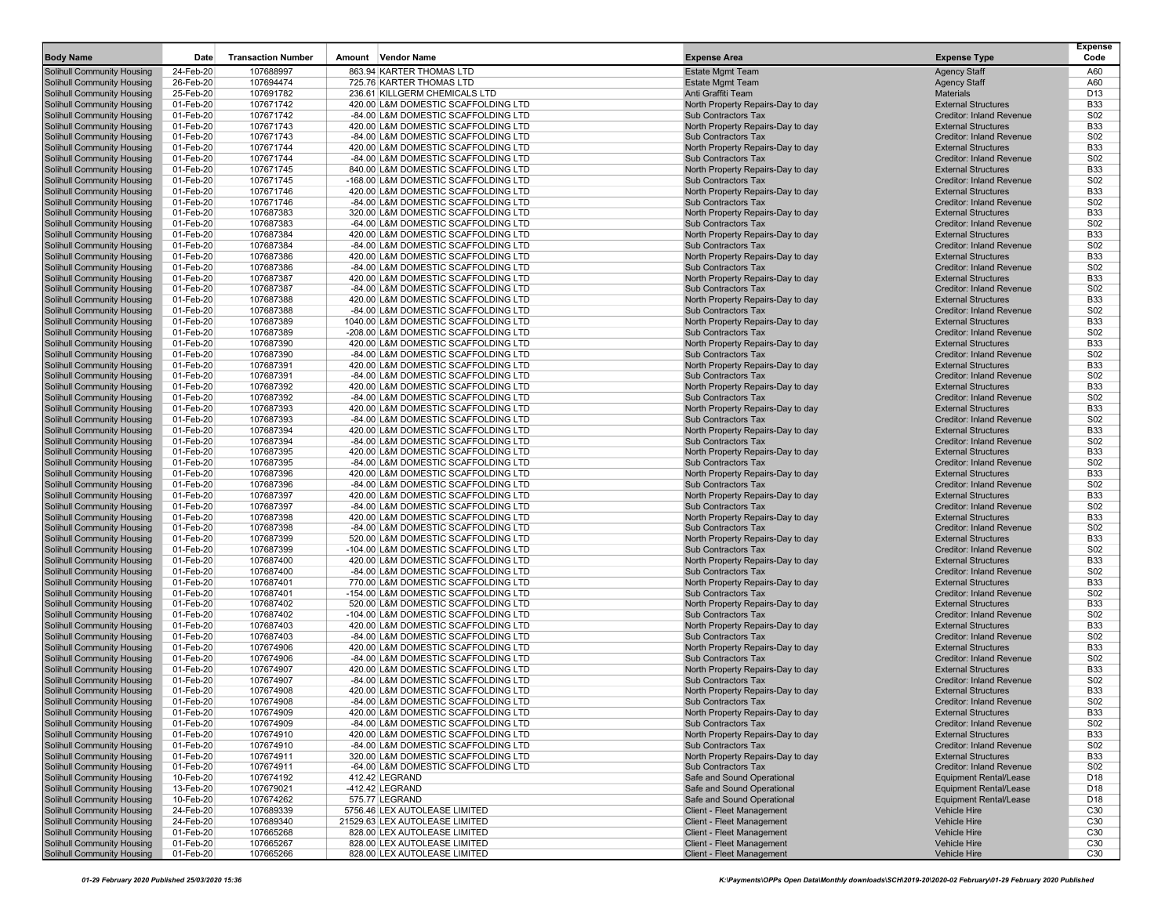| <b>Body Name</b>                                                       | Date                   | <b>Transaction Number</b> | <b>Vendor Name</b><br>Amount                                                | <b>Expense Area</b>                                             | <b>Expense Type</b>                                           | Expense<br>Code               |
|------------------------------------------------------------------------|------------------------|---------------------------|-----------------------------------------------------------------------------|-----------------------------------------------------------------|---------------------------------------------------------------|-------------------------------|
| <b>Solihull Community Housing</b>                                      | 24-Feb-20              | 107688997                 | 863.94 KARTER THOMAS LTD                                                    | <b>Estate Mgmt Team</b>                                         | <b>Agency Staff</b>                                           | A60                           |
| Solihull Community Housing                                             | 26-Feb-20              | 107694474                 | 725.76 KARTER THOMAS LTD                                                    | <b>Estate Mgmt Team</b>                                         | <b>Agency Staff</b>                                           | A60                           |
| <b>Solihull Community Housing</b>                                      | 25-Feb-20              | 107691782                 | 236.61 KILLGERM CHEMICALS LTD                                               | Anti Graffiti Team                                              | <b>Materials</b>                                              | D <sub>13</sub>               |
| Solihull Community Housing                                             | 01-Feb-20              | 107671742                 | 420.00 L&M DOMESTIC SCAFFOLDING LTD                                         | North Property Repairs-Day to day                               | <b>External Structures</b>                                    | <b>B33</b>                    |
| <b>Solihull Community Housing</b>                                      | 01-Feb-20              | 107671742                 | -84.00 L&M DOMESTIC SCAFFOLDING LTD                                         | Sub Contractors Tax                                             | <b>Creditor: Inland Revenue</b>                               | S02                           |
| <b>Solihull Community Housing</b>                                      | 01-Feb-20              | 107671743                 | 420.00 L&M DOMESTIC SCAFFOLDING LTD                                         | North Property Repairs-Day to day                               | <b>External Structures</b>                                    | <b>B33</b><br>S02             |
| <b>Solihull Community Housing</b><br><b>Solihull Community Housing</b> | 01-Feb-20<br>01-Feb-20 | 107671743<br>107671744    | -84.00 L&M DOMESTIC SCAFFOLDING LTD<br>420.00 L&M DOMESTIC SCAFFOLDING LTD  | Sub Contractors Tax<br>North Property Repairs-Day to day        | Creditor: Inland Revenue<br><b>External Structures</b>        | <b>B33</b>                    |
| Solihull Community Housing                                             | 01-Feb-20              | 107671744                 | -84.00 L&M DOMESTIC SCAFFOLDING LTD                                         | <b>Sub Contractors Tax</b>                                      | Creditor: Inland Revenue                                      | S <sub>02</sub>               |
| <b>Solihull Community Housing</b>                                      | 01-Feb-20              | 107671745                 | 840.00 L&M DOMESTIC SCAFFOLDING LTD                                         | North Property Repairs-Day to day                               | <b>External Structures</b>                                    | <b>B33</b>                    |
| Solihull Community Housing                                             | 01-Feb-20              | 107671745                 | -168.00 L&M DOMESTIC SCAFFOLDING LTD                                        | Sub Contractors Tax                                             | <b>Creditor: Inland Revenue</b>                               | S02                           |
| <b>Solihull Community Housing</b>                                      | 01-Feb-20              | 107671746                 | 420.00 L&M DOMESTIC SCAFFOLDING LTD                                         | North Property Repairs-Day to day                               | <b>External Structures</b>                                    | <b>B33</b>                    |
| Solihull Community Housing                                             | 01-Feb-20              | 107671746                 | -84.00 L&M DOMESTIC SCAFFOLDING LTD                                         | <b>Sub Contractors Tax</b>                                      | Creditor: Inland Revenue                                      | S02                           |
| <b>Solihull Community Housing</b>                                      | 01-Feb-20              | 107687383                 | 320.00 L&M DOMESTIC SCAFFOLDING LTD                                         | North Property Repairs-Day to day                               | <b>External Structures</b>                                    | <b>B33</b>                    |
| <b>Solihull Community Housing</b>                                      | 01-Feb-20              | 107687383                 | -64.00 L&M DOMESTIC SCAFFOLDING LTD                                         | <b>Sub Contractors Tax</b>                                      | <b>Creditor: Inland Revenue</b>                               | S02                           |
| <b>Solihull Community Housing</b>                                      | 01-Feb-20              | 107687384                 | 420.00 L&M DOMESTIC SCAFFOLDING LTD                                         | North Property Repairs-Day to day                               | <b>External Structures</b>                                    | <b>B33</b>                    |
| <b>Solihull Community Housing</b>                                      | 01-Feb-20              | 107687384                 | -84.00 L&M DOMESTIC SCAFFOLDING LTD                                         | <b>Sub Contractors Tax</b>                                      | Creditor: Inland Revenue                                      | S <sub>02</sub>               |
| <b>Solihull Community Housing</b>                                      | 01-Feb-20              | 107687386                 | 420.00 L&M DOMESTIC SCAFFOLDING LTD                                         | North Property Repairs-Day to day                               | <b>External Structures</b>                                    | <b>B33</b>                    |
| <b>Solihull Community Housing</b>                                      | 01-Feb-20              | 107687386                 | -84.00 L&M DOMESTIC SCAFFOLDING LTD                                         | <b>Sub Contractors Tax</b>                                      | Creditor: Inland Revenue                                      | S02                           |
| <b>Solihull Community Housing</b>                                      | 01-Feb-20              | 107687387                 | 420.00 L&M DOMESTIC SCAFFOLDING LTD                                         | North Property Repairs-Day to day                               | <b>External Structures</b><br><b>Creditor: Inland Revenue</b> | <b>B33</b>                    |
| <b>Solihull Community Housing</b>                                      | 01-Feb-20<br>01-Feb-20 | 107687387<br>107687388    | -84.00 L&M DOMESTIC SCAFFOLDING LTD<br>420.00 L&M DOMESTIC SCAFFOLDING LTD  | <b>Sub Contractors Tax</b>                                      | <b>External Structures</b>                                    | S <sub>02</sub><br><b>B33</b> |
| Solihull Community Housing<br><b>Solihull Community Housing</b>        | 01-Feb-20              | 107687388                 | -84.00 L&M DOMESTIC SCAFFOLDING LTD                                         | North Property Repairs-Day to day<br>Sub Contractors Tax        | Creditor: Inland Revenue                                      | S02                           |
| <b>Solihull Community Housing</b>                                      | 01-Feb-20              | 107687389                 | 1040.00 L&M DOMESTIC SCAFFOLDING LTD                                        | North Property Repairs-Day to day                               | <b>External Structures</b>                                    | <b>B33</b>                    |
| <b>Solihull Community Housing</b>                                      | 01-Feb-20              | 107687389                 | -208.00 L&M DOMESTIC SCAFFOLDING LTD                                        | <b>Sub Contractors Tax</b>                                      | <b>Creditor: Inland Revenue</b>                               | S <sub>02</sub>               |
| <b>Solihull Community Housing</b>                                      | 01-Feb-20              | 107687390                 | 420.00 L&M DOMESTIC SCAFFOLDING LTD                                         | North Property Repairs-Day to day                               | <b>External Structures</b>                                    | <b>B33</b>                    |
| <b>Solihull Community Housing</b>                                      | 01-Feb-20              | 107687390                 | -84.00 L&M DOMESTIC SCAFFOLDING LTD                                         | Sub Contractors Tax                                             | <b>Creditor: Inland Revenue</b>                               | S02                           |
| <b>Solihull Community Housing</b>                                      | 01-Feb-20              | 107687391                 | 420.00 L&M DOMESTIC SCAFFOLDING LTD                                         | North Property Repairs-Day to day                               | <b>External Structures</b>                                    | <b>B33</b>                    |
| <b>Solihull Community Housing</b>                                      | 01-Feb-20              | 107687391                 | -84.00 L&M DOMESTIC SCAFFOLDING LTD                                         | <b>Sub Contractors Tax</b>                                      | Creditor: Inland Revenue                                      | S02                           |
| <b>Solihull Community Housing</b>                                      | 01-Feb-20              | 107687392                 | 420.00 L&M DOMESTIC SCAFFOLDING LTD                                         | North Property Repairs-Day to day                               | <b>External Structures</b>                                    | <b>B33</b>                    |
| <b>Solihull Community Housing</b>                                      | 01-Feb-20              | 107687392                 | -84.00 L&M DOMESTIC SCAFFOLDING LTD                                         | <b>Sub Contractors Tax</b>                                      | <b>Creditor: Inland Revenue</b>                               | S02                           |
| <b>Solihull Community Housing</b>                                      | 01-Feb-20              | 107687393                 | 420.00 L&M DOMESTIC SCAFFOLDING LTD                                         | North Property Repairs-Day to day                               | <b>External Structures</b>                                    | <b>B33</b>                    |
| <b>Solihull Community Housing</b>                                      | 01-Feb-20              | 107687393                 | -84.00 L&M DOMESTIC SCAFFOLDING LTD                                         | <b>Sub Contractors Tax</b>                                      | <b>Creditor: Inland Revenue</b>                               | S02                           |
| <b>Solihull Community Housing</b>                                      | 01-Feb-20              | 107687394                 | 420.00 L&M DOMESTIC SCAFFOLDING LTD                                         | North Property Repairs-Day to day                               | <b>External Structures</b>                                    | <b>B33</b>                    |
| <b>Solihull Community Housing</b>                                      | 01-Feb-20              | 107687394                 | -84.00 L&M DOMESTIC SCAFFOLDING LTD                                         | <b>Sub Contractors Tax</b>                                      | Creditor: Inland Revenue                                      | S02                           |
| <b>Solihull Community Housing</b><br><b>Solihull Community Housing</b> | 01-Feb-20<br>01-Feb-20 | 107687395<br>107687395    | 420.00 L&M DOMESTIC SCAFFOLDING LTD<br>-84.00 L&M DOMESTIC SCAFFOLDING LTD  | North Property Repairs-Day to day<br><b>Sub Contractors Tax</b> | <b>External Structures</b><br>Creditor: Inland Revenue        | <b>B33</b><br>S <sub>02</sub> |
| <b>Solihull Community Housing</b>                                      | 01-Feb-20              | 107687396                 | 420.00 L&M DOMESTIC SCAFFOLDING LTD                                         | North Property Repairs-Day to day                               | <b>External Structures</b>                                    | <b>B33</b>                    |
| <b>Solihull Community Housing</b>                                      | 01-Feb-20              | 107687396                 | -84.00 L&M DOMESTIC SCAFFOLDING LTD                                         | <b>Sub Contractors Tax</b>                                      | Creditor: Inland Revenue                                      | S02                           |
| <b>Solihull Community Housing</b>                                      | 01-Feb-20              | 107687397                 | 420.00 L&M DOMESTIC SCAFFOLDING LTD                                         | North Property Repairs-Day to day                               | <b>External Structures</b>                                    | <b>B33</b>                    |
| <b>Solihull Community Housing</b>                                      | 01-Feb-20              | 107687397                 | -84.00 L&M DOMESTIC SCAFFOLDING LTD                                         | Sub Contractors Tax                                             | <b>Creditor: Inland Revenue</b>                               | S <sub>02</sub>               |
| <b>Solihull Community Housing</b>                                      | 01-Feb-20              | 107687398                 | 420.00 L&M DOMESTIC SCAFFOLDING LTD                                         | North Property Repairs-Day to day                               | <b>External Structures</b>                                    | <b>B33</b>                    |
| <b>Solihull Community Housing</b>                                      | 01-Feb-20              | 107687398                 | -84.00 L&M DOMESTIC SCAFFOLDING LTD                                         | <b>Sub Contractors Tax</b>                                      | Creditor: Inland Revenue                                      | S02                           |
| <b>Solihull Community Housing</b>                                      | 01-Feb-20              | 107687399                 | 520.00 L&M DOMESTIC SCAFFOLDING LTD                                         | North Property Repairs-Day to day                               | <b>External Structures</b>                                    | <b>B33</b>                    |
| <b>Solihull Community Housing</b>                                      | 01-Feb-20              | 107687399                 | -104.00 L&M DOMESTIC SCAFFOLDING LTD                                        | Sub Contractors Tax                                             | <b>Creditor: Inland Revenue</b>                               | S02                           |
| <b>Solihull Community Housing</b>                                      | 01-Feb-20              | 107687400                 | 420.00 L&M DOMESTIC SCAFFOLDING LTD                                         | North Property Repairs-Day to day                               | <b>External Structures</b>                                    | <b>B33</b>                    |
| <b>Solihull Community Housing</b>                                      | 01-Feb-20              | 107687400                 | -84.00 L&M DOMESTIC SCAFFOLDING LTD                                         | <b>Sub Contractors Tax</b>                                      | <b>Creditor: Inland Revenue</b>                               | S02                           |
| <b>Solihull Community Housing</b>                                      | 01-Feb-20              | 107687401                 | 770.00 L&M DOMESTIC SCAFFOLDING LTD                                         | North Property Repairs-Day to day                               | <b>External Structures</b>                                    | <b>B33</b>                    |
| <b>Solihull Community Housing</b><br><b>Solihull Community Housing</b> | 01-Feb-20<br>01-Feb-20 | 107687401<br>107687402    | -154.00 L&M DOMESTIC SCAFFOLDING LTD<br>520.00 L&M DOMESTIC SCAFFOLDING LTD | <b>Sub Contractors Tax</b><br>North Property Repairs-Day to day | <b>Creditor: Inland Revenue</b><br><b>External Structures</b> | S02<br><b>B33</b>             |
| <b>Solihull Community Housing</b>                                      | 01-Feb-20              | 107687402                 | -104.00 L&M DOMESTIC SCAFFOLDING LTD                                        | <b>Sub Contractors Tax</b>                                      | <b>Creditor: Inland Revenue</b>                               | S02                           |
| <b>Solihull Community Housing</b>                                      | 01-Feb-20              | 107687403                 | 420.00 L&M DOMESTIC SCAFFOLDING LTD                                         | North Property Repairs-Day to day                               | <b>External Structures</b>                                    | <b>B33</b>                    |
| <b>Solihull Community Housing</b>                                      | 01-Feb-20              | 107687403                 | -84.00 L&M DOMESTIC SCAFFOLDING LTD                                         | <b>Sub Contractors Tax</b>                                      | <b>Creditor: Inland Revenue</b>                               | S02                           |
| <b>Solihull Community Housing</b>                                      | 01-Feb-20              | 107674906                 | 420.00 L&M DOMESTIC SCAFFOLDING LTD                                         | North Property Repairs-Day to day                               | <b>External Structures</b>                                    | <b>B33</b>                    |
| <b>Solihull Community Housing</b>                                      | 01-Feb-20              | 107674906                 | -84.00 L&M DOMESTIC SCAFFOLDING LTD                                         | <b>Sub Contractors Tax</b>                                      | <b>Creditor: Inland Revenue</b>                               | S02                           |
| <b>Solihull Community Housing</b>                                      | 01-Feb-20              | 107674907                 | 420.00 L&M DOMESTIC SCAFFOLDING LTD                                         | North Property Repairs-Day to day                               | <b>External Structures</b>                                    | <b>B33</b>                    |
| <b>Solihull Community Housing</b>                                      | 01-Feb-20              | 107674907                 | -84.00 L&M DOMESTIC SCAFFOLDING LTD                                         | Sub Contractors Tax                                             | Creditor: Inland Revenue                                      | S02                           |
| <b>Solihull Community Housing</b>                                      | 01-Feb-20              | 107674908                 | 420.00 L&M DOMESTIC SCAFFOLDING LTD                                         | North Property Repairs-Day to day                               | <b>External Structures</b>                                    | <b>B33</b>                    |
| <b>Solihull Community Housing</b>                                      | 01-Feb-20              | 107674908                 | -84.00 L&M DOMESTIC SCAFFOLDING LTD                                         | Sub Contractors Tax                                             | Creditor: Inland Revenue                                      | S <sub>02</sub>               |
| <b>Solihull Community Housing</b>                                      | 01-Feb-20              | 107674909                 | 420.00 L&M DOMESTIC SCAFFOLDING LTD                                         | North Property Repairs-Day to day                               | <b>External Structures</b>                                    | <b>B33</b>                    |
| <b>Solihull Community Housing</b>                                      | 01-Feb-20              | 107674909                 | -84.00 L&M DOMESTIC SCAFFOLDING LTD                                         | Sub Contractors Tax                                             | <b>Creditor: Inland Revenue</b>                               | <b>S02</b>                    |
| <b>Solihull Community Housing</b><br><b>Solihull Community Housing</b> | 01-Feb-20<br>01-Feb-20 | 107674910<br>107674910    | 420.00 L&M DOMESTIC SCAFFOLDING LTD<br>-84.00 L&M DOMESTIC SCAFFOLDING LTD  | North Property Repairs-Day to day<br>Sub Contractors Tax        | <b>External Structures</b><br>Creditor: Inland Revenue        | <b>B33</b><br><b>S02</b>      |
| <b>Solihull Community Housing</b>                                      | 01-Feb-20              | 107674911                 | 320.00 L&M DOMESTIC SCAFFOLDING LTD                                         | North Property Repairs-Day to day                               | <b>External Structures</b>                                    | <b>B33</b>                    |
| <b>Solihull Community Housing</b>                                      | 01-Feb-20              | 107674911                 | -64.00 L&M DOMESTIC SCAFFOLDING LTD                                         | Sub Contractors Tax                                             | <b>Creditor: Inland Revenue</b>                               | S <sub>02</sub>               |
| <b>Solihull Community Housing</b>                                      | 10-Feb-20              | 107674192                 | 412.42 LEGRAND                                                              | Safe and Sound Operational                                      | Equipment Rental/Lease                                        | D18                           |
| <b>Solihull Community Housing</b>                                      | 13-Feb-20              | 107679021                 | -412.42 LEGRAND                                                             | Safe and Sound Operational                                      | <b>Equipment Rental/Lease</b>                                 | D18                           |
| <b>Solihull Community Housing</b>                                      | 10-Feb-20              | 107674262                 | 575.77 LEGRAND                                                              | Safe and Sound Operational                                      | <b>Equipment Rental/Lease</b>                                 | D18                           |
| <b>Solihull Community Housing</b>                                      | 24-Feb-20              | 107689339                 | 5756.46 LEX AUTOLEASE LIMITED                                               | <b>Client - Fleet Management</b>                                | <b>Vehicle Hire</b>                                           | C30                           |
| <b>Solihull Community Housing</b>                                      | 24-Feb-20              | 107689340                 | 21529.63 LEX AUTOLEASE LIMITED                                              | Client - Fleet Management                                       | Vehicle Hire                                                  | C30                           |
| <b>Solihull Community Housing</b>                                      | 01-Feb-20              | 107665268                 | 828.00 LEX AUTOLEASE LIMITED                                                | Client - Fleet Management                                       | <b>Vehicle Hire</b>                                           | C <sub>30</sub>               |
| Solihull Community Housing                                             | 01-Feb-20              | 107665267                 | 828.00 LEX AUTOLEASE LIMITED                                                | Client - Fleet Management                                       | <b>Vehicle Hire</b>                                           | C30                           |
| <b>Solihull Community Housing</b>                                      | 01-Feb-20              | 107665266                 | 828.00 LEX AUTOLEASE LIMITED                                                | Client - Fleet Management                                       | Vehicle Hire                                                  | C30                           |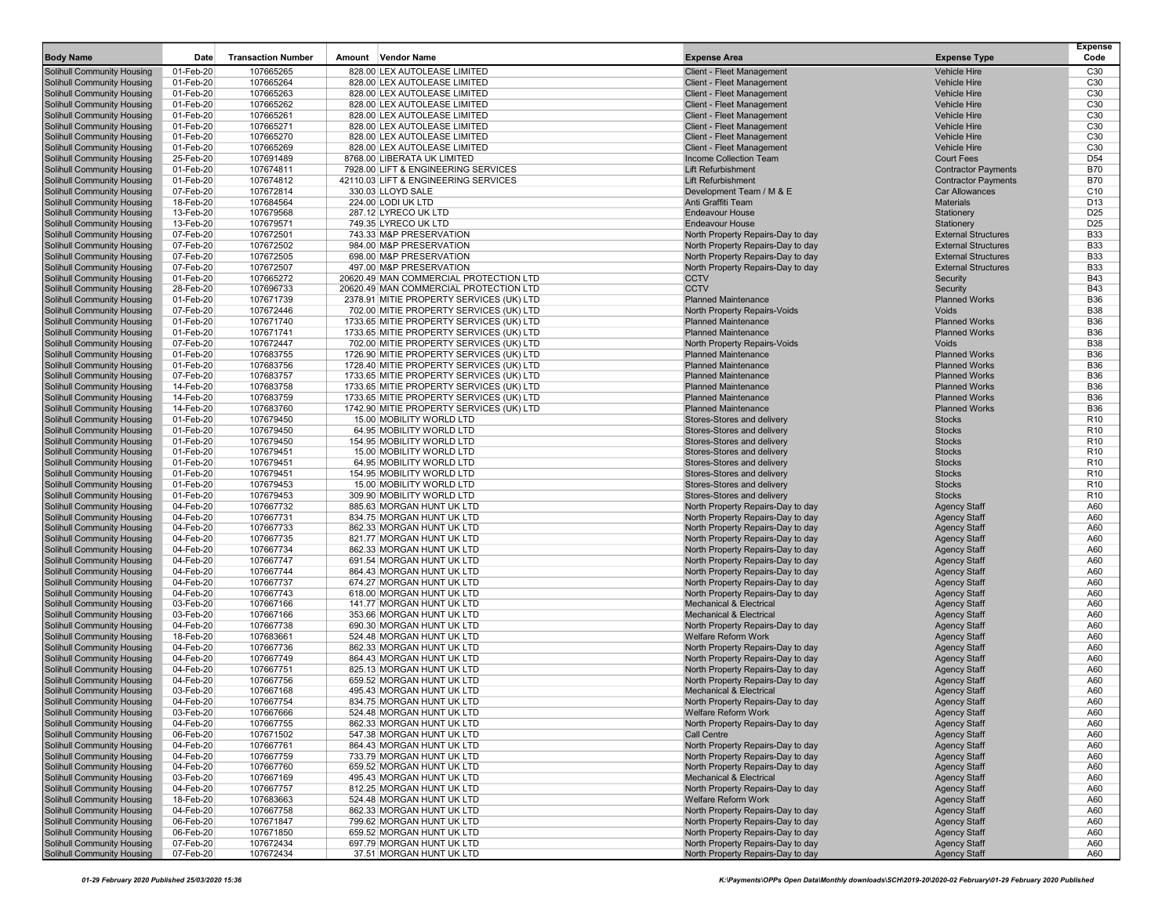| <b>Body Name</b>                                                       | Date                   | <b>Transaction Number</b> | Amount | <b>Vendor Name</b>                                                                   | <b>Expense Area</b>                                                     | <b>Expense Type</b>                                      | <b>Expense</b><br>Code             |
|------------------------------------------------------------------------|------------------------|---------------------------|--------|--------------------------------------------------------------------------------------|-------------------------------------------------------------------------|----------------------------------------------------------|------------------------------------|
| Solihull Community Housing                                             | 01-Feb-20              | 107665265                 |        | 828.00 LEX AUTOLEASE LIMITED                                                         | Client - Fleet Management                                               | <b>Vehicle Hire</b>                                      | C30                                |
| <b>Solihull Community Housing</b>                                      | 01-Feb-20              | 107665264                 |        | 828.00 LEX AUTOLEASE LIMITED                                                         | Client - Fleet Management                                               | <b>Vehicle Hire</b>                                      | C <sub>30</sub>                    |
| <b>Solihull Community Housing</b>                                      | 01-Feb-20              | 107665263                 |        | 828.00 LEX AUTOLEASE LIMITED                                                         | Client - Fleet Management                                               | Vehicle Hire                                             | C30                                |
| <b>Solihull Community Housing</b>                                      | 01-Feb-20              | 107665262                 |        | 828.00 LEX AUTOLEASE LIMITED                                                         | Client - Fleet Management                                               | <b>Vehicle Hire</b>                                      | C <sub>30</sub>                    |
| <b>Solihull Community Housing</b>                                      | 01-Feb-20<br>01-Feb-20 | 107665261                 |        | 828.00 LEX AUTOLEASE LIMITED                                                         | Client - Fleet Management                                               | <b>Vehicle Hire</b><br><b>Vehicle Hire</b>               | C <sub>30</sub><br>C <sub>30</sub> |
| <b>Solihull Community Housing</b><br><b>Solihull Community Housing</b> | 01-Feb-20              | 107665271<br>107665270    |        | 828.00 LEX AUTOLEASE LIMITED<br>828.00 LEX AUTOLEASE LIMITED                         | Client - Fleet Management<br><b>Client - Fleet Management</b>           | <b>Vehicle Hire</b>                                      | C <sub>30</sub>                    |
| <b>Solihull Community Housing</b>                                      | 01-Feb-20              | 107665269                 |        | 828.00 LEX AUTOLEASE LIMITED                                                         | Client - Fleet Management                                               | <b>Vehicle Hire</b>                                      | C <sub>30</sub>                    |
| <b>Solihull Community Housing</b>                                      | 25-Feb-20              | 107691489                 |        | 8768.00 LIBERATA UK LIMITED                                                          | Income Collection Team                                                  | <b>Court Fees</b>                                        | D <sub>54</sub>                    |
| <b>Solihull Community Housing</b>                                      | 01-Feb-20              | 107674811                 |        | 7928.00 LIFT & ENGINEERING SERVICES                                                  | <b>Lift Refurbishment</b>                                               | <b>Contractor Payments</b>                               | <b>B70</b>                         |
| <b>Solihull Community Housing</b>                                      | 01-Feb-20              | 107674812                 |        | 42110.03 LIFT & ENGINEERING SERVICES                                                 | <b>Lift Refurbishment</b>                                               | <b>Contractor Payments</b>                               | <b>B70</b>                         |
| <b>Solihull Community Housing</b>                                      | 07-Feb-20              | 107672814                 |        | 330.03 LLOYD SALE                                                                    | Development Team / M & E                                                | <b>Car Allowances</b>                                    | C <sub>10</sub>                    |
| <b>Solihull Community Housing</b>                                      | 18-Feb-20              | 107684564                 |        | 224.00 LODI UK LTD                                                                   | Anti Graffiti Team                                                      | <b>Materials</b>                                         | D <sub>13</sub>                    |
| <b>Solihull Community Housing</b>                                      | 13-Feb-20              | 107679568                 |        | 287.12 LYRECO UK LTD                                                                 | <b>Endeavour House</b>                                                  | Stationery                                               | D <sub>25</sub>                    |
| <b>Solihull Community Housing</b>                                      | 13-Feb-20              | 107679571                 |        | 749.35 LYRECO UK LTD                                                                 | <b>Endeavour House</b>                                                  | Stationery                                               | D <sub>25</sub>                    |
| <b>Solihull Community Housing</b>                                      | 07-Feb-20<br>07-Feb-20 | 107672501<br>107672502    |        | 743.33 M&P PRESERVATION                                                              | North Property Repairs-Day to day                                       | <b>External Structures</b><br><b>External Structures</b> | <b>B33</b><br><b>B33</b>           |
| <b>Solihull Community Housing</b><br><b>Solihull Community Housing</b> | 07-Feb-20              | 107672505                 |        | 984.00 M&P PRESERVATION<br>698.00 M&P PRESERVATION                                   | North Property Repairs-Day to day<br>North Property Repairs-Day to day  | <b>External Structures</b>                               | <b>B33</b>                         |
| <b>Solihull Community Housing</b>                                      | 07-Feb-20              | 107672507                 |        | 497.00 M&P PRESERVATION                                                              | North Property Repairs-Day to day                                       | <b>External Structures</b>                               | <b>B33</b>                         |
| Solihull Community Housing                                             | 01-Feb-20              | 107665272                 |        | 20620.49 MAN COMMERCIAL PROTECTION LTD                                               | <b>CCTV</b>                                                             | Security                                                 | <b>B43</b>                         |
| <b>Solihull Community Housing</b>                                      | 28-Feb-20              | 107696733                 |        | 20620.49 MAN COMMERCIAL PROTECTION LTD                                               | <b>CCTV</b>                                                             | Security                                                 | <b>B43</b>                         |
| <b>Solihull Community Housing</b>                                      | 01-Feb-20              | 107671739                 |        | 2378.91 MITIE PROPERTY SERVICES (UK) LTD                                             | <b>Planned Maintenance</b>                                              | <b>Planned Works</b>                                     | <b>B36</b>                         |
| <b>Solihull Community Housing</b>                                      | 07-Feb-20              | 107672446                 |        | 702.00 MITIE PROPERTY SERVICES (UK) LTD                                              | North Property Repairs-Voids                                            | Voids                                                    | <b>B38</b>                         |
| <b>Solihull Community Housing</b>                                      | 01-Feb-20              | 107671740                 |        | 1733.65 MITIE PROPERTY SERVICES (UK) LTD                                             | <b>Planned Maintenance</b>                                              | <b>Planned Works</b>                                     | <b>B36</b>                         |
| <b>Solihull Community Housing</b>                                      | 01-Feb-20              | 107671741                 |        | 1733.65 MITIE PROPERTY SERVICES (UK) LTD                                             | <b>Planned Maintenance</b>                                              | <b>Planned Works</b>                                     | <b>B36</b>                         |
| <b>Solihull Community Housing</b>                                      | 07-Feb-20              | 107672447                 |        | 702.00 MITIE PROPERTY SERVICES (UK) LTD                                              | North Property Repairs-Voids                                            | Voids                                                    | <b>B38</b>                         |
| <b>Solihull Community Housing</b>                                      | 01-Feb-20<br>01-Feb-20 | 107683755                 |        | 1726.90 MITIE PROPERTY SERVICES (UK) LTD<br>1728.40 MITIE PROPERTY SERVICES (UK) LTD | <b>Planned Maintenance</b><br><b>Planned Maintenance</b>                | <b>Planned Works</b><br><b>Planned Works</b>             | <b>B36</b><br><b>B36</b>           |
| <b>Solihull Community Housing</b><br><b>Solihull Community Housing</b> | 07-Feb-20              | 107683756<br>107683757    |        | 1733.65 MITIE PROPERTY SERVICES (UK) LTD                                             | <b>Planned Maintenance</b>                                              | <b>Planned Works</b>                                     | <b>B36</b>                         |
| <b>Solihull Community Housing</b>                                      | 14-Feb-20              | 107683758                 |        | 1733.65 MITIE PROPERTY SERVICES (UK) LTD                                             | <b>Planned Maintenance</b>                                              | <b>Planned Works</b>                                     | <b>B36</b>                         |
| <b>Solihull Community Housing</b>                                      | 14-Feb-20              | 107683759                 |        | 1733.65 MITIE PROPERTY SERVICES (UK) LTD                                             | <b>Planned Maintenance</b>                                              | <b>Planned Works</b>                                     | <b>B36</b>                         |
| <b>Solihull Community Housing</b>                                      | 14-Feb-20              | 107683760                 |        | 1742.90 MITIE PROPERTY SERVICES (UK) LTD                                             | <b>Planned Maintenance</b>                                              | <b>Planned Works</b>                                     | <b>B36</b>                         |
| <b>Solihull Community Housing</b>                                      | 01-Feb-20              | 107679450                 |        | 15.00 MOBILITY WORLD LTD                                                             | Stores-Stores and delivery                                              | <b>Stocks</b>                                            | R <sub>10</sub>                    |
| <b>Solihull Community Housing</b>                                      | 01-Feb-20              | 107679450                 |        | 64.95 MOBILITY WORLD LTD                                                             | Stores-Stores and delivery                                              | <b>Stocks</b>                                            | R <sub>10</sub>                    |
| <b>Solihull Community Housing</b>                                      | 01-Feb-20              | 107679450                 |        | 154.95 MOBILITY WORLD LTD                                                            | Stores-Stores and delivery                                              | <b>Stocks</b>                                            | R <sub>10</sub>                    |
| <b>Solihull Community Housing</b>                                      | 01-Feb-20              | 107679451                 |        | 15.00 MOBILITY WORLD LTD                                                             | Stores-Stores and delivery                                              | <b>Stocks</b>                                            | R <sub>10</sub>                    |
| <b>Solihull Community Housing</b>                                      | 01-Feb-20              | 107679451                 |        | 64.95 MOBILITY WORLD LTD                                                             | Stores-Stores and delivery                                              | <b>Stocks</b>                                            | R <sub>10</sub>                    |
| <b>Solihull Community Housing</b>                                      | 01-Feb-20              | 107679451                 |        | 154.95 MOBILITY WORLD LTD                                                            | Stores-Stores and delivery                                              | <b>Stocks</b>                                            | R <sub>10</sub>                    |
| <b>Solihull Community Housing</b>                                      | 01-Feb-20              | 107679453                 |        | 15.00 MOBILITY WORLD LTD                                                             | Stores-Stores and delivery                                              | <b>Stocks</b>                                            | R <sub>10</sub>                    |
| <b>Solihull Community Housing</b>                                      | 01-Feb-20              | 107679453                 |        | 309.90 MOBILITY WORLD LTD                                                            | Stores-Stores and delivery                                              | <b>Stocks</b>                                            | R <sub>10</sub>                    |
| <b>Solihull Community Housing</b><br><b>Solihull Community Housing</b> | 04-Feb-20<br>04-Feb-20 | 107667732<br>107667731    |        | 885.63 MORGAN HUNT UK LTD<br>834.75 MORGAN HUNT UK LTD                               | North Property Repairs-Day to day<br>North Property Repairs-Day to day  | <b>Agency Staff</b><br><b>Agency Staff</b>               | A60<br>A60                         |
| <b>Solihull Community Housing</b>                                      | 04-Feb-20              | 107667733                 |        | 862.33 MORGAN HUNT UK LTD                                                            | North Property Repairs-Day to day                                       | <b>Agency Staff</b>                                      | A60                                |
| <b>Solihull Community Housing</b>                                      | 04-Feb-20              | 107667735                 |        | 821.77 MORGAN HUNT UK LTD                                                            | North Property Repairs-Day to day                                       | <b>Agency Staff</b>                                      | A60                                |
| <b>Solihull Community Housing</b>                                      | 04-Feb-20              | 107667734                 |        | 862.33 MORGAN HUNT UK LTD                                                            | North Property Repairs-Day to day                                       | <b>Agency Staff</b>                                      | A60                                |
| <b>Solihull Community Housing</b>                                      | 04-Feb-20              | 107667747                 |        | 691.54 MORGAN HUNT UK LTD                                                            | North Property Repairs-Day to day                                       | <b>Agency Staff</b>                                      | A60                                |
| <b>Solihull Community Housing</b>                                      | 04-Feb-20              | 107667744                 |        | 864.43 MORGAN HUNT UK LTD                                                            | North Property Repairs-Day to day                                       | <b>Agency Staff</b>                                      | A60                                |
| <b>Solihull Community Housing</b>                                      | 04-Feb-20              | 107667737                 |        | 674.27 MORGAN HUNT UK LTD                                                            | North Property Repairs-Day to day                                       | <b>Agency Staff</b>                                      | A60                                |
| <b>Solihull Community Housing</b>                                      | 04-Feb-20              | 107667743                 |        | 618.00 MORGAN HUNT UK LTD                                                            | North Property Repairs-Day to day                                       | <b>Agency Staff</b>                                      | A60                                |
| <b>Solihull Community Housing</b>                                      | 03-Feb-20              | 107667166                 |        | 141.77 MORGAN HUNT UK LTD                                                            | <b>Mechanical &amp; Electrical</b>                                      | <b>Agency Staff</b>                                      | A60                                |
| <b>Solihull Community Housing</b>                                      | 03-Feb-20              | 107667166                 |        | 353.66 MORGAN HUNT UK LTD                                                            | <b>Mechanical &amp; Electrical</b>                                      | <b>Agency Staff</b>                                      | A60                                |
| <b>Solihull Community Housing</b><br><b>Solihull Community Housing</b> | 04-Feb-20<br>18-Feb-20 | 107667738<br>107683661    |        | 690.30 MORGAN HUNT UK LTD<br>524.48 MORGAN HUNT UK LTD                               | North Property Repairs-Day to day<br><b>Welfare Reform Work</b>         | <b>Agency Staff</b><br><b>Agency Staff</b>               | A60<br>A60                         |
| <b>Solihull Community Housing</b>                                      | 04-Feb-20              | 107667736                 |        | 862.33 MORGAN HUNT UK LTD                                                            | North Property Repairs-Day to day                                       | <b>Agency Staff</b>                                      | A60                                |
| <b>Solihull Community Housing</b>                                      | 04-Feb-20              | 107667749                 |        | 864.43 MORGAN HUNT UK LTD                                                            | North Property Repairs-Day to day                                       | <b>Agency Staff</b>                                      | A60                                |
| <b>Solihull Community Housing</b>                                      | 04-Feb-20              | 107667751                 |        | 825.13 MORGAN HUNT UK LTD                                                            | North Property Repairs-Day to day                                       | <b>Agency Staff</b>                                      | A60                                |
| Solihull Community Housing                                             | 04-Feb-20              | 107667756                 |        | 659.52 MORGAN HUNT UK LTD                                                            | North Property Repairs-Day to day                                       | <b>Agency Staff</b>                                      | A60                                |
| <b>Solihull Community Housing</b>                                      | 03-Feb-20              | 107667168                 |        | 495.43 MORGAN HUNT UK LTD                                                            | <b>Mechanical &amp; Electrical</b>                                      | <b>Agency Staff</b>                                      | A60                                |
| Solihull Community Housing                                             | 04-Feb-20              | 107667754                 |        | 834.75 MORGAN HUNT UK LTD                                                            | North Property Repairs-Day to day                                       | <b>Agency Staff</b>                                      | A60                                |
| Solihull Community Housing                                             | 03-Feb-20              | 107667666                 |        | 524.48 MORGAN HUNT UK LTD                                                            | Welfare Reform Work                                                     | <b>Agency Staff</b>                                      | A60                                |
| Solihull Community Housing                                             | 04-Feb-20              | 107667755                 |        | 862.33 MORGAN HUNT UK LTD                                                            | North Property Repairs-Day to day                                       | <b>Agency Staff</b>                                      | A60                                |
| Solihull Community Housing                                             | 06-Feb-20              | 107671502                 |        | 547.38 MORGAN HUNT UK LTD                                                            | <b>Call Centre</b>                                                      | <b>Agency Staff</b>                                      | A60                                |
| <b>Solihull Community Housing</b>                                      | 04-Feb-20              | 107667761                 |        | 864.43 MORGAN HUNT UK LTD                                                            | North Property Repairs-Day to day                                       | <b>Agency Staff</b>                                      | A60                                |
| <b>Solihull Community Housing</b>                                      | 04-Feb-20              | 107667759                 |        | 733.79 MORGAN HUNT UK LTD<br>659.52 MORGAN HUNT UK LTD                               | North Property Repairs-Day to day                                       | <b>Agency Staff</b>                                      | A60                                |
| <b>Solihull Community Housing</b><br>Solihull Community Housing        | 04-Feb-20<br>03-Feb-20 | 107667760<br>107667169    |        | 495.43 MORGAN HUNT UK LTD                                                            | North Property Repairs-Day to day<br><b>Mechanical &amp; Electrical</b> | <b>Agency Staff</b>                                      | A60                                |
| <b>Solihull Community Housing</b>                                      | 04-Feb-20              | 107667757                 |        | 812.25 MORGAN HUNT UK LTD                                                            | North Property Repairs-Day to day                                       | <b>Agency Staff</b><br><b>Agency Staff</b>               | A60<br>A60                         |
| Solihull Community Housing                                             | 18-Feb-20              | 107683663                 |        | 524.48 MORGAN HUNT UK LTD                                                            | <b>Welfare Reform Work</b>                                              | <b>Agency Staff</b>                                      | A60                                |
| Solihull Community Housing                                             | 04-Feb-20              | 107667758                 |        | 862.33 MORGAN HUNT UK LTD                                                            | North Property Repairs-Day to day                                       | <b>Agency Staff</b>                                      | A60                                |
| <b>Solihull Community Housing</b>                                      | 06-Feb-20              | 107671847                 |        | 799.62 MORGAN HUNT UK LTD                                                            | North Property Repairs-Day to day                                       | <b>Agency Staff</b>                                      | A60                                |
| Solihull Community Housing                                             | 06-Feb-20              | 107671850                 |        | 659.52 MORGAN HUNT UK LTD                                                            | North Property Repairs-Day to day                                       | <b>Agency Staff</b>                                      | A60                                |
| <b>Solihull Community Housing</b>                                      | 07-Feb-20              | 107672434                 |        | 697.79 MORGAN HUNT UK LTD                                                            | North Property Repairs-Day to day                                       | <b>Agency Staff</b>                                      | A60                                |
| Solihull Community Housing                                             | 07-Feb-20              | 107672434                 |        | 37.51 MORGAN HUNT UK LTD                                                             | North Property Repairs-Day to day                                       | <b>Agency Staff</b>                                      | A60                                |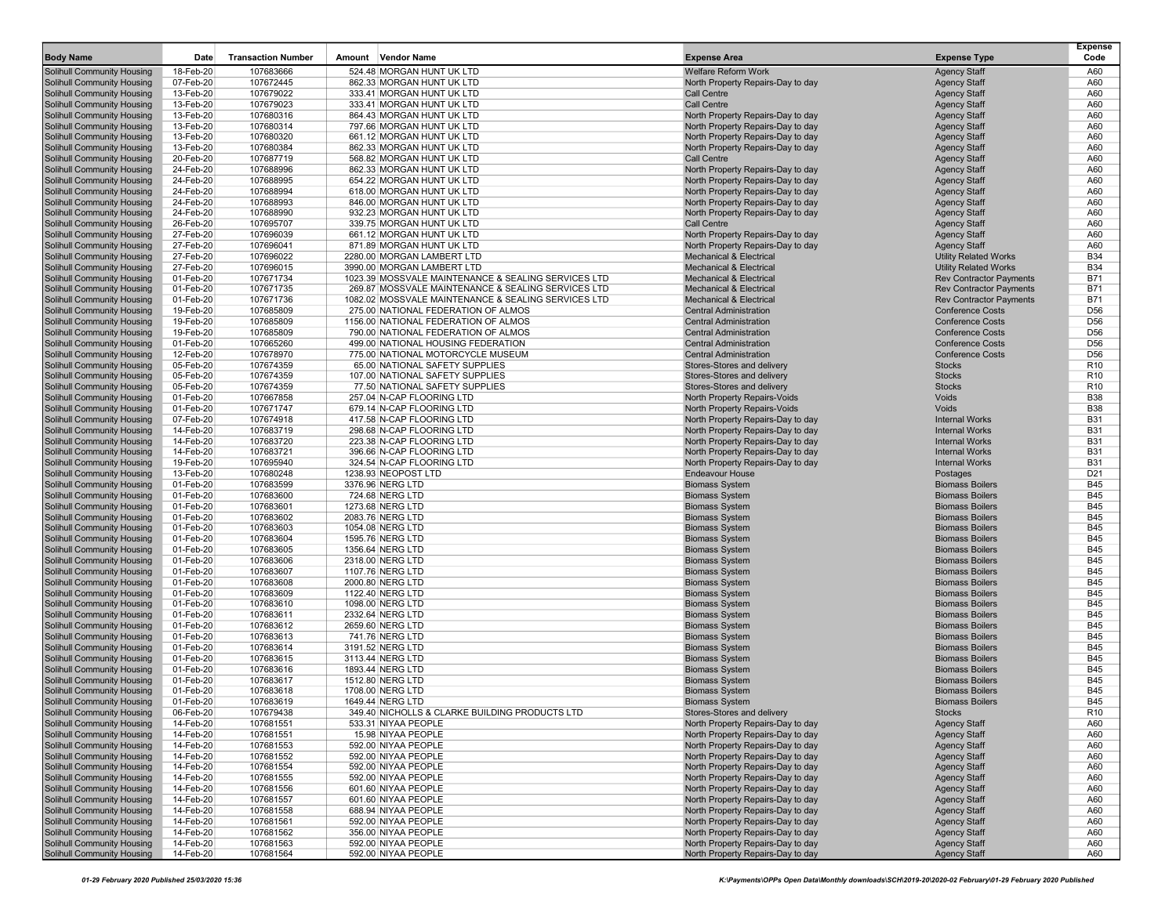| <b>Body Name</b>                                                       | Date                   | <b>Transaction Number</b> | Amount                               | <b>Vendor Name</b>                                                  | <b>Expense Area</b>                                                     | <b>Expense Type</b>                                 | Expense<br>Code                    |
|------------------------------------------------------------------------|------------------------|---------------------------|--------------------------------------|---------------------------------------------------------------------|-------------------------------------------------------------------------|-----------------------------------------------------|------------------------------------|
| Solihull Community Housing                                             | 18-Feb-20              | 107683666                 |                                      | 524.48 MORGAN HUNT UK LTD                                           | <b>Welfare Reform Work</b>                                              | <b>Agency Staff</b>                                 | A60                                |
| <b>Solihull Community Housing</b>                                      | 07-Feb-20              | 107672445                 |                                      | 862.33 MORGAN HUNT UK LTD                                           | North Property Repairs-Day to day                                       | <b>Agency Staff</b>                                 | A60                                |
| <b>Solihull Community Housing</b>                                      | 13-Feb-20              | 107679022                 |                                      | 333.41 MORGAN HUNT UK LTD                                           | <b>Call Centre</b>                                                      | <b>Agency Staff</b>                                 | A60                                |
| <b>Solihull Community Housing</b>                                      | 13-Feb-20              | 107679023                 |                                      | 333.41 MORGAN HUNT UK LTD                                           | <b>Call Centre</b>                                                      | <b>Agency Staff</b>                                 | A60                                |
| <b>Solihull Community Housing</b><br><b>Solihull Community Housing</b> | 13-Feb-20<br>13-Feb-20 | 107680316<br>107680314    |                                      | 864.43 MORGAN HUNT UK LTD<br>797.66 MORGAN HUNT UK LTD              | North Property Repairs-Day to day<br>North Property Repairs-Day to day  | <b>Agency Staff</b>                                 | A60<br>A60                         |
| <b>Solihull Community Housing</b>                                      | 13-Feb-20              | 107680320                 |                                      | 661.12 MORGAN HUNT UK LTD                                           | North Property Repairs-Day to day                                       | <b>Agency Staff</b><br><b>Agency Staff</b>          | A60                                |
| <b>Solihull Community Housing</b>                                      | 13-Feb-20              | 107680384                 |                                      | 862.33 MORGAN HUNT UK LTD                                           | North Property Repairs-Day to day                                       | <b>Agency Staff</b>                                 | A60                                |
| <b>Solihull Community Housing</b>                                      | 20-Feb-20              | 107687719                 |                                      | 568.82 MORGAN HUNT UK LTD                                           | Call Centre                                                             | <b>Agency Staff</b>                                 | A60                                |
| <b>Solihull Community Housing</b>                                      | 24-Feb-20              | 107688996                 |                                      | 862.33 MORGAN HUNT UK LTD                                           | North Property Repairs-Day to day                                       | <b>Agency Staff</b>                                 | A60                                |
| <b>Solihull Community Housing</b>                                      | 24-Feb-20              | 107688995                 |                                      | 654.22 MORGAN HUNT UK LTD                                           | North Property Repairs-Day to day                                       | <b>Agency Staff</b>                                 | A60                                |
| <b>Solihull Community Housing</b>                                      | 24-Feb-20              | 107688994                 |                                      | 618.00 MORGAN HUNT UK LTD                                           | North Property Repairs-Day to day                                       | <b>Agency Staff</b>                                 | A60                                |
| <b>Solihull Community Housing</b>                                      | 24-Feb-20              | 107688993                 |                                      | 846.00 MORGAN HUNT UK LTD                                           | North Property Repairs-Day to day                                       | <b>Agency Staff</b>                                 | A60                                |
| <b>Solihull Community Housing</b>                                      | 24-Feb-20              | 107688990                 |                                      | 932.23 MORGAN HUNT UK LTD                                           | North Property Repairs-Day to day                                       | <b>Agency Staff</b>                                 | A60                                |
| <b>Solihull Community Housing</b>                                      | 26-Feb-20              | 107695707                 |                                      | 339.75 MORGAN HUNT UK LTD                                           | Call Centre                                                             | <b>Agency Staff</b>                                 | A60                                |
| <b>Solihull Community Housing</b>                                      | 27-Feb-20              | 107696039                 |                                      | 661.12 MORGAN HUNT UK LTD                                           | North Property Repairs-Day to day                                       | <b>Agency Staff</b>                                 | A60<br>A60                         |
| <b>Solihull Community Housing</b><br><b>Solihull Community Housing</b> | 27-Feb-20<br>27-Feb-20 | 107696041<br>107696022    |                                      | 871.89 MORGAN HUNT UK LTD<br>2280.00 MORGAN LAMBERT LTD             | North Property Repairs-Day to day<br><b>Mechanical &amp; Electrical</b> | <b>Agency Staff</b><br><b>Utility Related Works</b> | <b>B34</b>                         |
| <b>Solihull Community Housing</b>                                      | 27-Feb-20              | 107696015                 |                                      | 3990.00 MORGAN LAMBERT LTD                                          | <b>Mechanical &amp; Electrical</b>                                      | <b>Utility Related Works</b>                        | <b>B34</b>                         |
| Solihull Community Housing                                             | 01-Feb-20              | 107671734                 |                                      | 1023.39 MOSSVALE MAINTENANCE & SEALING SERVICES LTD                 | <b>Mechanical &amp; Electrical</b>                                      | <b>Rev Contractor Payments</b>                      | <b>B71</b>                         |
| <b>Solihull Community Housing</b>                                      | 01-Feb-20              | 107671735                 |                                      | 269.87 MOSSVALE MAINTENANCE & SEALING SERVICES LTD                  | <b>Mechanical &amp; Electrical</b>                                      | <b>Rev Contractor Payments</b>                      | <b>B71</b>                         |
| <b>Solihull Community Housing</b>                                      | 01-Feb-20              | 107671736                 |                                      | 1082.02 MOSSVALE MAINTENANCE & SEALING SERVICES LTD                 | <b>Mechanical &amp; Electrical</b>                                      | <b>Rev Contractor Payments</b>                      | <b>B71</b>                         |
| <b>Solihull Community Housing</b>                                      | 19-Feb-20              | 107685809                 |                                      | 275.00 NATIONAL FEDERATION OF ALMOS                                 | <b>Central Administration</b>                                           | <b>Conference Costs</b>                             | D <sub>56</sub>                    |
| <b>Solihull Community Housing</b>                                      | 19-Feb-20              | 107685809                 |                                      | 1156.00 NATIONAL FEDERATION OF ALMOS                                | <b>Central Administration</b>                                           | <b>Conference Costs</b>                             | D <sub>56</sub>                    |
| <b>Solihull Community Housing</b>                                      | 19-Feb-20              | 107685809                 |                                      | 790.00 NATIONAL FEDERATION OF ALMOS                                 | <b>Central Administration</b>                                           | <b>Conference Costs</b>                             | D <sub>56</sub>                    |
| <b>Solihull Community Housing</b>                                      | 01-Feb-20              | 107665260                 |                                      | 499.00 NATIONAL HOUSING FEDERATION                                  | <b>Central Administration</b>                                           | <b>Conference Costs</b>                             | D <sub>56</sub>                    |
| <b>Solihull Community Housing</b>                                      | 12-Feb-20              | 107678970<br>107674359    |                                      | 775.00 NATIONAL MOTORCYCLE MUSEUM<br>65.00 NATIONAL SAFETY SUPPLIES | <b>Central Administration</b>                                           | <b>Conference Costs</b><br><b>Stocks</b>            | D <sub>56</sub><br>R <sub>10</sub> |
| <b>Solihull Community Housing</b><br><b>Solihull Community Housing</b> | 05-Feb-20<br>05-Feb-20 | 107674359                 |                                      | 107.00 NATIONAL SAFETY SUPPLIES                                     | Stores-Stores and delivery<br>Stores-Stores and delivery                | <b>Stocks</b>                                       | R <sub>10</sub>                    |
| Solihull Community Housing                                             | 05-Feb-20              | 107674359                 |                                      | 77.50 NATIONAL SAFETY SUPPLIES                                      | Stores-Stores and delivery                                              | <b>Stocks</b>                                       | R <sub>10</sub>                    |
| <b>Solihull Community Housing</b>                                      | 01-Feb-20              | 107667858                 |                                      | 257.04 N-CAP FLOORING LTD                                           | North Property Repairs-Voids                                            | Voids                                               | <b>B38</b>                         |
| <b>Solihull Community Housing</b>                                      | 01-Feb-20              | 107671747                 |                                      | 679.14 N-CAP FLOORING LTD                                           | North Property Repairs-Voids                                            | Voids                                               | <b>B38</b>                         |
| <b>Solihull Community Housing</b>                                      | 07-Feb-20              | 107674918                 |                                      | 417.58 N-CAP FLOORING LTD                                           | North Property Repairs-Day to day                                       | <b>Internal Works</b>                               | <b>B31</b>                         |
| <b>Solihull Community Housing</b>                                      | 14-Feb-20              | 107683719                 |                                      | 298.68 N-CAP FLOORING LTD                                           | North Property Repairs-Day to day                                       | <b>Internal Works</b>                               | <b>B31</b>                         |
| <b>Solihull Community Housing</b>                                      | 14-Feb-20              | 107683720                 |                                      | 223.38 N-CAP FLOORING LTD                                           | North Property Repairs-Day to day                                       | <b>Internal Works</b>                               | <b>B31</b>                         |
| <b>Solihull Community Housing</b>                                      | 14-Feb-20              | 107683721                 |                                      | 396.66 N-CAP FLOORING LTD                                           | North Property Repairs-Day to day                                       | <b>Internal Works</b>                               | <b>B31</b>                         |
| <b>Solihull Community Housing</b><br><b>Solihull Community Housing</b> | 19-Feb-20<br>13-Feb-20 | 107695940<br>107680248    |                                      | 324.54 N-CAP FLOORING LTD<br>1238.93 NEOPOST LTD                    | North Property Repairs-Day to day<br><b>Endeavour House</b>             | <b>Internal Works</b><br>Postages                   | <b>B31</b><br>D <sub>21</sub>      |
| <b>Solihull Community Housing</b>                                      | 01-Feb-20              | 107683599                 | 3376.96 NERG LTD                     |                                                                     | <b>Biomass System</b>                                                   | <b>Biomass Boilers</b>                              | <b>B45</b>                         |
| <b>Solihull Community Housing</b>                                      | 01-Feb-20              | 107683600                 |                                      | 724.68 NERG LTD                                                     | <b>Biomass System</b>                                                   | <b>Biomass Boilers</b>                              | <b>B45</b>                         |
| <b>Solihull Community Housing</b>                                      | 01-Feb-20              | 107683601                 | 1273.68 NERG LTD                     |                                                                     | <b>Biomass System</b>                                                   | <b>Biomass Boilers</b>                              | <b>B45</b>                         |
| <b>Solihull Community Housing</b>                                      | 01-Feb-20              | 107683602                 | 2083.76 NERG LTD                     |                                                                     | <b>Biomass System</b>                                                   | <b>Biomass Boilers</b>                              | <b>B45</b>                         |
| <b>Solihull Community Housing</b>                                      | 01-Feb-20              | 107683603                 | 1054.08 NERG LTD                     |                                                                     | <b>Biomass System</b>                                                   | <b>Biomass Boilers</b>                              | <b>B45</b>                         |
| <b>Solihull Community Housing</b>                                      | 01-Feb-20              | 107683604                 | 1595.76 NERG LTD                     |                                                                     | <b>Biomass System</b>                                                   | <b>Biomass Boilers</b>                              | <b>B45</b>                         |
| <b>Solihull Community Housing</b>                                      | 01-Feb-20              | 107683605                 | 1356.64 NERG LTD                     |                                                                     | <b>Biomass System</b>                                                   | <b>Biomass Boilers</b>                              | <b>B45</b>                         |
| <b>Solihull Community Housing</b><br><b>Solihull Community Housing</b> | 01-Feb-20<br>01-Feb-20 | 107683606<br>107683607    | 2318.00 NERG LTD<br>1107.76 NERG LTD |                                                                     | <b>Biomass System</b><br><b>Biomass System</b>                          | <b>Biomass Boilers</b><br><b>Biomass Boilers</b>    | <b>B45</b><br><b>B45</b>           |
| <b>Solihull Community Housing</b>                                      | 01-Feb-20              | 107683608                 | 2000.80 NERG LTD                     |                                                                     | <b>Biomass System</b>                                                   | <b>Biomass Boilers</b>                              | <b>B45</b>                         |
| <b>Solihull Community Housing</b>                                      | 01-Feb-20              | 107683609                 | 1122.40 NERG LTD                     |                                                                     | <b>Biomass System</b>                                                   | <b>Biomass Boilers</b>                              | <b>B45</b>                         |
| <b>Solihull Community Housing</b>                                      | 01-Feb-20              | 107683610                 | 1098.00 NERG LTD                     |                                                                     | <b>Biomass System</b>                                                   | <b>Biomass Boilers</b>                              | <b>B45</b>                         |
| <b>Solihull Community Housing</b>                                      | 01-Feb-20              | 107683611                 | 2332.64 NERG LTD                     |                                                                     | <b>Biomass System</b>                                                   | <b>Biomass Boilers</b>                              | <b>B45</b>                         |
| Solihull Community Housing                                             | 01-Feb-20              | 107683612                 | 2659.60 NERG LTD                     |                                                                     | <b>Biomass System</b>                                                   | <b>Biomass Boilers</b>                              | <b>B45</b>                         |
| <b>Solihull Community Housing</b>                                      | 01-Feb-20              | 107683613                 |                                      | 741.76 NERG LTD                                                     | <b>Biomass System</b>                                                   | <b>Biomass Boilers</b>                              | <b>B45</b>                         |
| <b>Solihull Community Housing</b>                                      | 01-Feb-20              | 107683614                 | 3191.52 NERG LTD                     |                                                                     | <b>Biomass System</b>                                                   | <b>Biomass Boilers</b>                              | <b>B45</b>                         |
| <b>Solihull Community Housing</b>                                      | 01-Feb-20              | 107683615                 | 3113.44 NERG LTD                     |                                                                     | <b>Biomass System</b>                                                   | <b>Biomass Boilers</b><br><b>Biomass Boilers</b>    | <b>B45</b><br><b>B45</b>           |
| <b>Solihull Community Housing</b><br>Solihull Community Housing        | 01-Feb-20<br>01-Feb-20 | 107683616                 | 1893.44 NERG LTD                     |                                                                     | <b>Biomass System</b><br><b>Biomass System</b>                          | <b>Biomass Boilers</b>                              | <b>B45</b>                         |
| <b>Solihull Community Housing</b>                                      | 01-Feb-20              | 107683617<br>107683618    | 1512.80 NERG LTD<br>1708.00 NERG LTD |                                                                     | <b>Biomass System</b>                                                   | <b>Biomass Boilers</b>                              | <b>B45</b>                         |
| Solihull Community Housing                                             | 01-Feb-20              | 107683619                 | 1649.44 NERG LTD                     |                                                                     | <b>Biomass System</b>                                                   | <b>Biomass Boilers</b>                              | <b>B45</b>                         |
| <b>Solihull Community Housing</b>                                      | 06-Feb-20              | 107679438                 |                                      | 349.40 NICHOLLS & CLARKE BUILDING PRODUCTS LTD                      | Stores-Stores and delivery                                              | <b>Stocks</b>                                       | R <sub>10</sub>                    |
| Solihull Community Housing                                             | 14-Feb-20              | 107681551                 |                                      | 533.31 NIYAA PEOPLE                                                 | North Property Repairs-Day to day                                       | <b>Agency Staff</b>                                 | A60                                |
| Solihull Community Housing                                             | 14-Feb-20              | 107681551                 |                                      | 15.98 NIYAA PEOPLE                                                  | North Property Repairs-Day to day                                       | <b>Agency Staff</b>                                 | A60                                |
| <b>Solihull Community Housing</b>                                      | 14-Feb-20              | 107681553                 |                                      | 592.00 NIYAA PEOPLE                                                 | North Property Repairs-Day to day                                       | <b>Agency Staff</b>                                 | A60                                |
| Solihull Community Housing                                             | 14-Feb-20              | 107681552                 |                                      | 592.00 NIYAA PEOPLE                                                 | North Property Repairs-Day to day                                       | <b>Agency Staff</b>                                 | A60                                |
| Solihull Community Housing                                             | 14-Feb-20              | 107681554                 |                                      | 592.00 NIYAA PEOPLE                                                 | North Property Repairs-Day to day                                       | <b>Agency Staff</b>                                 | A60                                |
| Solihull Community Housing<br>Solihull Community Housing               | 14-Feb-20              | 107681555                 |                                      | 592.00 NIYAA PEOPLE                                                 | North Property Repairs-Day to day                                       | <b>Agency Staff</b>                                 | A60                                |
| <b>Solihull Community Housing</b>                                      | 14-Feb-20<br>14-Feb-20 | 107681556<br>107681557    |                                      | 601.60 NIYAA PEOPLE<br>601.60 NIYAA PEOPLE                          | North Property Repairs-Day to day<br>North Property Repairs-Day to day  | <b>Agency Staff</b><br><b>Agency Staff</b>          | A60<br>A60                         |
| Solihull Community Housing                                             | 14-Feb-20              | 107681558                 |                                      | 688.94 NIYAA PEOPLE                                                 | North Property Repairs-Day to day                                       | <b>Agency Staff</b>                                 | A60                                |
| Solihull Community Housing                                             | 14-Feb-20              | 107681561                 |                                      | 592.00 NIYAA PEOPLE                                                 | North Property Repairs-Day to day                                       | <b>Agency Staff</b>                                 | A60                                |
| Solihull Community Housing                                             | 14-Feb-20              | 107681562                 |                                      | 356.00 NIYAA PEOPLE                                                 | North Property Repairs-Day to day                                       | <b>Agency Staff</b>                                 | A60                                |
| <b>Solihull Community Housing</b>                                      | 14-Feb-20              | 107681563                 |                                      | 592.00 NIYAA PEOPLE                                                 | North Property Repairs-Day to day                                       | <b>Agency Staff</b>                                 | A60                                |
| <b>Solihull Community Housing</b>                                      | 14-Feb-20              | 107681564                 |                                      | 592.00 NIYAA PEOPLE                                                 | North Property Repairs-Day to day                                       | <b>Agency Staff</b>                                 | A60                                |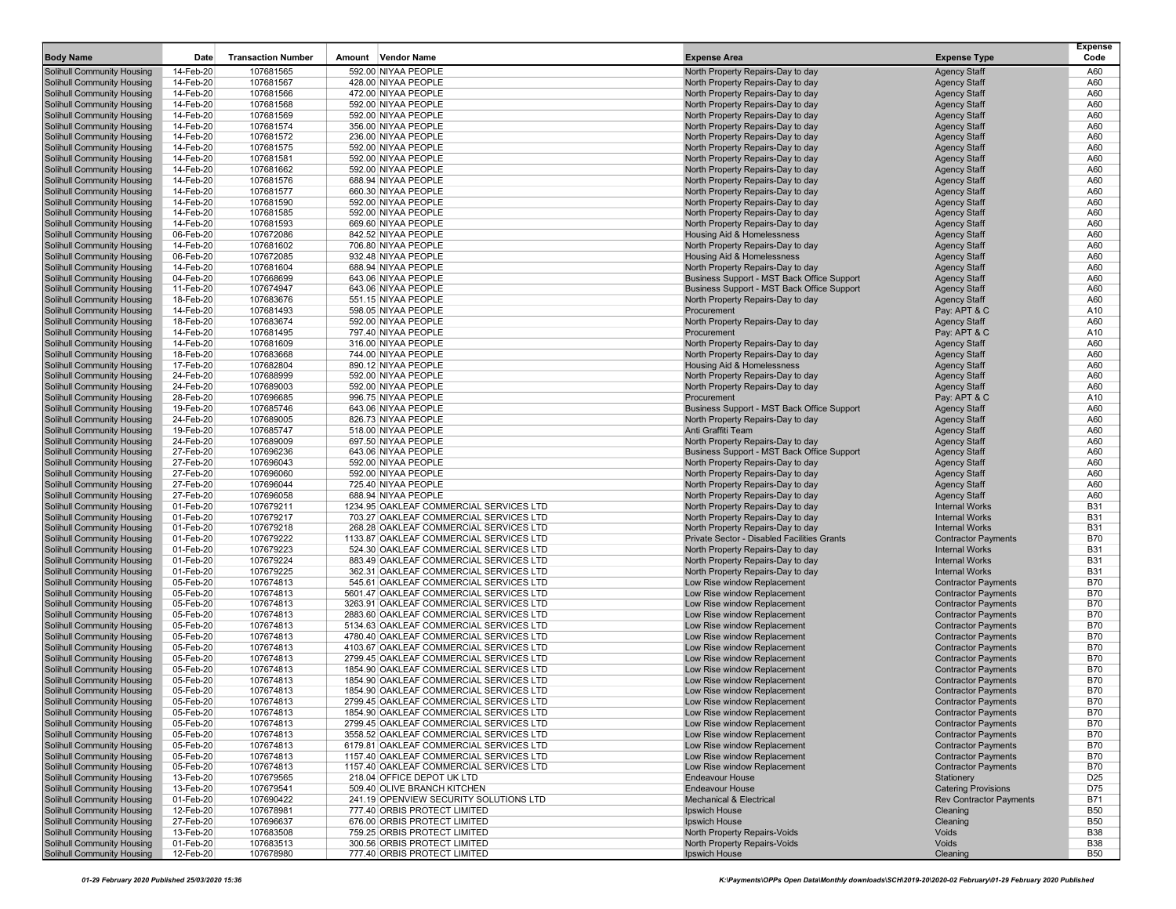| <b>Body Name</b>                                                       | Date                   | <b>Transaction Number</b> | <b>Vendor Name</b><br>Amount                                                       | <b>Expense Area</b>                                                        | <b>Expense Type</b>                                      | <b>Expense</b><br>Code   |
|------------------------------------------------------------------------|------------------------|---------------------------|------------------------------------------------------------------------------------|----------------------------------------------------------------------------|----------------------------------------------------------|--------------------------|
| <b>Solihull Community Housing</b>                                      | 14-Feb-20              | 107681565                 | 592.00 NIYAA PEOPLE                                                                | North Property Repairs-Day to day                                          | <b>Agency Staff</b>                                      | A60                      |
| Solihull Community Housing                                             | 14-Feb-20              | 107681567                 | 428.00 NIYAA PEOPLE                                                                | North Property Repairs-Day to day                                          | <b>Agency Staff</b>                                      | A60                      |
| Solihull Community Housing                                             | 14-Feb-20              | 107681566                 | 472.00 NIYAA PEOPLE                                                                | North Property Repairs-Day to day                                          | <b>Agency Staff</b>                                      | A60                      |
| <b>Solihull Community Housing</b>                                      | 14-Feb-20              | 107681568                 | 592.00 NIYAA PEOPLE                                                                | North Property Repairs-Day to day                                          | <b>Agency Staff</b>                                      | A60                      |
| Solihull Community Housing                                             | 14-Feb-20              | 107681569                 | 592.00 NIYAA PEOPLE                                                                | North Property Repairs-Day to day                                          | <b>Agency Staff</b>                                      | A60                      |
| <b>Solihull Community Housing</b>                                      | 14-Feb-20              | 107681574                 | 356.00 NIYAA PEOPLE                                                                | North Property Repairs-Day to day                                          | <b>Agency Staff</b>                                      | A60                      |
| <b>Solihull Community Housing</b><br><b>Solihull Community Housing</b> | 14-Feb-20<br>14-Feb-20 | 107681572<br>107681575    | 236.00 NIYAA PEOPLE<br>592.00 NIYAA PEOPLE                                         | North Property Repairs-Day to day<br>North Property Repairs-Day to day     | <b>Agency Staff</b><br><b>Agency Staff</b>               | A60<br>A60               |
| <b>Solihull Community Housing</b>                                      | 14-Feb-20              | 107681581                 | 592.00 NIYAA PEOPLE                                                                | North Property Repairs-Day to day                                          | <b>Agency Staff</b>                                      | A60                      |
| Solihull Community Housing                                             | 14-Feb-20              | 107681662                 | 592.00 NIYAA PEOPLE                                                                | North Property Repairs-Day to day                                          | <b>Agency Staff</b>                                      | A60                      |
| <b>Solihull Community Housing</b>                                      | 14-Feb-20              | 107681576                 | 688.94 NIYAA PEOPLE                                                                | North Property Repairs-Day to day                                          | <b>Agency Staff</b>                                      | A60                      |
| Solihull Community Housing                                             | 14-Feb-20              | 107681577                 | 660.30 NIYAA PEOPLE                                                                | North Property Repairs-Day to day                                          | <b>Agency Staff</b>                                      | A60                      |
| <b>Solihull Community Housing</b>                                      | 14-Feb-20              | 107681590                 | 592.00 NIYAA PEOPLE                                                                | North Property Repairs-Day to day                                          | <b>Agency Staff</b>                                      | A60                      |
| <b>Solihull Community Housing</b>                                      | 14-Feb-20              | 107681585                 | 592.00 NIYAA PEOPLE                                                                | North Property Repairs-Day to day                                          | <b>Agency Staff</b>                                      | A60                      |
| <b>Solihull Community Housing</b>                                      | 14-Feb-20              | 107681593                 | 669.60 NIYAA PEOPLE                                                                | North Property Repairs-Day to day                                          | <b>Agency Staff</b>                                      | A60                      |
| <b>Solihull Community Housing</b>                                      | 06-Feb-20              | 107672086                 | 842.52 NIYAA PEOPLE                                                                | Housing Aid & Homelessness                                                 | <b>Agency Staff</b>                                      | A60                      |
| Solihull Community Housing<br><b>Solihull Community Housing</b>        | 14-Feb-20<br>06-Feb-20 | 107681602<br>107672085    | 706.80 NIYAA PEOPLE<br>932.48 NIYAA PEOPLE                                         | North Property Repairs-Day to day<br><b>Housing Aid &amp; Homelessness</b> | <b>Agency Staff</b><br><b>Agency Staff</b>               | A60<br>A60               |
| Solihull Community Housing                                             | 14-Feb-20              | 107681604                 | 688.94 NIYAA PEOPLE                                                                | North Property Repairs-Day to day                                          | <b>Agency Staff</b>                                      | A60                      |
| <b>Solihull Community Housing</b>                                      | 04-Feb-20              | 107668699                 | 643.06 NIYAA PEOPLE                                                                | Business Support - MST Back Office Support                                 | <b>Agency Staff</b>                                      | A60                      |
| Solihull Community Housing                                             | 11-Feb-20              | 107674947                 | 643.06 NIYAA PEOPLE                                                                | Business Support - MST Back Office Support                                 | <b>Agency Staff</b>                                      | A60                      |
| <b>Solihull Community Housing</b>                                      | 18-Feb-20              | 107683676                 | 551.15 NIYAA PEOPLE                                                                | North Property Repairs-Day to day                                          | <b>Agency Staff</b>                                      | A60                      |
| <b>Solihull Community Housing</b>                                      | 14-Feb-20              | 107681493                 | 598.05 NIYAA PEOPLE                                                                | Procurement                                                                | Pay: APT & C                                             | A10                      |
| <b>Solihull Community Housing</b>                                      | 18-Feb-20              | 107683674                 | 592.00 NIYAA PEOPLE                                                                | North Property Repairs-Day to day                                          | <b>Agency Staff</b>                                      | A60                      |
| <b>Solihull Community Housing</b>                                      | 14-Feb-20              | 107681495                 | 797.40 NIYAA PEOPLE                                                                | Procurement                                                                | Pay: APT & C                                             | A10                      |
| Solihull Community Housing                                             | 14-Feb-20              | 107681609                 | 316.00 NIYAA PEOPLE                                                                | North Property Repairs-Day to day                                          | <b>Agency Staff</b>                                      | A60                      |
| <b>Solihull Community Housing</b>                                      | 18-Feb-20              | 107683668                 | 744.00 NIYAA PEOPLE<br>890.12 NIYAA PEOPLE                                         | North Property Repairs-Day to day<br><b>Housing Aid &amp; Homelessness</b> | <b>Agency Staff</b>                                      | A60                      |
| Solihull Community Housing<br><b>Solihull Community Housing</b>        | 17-Feb-20<br>24-Feb-20 | 107682804<br>107688999    | 592.00 NIYAA PEOPLE                                                                | North Property Repairs-Day to day                                          | <b>Agency Staff</b><br><b>Agency Staff</b>               | A60<br>A60               |
| Solihull Community Housing                                             | 24-Feb-20              | 107689003                 | 592.00 NIYAA PEOPLE                                                                | North Property Repairs-Day to day                                          | <b>Agency Staff</b>                                      | A60                      |
| <b>Solihull Community Housing</b>                                      | 28-Feb-20              | 107696685                 | 996.75 NIYAA PEOPLE                                                                | Procurement                                                                | Pay: APT & C                                             | A10                      |
| Solihull Community Housing                                             | 19-Feb-20              | 107685746                 | 643.06 NIYAA PEOPLE                                                                | Business Support - MST Back Office Support                                 | <b>Agency Staff</b>                                      | A60                      |
| Solihull Community Housing                                             | 24-Feb-20              | 107689005                 | 826.73 NIYAA PEOPLE                                                                | North Property Repairs-Day to day                                          | <b>Agency Staff</b>                                      | A60                      |
| <b>Solihull Community Housing</b>                                      | 19-Feb-20              | 107685747                 | 518.00 NIYAA PEOPLE                                                                | Anti Graffiti Team                                                         | <b>Agency Staff</b>                                      | A60                      |
| Solihull Community Housing                                             | 24-Feb-20              | 107689009                 | 697.50 NIYAA PEOPLE                                                                | North Property Repairs-Day to day                                          | <b>Agency Staff</b>                                      | A60                      |
| <b>Solihull Community Housing</b>                                      | 27-Feb-20              | 107696236                 | 643.06 NIYAA PEOPLE                                                                | Business Support - MST Back Office Support                                 | <b>Agency Staff</b>                                      | A60                      |
| Solihull Community Housing                                             | 27-Feb-20              | 107696043                 | 592.00 NIYAA PEOPLE                                                                | North Property Repairs-Day to day                                          | <b>Agency Staff</b>                                      | A60                      |
| <b>Solihull Community Housing</b><br><b>Solihull Community Housing</b> | 27-Feb-20<br>27-Feb-20 | 107696060<br>107696044    | 592.00 NIYAA PEOPLE<br>725.40 NIYAA PEOPLE                                         | North Property Repairs-Day to day<br>North Property Repairs-Day to day     | <b>Agency Staff</b><br><b>Agency Staff</b>               | A60<br>A60               |
| <b>Solihull Community Housing</b>                                      | 27-Feb-20              | 107696058                 | 688.94 NIYAA PEOPLE                                                                | North Property Repairs-Day to day                                          | <b>Agency Staff</b>                                      | A60                      |
| Solihull Community Housing                                             | 01-Feb-20              | 107679211                 | 1234.95 OAKLEAF COMMERCIAL SERVICES LTD                                            | North Property Repairs-Day to day                                          | <b>Internal Works</b>                                    | <b>B31</b>               |
| Solihull Community Housing                                             | 01-Feb-20              | 107679217                 | 703.27 OAKLEAF COMMERCIAL SERVICES LTD                                             | North Property Repairs-Day to day                                          | <b>Internal Works</b>                                    | <b>B31</b>               |
| <b>Solihull Community Housing</b>                                      | 01-Feb-20              | 107679218                 | 268.28 OAKLEAF COMMERCIAL SERVICES LTD                                             | North Property Repairs-Day to day                                          | <b>Internal Works</b>                                    | <b>B31</b>               |
| Solihull Community Housing                                             | 01-Feb-20              | 107679222                 | 1133.87 OAKLEAF COMMERCIAL SERVICES LTD                                            | Private Sector - Disabled Facilities Grants                                | <b>Contractor Payments</b>                               | <b>B70</b>               |
| <b>Solihull Community Housing</b>                                      | 01-Feb-20              | 107679223                 | 524.30 OAKLEAF COMMERCIAL SERVICES LTD                                             | North Property Repairs-Day to day                                          | <b>Internal Works</b>                                    | <b>B31</b>               |
| Solihull Community Housing                                             | 01-Feb-20              | 107679224                 | 883.49 OAKLEAF COMMERCIAL SERVICES LTD                                             | North Property Repairs-Day to day                                          | <b>Internal Works</b>                                    | <b>B31</b>               |
| <b>Solihull Community Housing</b>                                      | 01-Feb-20              | 107679225                 | 362.31 OAKLEAF COMMERCIAL SERVICES LTD                                             | North Property Repairs-Day to day                                          | <b>Internal Works</b>                                    | <b>B31</b>               |
| Solihull Community Housing<br><b>Solihull Community Housing</b>        | 05-Feb-20<br>05-Feb-20 | 107674813<br>107674813    | 545.61 OAKLEAF COMMERCIAL SERVICES LTD<br>5601.47 OAKLEAF COMMERCIAL SERVICES LTD  | Low Rise window Replacement<br>Low Rise window Replacement                 | <b>Contractor Payments</b><br><b>Contractor Payments</b> | <b>B70</b><br><b>B70</b> |
| <b>Solihull Community Housing</b>                                      | 05-Feb-20              | 107674813                 | 3263.91 OAKLEAF COMMERCIAL SERVICES LTD                                            | Low Rise window Replacement                                                | <b>Contractor Payments</b>                               | <b>B70</b>               |
| Solihull Community Housing                                             | 05-Feb-20              | 107674813                 | 2883.60 OAKLEAF COMMERCIAL SERVICES LTD                                            | Low Rise window Replacement                                                | <b>Contractor Payments</b>                               | <b>B70</b>               |
| <b>Solihull Community Housing</b>                                      | 05-Feb-20              | 107674813                 | 5134.63 OAKLEAF COMMERCIAL SERVICES LTD                                            | Low Rise window Replacement                                                | <b>Contractor Payments</b>                               | <b>B70</b>               |
| Solihull Community Housing                                             | 05-Feb-20              | 107674813                 | 4780.40 OAKLEAF COMMERCIAL SERVICES LTD                                            | Low Rise window Replacement                                                | <b>Contractor Payments</b>                               | <b>B70</b>               |
| <b>Solihull Community Housing</b>                                      | 05-Feb-20              | 107674813                 | 4103.67 OAKLEAF COMMERCIAL SERVICES LTD                                            | Low Rise window Replacement                                                | <b>Contractor Payments</b>                               | <b>B70</b>               |
| Solihull Community Housing                                             | 05-Feb-20              | 107674813                 | 2799.45 OAKLEAF COMMERCIAL SERVICES LTD                                            | Low Rise window Replacement                                                | <b>Contractor Payments</b>                               | <b>B70</b>               |
| <b>Solihull Community Housing</b>                                      | 05-Feb-20              | 107674813                 | 1854.90 OAKLEAF COMMERCIAL SERVICES LTD                                            | Low Rise window Replacement                                                | <b>Contractor Payments</b>                               | <b>B70</b>               |
| <b>Solihull Community Housing</b>                                      | 05-Feb-20              | 107674813                 | 1854.90 OAKLEAF COMMERCIAL SERVICES LTD                                            | Low Rise window Replacement                                                | <b>Contractor Payments</b>                               | <b>B70</b><br><b>B70</b> |
| <b>Solihull Community Housing</b><br><b>Solihull Community Housing</b> | 05-Feb-20<br>05-Feb-20 | 107674813<br>107674813    | 1854.90 OAKLEAF COMMERCIAL SERVICES LTD<br>2799.45 OAKLEAF COMMERCIAL SERVICES LTD | Low Rise window Replacement<br>Low Rise window Replacement                 | <b>Contractor Payments</b><br><b>Contractor Payments</b> | <b>B70</b>               |
| <b>Solihull Community Housing</b>                                      | 05-Feb-20              | 107674813                 | 1854.90 OAKLEAF COMMERCIAL SERVICES LTD                                            | Low Rise window Replacement                                                | <b>Contractor Payments</b>                               | <b>B70</b>               |
| <b>Solihull Community Housing</b>                                      | 05-Feb-20              | 107674813                 | 2799.45 OAKLEAF COMMERCIAL SERVICES LTD                                            | Low Rise window Replacement                                                | <b>Contractor Payments</b>                               | <b>B70</b>               |
| Solihull Community Housing                                             | 05-Feb-20              | 107674813                 | 3558.52 OAKLEAF COMMERCIAL SERVICES LTD                                            | Low Rise window Replacement                                                | <b>Contractor Payments</b>                               | <b>B70</b>               |
| <b>Solihull Community Housing</b>                                      | 05-Feb-20              | 107674813                 | 6179.81 OAKLEAF COMMERCIAL SERVICES LTD                                            | Low Rise window Replacement                                                | <b>Contractor Payments</b>                               | <b>B70</b>               |
| <b>Solihull Community Housing</b>                                      | 05-Feb-20              | 107674813                 | 1157.40 OAKLEAF COMMERCIAL SERVICES LTD                                            | Low Rise window Replacement                                                | <b>Contractor Payments</b>                               | <b>B70</b>               |
| Solihull Community Housing                                             | 05-Feb-20              | 107674813                 | 1157.40 OAKLEAF COMMERCIAL SERVICES LTD                                            | Low Rise window Replacement                                                | <b>Contractor Payments</b>                               | <b>B70</b>               |
| Solihull Community Housing                                             | 13-Feb-20              | 107679565                 | 218.04 OFFICE DEPOT UK LTD                                                         | <b>Endeavour House</b>                                                     | Stationery                                               | D <sub>25</sub>          |
| <b>Solihull Community Housing</b>                                      | 13-Feb-20              | 107679541                 | 509.40 OLIVE BRANCH KITCHEN                                                        | <b>Endeavour House</b>                                                     | <b>Catering Provisions</b>                               | D75                      |
| Solihull Community Housing                                             | 01-Feb-20              | 107690422                 | 241.19 OPENVIEW SECURITY SOLUTIONS LTD                                             | <b>Mechanical &amp; Electrical</b>                                         | <b>Rev Contractor Payments</b>                           | <b>B71</b>               |
| <b>Solihull Community Housing</b><br>Solihull Community Housing        | 12-Feb-20              | 107678981                 | 777.40 ORBIS PROTECT LIMITED<br>676.00 ORBIS PROTECT LIMITED                       | Ipswich House<br>Ipswich House                                             | Cleaning                                                 | <b>B50</b><br><b>B50</b> |
| Solihull Community Housing                                             | 27-Feb-20<br>13-Feb-20 | 107696637<br>107683508    | 759.25 ORBIS PROTECT LIMITED                                                       | North Property Repairs-Voids                                               | Cleaning<br>Voids                                        | <b>B38</b>               |
| Solihull Community Housing                                             | 01-Feb-20              | 107683513                 | 300.56 ORBIS PROTECT LIMITED                                                       | North Property Repairs-Voids                                               | Voids                                                    | <b>B38</b>               |
| <b>Solihull Community Housing</b>                                      | 12-Feb-20              | 107678980                 | 777.40 ORBIS PROTECT LIMITED                                                       | <b>Ipswich House</b>                                                       | Cleaning                                                 | <b>B50</b>               |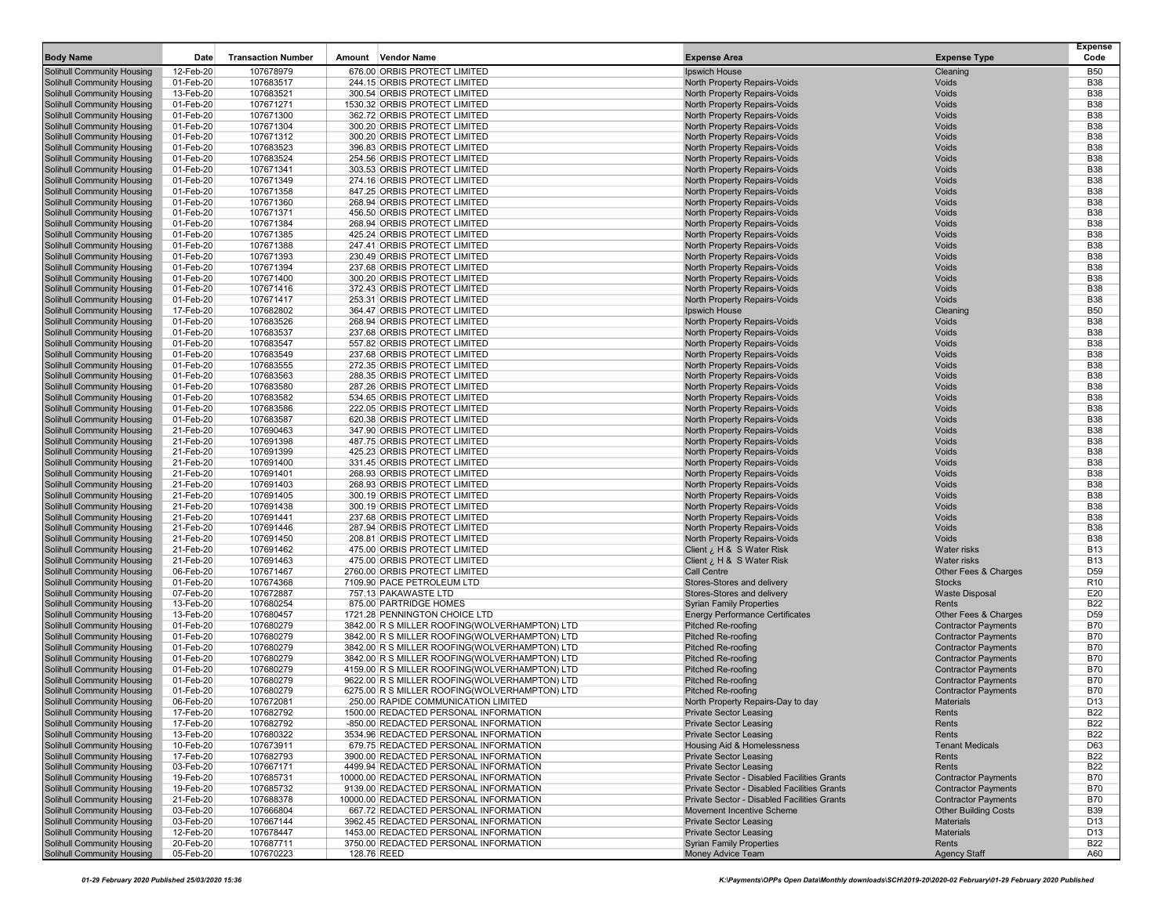| <b>Body Name</b>                                                       | Date                   | <b>Transaction Number</b> | Amount<br>Vendor Name                                                                          | <b>Expense Area</b>                                              | <b>Expense Type</b>                                      | <b>Expense</b><br>Code        |
|------------------------------------------------------------------------|------------------------|---------------------------|------------------------------------------------------------------------------------------------|------------------------------------------------------------------|----------------------------------------------------------|-------------------------------|
| Solihull Community Housing                                             | 12-Feb-20              | 107678979                 | 676.00 ORBIS PROTECT LIMITED                                                                   | Ipswich House                                                    | Cleaning                                                 | <b>B50</b>                    |
| Solihull Community Housing                                             | 01-Feb-20              | 107683517                 | 244.15 ORBIS PROTECT LIMITED                                                                   | North Property Repairs-Voids                                     | Voids                                                    | <b>B38</b>                    |
| Solihull Community Housing                                             | 13-Feb-20              | 107683521                 | 300.54 ORBIS PROTECT LIMITED                                                                   | North Property Repairs-Voids                                     | Voids                                                    | <b>B38</b>                    |
| <b>Solihull Community Housing</b>                                      | 01-Feb-20              | 107671271                 | 1530.32 ORBIS PROTECT LIMITED                                                                  | North Property Repairs-Voids                                     | Voids                                                    | <b>B38</b>                    |
| Solihull Community Housing                                             | 01-Feb-20              | 107671300                 | 362.72 ORBIS PROTECT LIMITED                                                                   | North Property Repairs-Voids                                     | Voids                                                    | <b>B38</b>                    |
| <b>Solihull Community Housing</b>                                      | 01-Feb-20              | 107671304                 | 300.20 ORBIS PROTECT LIMITED                                                                   | North Property Repairs-Voids                                     | Voids                                                    | <b>B38</b>                    |
| Solihull Community Housing                                             | 01-Feb-20              | 107671312                 | 300.20 ORBIS PROTECT LIMITED                                                                   | North Property Repairs-Voids                                     | Voids<br>Voids                                           | <b>B38</b><br><b>B38</b>      |
| Solihull Community Housing<br>Solihull Community Housing               | 01-Feb-20<br>01-Feb-20 | 107683523<br>107683524    | 396.83 ORBIS PROTECT LIMITED<br>254.56 ORBIS PROTECT LIMITED                                   | North Property Repairs-Voids<br>North Property Repairs-Voids     | Voids                                                    | <b>B38</b>                    |
| Solihull Community Housing                                             | 01-Feb-20              | 107671341                 | 303.53 ORBIS PROTECT LIMITED                                                                   | North Property Repairs-Voids                                     | Voids                                                    | <b>B38</b>                    |
| <b>Solihull Community Housing</b>                                      | 01-Feb-20              | 107671349                 | 274.16 ORBIS PROTECT LIMITED                                                                   | North Property Repairs-Voids                                     | Voids                                                    | <b>B38</b>                    |
| <b>Solihull Community Housing</b>                                      | 01-Feb-20              | 107671358                 | 847.25 ORBIS PROTECT LIMITED                                                                   | North Property Repairs-Voids                                     | Voids                                                    | <b>B38</b>                    |
| <b>Solihull Community Housing</b>                                      | 01-Feb-20              | 107671360                 | 268.94 ORBIS PROTECT LIMITED                                                                   | North Property Repairs-Voids                                     | Voids                                                    | <b>B38</b>                    |
| Solihull Community Housing                                             | 01-Feb-20              | 107671371                 | 456.50 ORBIS PROTECT LIMITED                                                                   | North Property Repairs-Voids                                     | Voids                                                    | <b>B38</b>                    |
| <b>Solihull Community Housing</b>                                      | 01-Feb-20              | 107671384                 | 268.94 ORBIS PROTECT LIMITED                                                                   | North Property Repairs-Voids                                     | Voids                                                    | <b>B38</b>                    |
| Solihull Community Housing<br>Solihull Community Housing               | 01-Feb-20<br>01-Feb-20 | 107671385<br>107671388    | 425.24 ORBIS PROTECT LIMITED<br>247.41 ORBIS PROTECT LIMITED                                   | North Property Repairs-Voids<br>North Property Repairs-Voids     | Voids<br>Voids                                           | <b>B38</b><br><b>B38</b>      |
| Solihull Community Housing                                             | 01-Feb-20              | 107671393                 | 230.49 ORBIS PROTECT LIMITED                                                                   | North Property Repairs-Voids                                     | Voids                                                    | <b>B38</b>                    |
| Solihull Community Housing                                             | 01-Feb-20              | 107671394                 | 237.68 ORBIS PROTECT LIMITED                                                                   | North Property Repairs-Voids                                     | Voids                                                    | <b>B38</b>                    |
| <b>Solihull Community Housing</b>                                      | 01-Feb-20              | 107671400                 | 300.20 ORBIS PROTECT LIMITED                                                                   | North Property Repairs-Voids                                     | Voids                                                    | <b>B38</b>                    |
| Solihull Community Housing                                             | 01-Feb-20              | 107671416                 | 372.43 ORBIS PROTECT LIMITED                                                                   | North Property Repairs-Voids                                     | Voids                                                    | <b>B38</b>                    |
| <b>Solihull Community Housing</b>                                      | 01-Feb-20              | 107671417                 | 253.31 ORBIS PROTECT LIMITED                                                                   | North Property Repairs-Voids                                     | Voids                                                    | <b>B38</b>                    |
| Solihull Community Housing                                             | 17-Feb-20              | 107682802                 | 364.47 ORBIS PROTECT LIMITED                                                                   | Ipswich House                                                    | Cleaning                                                 | <b>B50</b>                    |
| Solihull Community Housing                                             | 01-Feb-20              | 107683526                 | 268.94 ORBIS PROTECT LIMITED                                                                   | North Property Repairs-Voids                                     | Voids                                                    | <b>B38</b>                    |
| Solihull Community Housing                                             | 01-Feb-20              | 107683537                 | 237.68 ORBIS PROTECT LIMITED                                                                   | North Property Repairs-Voids                                     | Voids                                                    | <b>B38</b>                    |
| Solihull Community Housing<br><b>Solihull Community Housing</b>        | 01-Feb-20<br>01-Feb-20 | 107683547<br>107683549    | 557.82 ORBIS PROTECT LIMITED<br>237.68 ORBIS PROTECT LIMITED                                   | North Property Repairs-Voids<br>North Property Repairs-Voids     | Voids<br>Voids                                           | <b>B38</b><br><b>B38</b>      |
| Solihull Community Housing                                             | 01-Feb-20              | 107683555                 | 272.35 ORBIS PROTECT LIMITED                                                                   | North Property Repairs-Voids                                     | Voids                                                    | <b>B38</b>                    |
| <b>Solihull Community Housing</b>                                      | 01-Feb-20              | 107683563                 | 288.35 ORBIS PROTECT LIMITED                                                                   | North Property Repairs-Voids                                     | Voids                                                    | <b>B38</b>                    |
| Solihull Community Housing                                             | 01-Feb-20              | 107683580                 | 287.26 ORBIS PROTECT LIMITED                                                                   | North Property Repairs-Voids                                     | Voids                                                    | <b>B38</b>                    |
| <b>Solihull Community Housing</b>                                      | 01-Feb-20              | 107683582                 | 534.65 ORBIS PROTECT LIMITED                                                                   | <b>North Property Repairs-Voids</b>                              | Voids                                                    | <b>B38</b>                    |
| Solihull Community Housing                                             | 01-Feb-20              | 107683586                 | 222.05 ORBIS PROTECT LIMITED                                                                   | North Property Repairs-Voids                                     | Voids                                                    | <b>B38</b>                    |
| Solihull Community Housing                                             | 01-Feb-20              | 107683587                 | 620.38 ORBIS PROTECT LIMITED                                                                   | North Property Repairs-Voids                                     | Voids                                                    | <b>B38</b>                    |
| <b>Solihull Community Housing</b>                                      | 21-Feb-20              | 107690463                 | 347.90 ORBIS PROTECT LIMITED                                                                   | North Property Repairs-Voids                                     | Voids                                                    | <b>B38</b>                    |
| Solihull Community Housing                                             | 21-Feb-20<br>21-Feb-20 | 107691398                 | 487.75 ORBIS PROTECT LIMITED<br>425.23 ORBIS PROTECT LIMITED                                   | North Property Repairs-Voids                                     | Voids<br>Voids                                           | <b>B38</b><br><b>B38</b>      |
| <b>Solihull Community Housing</b><br>Solihull Community Housing        | 21-Feb-20              | 107691399<br>107691400    | 331.45 ORBIS PROTECT LIMITED                                                                   | North Property Repairs-Voids<br>North Property Repairs-Voids     | Voids                                                    | <b>B38</b>                    |
| <b>Solihull Community Housing</b>                                      | 21-Feb-20              | 107691401                 | 268.93 ORBIS PROTECT LIMITED                                                                   | <b>North Property Repairs-Voids</b>                              | Voids                                                    | <b>B38</b>                    |
| Solihull Community Housing                                             | 21-Feb-20              | 107691403                 | 268.93 ORBIS PROTECT LIMITED                                                                   | <b>North Property Repairs-Voids</b>                              | Voids                                                    | <b>B38</b>                    |
| Solihull Community Housing                                             | 21-Feb-20              | 107691405                 | 300.19 ORBIS PROTECT LIMITED                                                                   | North Property Repairs-Voids                                     | Voids                                                    | <b>B38</b>                    |
| Solihull Community Housing                                             | 21-Feb-20              | 107691438                 | 300.19 ORBIS PROTECT LIMITED                                                                   | North Property Repairs-Voids                                     | Voids                                                    | <b>B38</b>                    |
| Solihull Community Housing                                             | 21-Feb-20              | 107691441                 | 237.68 ORBIS PROTECT LIMITED                                                                   | North Property Repairs-Voids                                     | Voids                                                    | <b>B38</b>                    |
| <b>Solihull Community Housing</b>                                      | 21-Feb-20              | 107691446                 | 287.94 ORBIS PROTECT LIMITED                                                                   | North Property Repairs-Voids                                     | Voids<br>Voids                                           | <b>B38</b><br><b>B38</b>      |
| Solihull Community Housing<br><b>Solihull Community Housing</b>        | 21-Feb-20<br>21-Feb-20 | 107691450<br>107691462    | 208.81 ORBIS PROTECT LIMITED<br>475.00 ORBIS PROTECT LIMITED                                   | North Property Repairs-Voids<br>Client ¿ H & S Water Risk        | <b>Water risks</b>                                       | <b>B13</b>                    |
| Solihull Community Housing                                             | 21-Feb-20              | 107691463                 | 475.00 ORBIS PROTECT LIMITED                                                                   | Client ¿ H & S Water Risk                                        | <b>Water risks</b>                                       | <b>B13</b>                    |
| <b>Solihull Community Housing</b>                                      | 06-Feb-20              | 107671467                 | 2760.00 ORBIS PROTECT LIMITED                                                                  | <b>Call Centre</b>                                               | Other Fees & Charges                                     | D <sub>59</sub>               |
| Solihull Community Housing                                             | 01-Feb-20              | 107674368                 | 7109.90 PACE PETROLEUM LTD                                                                     | Stores-Stores and delivery                                       | Stocks                                                   | R <sub>10</sub>               |
| Solihull Community Housing                                             | 07-Feb-20              | 107672887                 | 757.13 PAKAWASTE LTD                                                                           | Stores-Stores and delivery                                       | <b>Waste Disposal</b>                                    | E20                           |
| Solihull Community Housing                                             | 13-Feb-20              | 107680254                 | 875.00 PARTRIDGE HOMES                                                                         | <b>Syrian Family Properties</b>                                  | Rents                                                    | <b>B22</b>                    |
| Solihull Community Housing                                             | 13-Feb-20              | 107680457                 | 1721.28 PENNINGTON CHOICE LTD                                                                  | <b>Energy Performance Certificates</b>                           | Other Fees & Charges                                     | D59                           |
| <b>Solihull Community Housing</b>                                      | 01-Feb-20<br>01-Feb-20 | 107680279                 | 3842.00 R S MILLER ROOFING(WOLVERHAMPTON) LTD<br>3842.00 R S MILLER ROOFING(WOLVERHAMPTON) LTD | Pitched Re-roofing<br><b>Pitched Re-roofing</b>                  | <b>Contractor Payments</b><br><b>Contractor Payments</b> | <b>B70</b><br><b>B70</b>      |
| Solihull Community Housing<br><b>Solihull Community Housing</b>        | 01-Feb-20              | 107680279<br>107680279    | 3842.00 R S MILLER ROOFING(WOLVERHAMPTON) LTD                                                  | <b>Pitched Re-roofing</b>                                        | <b>Contractor Payments</b>                               | <b>B70</b>                    |
| Solihull Community Housing                                             | 01-Feb-20              | 107680279                 | 3842.00 R S MILLER ROOFING(WOLVERHAMPTON) LTD                                                  | <b>Pitched Re-roofing</b>                                        | <b>Contractor Payments</b>                               | <b>B70</b>                    |
| <b>Solihull Community Housing</b>                                      | 01-Feb-20              | 107680279                 | 4159.00 R S MILLER ROOFING(WOLVERHAMPTON) LTD                                                  | Pitched Re-roofing                                               | <b>Contractor Payments</b>                               | <b>B70</b>                    |
| Solihull Community Housing                                             | 01-Feb-20              | 107680279                 | 9622.00 R S MILLER ROOFING(WOLVERHAMPTON) LTD                                                  | Pitched Re-roofing                                               | <b>Contractor Payments</b>                               | <b>B70</b>                    |
| <b>Solihull Community Housing</b>                                      | 01-Feb-20              | 107680279                 | 6275.00 R S MILLER ROOFING(WOLVERHAMPTON) LTD                                                  | Pitched Re-roofing                                               | <b>Contractor Payments</b>                               | <b>B70</b>                    |
| <b>Solihull Community Housing</b>                                      | 06-Feb-20              | 107672081                 | 250.00 RAPIDE COMMUNICATION LIMITED                                                            | North Property Repairs-Day to day                                | <b>Materials</b>                                         | D13                           |
| <b>Solihull Community Housing</b>                                      | 17-Feb-20              | 107682792                 | 1500.00 REDACTED PERSONAL INFORMATION                                                          | <b>Private Sector Leasing</b>                                    | Rents                                                    | <b>B22</b>                    |
| Solihull Community Housing<br><b>Solihull Community Housing</b>        | 17-Feb-20<br>13-Feb-20 | 107682792<br>107680322    | -850.00 REDACTED PERSONAL INFORMATION<br>3534.96 REDACTED PERSONAL INFORMATION                 | <b>Private Sector Leasing</b><br><b>Private Sector Leasing</b>   | Rents<br>Rents                                           | <b>B22</b><br><b>B22</b>      |
| <b>Solihull Community Housing</b>                                      | 10-Feb-20              | 107673911                 | 679.75 REDACTED PERSONAL INFORMATION                                                           | Housing Aid & Homelessness                                       | <b>Tenant Medicals</b>                                   | D63                           |
| <b>Solihull Community Housing</b>                                      | 17-Feb-20              | 107682793                 | 3900.00 REDACTED PERSONAL INFORMATION                                                          | <b>Private Sector Leasing</b>                                    | Rents                                                    | <b>B22</b>                    |
| <b>Solihull Community Housing</b>                                      | 03-Feb-20              | 107667171                 | 4499.94 REDACTED PERSONAL INFORMATION                                                          | <b>Private Sector Leasing</b>                                    | Rents                                                    | <b>B22</b>                    |
| <b>Solihull Community Housing</b>                                      | 19-Feb-20              | 107685731                 | 10000.00 REDACTED PERSONAL INFORMATION                                                         | Private Sector - Disabled Facilities Grants                      | <b>Contractor Payments</b>                               | <b>B70</b>                    |
| <b>Solihull Community Housing</b>                                      | 19-Feb-20              | 107685732                 | 9139.00 REDACTED PERSONAL INFORMATION                                                          | Private Sector - Disabled Facilities Grants                      | <b>Contractor Payments</b>                               | <b>B70</b>                    |
| <b>Solihull Community Housing</b>                                      | 21-Feb-20              | 107688378                 | 10000.00 REDACTED PERSONAL INFORMATION                                                         | Private Sector - Disabled Facilities Grants                      | <b>Contractor Payments</b>                               | <b>B70</b>                    |
| Solihull Community Housing                                             | 03-Feb-20              | 107666804                 | 667.72 REDACTED PERSONAL INFORMATION                                                           | Movement Incentive Scheme                                        | <b>Other Building Costs</b>                              | <b>B39</b>                    |
| Solihull Community Housing                                             | 03-Feb-20              | 107667144                 | 3962.45 REDACTED PERSONAL INFORMATION                                                          | Private Sector Leasing                                           | <b>Materials</b>                                         | D <sub>13</sub>               |
| <b>Solihull Community Housing</b><br><b>Solihull Community Housing</b> | 12-Feb-20<br>20-Feb-20 | 107678447<br>107687711    | 1453.00 REDACTED PERSONAL INFORMATION<br>3750.00 REDACTED PERSONAL INFORMATION                 | <b>Private Sector Leasing</b><br><b>Syrian Family Properties</b> | <b>Materials</b><br>Rents                                | D <sub>13</sub><br><b>B22</b> |
| <b>Solihull Community Housing</b>                                      | 05-Feb-20              | 107670223                 | 128.76 REED                                                                                    | Money Advice Team                                                | <b>Agency Staff</b>                                      | A60                           |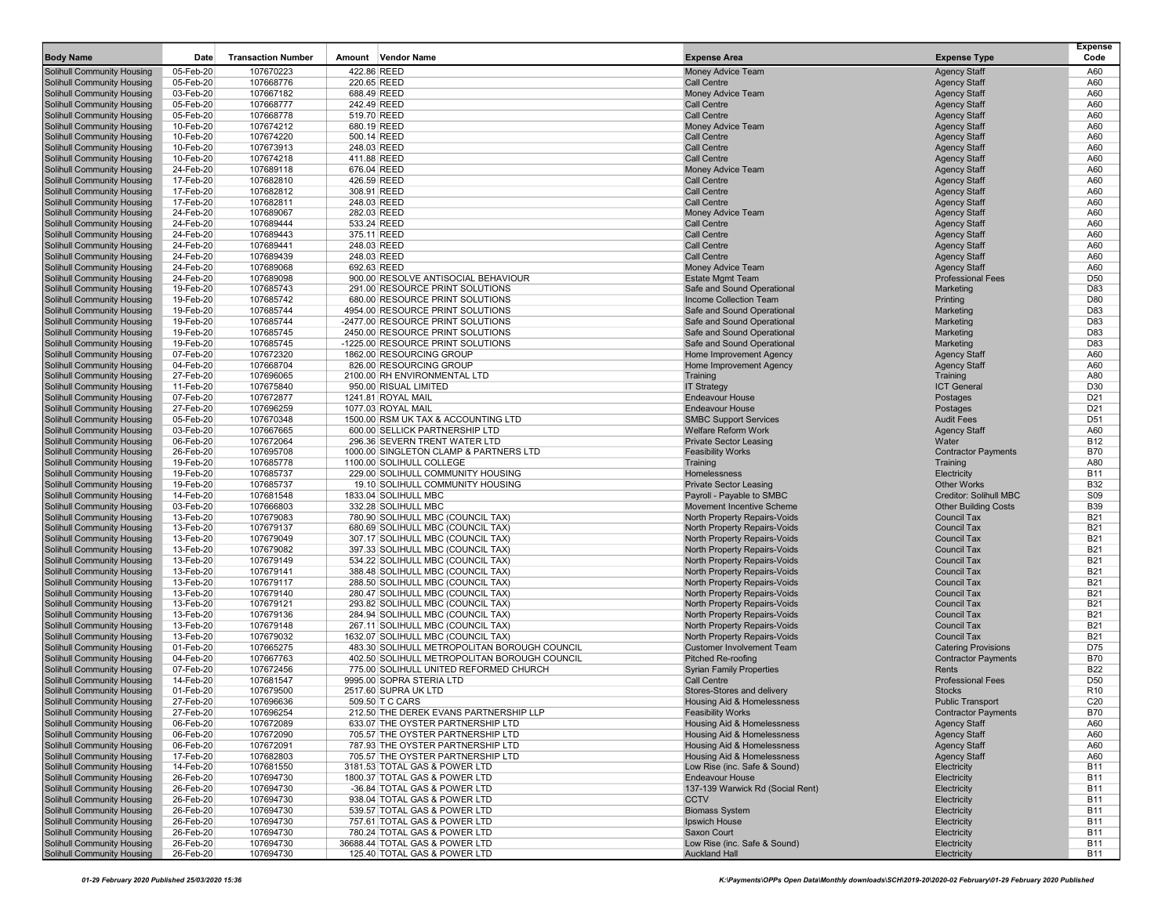| <b>Body Name</b>                                                | Date                   | <b>Transaction Number</b> | Amount<br><b>Vendor Name</b>                                           | <b>Expense Area</b>                                          | <b>Expense Type</b>                        | <b>Expense</b><br>Code   |
|-----------------------------------------------------------------|------------------------|---------------------------|------------------------------------------------------------------------|--------------------------------------------------------------|--------------------------------------------|--------------------------|
| <b>Solihull Community Housing</b>                               | 05-Feb-20              | 107670223                 | 422.86 REED                                                            | Money Advice Team                                            | <b>Agency Staff</b>                        | A60                      |
| Solihull Community Housing                                      | 05-Feb-20              | 107668776                 | 220.65 REED                                                            | Call Centre                                                  | <b>Agency Staff</b>                        | A60                      |
| Solihull Community Housing                                      | 03-Feb-20              | 107667182                 | 688.49 REED                                                            | Money Advice Team                                            | <b>Agency Staff</b>                        | A60                      |
| Solihull Community Housing                                      | 05-Feb-20              | 107668777                 | 242.49 REED                                                            | Call Centre                                                  | <b>Agency Staff</b>                        | A60                      |
| <b>Solihull Community Housing</b>                               | 05-Feb-20              | 107668778                 | 519.70 REED                                                            | Call Centre                                                  | <b>Agency Staff</b>                        | A60                      |
| Solihull Community Housing                                      | 10-Feb-20              | 107674212                 | 680.19 REED                                                            | Money Advice Team                                            | <b>Agency Staff</b>                        | A60                      |
| Solihull Community Housing                                      | 10-Feb-20              | 107674220                 | 500.14 REED                                                            | Call Centre                                                  | <b>Agency Staff</b>                        | A60                      |
| Solihull Community Housing                                      | 10-Feb-20              | 107673913                 | 248.03 REED                                                            | <b>Call Centre</b>                                           | <b>Agency Staff</b>                        | A60                      |
| <b>Solihull Community Housing</b>                               | 10-Feb-20              | 107674218                 | 411.88 REED                                                            | Call Centre                                                  | <b>Agency Staff</b>                        | A60                      |
| Solihull Community Housing                                      | 24-Feb-20              | 107689118                 | 676.04 REED                                                            | Money Advice Team                                            | <b>Agency Staff</b>                        | A60                      |
| Solihull Community Housing                                      | 17-Feb-20              | 107682810                 | 426.59 REED                                                            | Call Centre                                                  | <b>Agency Staff</b>                        | A60                      |
| Solihull Community Housing                                      | 17-Feb-20              | 107682812                 | 308.91 REED                                                            | Call Centre                                                  | <b>Agency Staff</b>                        | A60                      |
| Solihull Community Housing                                      | 17-Feb-20              | 107682811                 | 248.03 REED                                                            | Call Centre                                                  | <b>Agency Staff</b>                        | A60                      |
| <b>Solihull Community Housing</b><br>Solihull Community Housing | 24-Feb-20              | 107689067                 | 282.03 REED<br>533.24 REED                                             | Money Advice Team<br>Call Centre                             | <b>Agency Staff</b>                        | A60<br>A60               |
| Solihull Community Housing                                      | 24-Feb-20<br>24-Feb-20 | 107689444<br>107689443    | 375.11 REED                                                            | Call Centre                                                  | <b>Agency Staff</b><br><b>Agency Staff</b> | A60                      |
| Solihull Community Housing                                      | 24-Feb-20              | 107689441                 | 248.03 REED                                                            | <b>Call Centre</b>                                           | <b>Agency Staff</b>                        | A60                      |
| Solihull Community Housing                                      | 24-Feb-20              | 107689439                 | 248.03 REED                                                            | <b>Call Centre</b>                                           | <b>Agency Staff</b>                        | A60                      |
| Solihull Community Housing                                      | 24-Feb-20              | 107689068                 | 692.63 REED                                                            | Money Advice Team                                            | <b>Agency Staff</b>                        | A60                      |
| Solihull Community Housing                                      | 24-Feb-20              | 107689098                 | 900.00 RESOLVE ANTISOCIAL BEHAVIOUR                                    | <b>Estate Mgmt Team</b>                                      | <b>Professional Fees</b>                   | D <sub>50</sub>          |
| Solihull Community Housing                                      | 19-Feb-20              | 107685743                 | 291.00 RESOURCE PRINT SOLUTIONS                                        | Safe and Sound Operational                                   | Marketing                                  | D83                      |
| Solihull Community Housing                                      | 19-Feb-20              | 107685742                 | 680.00 RESOURCE PRINT SOLUTIONS                                        | Income Collection Team                                       | Printing                                   | D80                      |
| <b>Solihull Community Housing</b>                               | 19-Feb-20              | 107685744                 | 4954.00 RESOURCE PRINT SOLUTIONS                                       | Safe and Sound Operational                                   | Marketing                                  | D83                      |
| Solihull Community Housing                                      | 19-Feb-20              | 107685744                 | -2477.00 RESOURCE PRINT SOLUTIONS                                      | Safe and Sound Operational                                   | Marketing                                  | D83                      |
| Solihull Community Housing                                      | 19-Feb-20              | 107685745                 | 2450.00 RESOURCE PRINT SOLUTIONS                                       | Safe and Sound Operational                                   | Marketing                                  | D83                      |
| Solihull Community Housing                                      | 19-Feb-20              | 107685745                 | -1225.00 RESOURCE PRINT SOLUTIONS                                      | Safe and Sound Operational                                   | Marketing                                  | D83                      |
| Solihull Community Housing                                      | 07-Feb-20              | 107672320                 | 1862.00 RESOURCING GROUP                                               | Home Improvement Agency                                      | <b>Agency Staff</b>                        | A60                      |
| Solihull Community Housing                                      | 04-Feb-20              | 107668704                 | 826.00 RESOURCING GROUP                                                | Home Improvement Agency                                      | <b>Agency Staff</b>                        | A60                      |
| <b>Solihull Community Housing</b>                               | 27-Feb-20              | 107696065                 | 2100.00 RH ENVIRONMENTAL LTD<br>950.00 RISUAL LIMITED                  | Training                                                     | Training                                   | A80                      |
| Solihull Community Housing<br>Solihull Community Housing        | 11-Feb-20<br>07-Feb-20 | 107675840<br>107672877    | 1241.81 ROYAL MAIL                                                     | <b>IT Strategy</b><br><b>Endeavour House</b>                 | <b>ICT General</b><br>Postages             | D30<br>D <sub>21</sub>   |
| <b>Solihull Community Housing</b>                               | 27-Feb-20              | 107696259                 | 1077.03 ROYAL MAIL                                                     | <b>Endeavour House</b>                                       | Postages                                   | D <sub>21</sub>          |
| Solihull Community Housing                                      | 05-Feb-20              | 107670348                 | 1500.00 RSM UK TAX & ACCOUNTING LTD                                    | <b>SMBC Support Services</b>                                 | <b>Audit Fees</b>                          | D <sub>51</sub>          |
| <b>Solihull Community Housing</b>                               | 03-Feb-20              | 107667665                 | 600.00 SELLICK PARTNERSHIP LTD                                         | <b>Welfare Reform Work</b>                                   | <b>Agency Staff</b>                        | A60                      |
| Solihull Community Housing                                      | 06-Feb-20              | 107672064                 | 296.36 SEVERN TRENT WATER LTD                                          | <b>Private Sector Leasing</b>                                | Water                                      | <b>B12</b>               |
| Solihull Community Housing                                      | 26-Feb-20              | 107695708                 | 1000.00 SINGLETON CLAMP & PARTNERS LTD                                 | <b>Feasibility Works</b>                                     | <b>Contractor Payments</b>                 | <b>B70</b>               |
| <b>Solihull Community Housing</b>                               | 19-Feb-20              | 107685778                 | 1100.00 SOLIHULL COLLEGE                                               | Training                                                     | Training                                   | A80                      |
| <b>Solihull Community Housing</b>                               | 19-Feb-20              | 107685737                 | 229.00 SOLIHULL COMMUNITY HOUSING                                      | Homelessness                                                 | Electricity                                | <b>B11</b>               |
| Solihull Community Housing                                      | 19-Feb-20              | 107685737                 | 19.10 SOLIHULL COMMUNITY HOUSING                                       | <b>Private Sector Leasing</b>                                | <b>Other Works</b>                         | <b>B32</b>               |
| Solihull Community Housing                                      | 14-Feb-20              | 107681548                 | 1833.04 SOLIHULL MBC                                                   | Payroll - Payable to SMBC                                    | Creditor: Solihull MBC                     | <b>S09</b>               |
| Solihull Community Housing                                      | 03-Feb-20              | 107666803                 | 332.28 SOLIHULL MBC                                                    | Movement Incentive Scheme                                    | <b>Other Building Costs</b>                | <b>B39</b>               |
| Solihull Community Housing                                      | 13-Feb-20              | 107679083                 | 780.90 SOLIHULL MBC (COUNCIL TAX)                                      | North Property Repairs-Voids                                 | <b>Council Tax</b>                         | B21                      |
| <b>Solihull Community Housing</b>                               | 13-Feb-20<br>13-Feb-20 | 107679137                 | 680.69 SOLIHULL MBC (COUNCIL TAX)                                      | North Property Repairs-Voids                                 | <b>Council Tax</b><br><b>Council Tax</b>   | <b>B21</b><br><b>B21</b> |
| Solihull Community Housing<br>Solihull Community Housing        | 13-Feb-20              | 107679049<br>107679082    | 307.17 SOLIHULL MBC (COUNCIL TAX)<br>397.33 SOLIHULL MBC (COUNCIL TAX) | North Property Repairs-Voids<br>North Property Repairs-Voids | <b>Council Tax</b>                         | <b>B21</b>               |
| Solihull Community Housing                                      | 13-Feb-20              | 107679149                 | 534.22 SOLIHULL MBC (COUNCIL TAX)                                      | North Property Repairs-Voids                                 | <b>Council Tax</b>                         | <b>B21</b>               |
| Solihull Community Housing                                      | 13-Feb-20              | 107679141                 | 388.48 SOLIHULL MBC (COUNCIL TAX)                                      | North Property Repairs-Voids                                 | <b>Council Tax</b>                         | <b>B21</b>               |
| Solihull Community Housing                                      | 13-Feb-20              | 107679117                 | 288.50 SOLIHULL MBC (COUNCIL TAX)                                      | North Property Repairs-Voids                                 | <b>Council Tax</b>                         | <b>B21</b>               |
| Solihull Community Housing                                      | 13-Feb-20              | 107679140                 | 280.47 SOLIHULL MBC (COUNCIL TAX)                                      | North Property Repairs-Voids                                 | <b>Council Tax</b>                         | <b>B21</b>               |
| <b>Solihull Community Housing</b>                               | 13-Feb-20              | 107679121                 | 293.82 SOLIHULL MBC (COUNCIL TAX)                                      | North Property Repairs-Voids                                 | <b>Council Tax</b>                         | <b>B21</b>               |
| Solihull Community Housing                                      | 13-Feb-20              | 107679136                 | 284.94 SOLIHULL MBC (COUNCIL TAX)                                      | North Property Repairs-Voids                                 | <b>Council Tax</b>                         | <b>B21</b>               |
| <b>Solihull Community Housing</b>                               | 13-Feb-20              | 107679148                 | 267.11 SOLIHULL MBC (COUNCIL TAX)                                      | North Property Repairs-Voids                                 | <b>Council Tax</b>                         | <b>B21</b>               |
| <b>Solihull Community Housing</b>                               | 13-Feb-20              | 107679032                 | 1632.07 SOLIHULL MBC (COUNCIL TAX)                                     | North Property Repairs-Voids                                 | <b>Council Tax</b>                         | <b>B21</b>               |
| <b>Solihull Community Housing</b>                               | 01-Feb-20              | 107665275                 | 483.30 SOLIHULL METROPOLITAN BOROUGH COUNCIL                           | <b>Customer Involvement Team</b>                             | <b>Catering Provisions</b>                 | D75                      |
| Solihull Community Housing                                      | 04-Feb-20              | 107667763                 | 402.50 SOLIHULL METROPOLITAN BOROUGH COUNCIL                           | Pitched Re-roofing                                           | <b>Contractor Payments</b>                 | <b>B70</b>               |
| Solihull Community Housing                                      | 07-Feb-20              | 107672456                 | 775.00 SOLIHULL UNITED REFORMED CHURCH                                 | <b>Syrian Family Properties</b><br>Call Centre               | Rents                                      | <b>B22</b><br>D50        |
| Solihull Community Housing<br>Solihull Community Housing        | 14-Feb-20<br>01-Feb-20 | 107681547<br>107679500    | 9995.00 SOPRA STERIA LTD<br>2517.60 SUPRA UK LTD                       | Stores-Stores and delivery                                   | <b>Professional Fees</b><br><b>Stocks</b>  | R <sub>10</sub>          |
| <b>Solihull Community Housing</b>                               | 27-Feb-20              | 107696636                 | 509.50 T C CARS                                                        | Housing Aid & Homelessness                                   | <b>Public Transport</b>                    | C <sub>20</sub>          |
| <b>Solihull Community Housing</b>                               | 27-Feb-20              | 107696254                 | 212.50 THE DEREK EVANS PARTNERSHIP LLP                                 | <b>Feasibility Works</b>                                     | <b>Contractor Payments</b>                 | <b>B70</b>               |
| Solihull Community Housing                                      | 06-Feb-20              | 107672089                 | 633.07 THE OYSTER PARTNERSHIP LTD                                      | <b>Housing Aid &amp; Homelessness</b>                        | <b>Agency Staff</b>                        | A60                      |
| Solihull Community Housing                                      | 06-Feb-20              | 107672090                 | 705.57 THE OYSTER PARTNERSHIP LTD                                      | Housing Aid & Homelessness                                   | <b>Agency Staff</b>                        | A60                      |
| Solihull Community Housing                                      | 06-Feb-20              | 107672091                 | 787.93 THE OYSTER PARTNERSHIP LTD                                      | Housing Aid & Homelessness                                   | <b>Agency Staff</b>                        | A60                      |
| <b>Solihull Community Housing</b>                               | 17-Feb-20              | 107682803                 | 705.57 THE OYSTER PARTNERSHIP LTD                                      | Housing Aid & Homelessness                                   | <b>Agency Staff</b>                        | A60                      |
| Solihull Community Housing                                      | 14-Feb-20              | 107681550                 | 3181.53 TOTAL GAS & POWER LTD                                          | Low Rise (inc. Safe & Sound)                                 | Electricity                                | <b>B11</b>               |
| Solihull Community Housing                                      | 26-Feb-20              | 107694730                 | 1800.37 TOTAL GAS & POWER LTD                                          | <b>Endeavour House</b>                                       | Electricity                                | <b>B11</b>               |
| <b>Solihull Community Housing</b>                               | 26-Feb-20              | 107694730                 | -36.84 TOTAL GAS & POWER LTD                                           | 137-139 Warwick Rd (Social Rent)                             | Electricity                                | <b>B11</b>               |
| Solihull Community Housing                                      | 26-Feb-20              | 107694730                 | 938.04 TOTAL GAS & POWER LTD                                           | <b>CCTV</b>                                                  | Electricity                                | <b>B11</b>               |
| Solihull Community Housing                                      | 26-Feb-20              | 107694730                 | 539.57 TOTAL GAS & POWER LTD                                           | <b>Biomass System</b>                                        | Electricity                                | <b>B11</b>               |
| <b>Solihull Community Housing</b>                               | 26-Feb-20              | 107694730                 | 757.61 TOTAL GAS & POWER LTD                                           | Ipswich House                                                | Electricity                                | <b>B11</b>               |
| Solihull Community Housing                                      | 26-Feb-20              | 107694730                 | 780.24 TOTAL GAS & POWER LTD<br>36688.44 TOTAL GAS & POWER LTD         | Saxon Court                                                  | Electricity                                | <b>B11</b>               |
| Solihull Community Housing<br><b>Solihull Community Housing</b> | 26-Feb-20<br>26-Feb-20 | 107694730<br>107694730    | 125.40 TOTAL GAS & POWER LTD                                           | Low Rise (inc. Safe & Sound)<br><b>Auckland Hall</b>         | Electricity<br>Electricity                 | <b>B11</b><br><b>B11</b> |
|                                                                 |                        |                           |                                                                        |                                                              |                                            |                          |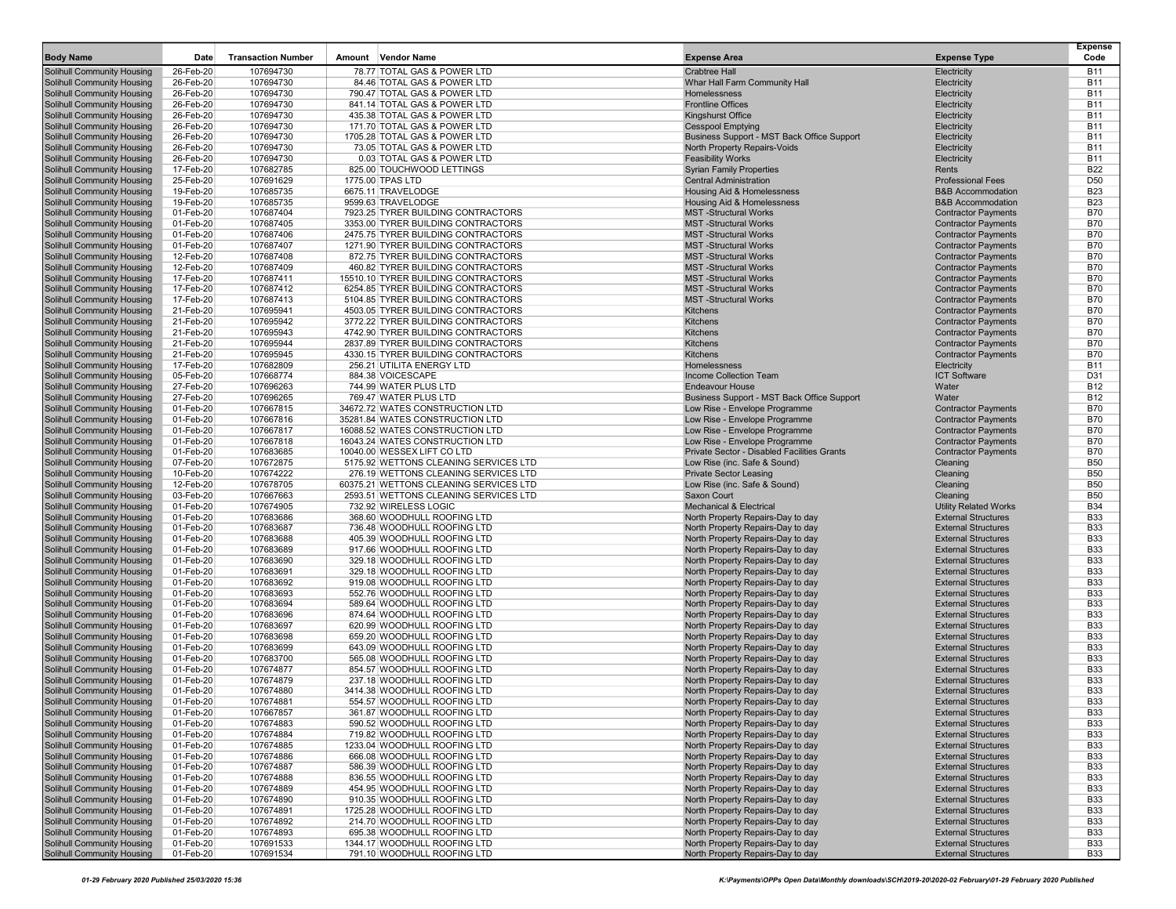| 78.77 TOTAL GAS & POWER LTD<br>Solihull Community Housing<br>26-Feb-20<br>107694730<br><b>Crabtree Hall</b><br>Electricity<br><b>B11</b><br>26-Feb-20<br>Whar Hall Farm Community Hall<br><b>B11</b><br>Solihull Community Housing<br>107694730<br>84.46 TOTAL GAS & POWER LTD<br>Electricity<br>Solihull Community Housing<br>107694730<br><b>B11</b><br>26-Feb-20<br>790.47 TOTAL GAS & POWER LTD<br><b>Homelessness</b><br>Electricity<br><b>Frontline Offices</b><br><b>B11</b><br>Solihull Community Housing<br>26-Feb-20<br>107694730<br>841.14 TOTAL GAS & POWER LTD<br>Electricity<br><b>B11</b><br>Solihull Community Housing<br>26-Feb-20<br>107694730<br>435.38 TOTAL GAS & POWER LTD<br>Kingshurst Office<br>Electricity<br>Solihull Community Housing<br>26-Feb-20<br>107694730<br>171.70 TOTAL GAS & POWER LTD<br><b>Cesspool Emptying</b><br>Electricity<br><b>B11</b><br><b>B11</b><br>Solihull Community Housing<br>26-Feb-20<br>107694730<br>1705.28 TOTAL GAS & POWER LTD<br>Business Support - MST Back Office Support<br>Electricity<br><b>B11</b><br>Solihull Community Housing<br>26-Feb-20<br>107694730<br>73.05 TOTAL GAS & POWER LTD<br>North Property Repairs-Voids<br>Electricity<br>26-Feb-20<br><b>B11</b><br>Solihull Community Housing<br>107694730<br>0.03 TOTAL GAS & POWER LTD<br><b>Feasibility Works</b><br>Electricity<br>Solihull Community Housing<br>107682785<br>825.00 TOUCHWOOD LETTINGS<br><b>Syrian Family Properties</b><br><b>B22</b><br>17-Feb-20<br>Rents<br>Solihull Community Housing<br>107691629<br><b>Central Administration</b><br>D <sub>50</sub><br>25-Feb-20<br>1775.00 TPAS LTD<br><b>Professional Fees</b><br><b>B23</b><br>Solihull Community Housing<br>19-Feb-20<br>107685735<br>6675.11 TRAVELODGE<br>Housing Aid & Homelessness<br><b>B&amp;B Accommodation</b><br>Solihull Community Housing<br><b>B23</b><br>19-Feb-20<br>107685735<br>9599.63 TRAVELODGE<br>Housing Aid & Homelessness<br><b>B&amp;B Accommodation</b><br>Solihull Community Housing<br>01-Feb-20<br>107687404<br>7923.25 TYRER BUILDING CONTRACTORS<br><b>MST-Structural Works</b><br><b>Contractor Payments</b><br><b>B70</b><br>Solihull Community Housing<br>01-Feb-20<br>107687405<br>3353.00 TYRER BUILDING CONTRACTORS<br><b>MST-Structural Works</b><br><b>Contractor Payments</b><br><b>B70</b><br>Solihull Community Housing<br>01-Feb-20<br>107687406<br>2475.75 TYRER BUILDING CONTRACTORS<br><b>MST-Structural Works</b><br><b>Contractor Payments</b><br><b>B70</b><br><b>B70</b><br>Solihull Community Housing<br>01-Feb-20<br>107687407<br>1271.90 TYRER BUILDING CONTRACTORS<br><b>MST-Structural Works</b><br><b>Contractor Payments</b><br>107687408<br><b>MST-Structural Works</b><br><b>B70</b><br>Solihull Community Housing<br>12-Feb-20<br>872.75 TYRER BUILDING CONTRACTORS<br><b>Contractor Payments</b><br>Solihull Community Housing<br><b>Contractor Payments</b><br><b>B70</b><br>12-Feb-20<br>107687409<br>460.82 TYRER BUILDING CONTRACTORS<br><b>MST-Structural Works</b><br>Solihull Community Housing<br>107687411<br>15510.10 TYRER BUILDING CONTRACTORS<br><b>MST-Structural Works</b><br><b>Contractor Payments</b><br><b>B70</b><br>17-Feb-20<br>Solihull Community Housing<br>17-Feb-20<br>107687412<br>6254.85 TYRER BUILDING CONTRACTORS<br><b>MST-Structural Works</b><br><b>Contractor Payments</b><br><b>B70</b><br>Solihull Community Housing<br>5104.85 TYRER BUILDING CONTRACTORS<br><b>MST-Structural Works</b><br><b>Contractor Payments</b><br><b>B70</b><br>17-Feb-20<br>107687413<br><b>Solihull Community Housing</b><br>21-Feb-20<br>107695941<br>4503.05 TYRER BUILDING CONTRACTORS<br><b>Kitchens</b><br><b>Contractor Payments</b><br><b>B70</b><br>Solihull Community Housing<br>21-Feb-20<br>107695942<br>3772.22 TYRER BUILDING CONTRACTORS<br>Kitchens<br><b>Contractor Payments</b><br><b>B70</b><br><b>B70</b><br>Solihull Community Housing<br>21-Feb-20<br>107695943<br>4742.90 TYRER BUILDING CONTRACTORS<br>Kitchens<br><b>Contractor Payments</b><br>107695944<br>Kitchens<br><b>B70</b><br>Solihull Community Housing<br>21-Feb-20<br>2837.89 TYRER BUILDING CONTRACTORS<br><b>Contractor Payments</b><br>107695945<br>Kitchens<br><b>Contractor Payments</b><br><b>B70</b><br>Solihull Community Housing<br>21-Feb-20<br>4330.15 TYRER BUILDING CONTRACTORS<br>107682809<br>256.21 UTILITA ENERGY LTD<br><b>B11</b><br>Solihull Community Housing<br>17-Feb-20<br>Homelessness<br>Electricity<br><b>ICT Software</b><br>D31<br>Solihull Community Housing<br>05-Feb-20<br>107668774<br>884.38 VOICESCAPE<br>Income Collection Team<br><b>B12</b><br>Solihull Community Housing<br>27-Feb-20<br>107696263<br>744.99 WATER PLUS LTD<br><b>Endeavour House</b><br>Water<br>Solihull Community Housing<br>27-Feb-20<br>107696265<br>769.47 WATER PLUS LTD<br>Business Support - MST Back Office Support<br>Water<br><b>B12</b><br>01-Feb-20<br>Solihull Community Housing<br>107667815<br>34672.72 WATES CONSTRUCTION LTD<br>Low Rise - Envelope Programme<br><b>Contractor Payments</b><br><b>B70</b><br>Solihull Community Housing<br>01-Feb-20<br>107667816<br>35281.84 WATES CONSTRUCTION LTD<br>Low Rise - Envelope Programme<br><b>Contractor Payments</b><br><b>B70</b><br><b>B70</b><br>Solihull Community Housing<br>01-Feb-20<br>107667817<br>16088.52 WATES CONSTRUCTION LTD<br>Low Rise - Envelope Programme<br><b>Contractor Payments</b><br>107667818<br><b>B70</b><br>Solihull Community Housing<br>01-Feb-20<br>16043.24 WATES CONSTRUCTION LTD<br>Low Rise - Envelope Programme<br><b>Contractor Payments</b><br>Solihull Community Housing<br>107683685<br>Private Sector - Disabled Facilities Grants<br><b>Contractor Payments</b><br><b>B70</b><br>01-Feb-20<br>10040.00 WESSEX LIFT CO LTD<br><b>B50</b><br>Solihull Community Housing<br>07-Feb-20<br>107672875<br>5175.92 WETTONS CLEANING SERVICES LTD<br>Low Rise (inc. Safe & Sound)<br>Cleaning<br><b>B50</b><br>Solihull Community Housing<br>10-Feb-20<br>107674222<br>276.19 WETTONS CLEANING SERVICES LTD<br><b>Private Sector Leasing</b><br>Cleaning<br>Solihull Community Housing<br>12-Feb-20<br>107678705<br>60375.21 WETTONS CLEANING SERVICES LTD<br>Low Rise (inc. Safe & Sound)<br>Cleaning<br><b>B50</b><br><b>B50</b><br>Solihull Community Housing<br>03-Feb-20<br>107667663<br>2593.51 WETTONS CLEANING SERVICES LTD<br>Saxon Court<br>Cleaning<br>732.92 WIRELESS LOGIC<br><b>B34</b><br>Solihull Community Housing<br>01-Feb-20<br>107674905<br><b>Mechanical &amp; Electrical</b><br><b>Utility Related Works</b><br><b>B33</b><br>Solihull Community Housing<br>01-Feb-20<br>107683686<br>368.60 WOODHULL ROOFING LTD<br>North Property Repairs-Day to day<br><b>External Structures</b><br><b>External Structures</b><br><b>B33</b><br>Solihull Community Housing<br>01-Feb-20<br>107683687<br>736.48 WOODHULL ROOFING LTD<br>North Property Repairs-Day to day<br>107683688<br><b>B33</b><br>Solihull Community Housing<br>01-Feb-20<br>405.39 WOODHULL ROOFING LTD<br>North Property Repairs-Day to day<br><b>External Structures</b><br>Solihull Community Housing<br>01-Feb-20<br>107683689<br>917.66 WOODHULL ROOFING LTD<br><b>External Structures</b><br><b>B33</b><br>North Property Repairs-Day to day<br><b>B33</b><br>Solihull Community Housing<br>01-Feb-20<br>107683690<br>329.18 WOODHULL ROOFING LTD<br>North Property Repairs-Day to day<br><b>External Structures</b><br>329.18 WOODHULL ROOFING LTD<br><b>External Structures</b><br><b>B33</b><br>Solihull Community Housing<br>01-Feb-20<br>107683691<br>North Property Repairs-Day to day<br>Solihull Community Housing<br>01-Feb-20<br>107683692<br>919.08 WOODHULL ROOFING LTD<br>North Property Repairs-Day to day<br><b>External Structures</b><br><b>B33</b><br>Solihull Community Housing<br>01-Feb-20<br>107683693<br>552.76 WOODHULL ROOFING LTD<br>North Property Repairs-Day to day<br><b>External Structures</b><br><b>B33</b><br><b>B33</b><br>Solihull Community Housing<br>01-Feb-20<br>107683694<br>589.64 WOODHULL ROOFING LTD<br>North Property Repairs-Day to day<br><b>External Structures</b><br><b>Solihull Community Housing</b><br>874.64 WOODHULL ROOFING LTD<br><b>B33</b><br>01-Feb-20<br>107683696<br>North Property Repairs-Day to day<br><b>External Structures</b><br><b>B33</b><br><b>Solihull Community Housing</b><br>01-Feb-20<br>107683697<br>620.99 WOODHULL ROOFING LTD<br>North Property Repairs-Day to day<br><b>External Structures</b><br>107683698<br>659.20 WOODHULL ROOFING LTD<br><b>B33</b><br>Solihull Community Housing<br>01-Feb-20<br>North Property Repairs-Day to day<br><b>External Structures</b><br><b>B33</b><br>Solihull Community Housing<br>01-Feb-20<br>107683699<br>643.09 WOODHULL ROOFING LTD<br>North Property Repairs-Day to day<br><b>External Structures</b><br><b>B33</b><br>Solihull Community Housing<br>01-Feb-20<br>107683700<br>565.08 WOODHULL ROOFING LTD<br>North Property Repairs-Day to day<br><b>External Structures</b><br>Solihull Community Housing<br>01-Feb-20<br>107674877<br>854.57 WOODHULL ROOFING LTD<br>North Property Repairs-Day to day<br><b>External Structures</b><br><b>B33</b><br><b>B33</b><br>Solihull Community Housing<br>01-Feb-20<br>107674879<br>237.18 WOODHULL ROOFING LTD<br>North Property Repairs-Day to day<br><b>External Structures</b><br><b>B33</b><br>Solihull Community Housing<br>01-Feb-20<br>107674880<br>3414.38 WOODHULL ROOFING LTD<br>North Property Repairs-Day to day<br><b>External Structures</b><br><b>B33</b><br><b>Solihull Community Housing</b><br>01-Feb-20<br>107674881<br>554.57 WOODHULL ROOFING LTD<br>North Property Repairs-Day to day<br><b>External Structures</b><br><b>Solihull Community Housing</b><br>01-Feb-20<br>107667857<br>361.87 WOODHULL ROOFING LTD<br>North Property Repairs-Day to day<br><b>External Structures</b><br><b>B33</b><br>Solihull Community Housing<br>01-Feb-20<br><b>B33</b><br>107674883<br>590.52 WOODHULL ROOFING LTD<br>North Property Repairs-Day to day<br><b>External Structures</b><br>Solihull Community Housing<br>107674884<br><b>B33</b><br>01-Feb-20<br>719.82 WOODHULL ROOFING LTD<br>North Property Repairs-Day to day<br><b>External Structures</b><br>Solihull Community Housing<br>01-Feb-20<br>107674885<br>1233.04 WOODHULL ROOFING LTD<br>North Property Repairs-Day to day<br><b>External Structures</b><br><b>B33</b><br><b>Solihull Community Housing</b><br>01-Feb-20<br>107674886<br>666.08 WOODHULL ROOFING LTD<br>North Property Repairs-Day to day<br><b>External Structures</b><br><b>B33</b><br><b>Solihull Community Housing</b><br>586.39 WOODHULL ROOFING LTD<br>01-Feb-20<br>107674887<br>North Property Repairs-Day to day<br><b>External Structures</b><br><b>B33</b><br><b>Solihull Community Housing</b><br>836.55 WOODHULL ROOFING LTD<br><b>B33</b><br>01-Feb-20<br>107674888<br>North Property Repairs-Day to day<br><b>External Structures</b><br>Solihull Community Housing<br>107674889<br>01-Feb-20<br>454.95 WOODHULL ROOFING LTD<br>North Property Repairs-Day to day<br><b>External Structures</b><br><b>B33</b><br><b>Solihull Community Housing</b><br><b>External Structures</b><br><b>B33</b><br>01-Feb-20<br>107674890<br>910.35 WOODHULL ROOFING LTD<br>North Property Repairs-Day to day<br>Solihull Community Housing<br>01-Feb-20<br>107674891<br>1725.28 WOODHULL ROOFING LTD<br>North Property Repairs-Day to day<br><b>External Structures</b><br><b>B33</b><br>Solihull Community Housing<br>01-Feb-20<br>107674892<br>214.70 WOODHULL ROOFING LTD<br>North Property Repairs-Day to day<br><b>External Structures</b><br><b>B33</b><br>107674893<br><b>Solihull Community Housing</b><br>01-Feb-20<br>695.38 WOODHULL ROOFING LTD<br>North Property Repairs-Day to day<br><b>External Structures</b><br><b>B33</b><br>Solihull Community Housing<br>107691533<br>1344.17 WOODHULL ROOFING LTD<br>North Property Repairs-Day to day<br><b>External Structures</b><br><b>B33</b><br>01-Feb-20 | <b>Body Name</b>                  | Date      | <b>Transaction Number</b> | <b>Vendor Name</b><br>Amount | <b>Expense Area</b>               | <b>Expense Type</b>        | <b>Expense</b><br>Code |
|----------------------------------------------------------------------------------------------------------------------------------------------------------------------------------------------------------------------------------------------------------------------------------------------------------------------------------------------------------------------------------------------------------------------------------------------------------------------------------------------------------------------------------------------------------------------------------------------------------------------------------------------------------------------------------------------------------------------------------------------------------------------------------------------------------------------------------------------------------------------------------------------------------------------------------------------------------------------------------------------------------------------------------------------------------------------------------------------------------------------------------------------------------------------------------------------------------------------------------------------------------------------------------------------------------------------------------------------------------------------------------------------------------------------------------------------------------------------------------------------------------------------------------------------------------------------------------------------------------------------------------------------------------------------------------------------------------------------------------------------------------------------------------------------------------------------------------------------------------------------------------------------------------------------------------------------------------------------------------------------------------------------------------------------------------------------------------------------------------------------------------------------------------------------------------------------------------------------------------------------------------------------------------------------------------------------------------------------------------------------------------------------------------------------------------------------------------------------------------------------------------------------------------------------------------------------------------------------------------------------------------------------------------------------------------------------------------------------------------------------------------------------------------------------------------------------------------------------------------------------------------------------------------------------------------------------------------------------------------------------------------------------------------------------------------------------------------------------------------------------------------------------------------------------------------------------------------------------------------------------------------------------------------------------------------------------------------------------------------------------------------------------------------------------------------------------------------------------------------------------------------------------------------------------------------------------------------------------------------------------------------------------------------------------------------------------------------------------------------------------------------------------------------------------------------------------------------------------------------------------------------------------------------------------------------------------------------------------------------------------------------------------------------------------------------------------------------------------------------------------------------------------------------------------------------------------------------------------------------------------------------------------------------------------------------------------------------------------------------------------------------------------------------------------------------------------------------------------------------------------------------------------------------------------------------------------------------------------------------------------------------------------------------------------------------------------------------------------------------------------------------------------------------------------------------------------------------------------------------------------------------------------------------------------------------------------------------------------------------------------------------------------------------------------------------------------------------------------------------------------------------------------------------------------------------------------------------------------------------------------------------------------------------------------------------------------------------------------------------------------------------------------------------------------------------------------------------------------------------------------------------------------------------------------------------------------------------------------------------------------------------------------------------------------------------------------------------------------------------------------------------------------------------------------------------------------------------------------------------------------------------------------------------------------------------------------------------------------------------------------------------------------------------------------------------------------------------------------------------------------------------------------------------------------------------------------------------------------------------------------------------------------------------------------------------------------------------------------------------------------------------------------------------------------------------------------------------------------------------------------------------------------------------------------------------------------------------------------------------------------------------------------------------------------------------------------------------------------------------------------------------------------------------------------------------------------------------------------------------------------------------------------------------------------------------------------------------------------------------------------------------------------------------------------------------------------------------------------------------------------------------------------------------------------------------------------------------------------------------------------------------------------------------------------------------------------------------------------------------------------------------------------------------------------------------------------------------------------------------------------------------------------------------------------------------------------------------------------------------------------------------------------------------------------------------------------------------------------------------------------------------------------------------------------------------------------------------------------------------------------------------------------------------------------------------------------------------------------------------------------------------------------------------------------------------------------------------------------------------------------------------------------------------------------------------------------------------------------------------------------------------------------------------------------------------------------------------------------------------------------------------------------------------------------------------------------------------------------------------------------------------------------------------------------------------------------------------------------------------------------------------------------------------------------------------------------------------------------------------------------------------------------------------------------------------------------------------------------------------------------------------------------------------------------------------------------------------------------------------------------------------------------------------------------------------------------------------------------------------------------------------------------------------------------------------------------------------------------------------------------------------------------------------------------------------------------------------------------------------------------------------------------------------------------------------------------------------------------------------------------------------------------------------------------------------------------------------------------------------------------------------------------------------------------------------------------------------------------------------------------------------------------------------------------------------------------------------------------------------------------------------------------------------------------------------------------------------------------------------------------------------------------------------------------------------------------------------------------------------------------------------------------------------------------------------------------------------------------------------------------------------------------------------------------------------------------------------------------------------------------------------------------------------------------------------------------------------------------------------------------------------------------------------------------------------------------------------------------------------------------------------------------------------------------------------------------------------------------------------------------------------------------------------------------------------------------------------------------------------------------------------------------------------------------------------------------------------------------------------------------------------------------------------------------------------------------------------------------------------------------------------------------------------------------------------------------------------------------------------------------------------------------------------------------------------------------------------------------------------------------------------------------------------------------------------------------------------------------------------------------------------------------------------------------------------------------------------------------------------------------------------------------------------------------------------------------------------------------------------------------------------------------------------------------------------------------------------------------------------------------------------------------------------------------------------------------------------------------------------------------------------------------------------------------------------------------------------------------------------------------|-----------------------------------|-----------|---------------------------|------------------------------|-----------------------------------|----------------------------|------------------------|
|                                                                                                                                                                                                                                                                                                                                                                                                                                                                                                                                                                                                                                                                                                                                                                                                                                                                                                                                                                                                                                                                                                                                                                                                                                                                                                                                                                                                                                                                                                                                                                                                                                                                                                                                                                                                                                                                                                                                                                                                                                                                                                                                                                                                                                                                                                                                                                                                                                                                                                                                                                                                                                                                                                                                                                                                                                                                                                                                                                                                                                                                                                                                                                                                                                                                                                                                                                                                                                                                                                                                                                                                                                                                                                                                                                                                                                                                                                                                                                                                                                                                                                                                                                                                                                                                                                                                                                                                                                                                                                                                                                                                                                                                                                                                                                                                                                                                                                                                                                                                                                                                                                                                                                                                                                                                                                                                                                                                                                                                                                                                                                                                                                                                                                                                                                                                                                                                                                                                                                                                                                                                                                                                                                                                                                                                                                                                                                                                                                                                                                                                                                                                                                                                                                                                                                                                                                                                                                                                                                                                                                                                                                                                                                                                                                                                                                                                                                                                                                                                                                                                                                                                                                                                                                                                                                                                                                                                                                                                                                                                                                                                                                                                                                                                                                                                                                                                                                                                                                                                                                                                                                                                                                                                                                                                                                                                                                                                                                                                                                                                                                                                                                                                                                                                                                                                                                                                                                                                                                                                                                                                                                                                                                                                                                                                                                                                                                                                                                                                                                                                                                                                                                                                                                                                                                                                                                                                                                                                                                                                                                                                                                                                                                                                                                                                                                                                                                                                                                                                                                                                                                                                                                                                                                                                                                                                                                                                                                                                                                                                                                                                                                                                                                                                                                                                                                                                                                                                                                                                                                                                                                                                                                                      |                                   |           |                           |                              |                                   |                            |                        |
|                                                                                                                                                                                                                                                                                                                                                                                                                                                                                                                                                                                                                                                                                                                                                                                                                                                                                                                                                                                                                                                                                                                                                                                                                                                                                                                                                                                                                                                                                                                                                                                                                                                                                                                                                                                                                                                                                                                                                                                                                                                                                                                                                                                                                                                                                                                                                                                                                                                                                                                                                                                                                                                                                                                                                                                                                                                                                                                                                                                                                                                                                                                                                                                                                                                                                                                                                                                                                                                                                                                                                                                                                                                                                                                                                                                                                                                                                                                                                                                                                                                                                                                                                                                                                                                                                                                                                                                                                                                                                                                                                                                                                                                                                                                                                                                                                                                                                                                                                                                                                                                                                                                                                                                                                                                                                                                                                                                                                                                                                                                                                                                                                                                                                                                                                                                                                                                                                                                                                                                                                                                                                                                                                                                                                                                                                                                                                                                                                                                                                                                                                                                                                                                                                                                                                                                                                                                                                                                                                                                                                                                                                                                                                                                                                                                                                                                                                                                                                                                                                                                                                                                                                                                                                                                                                                                                                                                                                                                                                                                                                                                                                                                                                                                                                                                                                                                                                                                                                                                                                                                                                                                                                                                                                                                                                                                                                                                                                                                                                                                                                                                                                                                                                                                                                                                                                                                                                                                                                                                                                                                                                                                                                                                                                                                                                                                                                                                                                                                                                                                                                                                                                                                                                                                                                                                                                                                                                                                                                                                                                                                                                                                                                                                                                                                                                                                                                                                                                                                                                                                                                                                                                                                                                                                                                                                                                                                                                                                                                                                                                                                                                                                                                                                                                                                                                                                                                                                                                                                                                                                                                                                                                                                      |                                   |           |                           |                              |                                   |                            |                        |
|                                                                                                                                                                                                                                                                                                                                                                                                                                                                                                                                                                                                                                                                                                                                                                                                                                                                                                                                                                                                                                                                                                                                                                                                                                                                                                                                                                                                                                                                                                                                                                                                                                                                                                                                                                                                                                                                                                                                                                                                                                                                                                                                                                                                                                                                                                                                                                                                                                                                                                                                                                                                                                                                                                                                                                                                                                                                                                                                                                                                                                                                                                                                                                                                                                                                                                                                                                                                                                                                                                                                                                                                                                                                                                                                                                                                                                                                                                                                                                                                                                                                                                                                                                                                                                                                                                                                                                                                                                                                                                                                                                                                                                                                                                                                                                                                                                                                                                                                                                                                                                                                                                                                                                                                                                                                                                                                                                                                                                                                                                                                                                                                                                                                                                                                                                                                                                                                                                                                                                                                                                                                                                                                                                                                                                                                                                                                                                                                                                                                                                                                                                                                                                                                                                                                                                                                                                                                                                                                                                                                                                                                                                                                                                                                                                                                                                                                                                                                                                                                                                                                                                                                                                                                                                                                                                                                                                                                                                                                                                                                                                                                                                                                                                                                                                                                                                                                                                                                                                                                                                                                                                                                                                                                                                                                                                                                                                                                                                                                                                                                                                                                                                                                                                                                                                                                                                                                                                                                                                                                                                                                                                                                                                                                                                                                                                                                                                                                                                                                                                                                                                                                                                                                                                                                                                                                                                                                                                                                                                                                                                                                                                                                                                                                                                                                                                                                                                                                                                                                                                                                                                                                                                                                                                                                                                                                                                                                                                                                                                                                                                                                                                                                                                                                                                                                                                                                                                                                                                                                                                                                                                                                                                                      |                                   |           |                           |                              |                                   |                            |                        |
|                                                                                                                                                                                                                                                                                                                                                                                                                                                                                                                                                                                                                                                                                                                                                                                                                                                                                                                                                                                                                                                                                                                                                                                                                                                                                                                                                                                                                                                                                                                                                                                                                                                                                                                                                                                                                                                                                                                                                                                                                                                                                                                                                                                                                                                                                                                                                                                                                                                                                                                                                                                                                                                                                                                                                                                                                                                                                                                                                                                                                                                                                                                                                                                                                                                                                                                                                                                                                                                                                                                                                                                                                                                                                                                                                                                                                                                                                                                                                                                                                                                                                                                                                                                                                                                                                                                                                                                                                                                                                                                                                                                                                                                                                                                                                                                                                                                                                                                                                                                                                                                                                                                                                                                                                                                                                                                                                                                                                                                                                                                                                                                                                                                                                                                                                                                                                                                                                                                                                                                                                                                                                                                                                                                                                                                                                                                                                                                                                                                                                                                                                                                                                                                                                                                                                                                                                                                                                                                                                                                                                                                                                                                                                                                                                                                                                                                                                                                                                                                                                                                                                                                                                                                                                                                                                                                                                                                                                                                                                                                                                                                                                                                                                                                                                                                                                                                                                                                                                                                                                                                                                                                                                                                                                                                                                                                                                                                                                                                                                                                                                                                                                                                                                                                                                                                                                                                                                                                                                                                                                                                                                                                                                                                                                                                                                                                                                                                                                                                                                                                                                                                                                                                                                                                                                                                                                                                                                                                                                                                                                                                                                                                                                                                                                                                                                                                                                                                                                                                                                                                                                                                                                                                                                                                                                                                                                                                                                                                                                                                                                                                                                                                                                                                                                                                                                                                                                                                                                                                                                                                                                                                                                                                      |                                   |           |                           |                              |                                   |                            |                        |
|                                                                                                                                                                                                                                                                                                                                                                                                                                                                                                                                                                                                                                                                                                                                                                                                                                                                                                                                                                                                                                                                                                                                                                                                                                                                                                                                                                                                                                                                                                                                                                                                                                                                                                                                                                                                                                                                                                                                                                                                                                                                                                                                                                                                                                                                                                                                                                                                                                                                                                                                                                                                                                                                                                                                                                                                                                                                                                                                                                                                                                                                                                                                                                                                                                                                                                                                                                                                                                                                                                                                                                                                                                                                                                                                                                                                                                                                                                                                                                                                                                                                                                                                                                                                                                                                                                                                                                                                                                                                                                                                                                                                                                                                                                                                                                                                                                                                                                                                                                                                                                                                                                                                                                                                                                                                                                                                                                                                                                                                                                                                                                                                                                                                                                                                                                                                                                                                                                                                                                                                                                                                                                                                                                                                                                                                                                                                                                                                                                                                                                                                                                                                                                                                                                                                                                                                                                                                                                                                                                                                                                                                                                                                                                                                                                                                                                                                                                                                                                                                                                                                                                                                                                                                                                                                                                                                                                                                                                                                                                                                                                                                                                                                                                                                                                                                                                                                                                                                                                                                                                                                                                                                                                                                                                                                                                                                                                                                                                                                                                                                                                                                                                                                                                                                                                                                                                                                                                                                                                                                                                                                                                                                                                                                                                                                                                                                                                                                                                                                                                                                                                                                                                                                                                                                                                                                                                                                                                                                                                                                                                                                                                                                                                                                                                                                                                                                                                                                                                                                                                                                                                                                                                                                                                                                                                                                                                                                                                                                                                                                                                                                                                                                                                                                                                                                                                                                                                                                                                                                                                                                                                                                                                                      |                                   |           |                           |                              |                                   |                            |                        |
|                                                                                                                                                                                                                                                                                                                                                                                                                                                                                                                                                                                                                                                                                                                                                                                                                                                                                                                                                                                                                                                                                                                                                                                                                                                                                                                                                                                                                                                                                                                                                                                                                                                                                                                                                                                                                                                                                                                                                                                                                                                                                                                                                                                                                                                                                                                                                                                                                                                                                                                                                                                                                                                                                                                                                                                                                                                                                                                                                                                                                                                                                                                                                                                                                                                                                                                                                                                                                                                                                                                                                                                                                                                                                                                                                                                                                                                                                                                                                                                                                                                                                                                                                                                                                                                                                                                                                                                                                                                                                                                                                                                                                                                                                                                                                                                                                                                                                                                                                                                                                                                                                                                                                                                                                                                                                                                                                                                                                                                                                                                                                                                                                                                                                                                                                                                                                                                                                                                                                                                                                                                                                                                                                                                                                                                                                                                                                                                                                                                                                                                                                                                                                                                                                                                                                                                                                                                                                                                                                                                                                                                                                                                                                                                                                                                                                                                                                                                                                                                                                                                                                                                                                                                                                                                                                                                                                                                                                                                                                                                                                                                                                                                                                                                                                                                                                                                                                                                                                                                                                                                                                                                                                                                                                                                                                                                                                                                                                                                                                                                                                                                                                                                                                                                                                                                                                                                                                                                                                                                                                                                                                                                                                                                                                                                                                                                                                                                                                                                                                                                                                                                                                                                                                                                                                                                                                                                                                                                                                                                                                                                                                                                                                                                                                                                                                                                                                                                                                                                                                                                                                                                                                                                                                                                                                                                                                                                                                                                                                                                                                                                                                                                                                                                                                                                                                                                                                                                                                                                                                                                                                                                                                                                      |                                   |           |                           |                              |                                   |                            |                        |
|                                                                                                                                                                                                                                                                                                                                                                                                                                                                                                                                                                                                                                                                                                                                                                                                                                                                                                                                                                                                                                                                                                                                                                                                                                                                                                                                                                                                                                                                                                                                                                                                                                                                                                                                                                                                                                                                                                                                                                                                                                                                                                                                                                                                                                                                                                                                                                                                                                                                                                                                                                                                                                                                                                                                                                                                                                                                                                                                                                                                                                                                                                                                                                                                                                                                                                                                                                                                                                                                                                                                                                                                                                                                                                                                                                                                                                                                                                                                                                                                                                                                                                                                                                                                                                                                                                                                                                                                                                                                                                                                                                                                                                                                                                                                                                                                                                                                                                                                                                                                                                                                                                                                                                                                                                                                                                                                                                                                                                                                                                                                                                                                                                                                                                                                                                                                                                                                                                                                                                                                                                                                                                                                                                                                                                                                                                                                                                                                                                                                                                                                                                                                                                                                                                                                                                                                                                                                                                                                                                                                                                                                                                                                                                                                                                                                                                                                                                                                                                                                                                                                                                                                                                                                                                                                                                                                                                                                                                                                                                                                                                                                                                                                                                                                                                                                                                                                                                                                                                                                                                                                                                                                                                                                                                                                                                                                                                                                                                                                                                                                                                                                                                                                                                                                                                                                                                                                                                                                                                                                                                                                                                                                                                                                                                                                                                                                                                                                                                                                                                                                                                                                                                                                                                                                                                                                                                                                                                                                                                                                                                                                                                                                                                                                                                                                                                                                                                                                                                                                                                                                                                                                                                                                                                                                                                                                                                                                                                                                                                                                                                                                                                                                                                                                                                                                                                                                                                                                                                                                                                                                                                                                                                                      |                                   |           |                           |                              |                                   |                            |                        |
|                                                                                                                                                                                                                                                                                                                                                                                                                                                                                                                                                                                                                                                                                                                                                                                                                                                                                                                                                                                                                                                                                                                                                                                                                                                                                                                                                                                                                                                                                                                                                                                                                                                                                                                                                                                                                                                                                                                                                                                                                                                                                                                                                                                                                                                                                                                                                                                                                                                                                                                                                                                                                                                                                                                                                                                                                                                                                                                                                                                                                                                                                                                                                                                                                                                                                                                                                                                                                                                                                                                                                                                                                                                                                                                                                                                                                                                                                                                                                                                                                                                                                                                                                                                                                                                                                                                                                                                                                                                                                                                                                                                                                                                                                                                                                                                                                                                                                                                                                                                                                                                                                                                                                                                                                                                                                                                                                                                                                                                                                                                                                                                                                                                                                                                                                                                                                                                                                                                                                                                                                                                                                                                                                                                                                                                                                                                                                                                                                                                                                                                                                                                                                                                                                                                                                                                                                                                                                                                                                                                                                                                                                                                                                                                                                                                                                                                                                                                                                                                                                                                                                                                                                                                                                                                                                                                                                                                                                                                                                                                                                                                                                                                                                                                                                                                                                                                                                                                                                                                                                                                                                                                                                                                                                                                                                                                                                                                                                                                                                                                                                                                                                                                                                                                                                                                                                                                                                                                                                                                                                                                                                                                                                                                                                                                                                                                                                                                                                                                                                                                                                                                                                                                                                                                                                                                                                                                                                                                                                                                                                                                                                                                                                                                                                                                                                                                                                                                                                                                                                                                                                                                                                                                                                                                                                                                                                                                                                                                                                                                                                                                                                                                                                                                                                                                                                                                                                                                                                                                                                                                                                                                                                                                      |                                   |           |                           |                              |                                   |                            |                        |
|                                                                                                                                                                                                                                                                                                                                                                                                                                                                                                                                                                                                                                                                                                                                                                                                                                                                                                                                                                                                                                                                                                                                                                                                                                                                                                                                                                                                                                                                                                                                                                                                                                                                                                                                                                                                                                                                                                                                                                                                                                                                                                                                                                                                                                                                                                                                                                                                                                                                                                                                                                                                                                                                                                                                                                                                                                                                                                                                                                                                                                                                                                                                                                                                                                                                                                                                                                                                                                                                                                                                                                                                                                                                                                                                                                                                                                                                                                                                                                                                                                                                                                                                                                                                                                                                                                                                                                                                                                                                                                                                                                                                                                                                                                                                                                                                                                                                                                                                                                                                                                                                                                                                                                                                                                                                                                                                                                                                                                                                                                                                                                                                                                                                                                                                                                                                                                                                                                                                                                                                                                                                                                                                                                                                                                                                                                                                                                                                                                                                                                                                                                                                                                                                                                                                                                                                                                                                                                                                                                                                                                                                                                                                                                                                                                                                                                                                                                                                                                                                                                                                                                                                                                                                                                                                                                                                                                                                                                                                                                                                                                                                                                                                                                                                                                                                                                                                                                                                                                                                                                                                                                                                                                                                                                                                                                                                                                                                                                                                                                                                                                                                                                                                                                                                                                                                                                                                                                                                                                                                                                                                                                                                                                                                                                                                                                                                                                                                                                                                                                                                                                                                                                                                                                                                                                                                                                                                                                                                                                                                                                                                                                                                                                                                                                                                                                                                                                                                                                                                                                                                                                                                                                                                                                                                                                                                                                                                                                                                                                                                                                                                                                                                                                                                                                                                                                                                                                                                                                                                                                                                                                                                                                                      |                                   |           |                           |                              |                                   |                            |                        |
|                                                                                                                                                                                                                                                                                                                                                                                                                                                                                                                                                                                                                                                                                                                                                                                                                                                                                                                                                                                                                                                                                                                                                                                                                                                                                                                                                                                                                                                                                                                                                                                                                                                                                                                                                                                                                                                                                                                                                                                                                                                                                                                                                                                                                                                                                                                                                                                                                                                                                                                                                                                                                                                                                                                                                                                                                                                                                                                                                                                                                                                                                                                                                                                                                                                                                                                                                                                                                                                                                                                                                                                                                                                                                                                                                                                                                                                                                                                                                                                                                                                                                                                                                                                                                                                                                                                                                                                                                                                                                                                                                                                                                                                                                                                                                                                                                                                                                                                                                                                                                                                                                                                                                                                                                                                                                                                                                                                                                                                                                                                                                                                                                                                                                                                                                                                                                                                                                                                                                                                                                                                                                                                                                                                                                                                                                                                                                                                                                                                                                                                                                                                                                                                                                                                                                                                                                                                                                                                                                                                                                                                                                                                                                                                                                                                                                                                                                                                                                                                                                                                                                                                                                                                                                                                                                                                                                                                                                                                                                                                                                                                                                                                                                                                                                                                                                                                                                                                                                                                                                                                                                                                                                                                                                                                                                                                                                                                                                                                                                                                                                                                                                                                                                                                                                                                                                                                                                                                                                                                                                                                                                                                                                                                                                                                                                                                                                                                                                                                                                                                                                                                                                                                                                                                                                                                                                                                                                                                                                                                                                                                                                                                                                                                                                                                                                                                                                                                                                                                                                                                                                                                                                                                                                                                                                                                                                                                                                                                                                                                                                                                                                                                                                                                                                                                                                                                                                                                                                                                                                                                                                                                                                                                      |                                   |           |                           |                              |                                   |                            |                        |
|                                                                                                                                                                                                                                                                                                                                                                                                                                                                                                                                                                                                                                                                                                                                                                                                                                                                                                                                                                                                                                                                                                                                                                                                                                                                                                                                                                                                                                                                                                                                                                                                                                                                                                                                                                                                                                                                                                                                                                                                                                                                                                                                                                                                                                                                                                                                                                                                                                                                                                                                                                                                                                                                                                                                                                                                                                                                                                                                                                                                                                                                                                                                                                                                                                                                                                                                                                                                                                                                                                                                                                                                                                                                                                                                                                                                                                                                                                                                                                                                                                                                                                                                                                                                                                                                                                                                                                                                                                                                                                                                                                                                                                                                                                                                                                                                                                                                                                                                                                                                                                                                                                                                                                                                                                                                                                                                                                                                                                                                                                                                                                                                                                                                                                                                                                                                                                                                                                                                                                                                                                                                                                                                                                                                                                                                                                                                                                                                                                                                                                                                                                                                                                                                                                                                                                                                                                                                                                                                                                                                                                                                                                                                                                                                                                                                                                                                                                                                                                                                                                                                                                                                                                                                                                                                                                                                                                                                                                                                                                                                                                                                                                                                                                                                                                                                                                                                                                                                                                                                                                                                                                                                                                                                                                                                                                                                                                                                                                                                                                                                                                                                                                                                                                                                                                                                                                                                                                                                                                                                                                                                                                                                                                                                                                                                                                                                                                                                                                                                                                                                                                                                                                                                                                                                                                                                                                                                                                                                                                                                                                                                                                                                                                                                                                                                                                                                                                                                                                                                                                                                                                                                                                                                                                                                                                                                                                                                                                                                                                                                                                                                                                                                                                                                                                                                                                                                                                                                                                                                                                                                                                                                                                                      |                                   |           |                           |                              |                                   |                            |                        |
|                                                                                                                                                                                                                                                                                                                                                                                                                                                                                                                                                                                                                                                                                                                                                                                                                                                                                                                                                                                                                                                                                                                                                                                                                                                                                                                                                                                                                                                                                                                                                                                                                                                                                                                                                                                                                                                                                                                                                                                                                                                                                                                                                                                                                                                                                                                                                                                                                                                                                                                                                                                                                                                                                                                                                                                                                                                                                                                                                                                                                                                                                                                                                                                                                                                                                                                                                                                                                                                                                                                                                                                                                                                                                                                                                                                                                                                                                                                                                                                                                                                                                                                                                                                                                                                                                                                                                                                                                                                                                                                                                                                                                                                                                                                                                                                                                                                                                                                                                                                                                                                                                                                                                                                                                                                                                                                                                                                                                                                                                                                                                                                                                                                                                                                                                                                                                                                                                                                                                                                                                                                                                                                                                                                                                                                                                                                                                                                                                                                                                                                                                                                                                                                                                                                                                                                                                                                                                                                                                                                                                                                                                                                                                                                                                                                                                                                                                                                                                                                                                                                                                                                                                                                                                                                                                                                                                                                                                                                                                                                                                                                                                                                                                                                                                                                                                                                                                                                                                                                                                                                                                                                                                                                                                                                                                                                                                                                                                                                                                                                                                                                                                                                                                                                                                                                                                                                                                                                                                                                                                                                                                                                                                                                                                                                                                                                                                                                                                                                                                                                                                                                                                                                                                                                                                                                                                                                                                                                                                                                                                                                                                                                                                                                                                                                                                                                                                                                                                                                                                                                                                                                                                                                                                                                                                                                                                                                                                                                                                                                                                                                                                                                                                                                                                                                                                                                                                                                                                                                                                                                                                                                                                                                      |                                   |           |                           |                              |                                   |                            |                        |
|                                                                                                                                                                                                                                                                                                                                                                                                                                                                                                                                                                                                                                                                                                                                                                                                                                                                                                                                                                                                                                                                                                                                                                                                                                                                                                                                                                                                                                                                                                                                                                                                                                                                                                                                                                                                                                                                                                                                                                                                                                                                                                                                                                                                                                                                                                                                                                                                                                                                                                                                                                                                                                                                                                                                                                                                                                                                                                                                                                                                                                                                                                                                                                                                                                                                                                                                                                                                                                                                                                                                                                                                                                                                                                                                                                                                                                                                                                                                                                                                                                                                                                                                                                                                                                                                                                                                                                                                                                                                                                                                                                                                                                                                                                                                                                                                                                                                                                                                                                                                                                                                                                                                                                                                                                                                                                                                                                                                                                                                                                                                                                                                                                                                                                                                                                                                                                                                                                                                                                                                                                                                                                                                                                                                                                                                                                                                                                                                                                                                                                                                                                                                                                                                                                                                                                                                                                                                                                                                                                                                                                                                                                                                                                                                                                                                                                                                                                                                                                                                                                                                                                                                                                                                                                                                                                                                                                                                                                                                                                                                                                                                                                                                                                                                                                                                                                                                                                                                                                                                                                                                                                                                                                                                                                                                                                                                                                                                                                                                                                                                                                                                                                                                                                                                                                                                                                                                                                                                                                                                                                                                                                                                                                                                                                                                                                                                                                                                                                                                                                                                                                                                                                                                                                                                                                                                                                                                                                                                                                                                                                                                                                                                                                                                                                                                                                                                                                                                                                                                                                                                                                                                                                                                                                                                                                                                                                                                                                                                                                                                                                                                                                                                                                                                                                                                                                                                                                                                                                                                                                                                                                                                                                                      |                                   |           |                           |                              |                                   |                            |                        |
|                                                                                                                                                                                                                                                                                                                                                                                                                                                                                                                                                                                                                                                                                                                                                                                                                                                                                                                                                                                                                                                                                                                                                                                                                                                                                                                                                                                                                                                                                                                                                                                                                                                                                                                                                                                                                                                                                                                                                                                                                                                                                                                                                                                                                                                                                                                                                                                                                                                                                                                                                                                                                                                                                                                                                                                                                                                                                                                                                                                                                                                                                                                                                                                                                                                                                                                                                                                                                                                                                                                                                                                                                                                                                                                                                                                                                                                                                                                                                                                                                                                                                                                                                                                                                                                                                                                                                                                                                                                                                                                                                                                                                                                                                                                                                                                                                                                                                                                                                                                                                                                                                                                                                                                                                                                                                                                                                                                                                                                                                                                                                                                                                                                                                                                                                                                                                                                                                                                                                                                                                                                                                                                                                                                                                                                                                                                                                                                                                                                                                                                                                                                                                                                                                                                                                                                                                                                                                                                                                                                                                                                                                                                                                                                                                                                                                                                                                                                                                                                                                                                                                                                                                                                                                                                                                                                                                                                                                                                                                                                                                                                                                                                                                                                                                                                                                                                                                                                                                                                                                                                                                                                                                                                                                                                                                                                                                                                                                                                                                                                                                                                                                                                                                                                                                                                                                                                                                                                                                                                                                                                                                                                                                                                                                                                                                                                                                                                                                                                                                                                                                                                                                                                                                                                                                                                                                                                                                                                                                                                                                                                                                                                                                                                                                                                                                                                                                                                                                                                                                                                                                                                                                                                                                                                                                                                                                                                                                                                                                                                                                                                                                                                                                                                                                                                                                                                                                                                                                                                                                                                                                                                                                                                      |                                   |           |                           |                              |                                   |                            |                        |
|                                                                                                                                                                                                                                                                                                                                                                                                                                                                                                                                                                                                                                                                                                                                                                                                                                                                                                                                                                                                                                                                                                                                                                                                                                                                                                                                                                                                                                                                                                                                                                                                                                                                                                                                                                                                                                                                                                                                                                                                                                                                                                                                                                                                                                                                                                                                                                                                                                                                                                                                                                                                                                                                                                                                                                                                                                                                                                                                                                                                                                                                                                                                                                                                                                                                                                                                                                                                                                                                                                                                                                                                                                                                                                                                                                                                                                                                                                                                                                                                                                                                                                                                                                                                                                                                                                                                                                                                                                                                                                                                                                                                                                                                                                                                                                                                                                                                                                                                                                                                                                                                                                                                                                                                                                                                                                                                                                                                                                                                                                                                                                                                                                                                                                                                                                                                                                                                                                                                                                                                                                                                                                                                                                                                                                                                                                                                                                                                                                                                                                                                                                                                                                                                                                                                                                                                                                                                                                                                                                                                                                                                                                                                                                                                                                                                                                                                                                                                                                                                                                                                                                                                                                                                                                                                                                                                                                                                                                                                                                                                                                                                                                                                                                                                                                                                                                                                                                                                                                                                                                                                                                                                                                                                                                                                                                                                                                                                                                                                                                                                                                                                                                                                                                                                                                                                                                                                                                                                                                                                                                                                                                                                                                                                                                                                                                                                                                                                                                                                                                                                                                                                                                                                                                                                                                                                                                                                                                                                                                                                                                                                                                                                                                                                                                                                                                                                                                                                                                                                                                                                                                                                                                                                                                                                                                                                                                                                                                                                                                                                                                                                                                                                                                                                                                                                                                                                                                                                                                                                                                                                                                                                                                                      |                                   |           |                           |                              |                                   |                            |                        |
|                                                                                                                                                                                                                                                                                                                                                                                                                                                                                                                                                                                                                                                                                                                                                                                                                                                                                                                                                                                                                                                                                                                                                                                                                                                                                                                                                                                                                                                                                                                                                                                                                                                                                                                                                                                                                                                                                                                                                                                                                                                                                                                                                                                                                                                                                                                                                                                                                                                                                                                                                                                                                                                                                                                                                                                                                                                                                                                                                                                                                                                                                                                                                                                                                                                                                                                                                                                                                                                                                                                                                                                                                                                                                                                                                                                                                                                                                                                                                                                                                                                                                                                                                                                                                                                                                                                                                                                                                                                                                                                                                                                                                                                                                                                                                                                                                                                                                                                                                                                                                                                                                                                                                                                                                                                                                                                                                                                                                                                                                                                                                                                                                                                                                                                                                                                                                                                                                                                                                                                                                                                                                                                                                                                                                                                                                                                                                                                                                                                                                                                                                                                                                                                                                                                                                                                                                                                                                                                                                                                                                                                                                                                                                                                                                                                                                                                                                                                                                                                                                                                                                                                                                                                                                                                                                                                                                                                                                                                                                                                                                                                                                                                                                                                                                                                                                                                                                                                                                                                                                                                                                                                                                                                                                                                                                                                                                                                                                                                                                                                                                                                                                                                                                                                                                                                                                                                                                                                                                                                                                                                                                                                                                                                                                                                                                                                                                                                                                                                                                                                                                                                                                                                                                                                                                                                                                                                                                                                                                                                                                                                                                                                                                                                                                                                                                                                                                                                                                                                                                                                                                                                                                                                                                                                                                                                                                                                                                                                                                                                                                                                                                                                                                                                                                                                                                                                                                                                                                                                                                                                                                                                                                                                      |                                   |           |                           |                              |                                   |                            |                        |
|                                                                                                                                                                                                                                                                                                                                                                                                                                                                                                                                                                                                                                                                                                                                                                                                                                                                                                                                                                                                                                                                                                                                                                                                                                                                                                                                                                                                                                                                                                                                                                                                                                                                                                                                                                                                                                                                                                                                                                                                                                                                                                                                                                                                                                                                                                                                                                                                                                                                                                                                                                                                                                                                                                                                                                                                                                                                                                                                                                                                                                                                                                                                                                                                                                                                                                                                                                                                                                                                                                                                                                                                                                                                                                                                                                                                                                                                                                                                                                                                                                                                                                                                                                                                                                                                                                                                                                                                                                                                                                                                                                                                                                                                                                                                                                                                                                                                                                                                                                                                                                                                                                                                                                                                                                                                                                                                                                                                                                                                                                                                                                                                                                                                                                                                                                                                                                                                                                                                                                                                                                                                                                                                                                                                                                                                                                                                                                                                                                                                                                                                                                                                                                                                                                                                                                                                                                                                                                                                                                                                                                                                                                                                                                                                                                                                                                                                                                                                                                                                                                                                                                                                                                                                                                                                                                                                                                                                                                                                                                                                                                                                                                                                                                                                                                                                                                                                                                                                                                                                                                                                                                                                                                                                                                                                                                                                                                                                                                                                                                                                                                                                                                                                                                                                                                                                                                                                                                                                                                                                                                                                                                                                                                                                                                                                                                                                                                                                                                                                                                                                                                                                                                                                                                                                                                                                                                                                                                                                                                                                                                                                                                                                                                                                                                                                                                                                                                                                                                                                                                                                                                                                                                                                                                                                                                                                                                                                                                                                                                                                                                                                                                                                                                                                                                                                                                                                                                                                                                                                                                                                                                                                                                                      |                                   |           |                           |                              |                                   |                            |                        |
|                                                                                                                                                                                                                                                                                                                                                                                                                                                                                                                                                                                                                                                                                                                                                                                                                                                                                                                                                                                                                                                                                                                                                                                                                                                                                                                                                                                                                                                                                                                                                                                                                                                                                                                                                                                                                                                                                                                                                                                                                                                                                                                                                                                                                                                                                                                                                                                                                                                                                                                                                                                                                                                                                                                                                                                                                                                                                                                                                                                                                                                                                                                                                                                                                                                                                                                                                                                                                                                                                                                                                                                                                                                                                                                                                                                                                                                                                                                                                                                                                                                                                                                                                                                                                                                                                                                                                                                                                                                                                                                                                                                                                                                                                                                                                                                                                                                                                                                                                                                                                                                                                                                                                                                                                                                                                                                                                                                                                                                                                                                                                                                                                                                                                                                                                                                                                                                                                                                                                                                                                                                                                                                                                                                                                                                                                                                                                                                                                                                                                                                                                                                                                                                                                                                                                                                                                                                                                                                                                                                                                                                                                                                                                                                                                                                                                                                                                                                                                                                                                                                                                                                                                                                                                                                                                                                                                                                                                                                                                                                                                                                                                                                                                                                                                                                                                                                                                                                                                                                                                                                                                                                                                                                                                                                                                                                                                                                                                                                                                                                                                                                                                                                                                                                                                                                                                                                                                                                                                                                                                                                                                                                                                                                                                                                                                                                                                                                                                                                                                                                                                                                                                                                                                                                                                                                                                                                                                                                                                                                                                                                                                                                                                                                                                                                                                                                                                                                                                                                                                                                                                                                                                                                                                                                                                                                                                                                                                                                                                                                                                                                                                                                                                                                                                                                                                                                                                                                                                                                                                                                                                                                                                                                      |                                   |           |                           |                              |                                   |                            |                        |
|                                                                                                                                                                                                                                                                                                                                                                                                                                                                                                                                                                                                                                                                                                                                                                                                                                                                                                                                                                                                                                                                                                                                                                                                                                                                                                                                                                                                                                                                                                                                                                                                                                                                                                                                                                                                                                                                                                                                                                                                                                                                                                                                                                                                                                                                                                                                                                                                                                                                                                                                                                                                                                                                                                                                                                                                                                                                                                                                                                                                                                                                                                                                                                                                                                                                                                                                                                                                                                                                                                                                                                                                                                                                                                                                                                                                                                                                                                                                                                                                                                                                                                                                                                                                                                                                                                                                                                                                                                                                                                                                                                                                                                                                                                                                                                                                                                                                                                                                                                                                                                                                                                                                                                                                                                                                                                                                                                                                                                                                                                                                                                                                                                                                                                                                                                                                                                                                                                                                                                                                                                                                                                                                                                                                                                                                                                                                                                                                                                                                                                                                                                                                                                                                                                                                                                                                                                                                                                                                                                                                                                                                                                                                                                                                                                                                                                                                                                                                                                                                                                                                                                                                                                                                                                                                                                                                                                                                                                                                                                                                                                                                                                                                                                                                                                                                                                                                                                                                                                                                                                                                                                                                                                                                                                                                                                                                                                                                                                                                                                                                                                                                                                                                                                                                                                                                                                                                                                                                                                                                                                                                                                                                                                                                                                                                                                                                                                                                                                                                                                                                                                                                                                                                                                                                                                                                                                                                                                                                                                                                                                                                                                                                                                                                                                                                                                                                                                                                                                                                                                                                                                                                                                                                                                                                                                                                                                                                                                                                                                                                                                                                                                                                                                                                                                                                                                                                                                                                                                                                                                                                                                                                                                                      |                                   |           |                           |                              |                                   |                            |                        |
|                                                                                                                                                                                                                                                                                                                                                                                                                                                                                                                                                                                                                                                                                                                                                                                                                                                                                                                                                                                                                                                                                                                                                                                                                                                                                                                                                                                                                                                                                                                                                                                                                                                                                                                                                                                                                                                                                                                                                                                                                                                                                                                                                                                                                                                                                                                                                                                                                                                                                                                                                                                                                                                                                                                                                                                                                                                                                                                                                                                                                                                                                                                                                                                                                                                                                                                                                                                                                                                                                                                                                                                                                                                                                                                                                                                                                                                                                                                                                                                                                                                                                                                                                                                                                                                                                                                                                                                                                                                                                                                                                                                                                                                                                                                                                                                                                                                                                                                                                                                                                                                                                                                                                                                                                                                                                                                                                                                                                                                                                                                                                                                                                                                                                                                                                                                                                                                                                                                                                                                                                                                                                                                                                                                                                                                                                                                                                                                                                                                                                                                                                                                                                                                                                                                                                                                                                                                                                                                                                                                                                                                                                                                                                                                                                                                                                                                                                                                                                                                                                                                                                                                                                                                                                                                                                                                                                                                                                                                                                                                                                                                                                                                                                                                                                                                                                                                                                                                                                                                                                                                                                                                                                                                                                                                                                                                                                                                                                                                                                                                                                                                                                                                                                                                                                                                                                                                                                                                                                                                                                                                                                                                                                                                                                                                                                                                                                                                                                                                                                                                                                                                                                                                                                                                                                                                                                                                                                                                                                                                                                                                                                                                                                                                                                                                                                                                                                                                                                                                                                                                                                                                                                                                                                                                                                                                                                                                                                                                                                                                                                                                                                                                                                                                                                                                                                                                                                                                                                                                                                                                                                                                                                                                      |                                   |           |                           |                              |                                   |                            |                        |
|                                                                                                                                                                                                                                                                                                                                                                                                                                                                                                                                                                                                                                                                                                                                                                                                                                                                                                                                                                                                                                                                                                                                                                                                                                                                                                                                                                                                                                                                                                                                                                                                                                                                                                                                                                                                                                                                                                                                                                                                                                                                                                                                                                                                                                                                                                                                                                                                                                                                                                                                                                                                                                                                                                                                                                                                                                                                                                                                                                                                                                                                                                                                                                                                                                                                                                                                                                                                                                                                                                                                                                                                                                                                                                                                                                                                                                                                                                                                                                                                                                                                                                                                                                                                                                                                                                                                                                                                                                                                                                                                                                                                                                                                                                                                                                                                                                                                                                                                                                                                                                                                                                                                                                                                                                                                                                                                                                                                                                                                                                                                                                                                                                                                                                                                                                                                                                                                                                                                                                                                                                                                                                                                                                                                                                                                                                                                                                                                                                                                                                                                                                                                                                                                                                                                                                                                                                                                                                                                                                                                                                                                                                                                                                                                                                                                                                                                                                                                                                                                                                                                                                                                                                                                                                                                                                                                                                                                                                                                                                                                                                                                                                                                                                                                                                                                                                                                                                                                                                                                                                                                                                                                                                                                                                                                                                                                                                                                                                                                                                                                                                                                                                                                                                                                                                                                                                                                                                                                                                                                                                                                                                                                                                                                                                                                                                                                                                                                                                                                                                                                                                                                                                                                                                                                                                                                                                                                                                                                                                                                                                                                                                                                                                                                                                                                                                                                                                                                                                                                                                                                                                                                                                                                                                                                                                                                                                                                                                                                                                                                                                                                                                                                                                                                                                                                                                                                                                                                                                                                                                                                                                                                                                                      |                                   |           |                           |                              |                                   |                            |                        |
|                                                                                                                                                                                                                                                                                                                                                                                                                                                                                                                                                                                                                                                                                                                                                                                                                                                                                                                                                                                                                                                                                                                                                                                                                                                                                                                                                                                                                                                                                                                                                                                                                                                                                                                                                                                                                                                                                                                                                                                                                                                                                                                                                                                                                                                                                                                                                                                                                                                                                                                                                                                                                                                                                                                                                                                                                                                                                                                                                                                                                                                                                                                                                                                                                                                                                                                                                                                                                                                                                                                                                                                                                                                                                                                                                                                                                                                                                                                                                                                                                                                                                                                                                                                                                                                                                                                                                                                                                                                                                                                                                                                                                                                                                                                                                                                                                                                                                                                                                                                                                                                                                                                                                                                                                                                                                                                                                                                                                                                                                                                                                                                                                                                                                                                                                                                                                                                                                                                                                                                                                                                                                                                                                                                                                                                                                                                                                                                                                                                                                                                                                                                                                                                                                                                                                                                                                                                                                                                                                                                                                                                                                                                                                                                                                                                                                                                                                                                                                                                                                                                                                                                                                                                                                                                                                                                                                                                                                                                                                                                                                                                                                                                                                                                                                                                                                                                                                                                                                                                                                                                                                                                                                                                                                                                                                                                                                                                                                                                                                                                                                                                                                                                                                                                                                                                                                                                                                                                                                                                                                                                                                                                                                                                                                                                                                                                                                                                                                                                                                                                                                                                                                                                                                                                                                                                                                                                                                                                                                                                                                                                                                                                                                                                                                                                                                                                                                                                                                                                                                                                                                                                                                                                                                                                                                                                                                                                                                                                                                                                                                                                                                                                                                                                                                                                                                                                                                                                                                                                                                                                                                                                                                                                      |                                   |           |                           |                              |                                   |                            |                        |
|                                                                                                                                                                                                                                                                                                                                                                                                                                                                                                                                                                                                                                                                                                                                                                                                                                                                                                                                                                                                                                                                                                                                                                                                                                                                                                                                                                                                                                                                                                                                                                                                                                                                                                                                                                                                                                                                                                                                                                                                                                                                                                                                                                                                                                                                                                                                                                                                                                                                                                                                                                                                                                                                                                                                                                                                                                                                                                                                                                                                                                                                                                                                                                                                                                                                                                                                                                                                                                                                                                                                                                                                                                                                                                                                                                                                                                                                                                                                                                                                                                                                                                                                                                                                                                                                                                                                                                                                                                                                                                                                                                                                                                                                                                                                                                                                                                                                                                                                                                                                                                                                                                                                                                                                                                                                                                                                                                                                                                                                                                                                                                                                                                                                                                                                                                                                                                                                                                                                                                                                                                                                                                                                                                                                                                                                                                                                                                                                                                                                                                                                                                                                                                                                                                                                                                                                                                                                                                                                                                                                                                                                                                                                                                                                                                                                                                                                                                                                                                                                                                                                                                                                                                                                                                                                                                                                                                                                                                                                                                                                                                                                                                                                                                                                                                                                                                                                                                                                                                                                                                                                                                                                                                                                                                                                                                                                                                                                                                                                                                                                                                                                                                                                                                                                                                                                                                                                                                                                                                                                                                                                                                                                                                                                                                                                                                                                                                                                                                                                                                                                                                                                                                                                                                                                                                                                                                                                                                                                                                                                                                                                                                                                                                                                                                                                                                                                                                                                                                                                                                                                                                                                                                                                                                                                                                                                                                                                                                                                                                                                                                                                                                                                                                                                                                                                                                                                                                                                                                                                                                                                                                                                                                                      |                                   |           |                           |                              |                                   |                            |                        |
|                                                                                                                                                                                                                                                                                                                                                                                                                                                                                                                                                                                                                                                                                                                                                                                                                                                                                                                                                                                                                                                                                                                                                                                                                                                                                                                                                                                                                                                                                                                                                                                                                                                                                                                                                                                                                                                                                                                                                                                                                                                                                                                                                                                                                                                                                                                                                                                                                                                                                                                                                                                                                                                                                                                                                                                                                                                                                                                                                                                                                                                                                                                                                                                                                                                                                                                                                                                                                                                                                                                                                                                                                                                                                                                                                                                                                                                                                                                                                                                                                                                                                                                                                                                                                                                                                                                                                                                                                                                                                                                                                                                                                                                                                                                                                                                                                                                                                                                                                                                                                                                                                                                                                                                                                                                                                                                                                                                                                                                                                                                                                                                                                                                                                                                                                                                                                                                                                                                                                                                                                                                                                                                                                                                                                                                                                                                                                                                                                                                                                                                                                                                                                                                                                                                                                                                                                                                                                                                                                                                                                                                                                                                                                                                                                                                                                                                                                                                                                                                                                                                                                                                                                                                                                                                                                                                                                                                                                                                                                                                                                                                                                                                                                                                                                                                                                                                                                                                                                                                                                                                                                                                                                                                                                                                                                                                                                                                                                                                                                                                                                                                                                                                                                                                                                                                                                                                                                                                                                                                                                                                                                                                                                                                                                                                                                                                                                                                                                                                                                                                                                                                                                                                                                                                                                                                                                                                                                                                                                                                                                                                                                                                                                                                                                                                                                                                                                                                                                                                                                                                                                                                                                                                                                                                                                                                                                                                                                                                                                                                                                                                                                                                                                                                                                                                                                                                                                                                                                                                                                                                                                                                                                                                      |                                   |           |                           |                              |                                   |                            |                        |
|                                                                                                                                                                                                                                                                                                                                                                                                                                                                                                                                                                                                                                                                                                                                                                                                                                                                                                                                                                                                                                                                                                                                                                                                                                                                                                                                                                                                                                                                                                                                                                                                                                                                                                                                                                                                                                                                                                                                                                                                                                                                                                                                                                                                                                                                                                                                                                                                                                                                                                                                                                                                                                                                                                                                                                                                                                                                                                                                                                                                                                                                                                                                                                                                                                                                                                                                                                                                                                                                                                                                                                                                                                                                                                                                                                                                                                                                                                                                                                                                                                                                                                                                                                                                                                                                                                                                                                                                                                                                                                                                                                                                                                                                                                                                                                                                                                                                                                                                                                                                                                                                                                                                                                                                                                                                                                                                                                                                                                                                                                                                                                                                                                                                                                                                                                                                                                                                                                                                                                                                                                                                                                                                                                                                                                                                                                                                                                                                                                                                                                                                                                                                                                                                                                                                                                                                                                                                                                                                                                                                                                                                                                                                                                                                                                                                                                                                                                                                                                                                                                                                                                                                                                                                                                                                                                                                                                                                                                                                                                                                                                                                                                                                                                                                                                                                                                                                                                                                                                                                                                                                                                                                                                                                                                                                                                                                                                                                                                                                                                                                                                                                                                                                                                                                                                                                                                                                                                                                                                                                                                                                                                                                                                                                                                                                                                                                                                                                                                                                                                                                                                                                                                                                                                                                                                                                                                                                                                                                                                                                                                                                                                                                                                                                                                                                                                                                                                                                                                                                                                                                                                                                                                                                                                                                                                                                                                                                                                                                                                                                                                                                                                                                                                                                                                                                                                                                                                                                                                                                                                                                                                                                                                                      |                                   |           |                           |                              |                                   |                            |                        |
|                                                                                                                                                                                                                                                                                                                                                                                                                                                                                                                                                                                                                                                                                                                                                                                                                                                                                                                                                                                                                                                                                                                                                                                                                                                                                                                                                                                                                                                                                                                                                                                                                                                                                                                                                                                                                                                                                                                                                                                                                                                                                                                                                                                                                                                                                                                                                                                                                                                                                                                                                                                                                                                                                                                                                                                                                                                                                                                                                                                                                                                                                                                                                                                                                                                                                                                                                                                                                                                                                                                                                                                                                                                                                                                                                                                                                                                                                                                                                                                                                                                                                                                                                                                                                                                                                                                                                                                                                                                                                                                                                                                                                                                                                                                                                                                                                                                                                                                                                                                                                                                                                                                                                                                                                                                                                                                                                                                                                                                                                                                                                                                                                                                                                                                                                                                                                                                                                                                                                                                                                                                                                                                                                                                                                                                                                                                                                                                                                                                                                                                                                                                                                                                                                                                                                                                                                                                                                                                                                                                                                                                                                                                                                                                                                                                                                                                                                                                                                                                                                                                                                                                                                                                                                                                                                                                                                                                                                                                                                                                                                                                                                                                                                                                                                                                                                                                                                                                                                                                                                                                                                                                                                                                                                                                                                                                                                                                                                                                                                                                                                                                                                                                                                                                                                                                                                                                                                                                                                                                                                                                                                                                                                                                                                                                                                                                                                                                                                                                                                                                                                                                                                                                                                                                                                                                                                                                                                                                                                                                                                                                                                                                                                                                                                                                                                                                                                                                                                                                                                                                                                                                                                                                                                                                                                                                                                                                                                                                                                                                                                                                                                                                                                                                                                                                                                                                                                                                                                                                                                                                                                                                                                                                      |                                   |           |                           |                              |                                   |                            |                        |
|                                                                                                                                                                                                                                                                                                                                                                                                                                                                                                                                                                                                                                                                                                                                                                                                                                                                                                                                                                                                                                                                                                                                                                                                                                                                                                                                                                                                                                                                                                                                                                                                                                                                                                                                                                                                                                                                                                                                                                                                                                                                                                                                                                                                                                                                                                                                                                                                                                                                                                                                                                                                                                                                                                                                                                                                                                                                                                                                                                                                                                                                                                                                                                                                                                                                                                                                                                                                                                                                                                                                                                                                                                                                                                                                                                                                                                                                                                                                                                                                                                                                                                                                                                                                                                                                                                                                                                                                                                                                                                                                                                                                                                                                                                                                                                                                                                                                                                                                                                                                                                                                                                                                                                                                                                                                                                                                                                                                                                                                                                                                                                                                                                                                                                                                                                                                                                                                                                                                                                                                                                                                                                                                                                                                                                                                                                                                                                                                                                                                                                                                                                                                                                                                                                                                                                                                                                                                                                                                                                                                                                                                                                                                                                                                                                                                                                                                                                                                                                                                                                                                                                                                                                                                                                                                                                                                                                                                                                                                                                                                                                                                                                                                                                                                                                                                                                                                                                                                                                                                                                                                                                                                                                                                                                                                                                                                                                                                                                                                                                                                                                                                                                                                                                                                                                                                                                                                                                                                                                                                                                                                                                                                                                                                                                                                                                                                                                                                                                                                                                                                                                                                                                                                                                                                                                                                                                                                                                                                                                                                                                                                                                                                                                                                                                                                                                                                                                                                                                                                                                                                                                                                                                                                                                                                                                                                                                                                                                                                                                                                                                                                                                                                                                                                                                                                                                                                                                                                                                                                                                                                                                                                                                                      |                                   |           |                           |                              |                                   |                            |                        |
|                                                                                                                                                                                                                                                                                                                                                                                                                                                                                                                                                                                                                                                                                                                                                                                                                                                                                                                                                                                                                                                                                                                                                                                                                                                                                                                                                                                                                                                                                                                                                                                                                                                                                                                                                                                                                                                                                                                                                                                                                                                                                                                                                                                                                                                                                                                                                                                                                                                                                                                                                                                                                                                                                                                                                                                                                                                                                                                                                                                                                                                                                                                                                                                                                                                                                                                                                                                                                                                                                                                                                                                                                                                                                                                                                                                                                                                                                                                                                                                                                                                                                                                                                                                                                                                                                                                                                                                                                                                                                                                                                                                                                                                                                                                                                                                                                                                                                                                                                                                                                                                                                                                                                                                                                                                                                                                                                                                                                                                                                                                                                                                                                                                                                                                                                                                                                                                                                                                                                                                                                                                                                                                                                                                                                                                                                                                                                                                                                                                                                                                                                                                                                                                                                                                                                                                                                                                                                                                                                                                                                                                                                                                                                                                                                                                                                                                                                                                                                                                                                                                                                                                                                                                                                                                                                                                                                                                                                                                                                                                                                                                                                                                                                                                                                                                                                                                                                                                                                                                                                                                                                                                                                                                                                                                                                                                                                                                                                                                                                                                                                                                                                                                                                                                                                                                                                                                                                                                                                                                                                                                                                                                                                                                                                                                                                                                                                                                                                                                                                                                                                                                                                                                                                                                                                                                                                                                                                                                                                                                                                                                                                                                                                                                                                                                                                                                                                                                                                                                                                                                                                                                                                                                                                                                                                                                                                                                                                                                                                                                                                                                                                                                                                                                                                                                                                                                                                                                                                                                                                                                                                                                                                                                      |                                   |           |                           |                              |                                   |                            |                        |
|                                                                                                                                                                                                                                                                                                                                                                                                                                                                                                                                                                                                                                                                                                                                                                                                                                                                                                                                                                                                                                                                                                                                                                                                                                                                                                                                                                                                                                                                                                                                                                                                                                                                                                                                                                                                                                                                                                                                                                                                                                                                                                                                                                                                                                                                                                                                                                                                                                                                                                                                                                                                                                                                                                                                                                                                                                                                                                                                                                                                                                                                                                                                                                                                                                                                                                                                                                                                                                                                                                                                                                                                                                                                                                                                                                                                                                                                                                                                                                                                                                                                                                                                                                                                                                                                                                                                                                                                                                                                                                                                                                                                                                                                                                                                                                                                                                                                                                                                                                                                                                                                                                                                                                                                                                                                                                                                                                                                                                                                                                                                                                                                                                                                                                                                                                                                                                                                                                                                                                                                                                                                                                                                                                                                                                                                                                                                                                                                                                                                                                                                                                                                                                                                                                                                                                                                                                                                                                                                                                                                                                                                                                                                                                                                                                                                                                                                                                                                                                                                                                                                                                                                                                                                                                                                                                                                                                                                                                                                                                                                                                                                                                                                                                                                                                                                                                                                                                                                                                                                                                                                                                                                                                                                                                                                                                                                                                                                                                                                                                                                                                                                                                                                                                                                                                                                                                                                                                                                                                                                                                                                                                                                                                                                                                                                                                                                                                                                                                                                                                                                                                                                                                                                                                                                                                                                                                                                                                                                                                                                                                                                                                                                                                                                                                                                                                                                                                                                                                                                                                                                                                                                                                                                                                                                                                                                                                                                                                                                                                                                                                                                                                                                                                                                                                                                                                                                                                                                                                                                                                                                                                                                                                                      |                                   |           |                           |                              |                                   |                            |                        |
|                                                                                                                                                                                                                                                                                                                                                                                                                                                                                                                                                                                                                                                                                                                                                                                                                                                                                                                                                                                                                                                                                                                                                                                                                                                                                                                                                                                                                                                                                                                                                                                                                                                                                                                                                                                                                                                                                                                                                                                                                                                                                                                                                                                                                                                                                                                                                                                                                                                                                                                                                                                                                                                                                                                                                                                                                                                                                                                                                                                                                                                                                                                                                                                                                                                                                                                                                                                                                                                                                                                                                                                                                                                                                                                                                                                                                                                                                                                                                                                                                                                                                                                                                                                                                                                                                                                                                                                                                                                                                                                                                                                                                                                                                                                                                                                                                                                                                                                                                                                                                                                                                                                                                                                                                                                                                                                                                                                                                                                                                                                                                                                                                                                                                                                                                                                                                                                                                                                                                                                                                                                                                                                                                                                                                                                                                                                                                                                                                                                                                                                                                                                                                                                                                                                                                                                                                                                                                                                                                                                                                                                                                                                                                                                                                                                                                                                                                                                                                                                                                                                                                                                                                                                                                                                                                                                                                                                                                                                                                                                                                                                                                                                                                                                                                                                                                                                                                                                                                                                                                                                                                                                                                                                                                                                                                                                                                                                                                                                                                                                                                                                                                                                                                                                                                                                                                                                                                                                                                                                                                                                                                                                                                                                                                                                                                                                                                                                                                                                                                                                                                                                                                                                                                                                                                                                                                                                                                                                                                                                                                                                                                                                                                                                                                                                                                                                                                                                                                                                                                                                                                                                                                                                                                                                                                                                                                                                                                                                                                                                                                                                                                                                                                                                                                                                                                                                                                                                                                                                                                                                                                                                                                                                      |                                   |           |                           |                              |                                   |                            |                        |
|                                                                                                                                                                                                                                                                                                                                                                                                                                                                                                                                                                                                                                                                                                                                                                                                                                                                                                                                                                                                                                                                                                                                                                                                                                                                                                                                                                                                                                                                                                                                                                                                                                                                                                                                                                                                                                                                                                                                                                                                                                                                                                                                                                                                                                                                                                                                                                                                                                                                                                                                                                                                                                                                                                                                                                                                                                                                                                                                                                                                                                                                                                                                                                                                                                                                                                                                                                                                                                                                                                                                                                                                                                                                                                                                                                                                                                                                                                                                                                                                                                                                                                                                                                                                                                                                                                                                                                                                                                                                                                                                                                                                                                                                                                                                                                                                                                                                                                                                                                                                                                                                                                                                                                                                                                                                                                                                                                                                                                                                                                                                                                                                                                                                                                                                                                                                                                                                                                                                                                                                                                                                                                                                                                                                                                                                                                                                                                                                                                                                                                                                                                                                                                                                                                                                                                                                                                                                                                                                                                                                                                                                                                                                                                                                                                                                                                                                                                                                                                                                                                                                                                                                                                                                                                                                                                                                                                                                                                                                                                                                                                                                                                                                                                                                                                                                                                                                                                                                                                                                                                                                                                                                                                                                                                                                                                                                                                                                                                                                                                                                                                                                                                                                                                                                                                                                                                                                                                                                                                                                                                                                                                                                                                                                                                                                                                                                                                                                                                                                                                                                                                                                                                                                                                                                                                                                                                                                                                                                                                                                                                                                                                                                                                                                                                                                                                                                                                                                                                                                                                                                                                                                                                                                                                                                                                                                                                                                                                                                                                                                                                                                                                                                                                                                                                                                                                                                                                                                                                                                                                                                                                                                                                                      |                                   |           |                           |                              |                                   |                            |                        |
|                                                                                                                                                                                                                                                                                                                                                                                                                                                                                                                                                                                                                                                                                                                                                                                                                                                                                                                                                                                                                                                                                                                                                                                                                                                                                                                                                                                                                                                                                                                                                                                                                                                                                                                                                                                                                                                                                                                                                                                                                                                                                                                                                                                                                                                                                                                                                                                                                                                                                                                                                                                                                                                                                                                                                                                                                                                                                                                                                                                                                                                                                                                                                                                                                                                                                                                                                                                                                                                                                                                                                                                                                                                                                                                                                                                                                                                                                                                                                                                                                                                                                                                                                                                                                                                                                                                                                                                                                                                                                                                                                                                                                                                                                                                                                                                                                                                                                                                                                                                                                                                                                                                                                                                                                                                                                                                                                                                                                                                                                                                                                                                                                                                                                                                                                                                                                                                                                                                                                                                                                                                                                                                                                                                                                                                                                                                                                                                                                                                                                                                                                                                                                                                                                                                                                                                                                                                                                                                                                                                                                                                                                                                                                                                                                                                                                                                                                                                                                                                                                                                                                                                                                                                                                                                                                                                                                                                                                                                                                                                                                                                                                                                                                                                                                                                                                                                                                                                                                                                                                                                                                                                                                                                                                                                                                                                                                                                                                                                                                                                                                                                                                                                                                                                                                                                                                                                                                                                                                                                                                                                                                                                                                                                                                                                                                                                                                                                                                                                                                                                                                                                                                                                                                                                                                                                                                                                                                                                                                                                                                                                                                                                                                                                                                                                                                                                                                                                                                                                                                                                                                                                                                                                                                                                                                                                                                                                                                                                                                                                                                                                                                                                                                                                                                                                                                                                                                                                                                                                                                                                                                                                                                                                      |                                   |           |                           |                              |                                   |                            |                        |
|                                                                                                                                                                                                                                                                                                                                                                                                                                                                                                                                                                                                                                                                                                                                                                                                                                                                                                                                                                                                                                                                                                                                                                                                                                                                                                                                                                                                                                                                                                                                                                                                                                                                                                                                                                                                                                                                                                                                                                                                                                                                                                                                                                                                                                                                                                                                                                                                                                                                                                                                                                                                                                                                                                                                                                                                                                                                                                                                                                                                                                                                                                                                                                                                                                                                                                                                                                                                                                                                                                                                                                                                                                                                                                                                                                                                                                                                                                                                                                                                                                                                                                                                                                                                                                                                                                                                                                                                                                                                                                                                                                                                                                                                                                                                                                                                                                                                                                                                                                                                                                                                                                                                                                                                                                                                                                                                                                                                                                                                                                                                                                                                                                                                                                                                                                                                                                                                                                                                                                                                                                                                                                                                                                                                                                                                                                                                                                                                                                                                                                                                                                                                                                                                                                                                                                                                                                                                                                                                                                                                                                                                                                                                                                                                                                                                                                                                                                                                                                                                                                                                                                                                                                                                                                                                                                                                                                                                                                                                                                                                                                                                                                                                                                                                                                                                                                                                                                                                                                                                                                                                                                                                                                                                                                                                                                                                                                                                                                                                                                                                                                                                                                                                                                                                                                                                                                                                                                                                                                                                                                                                                                                                                                                                                                                                                                                                                                                                                                                                                                                                                                                                                                                                                                                                                                                                                                                                                                                                                                                                                                                                                                                                                                                                                                                                                                                                                                                                                                                                                                                                                                                                                                                                                                                                                                                                                                                                                                                                                                                                                                                                                                                                                                                                                                                                                                                                                                                                                                                                                                                                                                                                                                                      |                                   |           |                           |                              |                                   |                            |                        |
|                                                                                                                                                                                                                                                                                                                                                                                                                                                                                                                                                                                                                                                                                                                                                                                                                                                                                                                                                                                                                                                                                                                                                                                                                                                                                                                                                                                                                                                                                                                                                                                                                                                                                                                                                                                                                                                                                                                                                                                                                                                                                                                                                                                                                                                                                                                                                                                                                                                                                                                                                                                                                                                                                                                                                                                                                                                                                                                                                                                                                                                                                                                                                                                                                                                                                                                                                                                                                                                                                                                                                                                                                                                                                                                                                                                                                                                                                                                                                                                                                                                                                                                                                                                                                                                                                                                                                                                                                                                                                                                                                                                                                                                                                                                                                                                                                                                                                                                                                                                                                                                                                                                                                                                                                                                                                                                                                                                                                                                                                                                                                                                                                                                                                                                                                                                                                                                                                                                                                                                                                                                                                                                                                                                                                                                                                                                                                                                                                                                                                                                                                                                                                                                                                                                                                                                                                                                                                                                                                                                                                                                                                                                                                                                                                                                                                                                                                                                                                                                                                                                                                                                                                                                                                                                                                                                                                                                                                                                                                                                                                                                                                                                                                                                                                                                                                                                                                                                                                                                                                                                                                                                                                                                                                                                                                                                                                                                                                                                                                                                                                                                                                                                                                                                                                                                                                                                                                                                                                                                                                                                                                                                                                                                                                                                                                                                                                                                                                                                                                                                                                                                                                                                                                                                                                                                                                                                                                                                                                                                                                                                                                                                                                                                                                                                                                                                                                                                                                                                                                                                                                                                                                                                                                                                                                                                                                                                                                                                                                                                                                                                                                                                                                                                                                                                                                                                                                                                                                                                                                                                                                                                                                                                      |                                   |           |                           |                              |                                   |                            |                        |
|                                                                                                                                                                                                                                                                                                                                                                                                                                                                                                                                                                                                                                                                                                                                                                                                                                                                                                                                                                                                                                                                                                                                                                                                                                                                                                                                                                                                                                                                                                                                                                                                                                                                                                                                                                                                                                                                                                                                                                                                                                                                                                                                                                                                                                                                                                                                                                                                                                                                                                                                                                                                                                                                                                                                                                                                                                                                                                                                                                                                                                                                                                                                                                                                                                                                                                                                                                                                                                                                                                                                                                                                                                                                                                                                                                                                                                                                                                                                                                                                                                                                                                                                                                                                                                                                                                                                                                                                                                                                                                                                                                                                                                                                                                                                                                                                                                                                                                                                                                                                                                                                                                                                                                                                                                                                                                                                                                                                                                                                                                                                                                                                                                                                                                                                                                                                                                                                                                                                                                                                                                                                                                                                                                                                                                                                                                                                                                                                                                                                                                                                                                                                                                                                                                                                                                                                                                                                                                                                                                                                                                                                                                                                                                                                                                                                                                                                                                                                                                                                                                                                                                                                                                                                                                                                                                                                                                                                                                                                                                                                                                                                                                                                                                                                                                                                                                                                                                                                                                                                                                                                                                                                                                                                                                                                                                                                                                                                                                                                                                                                                                                                                                                                                                                                                                                                                                                                                                                                                                                                                                                                                                                                                                                                                                                                                                                                                                                                                                                                                                                                                                                                                                                                                                                                                                                                                                                                                                                                                                                                                                                                                                                                                                                                                                                                                                                                                                                                                                                                                                                                                                                                                                                                                                                                                                                                                                                                                                                                                                                                                                                                                                                                                                                                                                                                                                                                                                                                                                                                                                                                                                                                                                                      |                                   |           |                           |                              |                                   |                            |                        |
|                                                                                                                                                                                                                                                                                                                                                                                                                                                                                                                                                                                                                                                                                                                                                                                                                                                                                                                                                                                                                                                                                                                                                                                                                                                                                                                                                                                                                                                                                                                                                                                                                                                                                                                                                                                                                                                                                                                                                                                                                                                                                                                                                                                                                                                                                                                                                                                                                                                                                                                                                                                                                                                                                                                                                                                                                                                                                                                                                                                                                                                                                                                                                                                                                                                                                                                                                                                                                                                                                                                                                                                                                                                                                                                                                                                                                                                                                                                                                                                                                                                                                                                                                                                                                                                                                                                                                                                                                                                                                                                                                                                                                                                                                                                                                                                                                                                                                                                                                                                                                                                                                                                                                                                                                                                                                                                                                                                                                                                                                                                                                                                                                                                                                                                                                                                                                                                                                                                                                                                                                                                                                                                                                                                                                                                                                                                                                                                                                                                                                                                                                                                                                                                                                                                                                                                                                                                                                                                                                                                                                                                                                                                                                                                                                                                                                                                                                                                                                                                                                                                                                                                                                                                                                                                                                                                                                                                                                                                                                                                                                                                                                                                                                                                                                                                                                                                                                                                                                                                                                                                                                                                                                                                                                                                                                                                                                                                                                                                                                                                                                                                                                                                                                                                                                                                                                                                                                                                                                                                                                                                                                                                                                                                                                                                                                                                                                                                                                                                                                                                                                                                                                                                                                                                                                                                                                                                                                                                                                                                                                                                                                                                                                                                                                                                                                                                                                                                                                                                                                                                                                                                                                                                                                                                                                                                                                                                                                                                                                                                                                                                                                                                                                                                                                                                                                                                                                                                                                                                                                                                                                                                                                                                      |                                   |           |                           |                              |                                   |                            |                        |
|                                                                                                                                                                                                                                                                                                                                                                                                                                                                                                                                                                                                                                                                                                                                                                                                                                                                                                                                                                                                                                                                                                                                                                                                                                                                                                                                                                                                                                                                                                                                                                                                                                                                                                                                                                                                                                                                                                                                                                                                                                                                                                                                                                                                                                                                                                                                                                                                                                                                                                                                                                                                                                                                                                                                                                                                                                                                                                                                                                                                                                                                                                                                                                                                                                                                                                                                                                                                                                                                                                                                                                                                                                                                                                                                                                                                                                                                                                                                                                                                                                                                                                                                                                                                                                                                                                                                                                                                                                                                                                                                                                                                                                                                                                                                                                                                                                                                                                                                                                                                                                                                                                                                                                                                                                                                                                                                                                                                                                                                                                                                                                                                                                                                                                                                                                                                                                                                                                                                                                                                                                                                                                                                                                                                                                                                                                                                                                                                                                                                                                                                                                                                                                                                                                                                                                                                                                                                                                                                                                                                                                                                                                                                                                                                                                                                                                                                                                                                                                                                                                                                                                                                                                                                                                                                                                                                                                                                                                                                                                                                                                                                                                                                                                                                                                                                                                                                                                                                                                                                                                                                                                                                                                                                                                                                                                                                                                                                                                                                                                                                                                                                                                                                                                                                                                                                                                                                                                                                                                                                                                                                                                                                                                                                                                                                                                                                                                                                                                                                                                                                                                                                                                                                                                                                                                                                                                                                                                                                                                                                                                                                                                                                                                                                                                                                                                                                                                                                                                                                                                                                                                                                                                                                                                                                                                                                                                                                                                                                                                                                                                                                                                                                                                                                                                                                                                                                                                                                                                                                                                                                                                                                                                                      |                                   |           |                           |                              |                                   |                            |                        |
|                                                                                                                                                                                                                                                                                                                                                                                                                                                                                                                                                                                                                                                                                                                                                                                                                                                                                                                                                                                                                                                                                                                                                                                                                                                                                                                                                                                                                                                                                                                                                                                                                                                                                                                                                                                                                                                                                                                                                                                                                                                                                                                                                                                                                                                                                                                                                                                                                                                                                                                                                                                                                                                                                                                                                                                                                                                                                                                                                                                                                                                                                                                                                                                                                                                                                                                                                                                                                                                                                                                                                                                                                                                                                                                                                                                                                                                                                                                                                                                                                                                                                                                                                                                                                                                                                                                                                                                                                                                                                                                                                                                                                                                                                                                                                                                                                                                                                                                                                                                                                                                                                                                                                                                                                                                                                                                                                                                                                                                                                                                                                                                                                                                                                                                                                                                                                                                                                                                                                                                                                                                                                                                                                                                                                                                                                                                                                                                                                                                                                                                                                                                                                                                                                                                                                                                                                                                                                                                                                                                                                                                                                                                                                                                                                                                                                                                                                                                                                                                                                                                                                                                                                                                                                                                                                                                                                                                                                                                                                                                                                                                                                                                                                                                                                                                                                                                                                                                                                                                                                                                                                                                                                                                                                                                                                                                                                                                                                                                                                                                                                                                                                                                                                                                                                                                                                                                                                                                                                                                                                                                                                                                                                                                                                                                                                                                                                                                                                                                                                                                                                                                                                                                                                                                                                                                                                                                                                                                                                                                                                                                                                                                                                                                                                                                                                                                                                                                                                                                                                                                                                                                                                                                                                                                                                                                                                                                                                                                                                                                                                                                                                                                                                                                                                                                                                                                                                                                                                                                                                                                                                                                                                                                      |                                   |           |                           |                              |                                   |                            |                        |
|                                                                                                                                                                                                                                                                                                                                                                                                                                                                                                                                                                                                                                                                                                                                                                                                                                                                                                                                                                                                                                                                                                                                                                                                                                                                                                                                                                                                                                                                                                                                                                                                                                                                                                                                                                                                                                                                                                                                                                                                                                                                                                                                                                                                                                                                                                                                                                                                                                                                                                                                                                                                                                                                                                                                                                                                                                                                                                                                                                                                                                                                                                                                                                                                                                                                                                                                                                                                                                                                                                                                                                                                                                                                                                                                                                                                                                                                                                                                                                                                                                                                                                                                                                                                                                                                                                                                                                                                                                                                                                                                                                                                                                                                                                                                                                                                                                                                                                                                                                                                                                                                                                                                                                                                                                                                                                                                                                                                                                                                                                                                                                                                                                                                                                                                                                                                                                                                                                                                                                                                                                                                                                                                                                                                                                                                                                                                                                                                                                                                                                                                                                                                                                                                                                                                                                                                                                                                                                                                                                                                                                                                                                                                                                                                                                                                                                                                                                                                                                                                                                                                                                                                                                                                                                                                                                                                                                                                                                                                                                                                                                                                                                                                                                                                                                                                                                                                                                                                                                                                                                                                                                                                                                                                                                                                                                                                                                                                                                                                                                                                                                                                                                                                                                                                                                                                                                                                                                                                                                                                                                                                                                                                                                                                                                                                                                                                                                                                                                                                                                                                                                                                                                                                                                                                                                                                                                                                                                                                                                                                                                                                                                                                                                                                                                                                                                                                                                                                                                                                                                                                                                                                                                                                                                                                                                                                                                                                                                                                                                                                                                                                                                                                                                                                                                                                                                                                                                                                                                                                                                                                                                                                                                                      |                                   |           |                           |                              |                                   |                            |                        |
|                                                                                                                                                                                                                                                                                                                                                                                                                                                                                                                                                                                                                                                                                                                                                                                                                                                                                                                                                                                                                                                                                                                                                                                                                                                                                                                                                                                                                                                                                                                                                                                                                                                                                                                                                                                                                                                                                                                                                                                                                                                                                                                                                                                                                                                                                                                                                                                                                                                                                                                                                                                                                                                                                                                                                                                                                                                                                                                                                                                                                                                                                                                                                                                                                                                                                                                                                                                                                                                                                                                                                                                                                                                                                                                                                                                                                                                                                                                                                                                                                                                                                                                                                                                                                                                                                                                                                                                                                                                                                                                                                                                                                                                                                                                                                                                                                                                                                                                                                                                                                                                                                                                                                                                                                                                                                                                                                                                                                                                                                                                                                                                                                                                                                                                                                                                                                                                                                                                                                                                                                                                                                                                                                                                                                                                                                                                                                                                                                                                                                                                                                                                                                                                                                                                                                                                                                                                                                                                                                                                                                                                                                                                                                                                                                                                                                                                                                                                                                                                                                                                                                                                                                                                                                                                                                                                                                                                                                                                                                                                                                                                                                                                                                                                                                                                                                                                                                                                                                                                                                                                                                                                                                                                                                                                                                                                                                                                                                                                                                                                                                                                                                                                                                                                                                                                                                                                                                                                                                                                                                                                                                                                                                                                                                                                                                                                                                                                                                                                                                                                                                                                                                                                                                                                                                                                                                                                                                                                                                                                                                                                                                                                                                                                                                                                                                                                                                                                                                                                                                                                                                                                                                                                                                                                                                                                                                                                                                                                                                                                                                                                                                                                                                                                                                                                                                                                                                                                                                                                                                                                                                                                                                                                      |                                   |           |                           |                              |                                   |                            |                        |
|                                                                                                                                                                                                                                                                                                                                                                                                                                                                                                                                                                                                                                                                                                                                                                                                                                                                                                                                                                                                                                                                                                                                                                                                                                                                                                                                                                                                                                                                                                                                                                                                                                                                                                                                                                                                                                                                                                                                                                                                                                                                                                                                                                                                                                                                                                                                                                                                                                                                                                                                                                                                                                                                                                                                                                                                                                                                                                                                                                                                                                                                                                                                                                                                                                                                                                                                                                                                                                                                                                                                                                                                                                                                                                                                                                                                                                                                                                                                                                                                                                                                                                                                                                                                                                                                                                                                                                                                                                                                                                                                                                                                                                                                                                                                                                                                                                                                                                                                                                                                                                                                                                                                                                                                                                                                                                                                                                                                                                                                                                                                                                                                                                                                                                                                                                                                                                                                                                                                                                                                                                                                                                                                                                                                                                                                                                                                                                                                                                                                                                                                                                                                                                                                                                                                                                                                                                                                                                                                                                                                                                                                                                                                                                                                                                                                                                                                                                                                                                                                                                                                                                                                                                                                                                                                                                                                                                                                                                                                                                                                                                                                                                                                                                                                                                                                                                                                                                                                                                                                                                                                                                                                                                                                                                                                                                                                                                                                                                                                                                                                                                                                                                                                                                                                                                                                                                                                                                                                                                                                                                                                                                                                                                                                                                                                                                                                                                                                                                                                                                                                                                                                                                                                                                                                                                                                                                                                                                                                                                                                                                                                                                                                                                                                                                                                                                                                                                                                                                                                                                                                                                                                                                                                                                                                                                                                                                                                                                                                                                                                                                                                                                                                                                                                                                                                                                                                                                                                                                                                                                                                                                                                                                                      |                                   |           |                           |                              |                                   |                            |                        |
|                                                                                                                                                                                                                                                                                                                                                                                                                                                                                                                                                                                                                                                                                                                                                                                                                                                                                                                                                                                                                                                                                                                                                                                                                                                                                                                                                                                                                                                                                                                                                                                                                                                                                                                                                                                                                                                                                                                                                                                                                                                                                                                                                                                                                                                                                                                                                                                                                                                                                                                                                                                                                                                                                                                                                                                                                                                                                                                                                                                                                                                                                                                                                                                                                                                                                                                                                                                                                                                                                                                                                                                                                                                                                                                                                                                                                                                                                                                                                                                                                                                                                                                                                                                                                                                                                                                                                                                                                                                                                                                                                                                                                                                                                                                                                                                                                                                                                                                                                                                                                                                                                                                                                                                                                                                                                                                                                                                                                                                                                                                                                                                                                                                                                                                                                                                                                                                                                                                                                                                                                                                                                                                                                                                                                                                                                                                                                                                                                                                                                                                                                                                                                                                                                                                                                                                                                                                                                                                                                                                                                                                                                                                                                                                                                                                                                                                                                                                                                                                                                                                                                                                                                                                                                                                                                                                                                                                                                                                                                                                                                                                                                                                                                                                                                                                                                                                                                                                                                                                                                                                                                                                                                                                                                                                                                                                                                                                                                                                                                                                                                                                                                                                                                                                                                                                                                                                                                                                                                                                                                                                                                                                                                                                                                                                                                                                                                                                                                                                                                                                                                                                                                                                                                                                                                                                                                                                                                                                                                                                                                                                                                                                                                                                                                                                                                                                                                                                                                                                                                                                                                                                                                                                                                                                                                                                                                                                                                                                                                                                                                                                                                                                                                                                                                                                                                                                                                                                                                                                                                                                                                                                                                                                      |                                   |           |                           |                              |                                   |                            |                        |
|                                                                                                                                                                                                                                                                                                                                                                                                                                                                                                                                                                                                                                                                                                                                                                                                                                                                                                                                                                                                                                                                                                                                                                                                                                                                                                                                                                                                                                                                                                                                                                                                                                                                                                                                                                                                                                                                                                                                                                                                                                                                                                                                                                                                                                                                                                                                                                                                                                                                                                                                                                                                                                                                                                                                                                                                                                                                                                                                                                                                                                                                                                                                                                                                                                                                                                                                                                                                                                                                                                                                                                                                                                                                                                                                                                                                                                                                                                                                                                                                                                                                                                                                                                                                                                                                                                                                                                                                                                                                                                                                                                                                                                                                                                                                                                                                                                                                                                                                                                                                                                                                                                                                                                                                                                                                                                                                                                                                                                                                                                                                                                                                                                                                                                                                                                                                                                                                                                                                                                                                                                                                                                                                                                                                                                                                                                                                                                                                                                                                                                                                                                                                                                                                                                                                                                                                                                                                                                                                                                                                                                                                                                                                                                                                                                                                                                                                                                                                                                                                                                                                                                                                                                                                                                                                                                                                                                                                                                                                                                                                                                                                                                                                                                                                                                                                                                                                                                                                                                                                                                                                                                                                                                                                                                                                                                                                                                                                                                                                                                                                                                                                                                                                                                                                                                                                                                                                                                                                                                                                                                                                                                                                                                                                                                                                                                                                                                                                                                                                                                                                                                                                                                                                                                                                                                                                                                                                                                                                                                                                                                                                                                                                                                                                                                                                                                                                                                                                                                                                                                                                                                                                                                                                                                                                                                                                                                                                                                                                                                                                                                                                                                                                                                                                                                                                                                                                                                                                                                                                                                                                                                                                                                                      |                                   |           |                           |                              |                                   |                            |                        |
|                                                                                                                                                                                                                                                                                                                                                                                                                                                                                                                                                                                                                                                                                                                                                                                                                                                                                                                                                                                                                                                                                                                                                                                                                                                                                                                                                                                                                                                                                                                                                                                                                                                                                                                                                                                                                                                                                                                                                                                                                                                                                                                                                                                                                                                                                                                                                                                                                                                                                                                                                                                                                                                                                                                                                                                                                                                                                                                                                                                                                                                                                                                                                                                                                                                                                                                                                                                                                                                                                                                                                                                                                                                                                                                                                                                                                                                                                                                                                                                                                                                                                                                                                                                                                                                                                                                                                                                                                                                                                                                                                                                                                                                                                                                                                                                                                                                                                                                                                                                                                                                                                                                                                                                                                                                                                                                                                                                                                                                                                                                                                                                                                                                                                                                                                                                                                                                                                                                                                                                                                                                                                                                                                                                                                                                                                                                                                                                                                                                                                                                                                                                                                                                                                                                                                                                                                                                                                                                                                                                                                                                                                                                                                                                                                                                                                                                                                                                                                                                                                                                                                                                                                                                                                                                                                                                                                                                                                                                                                                                                                                                                                                                                                                                                                                                                                                                                                                                                                                                                                                                                                                                                                                                                                                                                                                                                                                                                                                                                                                                                                                                                                                                                                                                                                                                                                                                                                                                                                                                                                                                                                                                                                                                                                                                                                                                                                                                                                                                                                                                                                                                                                                                                                                                                                                                                                                                                                                                                                                                                                                                                                                                                                                                                                                                                                                                                                                                                                                                                                                                                                                                                                                                                                                                                                                                                                                                                                                                                                                                                                                                                                                                                                                                                                                                                                                                                                                                                                                                                                                                                                                                                                                                      |                                   |           |                           |                              |                                   |                            |                        |
|                                                                                                                                                                                                                                                                                                                                                                                                                                                                                                                                                                                                                                                                                                                                                                                                                                                                                                                                                                                                                                                                                                                                                                                                                                                                                                                                                                                                                                                                                                                                                                                                                                                                                                                                                                                                                                                                                                                                                                                                                                                                                                                                                                                                                                                                                                                                                                                                                                                                                                                                                                                                                                                                                                                                                                                                                                                                                                                                                                                                                                                                                                                                                                                                                                                                                                                                                                                                                                                                                                                                                                                                                                                                                                                                                                                                                                                                                                                                                                                                                                                                                                                                                                                                                                                                                                                                                                                                                                                                                                                                                                                                                                                                                                                                                                                                                                                                                                                                                                                                                                                                                                                                                                                                                                                                                                                                                                                                                                                                                                                                                                                                                                                                                                                                                                                                                                                                                                                                                                                                                                                                                                                                                                                                                                                                                                                                                                                                                                                                                                                                                                                                                                                                                                                                                                                                                                                                                                                                                                                                                                                                                                                                                                                                                                                                                                                                                                                                                                                                                                                                                                                                                                                                                                                                                                                                                                                                                                                                                                                                                                                                                                                                                                                                                                                                                                                                                                                                                                                                                                                                                                                                                                                                                                                                                                                                                                                                                                                                                                                                                                                                                                                                                                                                                                                                                                                                                                                                                                                                                                                                                                                                                                                                                                                                                                                                                                                                                                                                                                                                                                                                                                                                                                                                                                                                                                                                                                                                                                                                                                                                                                                                                                                                                                                                                                                                                                                                                                                                                                                                                                                                                                                                                                                                                                                                                                                                                                                                                                                                                                                                                                                                                                                                                                                                                                                                                                                                                                                                                                                                                                                                                                                      |                                   |           |                           |                              |                                   |                            |                        |
|                                                                                                                                                                                                                                                                                                                                                                                                                                                                                                                                                                                                                                                                                                                                                                                                                                                                                                                                                                                                                                                                                                                                                                                                                                                                                                                                                                                                                                                                                                                                                                                                                                                                                                                                                                                                                                                                                                                                                                                                                                                                                                                                                                                                                                                                                                                                                                                                                                                                                                                                                                                                                                                                                                                                                                                                                                                                                                                                                                                                                                                                                                                                                                                                                                                                                                                                                                                                                                                                                                                                                                                                                                                                                                                                                                                                                                                                                                                                                                                                                                                                                                                                                                                                                                                                                                                                                                                                                                                                                                                                                                                                                                                                                                                                                                                                                                                                                                                                                                                                                                                                                                                                                                                                                                                                                                                                                                                                                                                                                                                                                                                                                                                                                                                                                                                                                                                                                                                                                                                                                                                                                                                                                                                                                                                                                                                                                                                                                                                                                                                                                                                                                                                                                                                                                                                                                                                                                                                                                                                                                                                                                                                                                                                                                                                                                                                                                                                                                                                                                                                                                                                                                                                                                                                                                                                                                                                                                                                                                                                                                                                                                                                                                                                                                                                                                                                                                                                                                                                                                                                                                                                                                                                                                                                                                                                                                                                                                                                                                                                                                                                                                                                                                                                                                                                                                                                                                                                                                                                                                                                                                                                                                                                                                                                                                                                                                                                                                                                                                                                                                                                                                                                                                                                                                                                                                                                                                                                                                                                                                                                                                                                                                                                                                                                                                                                                                                                                                                                                                                                                                                                                                                                                                                                                                                                                                                                                                                                                                                                                                                                                                                                                                                                                                                                                                                                                                                                                                                                                                                                                                                                                                                                      |                                   |           |                           |                              |                                   |                            |                        |
|                                                                                                                                                                                                                                                                                                                                                                                                                                                                                                                                                                                                                                                                                                                                                                                                                                                                                                                                                                                                                                                                                                                                                                                                                                                                                                                                                                                                                                                                                                                                                                                                                                                                                                                                                                                                                                                                                                                                                                                                                                                                                                                                                                                                                                                                                                                                                                                                                                                                                                                                                                                                                                                                                                                                                                                                                                                                                                                                                                                                                                                                                                                                                                                                                                                                                                                                                                                                                                                                                                                                                                                                                                                                                                                                                                                                                                                                                                                                                                                                                                                                                                                                                                                                                                                                                                                                                                                                                                                                                                                                                                                                                                                                                                                                                                                                                                                                                                                                                                                                                                                                                                                                                                                                                                                                                                                                                                                                                                                                                                                                                                                                                                                                                                                                                                                                                                                                                                                                                                                                                                                                                                                                                                                                                                                                                                                                                                                                                                                                                                                                                                                                                                                                                                                                                                                                                                                                                                                                                                                                                                                                                                                                                                                                                                                                                                                                                                                                                                                                                                                                                                                                                                                                                                                                                                                                                                                                                                                                                                                                                                                                                                                                                                                                                                                                                                                                                                                                                                                                                                                                                                                                                                                                                                                                                                                                                                                                                                                                                                                                                                                                                                                                                                                                                                                                                                                                                                                                                                                                                                                                                                                                                                                                                                                                                                                                                                                                                                                                                                                                                                                                                                                                                                                                                                                                                                                                                                                                                                                                                                                                                                                                                                                                                                                                                                                                                                                                                                                                                                                                                                                                                                                                                                                                                                                                                                                                                                                                                                                                                                                                                                                                                                                                                                                                                                                                                                                                                                                                                                                                                                                                                                                      |                                   |           |                           |                              |                                   |                            |                        |
|                                                                                                                                                                                                                                                                                                                                                                                                                                                                                                                                                                                                                                                                                                                                                                                                                                                                                                                                                                                                                                                                                                                                                                                                                                                                                                                                                                                                                                                                                                                                                                                                                                                                                                                                                                                                                                                                                                                                                                                                                                                                                                                                                                                                                                                                                                                                                                                                                                                                                                                                                                                                                                                                                                                                                                                                                                                                                                                                                                                                                                                                                                                                                                                                                                                                                                                                                                                                                                                                                                                                                                                                                                                                                                                                                                                                                                                                                                                                                                                                                                                                                                                                                                                                                                                                                                                                                                                                                                                                                                                                                                                                                                                                                                                                                                                                                                                                                                                                                                                                                                                                                                                                                                                                                                                                                                                                                                                                                                                                                                                                                                                                                                                                                                                                                                                                                                                                                                                                                                                                                                                                                                                                                                                                                                                                                                                                                                                                                                                                                                                                                                                                                                                                                                                                                                                                                                                                                                                                                                                                                                                                                                                                                                                                                                                                                                                                                                                                                                                                                                                                                                                                                                                                                                                                                                                                                                                                                                                                                                                                                                                                                                                                                                                                                                                                                                                                                                                                                                                                                                                                                                                                                                                                                                                                                                                                                                                                                                                                                                                                                                                                                                                                                                                                                                                                                                                                                                                                                                                                                                                                                                                                                                                                                                                                                                                                                                                                                                                                                                                                                                                                                                                                                                                                                                                                                                                                                                                                                                                                                                                                                                                                                                                                                                                                                                                                                                                                                                                                                                                                                                                                                                                                                                                                                                                                                                                                                                                                                                                                                                                                                                                                                                                                                                                                                                                                                                                                                                                                                                                                                                                                                                                      |                                   |           |                           |                              |                                   |                            |                        |
|                                                                                                                                                                                                                                                                                                                                                                                                                                                                                                                                                                                                                                                                                                                                                                                                                                                                                                                                                                                                                                                                                                                                                                                                                                                                                                                                                                                                                                                                                                                                                                                                                                                                                                                                                                                                                                                                                                                                                                                                                                                                                                                                                                                                                                                                                                                                                                                                                                                                                                                                                                                                                                                                                                                                                                                                                                                                                                                                                                                                                                                                                                                                                                                                                                                                                                                                                                                                                                                                                                                                                                                                                                                                                                                                                                                                                                                                                                                                                                                                                                                                                                                                                                                                                                                                                                                                                                                                                                                                                                                                                                                                                                                                                                                                                                                                                                                                                                                                                                                                                                                                                                                                                                                                                                                                                                                                                                                                                                                                                                                                                                                                                                                                                                                                                                                                                                                                                                                                                                                                                                                                                                                                                                                                                                                                                                                                                                                                                                                                                                                                                                                                                                                                                                                                                                                                                                                                                                                                                                                                                                                                                                                                                                                                                                                                                                                                                                                                                                                                                                                                                                                                                                                                                                                                                                                                                                                                                                                                                                                                                                                                                                                                                                                                                                                                                                                                                                                                                                                                                                                                                                                                                                                                                                                                                                                                                                                                                                                                                                                                                                                                                                                                                                                                                                                                                                                                                                                                                                                                                                                                                                                                                                                                                                                                                                                                                                                                                                                                                                                                                                                                                                                                                                                                                                                                                                                                                                                                                                                                                                                                                                                                                                                                                                                                                                                                                                                                                                                                                                                                                                                                                                                                                                                                                                                                                                                                                                                                                                                                                                                                                                                                                                                                                                                                                                                                                                                                                                                                                                                                                                                                                                                      |                                   |           |                           |                              |                                   |                            |                        |
|                                                                                                                                                                                                                                                                                                                                                                                                                                                                                                                                                                                                                                                                                                                                                                                                                                                                                                                                                                                                                                                                                                                                                                                                                                                                                                                                                                                                                                                                                                                                                                                                                                                                                                                                                                                                                                                                                                                                                                                                                                                                                                                                                                                                                                                                                                                                                                                                                                                                                                                                                                                                                                                                                                                                                                                                                                                                                                                                                                                                                                                                                                                                                                                                                                                                                                                                                                                                                                                                                                                                                                                                                                                                                                                                                                                                                                                                                                                                                                                                                                                                                                                                                                                                                                                                                                                                                                                                                                                                                                                                                                                                                                                                                                                                                                                                                                                                                                                                                                                                                                                                                                                                                                                                                                                                                                                                                                                                                                                                                                                                                                                                                                                                                                                                                                                                                                                                                                                                                                                                                                                                                                                                                                                                                                                                                                                                                                                                                                                                                                                                                                                                                                                                                                                                                                                                                                                                                                                                                                                                                                                                                                                                                                                                                                                                                                                                                                                                                                                                                                                                                                                                                                                                                                                                                                                                                                                                                                                                                                                                                                                                                                                                                                                                                                                                                                                                                                                                                                                                                                                                                                                                                                                                                                                                                                                                                                                                                                                                                                                                                                                                                                                                                                                                                                                                                                                                                                                                                                                                                                                                                                                                                                                                                                                                                                                                                                                                                                                                                                                                                                                                                                                                                                                                                                                                                                                                                                                                                                                                                                                                                                                                                                                                                                                                                                                                                                                                                                                                                                                                                                                                                                                                                                                                                                                                                                                                                                                                                                                                                                                                                                                                                                                                                                                                                                                                                                                                                                                                                                                                                                                                                                                      |                                   |           |                           |                              |                                   |                            |                        |
|                                                                                                                                                                                                                                                                                                                                                                                                                                                                                                                                                                                                                                                                                                                                                                                                                                                                                                                                                                                                                                                                                                                                                                                                                                                                                                                                                                                                                                                                                                                                                                                                                                                                                                                                                                                                                                                                                                                                                                                                                                                                                                                                                                                                                                                                                                                                                                                                                                                                                                                                                                                                                                                                                                                                                                                                                                                                                                                                                                                                                                                                                                                                                                                                                                                                                                                                                                                                                                                                                                                                                                                                                                                                                                                                                                                                                                                                                                                                                                                                                                                                                                                                                                                                                                                                                                                                                                                                                                                                                                                                                                                                                                                                                                                                                                                                                                                                                                                                                                                                                                                                                                                                                                                                                                                                                                                                                                                                                                                                                                                                                                                                                                                                                                                                                                                                                                                                                                                                                                                                                                                                                                                                                                                                                                                                                                                                                                                                                                                                                                                                                                                                                                                                                                                                                                                                                                                                                                                                                                                                                                                                                                                                                                                                                                                                                                                                                                                                                                                                                                                                                                                                                                                                                                                                                                                                                                                                                                                                                                                                                                                                                                                                                                                                                                                                                                                                                                                                                                                                                                                                                                                                                                                                                                                                                                                                                                                                                                                                                                                                                                                                                                                                                                                                                                                                                                                                                                                                                                                                                                                                                                                                                                                                                                                                                                                                                                                                                                                                                                                                                                                                                                                                                                                                                                                                                                                                                                                                                                                                                                                                                                                                                                                                                                                                                                                                                                                                                                                                                                                                                                                                                                                                                                                                                                                                                                                                                                                                                                                                                                                                                                                                                                                                                                                                                                                                                                                                                                                                                                                                                                                                                                                      |                                   |           |                           |                              |                                   |                            |                        |
|                                                                                                                                                                                                                                                                                                                                                                                                                                                                                                                                                                                                                                                                                                                                                                                                                                                                                                                                                                                                                                                                                                                                                                                                                                                                                                                                                                                                                                                                                                                                                                                                                                                                                                                                                                                                                                                                                                                                                                                                                                                                                                                                                                                                                                                                                                                                                                                                                                                                                                                                                                                                                                                                                                                                                                                                                                                                                                                                                                                                                                                                                                                                                                                                                                                                                                                                                                                                                                                                                                                                                                                                                                                                                                                                                                                                                                                                                                                                                                                                                                                                                                                                                                                                                                                                                                                                                                                                                                                                                                                                                                                                                                                                                                                                                                                                                                                                                                                                                                                                                                                                                                                                                                                                                                                                                                                                                                                                                                                                                                                                                                                                                                                                                                                                                                                                                                                                                                                                                                                                                                                                                                                                                                                                                                                                                                                                                                                                                                                                                                                                                                                                                                                                                                                                                                                                                                                                                                                                                                                                                                                                                                                                                                                                                                                                                                                                                                                                                                                                                                                                                                                                                                                                                                                                                                                                                                                                                                                                                                                                                                                                                                                                                                                                                                                                                                                                                                                                                                                                                                                                                                                                                                                                                                                                                                                                                                                                                                                                                                                                                                                                                                                                                                                                                                                                                                                                                                                                                                                                                                                                                                                                                                                                                                                                                                                                                                                                                                                                                                                                                                                                                                                                                                                                                                                                                                                                                                                                                                                                                                                                                                                                                                                                                                                                                                                                                                                                                                                                                                                                                                                                                                                                                                                                                                                                                                                                                                                                                                                                                                                                                                                                                                                                                                                                                                                                                                                                                                                                                                                                                                                                                                                      |                                   |           |                           |                              |                                   |                            |                        |
|                                                                                                                                                                                                                                                                                                                                                                                                                                                                                                                                                                                                                                                                                                                                                                                                                                                                                                                                                                                                                                                                                                                                                                                                                                                                                                                                                                                                                                                                                                                                                                                                                                                                                                                                                                                                                                                                                                                                                                                                                                                                                                                                                                                                                                                                                                                                                                                                                                                                                                                                                                                                                                                                                                                                                                                                                                                                                                                                                                                                                                                                                                                                                                                                                                                                                                                                                                                                                                                                                                                                                                                                                                                                                                                                                                                                                                                                                                                                                                                                                                                                                                                                                                                                                                                                                                                                                                                                                                                                                                                                                                                                                                                                                                                                                                                                                                                                                                                                                                                                                                                                                                                                                                                                                                                                                                                                                                                                                                                                                                                                                                                                                                                                                                                                                                                                                                                                                                                                                                                                                                                                                                                                                                                                                                                                                                                                                                                                                                                                                                                                                                                                                                                                                                                                                                                                                                                                                                                                                                                                                                                                                                                                                                                                                                                                                                                                                                                                                                                                                                                                                                                                                                                                                                                                                                                                                                                                                                                                                                                                                                                                                                                                                                                                                                                                                                                                                                                                                                                                                                                                                                                                                                                                                                                                                                                                                                                                                                                                                                                                                                                                                                                                                                                                                                                                                                                                                                                                                                                                                                                                                                                                                                                                                                                                                                                                                                                                                                                                                                                                                                                                                                                                                                                                                                                                                                                                                                                                                                                                                                                                                                                                                                                                                                                                                                                                                                                                                                                                                                                                                                                                                                                                                                                                                                                                                                                                                                                                                                                                                                                                                                                                                                                                                                                                                                                                                                                                                                                                                                                                                                                                                                                      |                                   |           |                           |                              |                                   |                            |                        |
|                                                                                                                                                                                                                                                                                                                                                                                                                                                                                                                                                                                                                                                                                                                                                                                                                                                                                                                                                                                                                                                                                                                                                                                                                                                                                                                                                                                                                                                                                                                                                                                                                                                                                                                                                                                                                                                                                                                                                                                                                                                                                                                                                                                                                                                                                                                                                                                                                                                                                                                                                                                                                                                                                                                                                                                                                                                                                                                                                                                                                                                                                                                                                                                                                                                                                                                                                                                                                                                                                                                                                                                                                                                                                                                                                                                                                                                                                                                                                                                                                                                                                                                                                                                                                                                                                                                                                                                                                                                                                                                                                                                                                                                                                                                                                                                                                                                                                                                                                                                                                                                                                                                                                                                                                                                                                                                                                                                                                                                                                                                                                                                                                                                                                                                                                                                                                                                                                                                                                                                                                                                                                                                                                                                                                                                                                                                                                                                                                                                                                                                                                                                                                                                                                                                                                                                                                                                                                                                                                                                                                                                                                                                                                                                                                                                                                                                                                                                                                                                                                                                                                                                                                                                                                                                                                                                                                                                                                                                                                                                                                                                                                                                                                                                                                                                                                                                                                                                                                                                                                                                                                                                                                                                                                                                                                                                                                                                                                                                                                                                                                                                                                                                                                                                                                                                                                                                                                                                                                                                                                                                                                                                                                                                                                                                                                                                                                                                                                                                                                                                                                                                                                                                                                                                                                                                                                                                                                                                                                                                                                                                                                                                                                                                                                                                                                                                                                                                                                                                                                                                                                                                                                                                                                                                                                                                                                                                                                                                                                                                                                                                                                                                                                                                                                                                                                                                                                                                                                                                                                                                                                                                                                                                      |                                   |           |                           |                              |                                   |                            |                        |
|                                                                                                                                                                                                                                                                                                                                                                                                                                                                                                                                                                                                                                                                                                                                                                                                                                                                                                                                                                                                                                                                                                                                                                                                                                                                                                                                                                                                                                                                                                                                                                                                                                                                                                                                                                                                                                                                                                                                                                                                                                                                                                                                                                                                                                                                                                                                                                                                                                                                                                                                                                                                                                                                                                                                                                                                                                                                                                                                                                                                                                                                                                                                                                                                                                                                                                                                                                                                                                                                                                                                                                                                                                                                                                                                                                                                                                                                                                                                                                                                                                                                                                                                                                                                                                                                                                                                                                                                                                                                                                                                                                                                                                                                                                                                                                                                                                                                                                                                                                                                                                                                                                                                                                                                                                                                                                                                                                                                                                                                                                                                                                                                                                                                                                                                                                                                                                                                                                                                                                                                                                                                                                                                                                                                                                                                                                                                                                                                                                                                                                                                                                                                                                                                                                                                                                                                                                                                                                                                                                                                                                                                                                                                                                                                                                                                                                                                                                                                                                                                                                                                                                                                                                                                                                                                                                                                                                                                                                                                                                                                                                                                                                                                                                                                                                                                                                                                                                                                                                                                                                                                                                                                                                                                                                                                                                                                                                                                                                                                                                                                                                                                                                                                                                                                                                                                                                                                                                                                                                                                                                                                                                                                                                                                                                                                                                                                                                                                                                                                                                                                                                                                                                                                                                                                                                                                                                                                                                                                                                                                                                                                                                                                                                                                                                                                                                                                                                                                                                                                                                                                                                                                                                                                                                                                                                                                                                                                                                                                                                                                                                                                                                                                                                                                                                                                                                                                                                                                                                                                                                                                                                                                                                                      |                                   |           |                           |                              |                                   |                            |                        |
|                                                                                                                                                                                                                                                                                                                                                                                                                                                                                                                                                                                                                                                                                                                                                                                                                                                                                                                                                                                                                                                                                                                                                                                                                                                                                                                                                                                                                                                                                                                                                                                                                                                                                                                                                                                                                                                                                                                                                                                                                                                                                                                                                                                                                                                                                                                                                                                                                                                                                                                                                                                                                                                                                                                                                                                                                                                                                                                                                                                                                                                                                                                                                                                                                                                                                                                                                                                                                                                                                                                                                                                                                                                                                                                                                                                                                                                                                                                                                                                                                                                                                                                                                                                                                                                                                                                                                                                                                                                                                                                                                                                                                                                                                                                                                                                                                                                                                                                                                                                                                                                                                                                                                                                                                                                                                                                                                                                                                                                                                                                                                                                                                                                                                                                                                                                                                                                                                                                                                                                                                                                                                                                                                                                                                                                                                                                                                                                                                                                                                                                                                                                                                                                                                                                                                                                                                                                                                                                                                                                                                                                                                                                                                                                                                                                                                                                                                                                                                                                                                                                                                                                                                                                                                                                                                                                                                                                                                                                                                                                                                                                                                                                                                                                                                                                                                                                                                                                                                                                                                                                                                                                                                                                                                                                                                                                                                                                                                                                                                                                                                                                                                                                                                                                                                                                                                                                                                                                                                                                                                                                                                                                                                                                                                                                                                                                                                                                                                                                                                                                                                                                                                                                                                                                                                                                                                                                                                                                                                                                                                                                                                                                                                                                                                                                                                                                                                                                                                                                                                                                                                                                                                                                                                                                                                                                                                                                                                                                                                                                                                                                                                                                                                                                                                                                                                                                                                                                                                                                                                                                                                                                                                                                      |                                   |           |                           |                              |                                   |                            |                        |
|                                                                                                                                                                                                                                                                                                                                                                                                                                                                                                                                                                                                                                                                                                                                                                                                                                                                                                                                                                                                                                                                                                                                                                                                                                                                                                                                                                                                                                                                                                                                                                                                                                                                                                                                                                                                                                                                                                                                                                                                                                                                                                                                                                                                                                                                                                                                                                                                                                                                                                                                                                                                                                                                                                                                                                                                                                                                                                                                                                                                                                                                                                                                                                                                                                                                                                                                                                                                                                                                                                                                                                                                                                                                                                                                                                                                                                                                                                                                                                                                                                                                                                                                                                                                                                                                                                                                                                                                                                                                                                                                                                                                                                                                                                                                                                                                                                                                                                                                                                                                                                                                                                                                                                                                                                                                                                                                                                                                                                                                                                                                                                                                                                                                                                                                                                                                                                                                                                                                                                                                                                                                                                                                                                                                                                                                                                                                                                                                                                                                                                                                                                                                                                                                                                                                                                                                                                                                                                                                                                                                                                                                                                                                                                                                                                                                                                                                                                                                                                                                                                                                                                                                                                                                                                                                                                                                                                                                                                                                                                                                                                                                                                                                                                                                                                                                                                                                                                                                                                                                                                                                                                                                                                                                                                                                                                                                                                                                                                                                                                                                                                                                                                                                                                                                                                                                                                                                                                                                                                                                                                                                                                                                                                                                                                                                                                                                                                                                                                                                                                                                                                                                                                                                                                                                                                                                                                                                                                                                                                                                                                                                                                                                                                                                                                                                                                                                                                                                                                                                                                                                                                                                                                                                                                                                                                                                                                                                                                                                                                                                                                                                                                                                                                                                                                                                                                                                                                                                                                                                                                                                                                                                                                                      |                                   |           |                           |                              |                                   |                            |                        |
|                                                                                                                                                                                                                                                                                                                                                                                                                                                                                                                                                                                                                                                                                                                                                                                                                                                                                                                                                                                                                                                                                                                                                                                                                                                                                                                                                                                                                                                                                                                                                                                                                                                                                                                                                                                                                                                                                                                                                                                                                                                                                                                                                                                                                                                                                                                                                                                                                                                                                                                                                                                                                                                                                                                                                                                                                                                                                                                                                                                                                                                                                                                                                                                                                                                                                                                                                                                                                                                                                                                                                                                                                                                                                                                                                                                                                                                                                                                                                                                                                                                                                                                                                                                                                                                                                                                                                                                                                                                                                                                                                                                                                                                                                                                                                                                                                                                                                                                                                                                                                                                                                                                                                                                                                                                                                                                                                                                                                                                                                                                                                                                                                                                                                                                                                                                                                                                                                                                                                                                                                                                                                                                                                                                                                                                                                                                                                                                                                                                                                                                                                                                                                                                                                                                                                                                                                                                                                                                                                                                                                                                                                                                                                                                                                                                                                                                                                                                                                                                                                                                                                                                                                                                                                                                                                                                                                                                                                                                                                                                                                                                                                                                                                                                                                                                                                                                                                                                                                                                                                                                                                                                                                                                                                                                                                                                                                                                                                                                                                                                                                                                                                                                                                                                                                                                                                                                                                                                                                                                                                                                                                                                                                                                                                                                                                                                                                                                                                                                                                                                                                                                                                                                                                                                                                                                                                                                                                                                                                                                                                                                                                                                                                                                                                                                                                                                                                                                                                                                                                                                                                                                                                                                                                                                                                                                                                                                                                                                                                                                                                                                                                                                                                                                                                                                                                                                                                                                                                                                                                                                                                                                                                                                      |                                   |           |                           |                              |                                   |                            |                        |
|                                                                                                                                                                                                                                                                                                                                                                                                                                                                                                                                                                                                                                                                                                                                                                                                                                                                                                                                                                                                                                                                                                                                                                                                                                                                                                                                                                                                                                                                                                                                                                                                                                                                                                                                                                                                                                                                                                                                                                                                                                                                                                                                                                                                                                                                                                                                                                                                                                                                                                                                                                                                                                                                                                                                                                                                                                                                                                                                                                                                                                                                                                                                                                                                                                                                                                                                                                                                                                                                                                                                                                                                                                                                                                                                                                                                                                                                                                                                                                                                                                                                                                                                                                                                                                                                                                                                                                                                                                                                                                                                                                                                                                                                                                                                                                                                                                                                                                                                                                                                                                                                                                                                                                                                                                                                                                                                                                                                                                                                                                                                                                                                                                                                                                                                                                                                                                                                                                                                                                                                                                                                                                                                                                                                                                                                                                                                                                                                                                                                                                                                                                                                                                                                                                                                                                                                                                                                                                                                                                                                                                                                                                                                                                                                                                                                                                                                                                                                                                                                                                                                                                                                                                                                                                                                                                                                                                                                                                                                                                                                                                                                                                                                                                                                                                                                                                                                                                                                                                                                                                                                                                                                                                                                                                                                                                                                                                                                                                                                                                                                                                                                                                                                                                                                                                                                                                                                                                                                                                                                                                                                                                                                                                                                                                                                                                                                                                                                                                                                                                                                                                                                                                                                                                                                                                                                                                                                                                                                                                                                                                                                                                                                                                                                                                                                                                                                                                                                                                                                                                                                                                                                                                                                                                                                                                                                                                                                                                                                                                                                                                                                                                                                                                                                                                                                                                                                                                                                                                                                                                                                                                                                                                                      |                                   |           |                           |                              |                                   |                            |                        |
|                                                                                                                                                                                                                                                                                                                                                                                                                                                                                                                                                                                                                                                                                                                                                                                                                                                                                                                                                                                                                                                                                                                                                                                                                                                                                                                                                                                                                                                                                                                                                                                                                                                                                                                                                                                                                                                                                                                                                                                                                                                                                                                                                                                                                                                                                                                                                                                                                                                                                                                                                                                                                                                                                                                                                                                                                                                                                                                                                                                                                                                                                                                                                                                                                                                                                                                                                                                                                                                                                                                                                                                                                                                                                                                                                                                                                                                                                                                                                                                                                                                                                                                                                                                                                                                                                                                                                                                                                                                                                                                                                                                                                                                                                                                                                                                                                                                                                                                                                                                                                                                                                                                                                                                                                                                                                                                                                                                                                                                                                                                                                                                                                                                                                                                                                                                                                                                                                                                                                                                                                                                                                                                                                                                                                                                                                                                                                                                                                                                                                                                                                                                                                                                                                                                                                                                                                                                                                                                                                                                                                                                                                                                                                                                                                                                                                                                                                                                                                                                                                                                                                                                                                                                                                                                                                                                                                                                                                                                                                                                                                                                                                                                                                                                                                                                                                                                                                                                                                                                                                                                                                                                                                                                                                                                                                                                                                                                                                                                                                                                                                                                                                                                                                                                                                                                                                                                                                                                                                                                                                                                                                                                                                                                                                                                                                                                                                                                                                                                                                                                                                                                                                                                                                                                                                                                                                                                                                                                                                                                                                                                                                                                                                                                                                                                                                                                                                                                                                                                                                                                                                                                                                                                                                                                                                                                                                                                                                                                                                                                                                                                                                                                                                                                                                                                                                                                                                                                                                                                                                                                                                                                                                                                      |                                   |           |                           |                              |                                   |                            |                        |
|                                                                                                                                                                                                                                                                                                                                                                                                                                                                                                                                                                                                                                                                                                                                                                                                                                                                                                                                                                                                                                                                                                                                                                                                                                                                                                                                                                                                                                                                                                                                                                                                                                                                                                                                                                                                                                                                                                                                                                                                                                                                                                                                                                                                                                                                                                                                                                                                                                                                                                                                                                                                                                                                                                                                                                                                                                                                                                                                                                                                                                                                                                                                                                                                                                                                                                                                                                                                                                                                                                                                                                                                                                                                                                                                                                                                                                                                                                                                                                                                                                                                                                                                                                                                                                                                                                                                                                                                                                                                                                                                                                                                                                                                                                                                                                                                                                                                                                                                                                                                                                                                                                                                                                                                                                                                                                                                                                                                                                                                                                                                                                                                                                                                                                                                                                                                                                                                                                                                                                                                                                                                                                                                                                                                                                                                                                                                                                                                                                                                                                                                                                                                                                                                                                                                                                                                                                                                                                                                                                                                                                                                                                                                                                                                                                                                                                                                                                                                                                                                                                                                                                                                                                                                                                                                                                                                                                                                                                                                                                                                                                                                                                                                                                                                                                                                                                                                                                                                                                                                                                                                                                                                                                                                                                                                                                                                                                                                                                                                                                                                                                                                                                                                                                                                                                                                                                                                                                                                                                                                                                                                                                                                                                                                                                                                                                                                                                                                                                                                                                                                                                                                                                                                                                                                                                                                                                                                                                                                                                                                                                                                                                                                                                                                                                                                                                                                                                                                                                                                                                                                                                                                                                                                                                                                                                                                                                                                                                                                                                                                                                                                                                                                                                                                                                                                                                                                                                                                                                                                                                                                                                                                                                                      |                                   |           |                           |                              |                                   |                            |                        |
|                                                                                                                                                                                                                                                                                                                                                                                                                                                                                                                                                                                                                                                                                                                                                                                                                                                                                                                                                                                                                                                                                                                                                                                                                                                                                                                                                                                                                                                                                                                                                                                                                                                                                                                                                                                                                                                                                                                                                                                                                                                                                                                                                                                                                                                                                                                                                                                                                                                                                                                                                                                                                                                                                                                                                                                                                                                                                                                                                                                                                                                                                                                                                                                                                                                                                                                                                                                                                                                                                                                                                                                                                                                                                                                                                                                                                                                                                                                                                                                                                                                                                                                                                                                                                                                                                                                                                                                                                                                                                                                                                                                                                                                                                                                                                                                                                                                                                                                                                                                                                                                                                                                                                                                                                                                                                                                                                                                                                                                                                                                                                                                                                                                                                                                                                                                                                                                                                                                                                                                                                                                                                                                                                                                                                                                                                                                                                                                                                                                                                                                                                                                                                                                                                                                                                                                                                                                                                                                                                                                                                                                                                                                                                                                                                                                                                                                                                                                                                                                                                                                                                                                                                                                                                                                                                                                                                                                                                                                                                                                                                                                                                                                                                                                                                                                                                                                                                                                                                                                                                                                                                                                                                                                                                                                                                                                                                                                                                                                                                                                                                                                                                                                                                                                                                                                                                                                                                                                                                                                                                                                                                                                                                                                                                                                                                                                                                                                                                                                                                                                                                                                                                                                                                                                                                                                                                                                                                                                                                                                                                                                                                                                                                                                                                                                                                                                                                                                                                                                                                                                                                                                                                                                                                                                                                                                                                                                                                                                                                                                                                                                                                                                                                                                                                                                                                                                                                                                                                                                                                                                                                                                                                                                      |                                   |           |                           |                              |                                   |                            |                        |
|                                                                                                                                                                                                                                                                                                                                                                                                                                                                                                                                                                                                                                                                                                                                                                                                                                                                                                                                                                                                                                                                                                                                                                                                                                                                                                                                                                                                                                                                                                                                                                                                                                                                                                                                                                                                                                                                                                                                                                                                                                                                                                                                                                                                                                                                                                                                                                                                                                                                                                                                                                                                                                                                                                                                                                                                                                                                                                                                                                                                                                                                                                                                                                                                                                                                                                                                                                                                                                                                                                                                                                                                                                                                                                                                                                                                                                                                                                                                                                                                                                                                                                                                                                                                                                                                                                                                                                                                                                                                                                                                                                                                                                                                                                                                                                                                                                                                                                                                                                                                                                                                                                                                                                                                                                                                                                                                                                                                                                                                                                                                                                                                                                                                                                                                                                                                                                                                                                                                                                                                                                                                                                                                                                                                                                                                                                                                                                                                                                                                                                                                                                                                                                                                                                                                                                                                                                                                                                                                                                                                                                                                                                                                                                                                                                                                                                                                                                                                                                                                                                                                                                                                                                                                                                                                                                                                                                                                                                                                                                                                                                                                                                                                                                                                                                                                                                                                                                                                                                                                                                                                                                                                                                                                                                                                                                                                                                                                                                                                                                                                                                                                                                                                                                                                                                                                                                                                                                                                                                                                                                                                                                                                                                                                                                                                                                                                                                                                                                                                                                                                                                                                                                                                                                                                                                                                                                                                                                                                                                                                                                                                                                                                                                                                                                                                                                                                                                                                                                                                                                                                                                                                                                                                                                                                                                                                                                                                                                                                                                                                                                                                                                                                                                                                                                                                                                                                                                                                                                                                                                                                                                                                                                                      |                                   |           |                           |                              |                                   |                            |                        |
|                                                                                                                                                                                                                                                                                                                                                                                                                                                                                                                                                                                                                                                                                                                                                                                                                                                                                                                                                                                                                                                                                                                                                                                                                                                                                                                                                                                                                                                                                                                                                                                                                                                                                                                                                                                                                                                                                                                                                                                                                                                                                                                                                                                                                                                                                                                                                                                                                                                                                                                                                                                                                                                                                                                                                                                                                                                                                                                                                                                                                                                                                                                                                                                                                                                                                                                                                                                                                                                                                                                                                                                                                                                                                                                                                                                                                                                                                                                                                                                                                                                                                                                                                                                                                                                                                                                                                                                                                                                                                                                                                                                                                                                                                                                                                                                                                                                                                                                                                                                                                                                                                                                                                                                                                                                                                                                                                                                                                                                                                                                                                                                                                                                                                                                                                                                                                                                                                                                                                                                                                                                                                                                                                                                                                                                                                                                                                                                                                                                                                                                                                                                                                                                                                                                                                                                                                                                                                                                                                                                                                                                                                                                                                                                                                                                                                                                                                                                                                                                                                                                                                                                                                                                                                                                                                                                                                                                                                                                                                                                                                                                                                                                                                                                                                                                                                                                                                                                                                                                                                                                                                                                                                                                                                                                                                                                                                                                                                                                                                                                                                                                                                                                                                                                                                                                                                                                                                                                                                                                                                                                                                                                                                                                                                                                                                                                                                                                                                                                                                                                                                                                                                                                                                                                                                                                                                                                                                                                                                                                                                                                                                                                                                                                                                                                                                                                                                                                                                                                                                                                                                                                                                                                                                                                                                                                                                                                                                                                                                                                                                                                                                                                                                                                                                                                                                                                                                                                                                                                                                                                                                                                                                                                      |                                   |           |                           |                              |                                   |                            |                        |
|                                                                                                                                                                                                                                                                                                                                                                                                                                                                                                                                                                                                                                                                                                                                                                                                                                                                                                                                                                                                                                                                                                                                                                                                                                                                                                                                                                                                                                                                                                                                                                                                                                                                                                                                                                                                                                                                                                                                                                                                                                                                                                                                                                                                                                                                                                                                                                                                                                                                                                                                                                                                                                                                                                                                                                                                                                                                                                                                                                                                                                                                                                                                                                                                                                                                                                                                                                                                                                                                                                                                                                                                                                                                                                                                                                                                                                                                                                                                                                                                                                                                                                                                                                                                                                                                                                                                                                                                                                                                                                                                                                                                                                                                                                                                                                                                                                                                                                                                                                                                                                                                                                                                                                                                                                                                                                                                                                                                                                                                                                                                                                                                                                                                                                                                                                                                                                                                                                                                                                                                                                                                                                                                                                                                                                                                                                                                                                                                                                                                                                                                                                                                                                                                                                                                                                                                                                                                                                                                                                                                                                                                                                                                                                                                                                                                                                                                                                                                                                                                                                                                                                                                                                                                                                                                                                                                                                                                                                                                                                                                                                                                                                                                                                                                                                                                                                                                                                                                                                                                                                                                                                                                                                                                                                                                                                                                                                                                                                                                                                                                                                                                                                                                                                                                                                                                                                                                                                                                                                                                                                                                                                                                                                                                                                                                                                                                                                                                                                                                                                                                                                                                                                                                                                                                                                                                                                                                                                                                                                                                                                                                                                                                                                                                                                                                                                                                                                                                                                                                                                                                                                                                                                                                                                                                                                                                                                                                                                                                                                                                                                                                                                                                                                                                                                                                                                                                                                                                                                                                                                                                                                                                                                                      |                                   |           |                           |                              |                                   |                            |                        |
|                                                                                                                                                                                                                                                                                                                                                                                                                                                                                                                                                                                                                                                                                                                                                                                                                                                                                                                                                                                                                                                                                                                                                                                                                                                                                                                                                                                                                                                                                                                                                                                                                                                                                                                                                                                                                                                                                                                                                                                                                                                                                                                                                                                                                                                                                                                                                                                                                                                                                                                                                                                                                                                                                                                                                                                                                                                                                                                                                                                                                                                                                                                                                                                                                                                                                                                                                                                                                                                                                                                                                                                                                                                                                                                                                                                                                                                                                                                                                                                                                                                                                                                                                                                                                                                                                                                                                                                                                                                                                                                                                                                                                                                                                                                                                                                                                                                                                                                                                                                                                                                                                                                                                                                                                                                                                                                                                                                                                                                                                                                                                                                                                                                                                                                                                                                                                                                                                                                                                                                                                                                                                                                                                                                                                                                                                                                                                                                                                                                                                                                                                                                                                                                                                                                                                                                                                                                                                                                                                                                                                                                                                                                                                                                                                                                                                                                                                                                                                                                                                                                                                                                                                                                                                                                                                                                                                                                                                                                                                                                                                                                                                                                                                                                                                                                                                                                                                                                                                                                                                                                                                                                                                                                                                                                                                                                                                                                                                                                                                                                                                                                                                                                                                                                                                                                                                                                                                                                                                                                                                                                                                                                                                                                                                                                                                                                                                                                                                                                                                                                                                                                                                                                                                                                                                                                                                                                                                                                                                                                                                                                                                                                                                                                                                                                                                                                                                                                                                                                                                                                                                                                                                                                                                                                                                                                                                                                                                                                                                                                                                                                                                                                                                                                                                                                                                                                                                                                                                                                                                                                                                                                                                                                      | <b>Solihull Community Housing</b> | 01-Feb-20 | 107691534                 | 791.10 WOODHULL ROOFING LTD  | North Property Repairs-Day to day | <b>External Structures</b> | <b>B33</b>             |